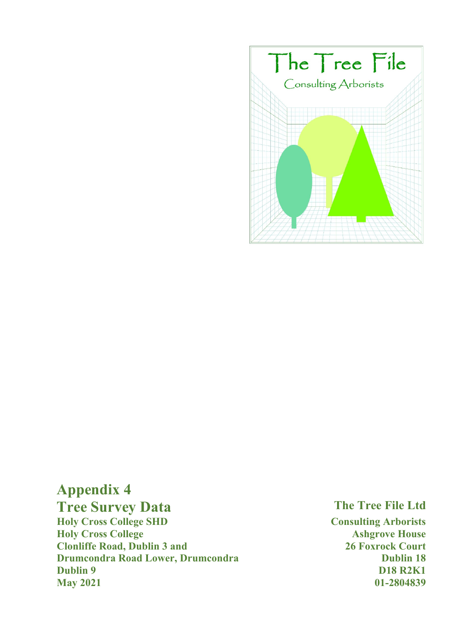

# **Appendix 4**

## **Tree Survey Data** The Tree File Ltd

**Holy Cross College SHD Consulting Arborists Holy Cross College Ashgrove House Clonliffe Road, Dublin 3 and 26 Foxrock Court 120 Foxrock Court Drumcondra Road Lower, Drumcondra Dublin 18 Dublin 18 Dublin 9 D18 R2K1 May 2021 01-2804839**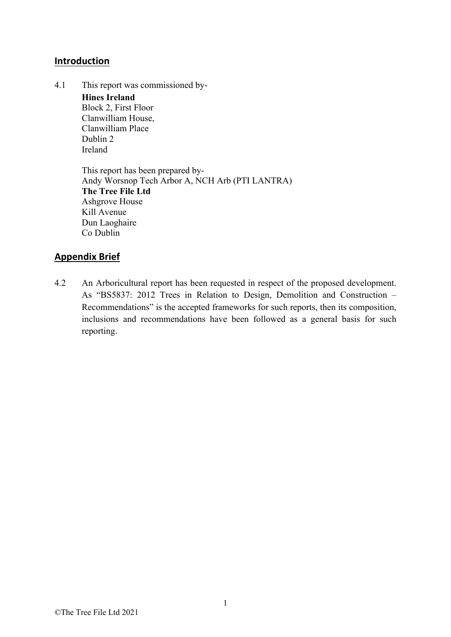#### **Introduction**

4.1 This report was commissioned by-**Hines Ireland**  Block 2, First Floor Clanwilliam House, Clanwilliam Place Dublin 2 Ireland

> This report has been prepared by-Andy Worsnop Tech Arbor A, NCH Arb (PTI LANTRA) **The Tree File Ltd** Ashgrove House Kill Avenue Dun Laoghaire Co Dublin

#### **Appendix Brief**

4.2 An Arboricultural report has been requested in respect of the proposed development. As "BS5837: 2012 Trees in Relation to Design, Demolition and Construction – Recommendations" is the accepted frameworks for such reports, then its composition, inclusions and recommendations have been followed as a general basis for such reporting.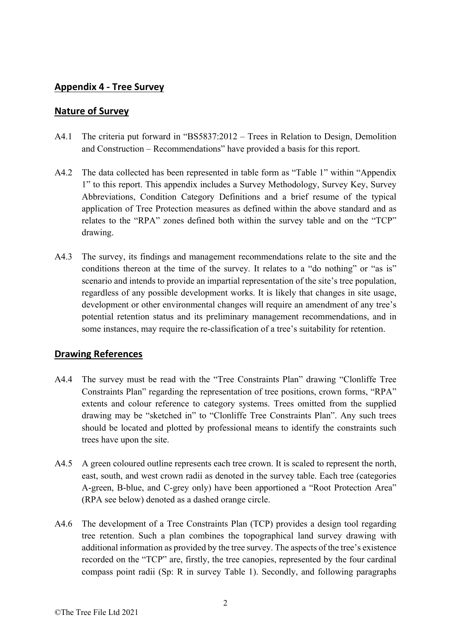### **Appendix 4 ‐ Tree Survey**

#### **Nature of Survey**

- A4.1 The criteria put forward in "BS5837:2012 Trees in Relation to Design, Demolition and Construction – Recommendations" have provided a basis for this report.
- A4.2 The data collected has been represented in table form as "Table 1" within "Appendix 1" to this report. This appendix includes a Survey Methodology, Survey Key, Survey Abbreviations, Condition Category Definitions and a brief resume of the typical application of Tree Protection measures as defined within the above standard and as relates to the "RPA" zones defined both within the survey table and on the "TCP" drawing.
- A4.3 The survey, its findings and management recommendations relate to the site and the conditions thereon at the time of the survey. It relates to a "do nothing" or "as is" scenario and intends to provide an impartial representation of the site's tree population, regardless of any possible development works. It is likely that changes in site usage, development or other environmental changes will require an amendment of any tree's potential retention status and its preliminary management recommendations, and in some instances, may require the re-classification of a tree's suitability for retention.

#### **Drawing References**

- A4.4 The survey must be read with the "Tree Constraints Plan" drawing "Clonliffe Tree Constraints Plan" regarding the representation of tree positions, crown forms, "RPA" extents and colour reference to category systems. Trees omitted from the supplied drawing may be "sketched in" to "Clonliffe Tree Constraints Plan". Any such trees should be located and plotted by professional means to identify the constraints such trees have upon the site.
- A4.5 A green coloured outline represents each tree crown. It is scaled to represent the north, east, south, and west crown radii as denoted in the survey table. Each tree (categories A-green, B-blue, and C-grey only) have been apportioned a "Root Protection Area" (RPA see below) denoted as a dashed orange circle.
- A4.6 The development of a Tree Constraints Plan (TCP) provides a design tool regarding tree retention. Such a plan combines the topographical land survey drawing with additional information as provided by the tree survey. The aspects of the tree's existence recorded on the "TCP" are, firstly, the tree canopies, represented by the four cardinal compass point radii (Sp: R in survey Table 1). Secondly, and following paragraphs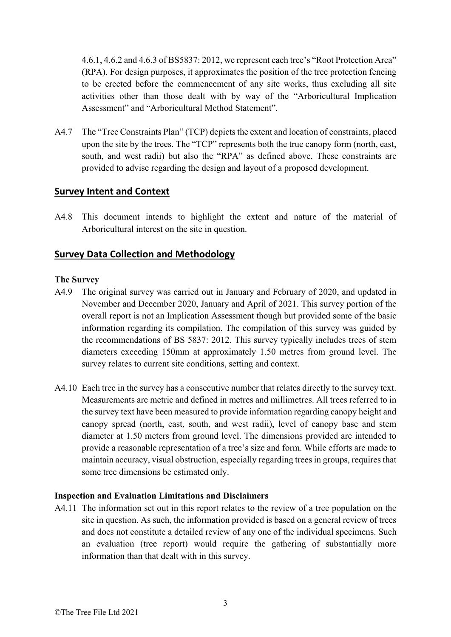4.6.1, 4.6.2 and 4.6.3 of BS5837: 2012, we represent each tree's "Root Protection Area" (RPA). For design purposes, it approximates the position of the tree protection fencing to be erected before the commencement of any site works, thus excluding all site activities other than those dealt with by way of the "Arboricultural Implication Assessment" and "Arboricultural Method Statement".

A4.7 The "Tree Constraints Plan" (TCP) depicts the extent and location of constraints, placed upon the site by the trees. The "TCP" represents both the true canopy form (north, east, south, and west radii) but also the "RPA" as defined above. These constraints are provided to advise regarding the design and layout of a proposed development.

#### **Survey Intent and Context**

A4.8 This document intends to highlight the extent and nature of the material of Arboricultural interest on the site in question.

### **Survey Data Collection and Methodology**

#### **The Survey**

- A4.9 The original survey was carried out in January and February of 2020, and updated in November and December 2020, January and April of 2021. This survey portion of the overall report is not an Implication Assessment though but provided some of the basic information regarding its compilation. The compilation of this survey was guided by the recommendations of BS 5837: 2012. This survey typically includes trees of stem diameters exceeding 150mm at approximately 1.50 metres from ground level. The survey relates to current site conditions, setting and context.
- A4.10 Each tree in the survey has a consecutive number that relates directly to the survey text. Measurements are metric and defined in metres and millimetres. All trees referred to in the survey text have been measured to provide information regarding canopy height and canopy spread (north, east, south, and west radii), level of canopy base and stem diameter at 1.50 meters from ground level. The dimensions provided are intended to provide a reasonable representation of a tree's size and form. While efforts are made to maintain accuracy, visual obstruction, especially regarding trees in groups, requires that some tree dimensions be estimated only.

#### **Inspection and Evaluation Limitations and Disclaimers**

A4.11 The information set out in this report relates to the review of a tree population on the site in question. As such, the information provided is based on a general review of trees and does not constitute a detailed review of any one of the individual specimens. Such an evaluation (tree report) would require the gathering of substantially more information than that dealt with in this survey.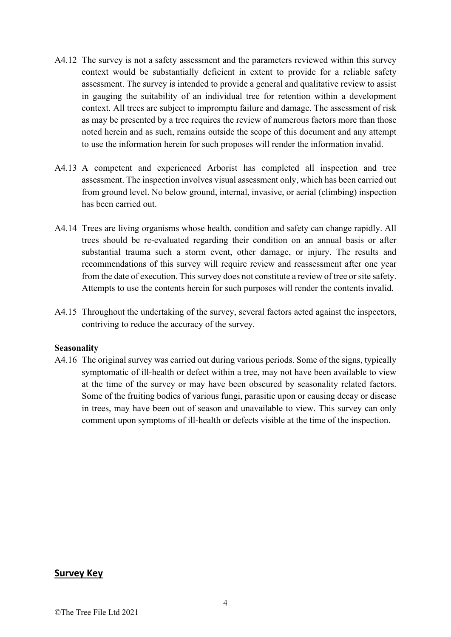- A4.12 The survey is not a safety assessment and the parameters reviewed within this survey context would be substantially deficient in extent to provide for a reliable safety assessment. The survey is intended to provide a general and qualitative review to assist in gauging the suitability of an individual tree for retention within a development context. All trees are subject to impromptu failure and damage. The assessment of risk as may be presented by a tree requires the review of numerous factors more than those noted herein and as such, remains outside the scope of this document and any attempt to use the information herein for such proposes will render the information invalid.
- A4.13 A competent and experienced Arborist has completed all inspection and tree assessment. The inspection involves visual assessment only, which has been carried out from ground level. No below ground, internal, invasive, or aerial (climbing) inspection has been carried out.
- A4.14 Trees are living organisms whose health, condition and safety can change rapidly. All trees should be re-evaluated regarding their condition on an annual basis or after substantial trauma such a storm event, other damage, or injury. The results and recommendations of this survey will require review and reassessment after one year from the date of execution. This survey does not constitute a review of tree or site safety. Attempts to use the contents herein for such purposes will render the contents invalid.
- A4.15 Throughout the undertaking of the survey, several factors acted against the inspectors, contriving to reduce the accuracy of the survey.

#### **Seasonality**

A4.16 The original survey was carried out during various periods. Some of the signs, typically symptomatic of ill-health or defect within a tree, may not have been available to view at the time of the survey or may have been obscured by seasonality related factors. Some of the fruiting bodies of various fungi, parasitic upon or causing decay or disease in trees, may have been out of season and unavailable to view. This survey can only comment upon symptoms of ill-health or defects visible at the time of the inspection.

#### **Survey Key**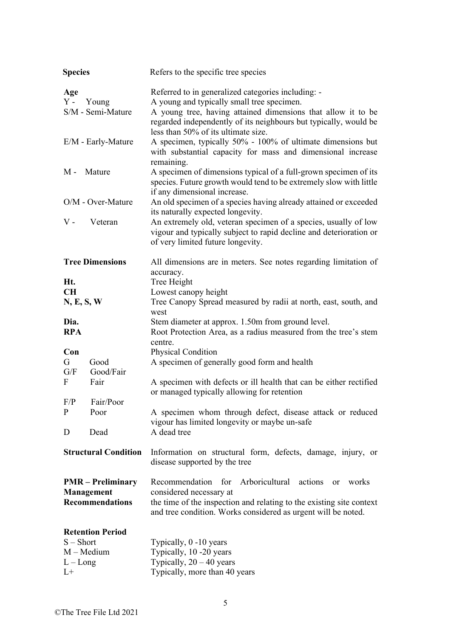| <b>Species</b>     |                                                                  | Refers to the specific tree species                                                                                                                                                                                                                                         |
|--------------------|------------------------------------------------------------------|-----------------------------------------------------------------------------------------------------------------------------------------------------------------------------------------------------------------------------------------------------------------------------|
| Age<br>$Y -$       | Young<br>S/M - Semi-Mature                                       | Referred to in generalized categories including: -<br>A young and typically small tree specimen.<br>A young tree, having attained dimensions that allow it to be<br>regarded independently of its neighbours but typically, would be<br>less than 50% of its ultimate size. |
|                    | E/M - Early-Mature                                               | A specimen, typically 50% - 100% of ultimate dimensions but<br>with substantial capacity for mass and dimensional increase<br>remaining.                                                                                                                                    |
| M -                | Mature                                                           | A specimen of dimensions typical of a full-grown specimen of its<br>species. Future growth would tend to be extremely slow with little<br>if any dimensional increase.                                                                                                      |
|                    | O/M - Over-Mature                                                | An old specimen of a species having already attained or exceeded<br>its naturally expected longevity.                                                                                                                                                                       |
| $V -$              | Veteran                                                          | An extremely old, veteran specimen of a species, usually of low<br>vigour and typically subject to rapid decline and deterioration or<br>of very limited future longevity.                                                                                                  |
| Ht.                | <b>Tree Dimensions</b>                                           | All dimensions are in meters. See notes regarding limitation of<br>accuracy.<br>Tree Height                                                                                                                                                                                 |
| CH                 |                                                                  | Lowest canopy height                                                                                                                                                                                                                                                        |
| N, E, S, W         |                                                                  | Tree Canopy Spread measured by radii at north, east, south, and                                                                                                                                                                                                             |
|                    |                                                                  | west                                                                                                                                                                                                                                                                        |
| Dia.<br><b>RPA</b> |                                                                  | Stem diameter at approx. 1.50m from ground level.<br>Root Protection Area, as a radius measured from the tree's stem<br>centre.                                                                                                                                             |
| Con                |                                                                  | Physical Condition                                                                                                                                                                                                                                                          |
| G<br>G/F           | Good<br>Good/Fair                                                | A specimen of generally good form and health                                                                                                                                                                                                                                |
| F                  | Fair                                                             | A specimen with defects or ill health that can be either rectified<br>or managed typically allowing for retention                                                                                                                                                           |
| F/P                | Fair/Poor                                                        |                                                                                                                                                                                                                                                                             |
| P                  | Poor                                                             | A specimen whom through defect, disease attack or reduced<br>vigour has limited longevity or maybe un-safe                                                                                                                                                                  |
| D                  | Dead                                                             | A dead tree                                                                                                                                                                                                                                                                 |
|                    | <b>Structural Condition</b>                                      | Information on structural form, defects, damage, injury, or<br>disease supported by the tree                                                                                                                                                                                |
|                    | <b>PMR</b> – Preliminary<br>Management<br><b>Recommendations</b> | for<br>Arboricultural<br>Recommendation<br>actions<br>works<br><sub>or</sub><br>considered necessary at<br>the time of the inspection and relating to the existing site context<br>and tree condition. Works considered as urgent will be noted.                            |
|                    | <b>Retention Period</b>                                          |                                                                                                                                                                                                                                                                             |
| $S - Short$        |                                                                  | Typically, 0 -10 years                                                                                                                                                                                                                                                      |
|                    | $M - Medium$                                                     | Typically, 10 -20 years                                                                                                                                                                                                                                                     |
| $L - Long$         |                                                                  | Typically, $20 - 40$ years                                                                                                                                                                                                                                                  |
| $L+$               |                                                                  | Typically, more than 40 years                                                                                                                                                                                                                                               |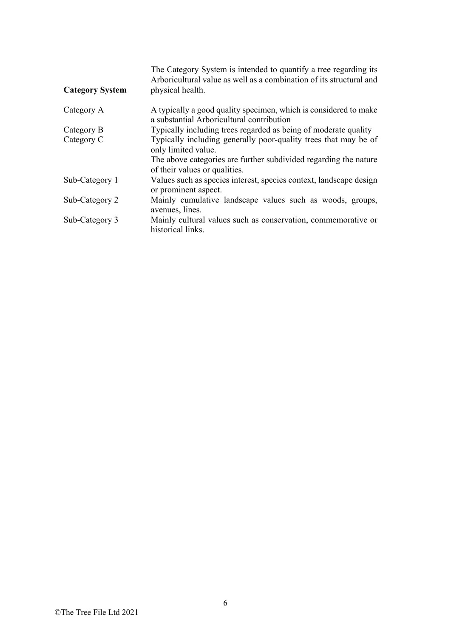| <b>Category System</b> | The Category System is intended to quantify a tree regarding its<br>Arboricultural value as well as a combination of its structural and<br>physical health. |
|------------------------|-------------------------------------------------------------------------------------------------------------------------------------------------------------|
| Category A             | A typically a good quality specimen, which is considered to make<br>a substantial Arboricultural contribution                                               |
| Category B             | Typically including trees regarded as being of moderate quality                                                                                             |
| Category C             | Typically including generally poor-quality trees that may be of<br>only limited value.                                                                      |
|                        | The above categories are further subdivided regarding the nature<br>of their values or qualities.                                                           |
| Sub-Category 1         | Values such as species interest, species context, landscape design<br>or prominent aspect.                                                                  |
| Sub-Category 2         | Mainly cumulative landscape values such as woods, groups,<br>avenues, lines.                                                                                |
| Sub-Category 3         | Mainly cultural values such as conservation, commemorative or<br>historical links.                                                                          |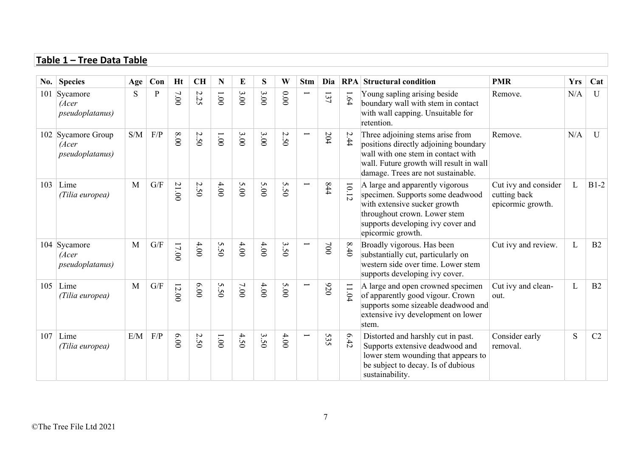#### **Table 1 – Tree Data Table**

| $\bf{No.}$ | <b>Species</b>                                   | Age | Con                     | <b>Ht</b> | <b>CH</b> | N            | E      | S      | W               | <b>Stm</b>               | Dia        |           | <b>RPA</b> Structural condition                                                                                                                                                                  | <b>PMR</b>                                                | <b>Yrs</b> | Cat          |
|------------|--------------------------------------------------|-----|-------------------------|-----------|-----------|--------------|--------|--------|-----------------|--------------------------|------------|-----------|--------------------------------------------------------------------------------------------------------------------------------------------------------------------------------------------------|-----------------------------------------------------------|------------|--------------|
|            | 101 Sycamore<br>(Acer<br>pseudoplatanus)         | S   | P                       | 7.00      | 2.25      | 1.001        | 3.00   | 3.00   | 0.000           |                          | 137        | $1.64\,$  | Young sapling arising beside<br>boundary wall with stem in contact<br>with wall capping. Unsuitable for<br>retention.                                                                            | Remove.                                                   | N/A        | $\mathbf{U}$ |
|            | 102 Sycamore Group<br>(Acer<br>pseudoplatanus)   | S/M | F/P                     | 8.00      | 2.50      | $1.00\,$     | 3.00   | 3.00   | 2.50            | $\overline{\phantom{0}}$ | 204        | 2.44      | Three adjoining stems arise from<br>positions directly adjoining boundary<br>wall with one stem in contact with<br>wall. Future growth will result in wall<br>damage. Trees are not sustainable. | Remove.                                                   | N/A        | $\mathbf{U}$ |
| 103        | Lime<br>(Tilia europea)                          | M   | $\mathrm{G}/\mathrm{F}$ | 21.00     | 2.50      | 4.00         | 5.00   | 5.00   | S<br>$\ddot{S}$ |                          | 844        | 10.12     | A large and apparently vigorous<br>specimen. Supports some deadwood<br>with extensive sucker growth<br>throughout crown. Lower stem<br>supports developing ivy cover and<br>epicormic growth.    | Cut ivy and consider<br>cutting back<br>epicormic growth. | L          | $B1-2$       |
|            | 104 Sycamore<br>(Acer<br><i>pseudoplatanus</i> ) | M   | $\mathrm{G}/\mathrm{F}$ | 17.00     | 4.00      | 5.50         | 4.00   | 4.00   | 3.50            | $\overline{\phantom{0}}$ | $00\angle$ | 8.40      | Broadly vigorous. Has been<br>substantially cut, particularly on<br>western side over time. Lower stem<br>supports developing ivy cover.                                                         | Cut ivy and review.                                       | L          | B2           |
| 105        | Lime<br>(Tilia europea)                          | M   | $\mathrm{G}/\mathrm{F}$ | 12.00     | 6.00      | 5.50         | $7.00$ | $4.00$ | 5.00            | $\overline{\phantom{0}}$ | 076        | $11.04\,$ | A large and open crowned specimen<br>of apparently good vigour. Crown<br>supports some sizeable deadwood and<br>extensive ivy development on lower<br>stem.                                      | Cut ivy and clean-<br>out.                                | L          | B2           |
| 107        | Lime<br>(Tilia europea)                          | E/M | F/P                     | 0009      | 2.50      | $00^{\circ}$ | 4.50   | 3.50   | 4.00            |                          | 535        | 6.42      | Distorted and harshly cut in past.<br>Supports extensive deadwood and<br>lower stem wounding that appears to<br>be subject to decay. Is of dubious<br>sustainability.                            | Consider early<br>removal.                                | S          | C2           |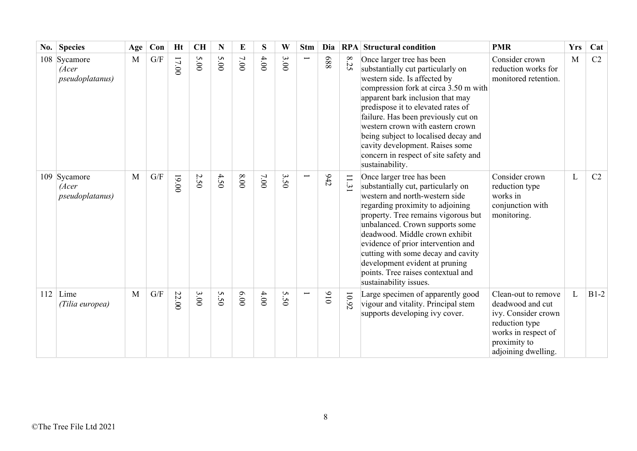| No. | <b>Species</b>                               | Age | Con | Ht    | <b>CH</b> | N    | E    | S    | W                                    | <b>Stm</b> | Dia | RPA                   | <b>Structural condition</b>                                                                                                                                                                                                                                                                                                                                                                                                         | <b>PMR</b>                                                                                                                                     | <b>Yrs</b> | Cat    |
|-----|----------------------------------------------|-----|-----|-------|-----------|------|------|------|--------------------------------------|------------|-----|-----------------------|-------------------------------------------------------------------------------------------------------------------------------------------------------------------------------------------------------------------------------------------------------------------------------------------------------------------------------------------------------------------------------------------------------------------------------------|------------------------------------------------------------------------------------------------------------------------------------------------|------------|--------|
| 108 | Sycamore<br>(Acer<br><i>pseudoplatanus</i> ) | M   | G/F | 17.00 | 5.00      | 5.00 | 7.00 | 4.00 | $\mathbf{\omega}$<br>$\overline{0}0$ |            | 889 | 8.25                  | Once larger tree has been<br>substantially cut particularly on<br>western side. Is affected by<br>compression fork at circa 3.50 m with<br>apparent bark inclusion that may<br>predispose it to elevated rates of<br>failure. Has been previously cut on<br>western crown with eastern crown<br>being subject to localised decay and<br>cavity development. Raises some<br>concern in respect of site safety and<br>sustainability. | Consider crown<br>reduction works for<br>monitored retention.                                                                                  | M          | C2     |
|     | 109 Sycamore<br>(Acer<br>pseudoplatanus)     | M   | G/F | 19.00 | 2.50      | 4.50 | 8.00 | 7.00 | 3.50                                 |            | 642 | $\Box$<br>$\ddot{31}$ | Once larger tree has been<br>substantially cut, particularly on<br>western and north-western side<br>regarding proximity to adjoining<br>property. Tree remains vigorous but<br>unbalanced. Crown supports some<br>deadwood. Middle crown exhibit<br>evidence of prior intervention and<br>cutting with some decay and cavity<br>development evident at pruning<br>points. Tree raises contextual and<br>sustainability issues.     | Consider crown<br>reduction type<br>works in<br>conjunction with<br>monitoring.                                                                | L          | C2     |
|     | $112$ Lime<br>(Tilia europea)                | M   | G/F | 22.00 | 3.00      | 5.50 | 00.9 | 4.00 | 5.50                                 |            | 016 | 10.92                 | Large specimen of apparently good<br>vigour and vitality. Principal stem<br>supports developing ivy cover.                                                                                                                                                                                                                                                                                                                          | Clean-out to remove<br>deadwood and cut<br>ivy. Consider crown<br>reduction type<br>works in respect of<br>proximity to<br>adjoining dwelling. | L          | $B1-2$ |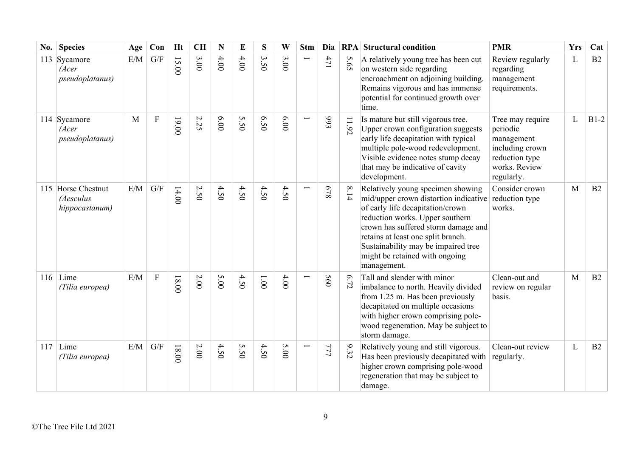| No. | <b>Species</b>                                    | Age | Con            | Ht      | <b>CH</b> | $\mathbf N$ | E    | S                                  | W                                       | <b>Stm</b> | Dia |       | <b>RPA</b> Structural condition                                                                                                                                                                                                                                                                                        | <b>PMR</b>                                                                                                     | <b>Yrs</b> | Cat    |
|-----|---------------------------------------------------|-----|----------------|---------|-----------|-------------|------|------------------------------------|-----------------------------------------|------------|-----|-------|------------------------------------------------------------------------------------------------------------------------------------------------------------------------------------------------------------------------------------------------------------------------------------------------------------------------|----------------------------------------------------------------------------------------------------------------|------------|--------|
|     | 113 Sycamore<br>(Acer<br>pseudoplatanus)          | E/M | G/F            | 15.00   | 3.00      | 4.00        | 4.00 | $\mathbf{\hat{z}}$<br>$\tilde{S}0$ | $\boldsymbol{\omega}$<br>$\overline{0}$ | ╾          | 471 | 5.65  | A relatively young tree has been cut<br>on western side regarding<br>encroachment on adjoining building.<br>Remains vigorous and has immense<br>potential for continued growth over<br>time.                                                                                                                           | Review regularly<br>regarding<br>management<br>requirements.                                                   | L          | B2     |
|     | 114 Sycamore<br>(Acer<br><i>pseudoplatanus</i> )  | M   | $\mathbf F$    | 00.00   | 2.25      | 00'9        | 5.50 | 6.50                               | 00.00                                   | Ë          | 993 | 11.92 | Is mature but still vigorous tree.<br>Upper crown configuration suggests<br>early life decapitation with typical<br>multiple pole-wood redevelopment.<br>Visible evidence notes stump decay<br>that may be indicative of cavity<br>development.                                                                        | Tree may require<br>periodic<br>management<br>including crown<br>reduction type<br>works. Review<br>regularly. | L          | $B1-2$ |
|     | 115 Horse Chestnut<br>(Aesculus<br>hippocastanum) | E/M | G/F            | 14.00   | 2.50      | 4.50        | 4.50 | 4.50                               | 4.50                                    |            | 878 | 8.14  | Relatively young specimen showing<br>mid/upper crown distortion indicative<br>of early life decapitation/crown<br>reduction works. Upper southern<br>crown has suffered storm damage and<br>retains at least one split branch.<br>Sustainability may be impaired tree<br>might be retained with ongoing<br>management. | Consider crown<br>reduction type<br>works.                                                                     | M          | B2     |
|     | 116   Lime<br>(Tilia europea)                     | E/M | $\overline{F}$ | $18.00$ | $2.00\,$  | 5.00        | 4.50 | 1.001                              | 4.00                                    |            | 560 | 6.72  | Tall and slender with minor<br>imbalance to north. Heavily divided<br>from 1.25 m. Has been previously<br>decapitated on multiple occasions<br>with higher crown comprising pole-<br>wood regeneration. May be subject to<br>storm damage.                                                                             | Clean-out and<br>review on regular<br>basis.                                                                   | M          | B2     |
|     | $117$ Lime<br>(Tilia europea)                     | E/M | G/F            | 18.00   | $2.00\,$  | 4.50        | 5.50 | 4.50                               | 5.00                                    |            | 777 | 9.32  | Relatively young and still vigorous.<br>Has been previously decapitated with<br>higher crown comprising pole-wood<br>regeneration that may be subject to<br>damage.                                                                                                                                                    | Clean-out review<br>regularly.                                                                                 | L          | B2     |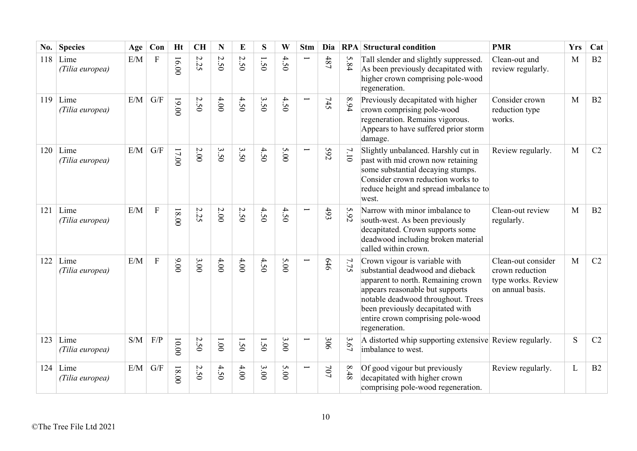| No. | <b>Species</b>          | Age | Con                     | <b>Ht</b> | <b>CH</b>                       | N                   | E                                        | S    | W                    | <b>Stm</b>               | Dia |          | <b>RPA</b> Structural condition                                                                                                                                                                                                                                            | <b>PMR</b>                                                                      | <b>Yrs</b> | Cat            |
|-----|-------------------------|-----|-------------------------|-----------|---------------------------------|---------------------|------------------------------------------|------|----------------------|--------------------------|-----|----------|----------------------------------------------------------------------------------------------------------------------------------------------------------------------------------------------------------------------------------------------------------------------------|---------------------------------------------------------------------------------|------------|----------------|
| 118 | Lime<br>(Tilia europea) | E/M | F                       | 16.00     | $\boldsymbol{\mathsf{c}}$<br>52 | $\mathcal{L}$<br>50 | $\boldsymbol{\mathsf{c}}$<br>$\tilde{S}$ | 1.50 | 4<br>$\tilde{S}$     |                          | 487 | 5.84     | Tall slender and slightly suppressed.<br>As been previously decapitated with<br>higher crown comprising pole-wood<br>regeneration.                                                                                                                                         | Clean-out and<br>review regularly.                                              | M          | B <sub>2</sub> |
| 119 | Lime<br>(Tilia europea) | E/M | G/F                     | 19.00     | 2.50                            | 4.00                | 4.50                                     | 3.50 | 4.50                 | $\overline{\phantom{0}}$ | 745 | 8.94     | Previously decapitated with higher<br>crown comprising pole-wood<br>regeneration. Remains vigorous.<br>Appears to have suffered prior storm<br>damage.                                                                                                                     | Consider crown<br>reduction type<br>works.                                      | M          | B2             |
| 120 | Lime<br>(Tilia europea) | E/M | $\mathrm{G}/\mathrm{F}$ | $17.00$   | $2.00\,$                        | 3.50                | 3.50                                     | 4.50 | 5.00                 | Ē                        | 592 | 7.10     | Slightly unbalanced. Harshly cut in<br>past with mid crown now retaining<br>some substantial decaying stumps.<br>Consider crown reduction works to<br>reduce height and spread imbalance to<br>west.                                                                       | Review regularly.                                                               | M          | C2             |
| 121 | Lime<br>(Tilia europea) | E/M | $\mathbf F$             | 00.81     | 2.25                            | 2.00                | 2.50                                     | 4.50 | 4.50                 |                          | 493 | 5.92     | Narrow with minor imbalance to<br>south-west. As been previously<br>decapitated. Crown supports some<br>deadwood including broken material<br>called within crown.                                                                                                         | Clean-out review<br>regularly.                                                  | M          | B2             |
| 122 | Lime<br>(Tilia europea) | E/M | ${\bf F}$               | 00.00     | 3.00                            | 4.00                | 4.00                                     | 4.50 | 5.00                 | $\overline{\phantom{0}}$ | 646 | 7.75     | Crown vigour is variable with<br>substantial deadwood and dieback<br>apparent to north. Remaining crown<br>appears reasonable but supports<br>notable deadwood throughout. Trees<br>been previously decapitated with<br>entire crown comprising pole-wood<br>regeneration. | Clean-out consider<br>crown reduction<br>type works. Review<br>on annual basis. | M          | C2             |
| 123 | Lime<br>(Tilia europea) | S/M | F/P                     | 10.00     | 2.50                            | 1.001               | $\overline{S}$                           | 1.50 | 3.00                 |                          | 306 | 3.67     | A distorted whip supporting extensive Review regularly.<br>imbalance to west.                                                                                                                                                                                              |                                                                                 | S          | C2             |
| 124 | Lime<br>(Tilia europea) | E/M | G/F                     | $00.81$   | 2.50                            | 4.50                | 4.00                                     | 3.00 | S<br>$\overline{0}0$ |                          | 707 | $8.48\,$ | Of good vigour but previously<br>decapitated with higher crown<br>comprising pole-wood regeneration.                                                                                                                                                                       | Review regularly.                                                               | L          | B2             |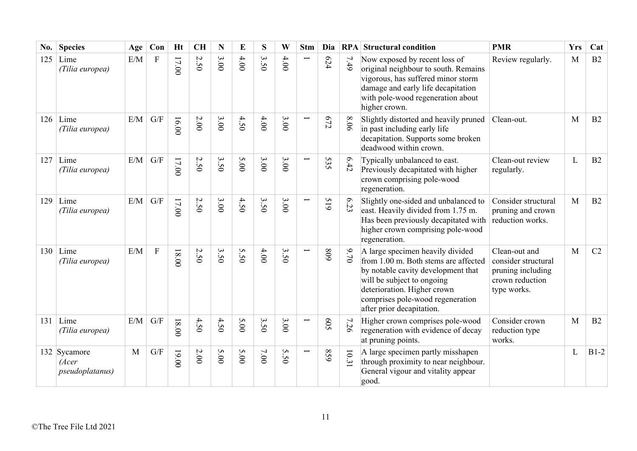| No. | <b>Species</b>                                   | Age | Con                     | <b>Ht</b> | <b>CH</b> | N                                | E    | S                                | W                                | <b>Stm</b> | Dia        | RPA   | <b>Structural condition</b>                                                                                                                                                                                                                  | <b>PMR</b>                                                                                  | <b>Yrs</b> | Cat    |
|-----|--------------------------------------------------|-----|-------------------------|-----------|-----------|----------------------------------|------|----------------------------------|----------------------------------|------------|------------|-------|----------------------------------------------------------------------------------------------------------------------------------------------------------------------------------------------------------------------------------------------|---------------------------------------------------------------------------------------------|------------|--------|
| 125 | Lime<br>(Tilia europea)                          | E/M | $\mathbf F$             | 17.00     | 2.50      | 3.00                             | 4.00 | $\mathbf{\hat{z}}$<br>$\dot{50}$ | 4.00                             |            | 624        | 7.49  | Now exposed by recent loss of<br>original neighbour to south. Remains<br>vigorous, has suffered minor storm<br>damage and early life decapitation<br>with pole-wood regeneration about<br>higher crown.                                      | Review regularly.                                                                           | M          | B2     |
| 126 | Lime<br>(Tilia europea)                          | E/M | $\mathrm{G}/\mathrm{F}$ | 16.00     | 2.00      | 3.00                             | 4.50 | 4.00                             | 3.00                             |            | 672        | 8.06  | Slightly distorted and heavily pruned<br>in past including early life<br>decapitation. Supports some broken<br>deadwood within crown.                                                                                                        | Clean-out.                                                                                  | M          | B2     |
| 127 | Lime<br>(Tilia europea)                          | E/M | G/F                     | 17.00     | 2.50      | 3.50                             | 5.00 | 3.00                             | 3.00                             | ╾          | 535        | 6.42  | Typically unbalanced to east.<br>Previously decapitated with higher<br>crown comprising pole-wood<br>regeneration.                                                                                                                           | Clean-out review<br>regularly.                                                              | L          | B2     |
| 129 | Lime<br>(Tilia europea)                          | E/M | G/F                     | 17.00     | 2.50      | 3.00                             | 4.50 | 3.50                             | 3.00                             | Ī          | 61S        | 6.23  | Slightly one-sided and unbalanced to<br>east. Heavily divided from 1.75 m.<br>Has been previously decapitated with<br>higher crown comprising pole-wood<br>regeneration.                                                                     | Consider structural<br>pruning and crown<br>reduction works.                                | M          | B2     |
| 130 | Lime<br>(Tilia europea)                          | E/M | $\mathbf{F}$            | $00.81$   | 2.50      | $\mathbf{\hat{z}}$<br>$\dot{5}0$ | 5.50 | 4.00                             | $\mathbf{\hat{z}}$<br>$\dot{50}$ |            | 608        | 9.70  | A large specimen heavily divided<br>from 1.00 m. Both stems are affected<br>by notable cavity development that<br>will be subject to ongoing<br>deterioration. Higher crown<br>comprises pole-wood regeneration<br>after prior decapitation. | Clean-out and<br>consider structural<br>pruning including<br>crown reduction<br>type works. | M          | C2     |
| 131 | Lime<br>(Tilia europea)                          | E/M | G/F                     | $18.00$   | 4.50      | 4.50                             | 5.00 | 3.50                             | 3.00                             | Ë          | <b>509</b> | 7.26  | Higher crown comprises pole-wood<br>regeneration with evidence of decay<br>at pruning points.                                                                                                                                                | Consider crown<br>reduction type<br>works.                                                  | M          | B2     |
|     | 132 Sycamore<br>(Acer<br><i>pseudoplatanus</i> ) | M   | G/F                     | 19.00     | $2.00$    | 5.00                             | 5.00 | 7.00                             | S<br>50                          | Ë          | 629        | 10.31 | A large specimen partly misshapen<br>through proximity to near neighbour.<br>General vigour and vitality appear<br>good.                                                                                                                     |                                                                                             | L          | $B1-2$ |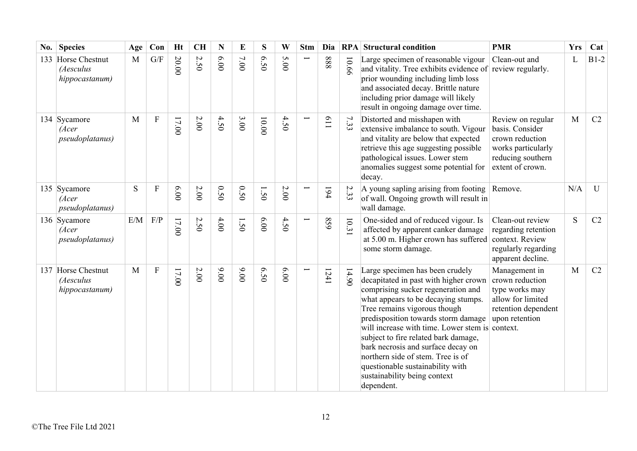| No. | <b>Species</b>                                    | Age | Con                       | Ht    | <b>CH</b> | ${\bf N}$ | E      | ${\bf S}$ | W    | <b>Stm</b> | Dia  |       | <b>RPA</b> Structural condition                                                                                                                                                                                                                                                                                                                                                                                                                                                      | <b>PMR</b>                                                                                                             | <b>Yrs</b> | Cat            |
|-----|---------------------------------------------------|-----|---------------------------|-------|-----------|-----------|--------|-----------|------|------------|------|-------|--------------------------------------------------------------------------------------------------------------------------------------------------------------------------------------------------------------------------------------------------------------------------------------------------------------------------------------------------------------------------------------------------------------------------------------------------------------------------------------|------------------------------------------------------------------------------------------------------------------------|------------|----------------|
| 133 | Horse Chestnut<br>(Aesculus<br>hippocastanum)     | M   | G/F                       | 20.00 | 2.50      | 0.00      | $7.00$ | 6.50      | 5.00 |            | 888  | 10.66 | Large specimen of reasonable vigour<br>and vitality. Tree exhibits evidence of<br>prior wounding including limb loss<br>and associated decay. Brittle nature<br>including prior damage will likely<br>result in ongoing damage over time.                                                                                                                                                                                                                                            | Clean-out and<br>review regularly.                                                                                     | L          | $B1-2$         |
|     | 134 Sycamore<br>(Acer<br>pseudoplatanus)          | M   | $\boldsymbol{\mathrm{F}}$ | 17.00 | $2.00\,$  | 4.50      | 3.00   | 10.00     | 4.50 |            | 119  | 7.33  | Distorted and misshapen with<br>extensive imbalance to south. Vigour<br>and vitality are below that expected<br>retrieve this age suggesting possible<br>pathological issues. Lower stem<br>anomalies suggest some potential for<br>decay.                                                                                                                                                                                                                                           | Review on regular<br>basis. Consider<br>crown reduction<br>works particularly<br>reducing southern<br>extent of crown. | M          | C <sub>2</sub> |
|     | 135 Sycamore<br>(Acer<br>pseudoplatanus)          | S   | ${\bf F}$                 | 6.00  | $2.00$    | 0.50      | 0.50   | 1.50      | 2.00 |            | 194  | 2.33  | A young sapling arising from footing<br>of wall. Ongoing growth will result in<br>wall damage.                                                                                                                                                                                                                                                                                                                                                                                       | Remove.                                                                                                                | N/A        | U              |
|     | 136 Sycamore<br>(Acer<br><i>pseudoplatanus</i> )  | E/M | F/P                       | 17.00 | 2.50      | 4.00      | 1.50   | 6.00      | 4.50 |            | 859  | 10.31 | One-sided and of reduced vigour. Is<br>affected by apparent canker damage<br>at 5.00 m. Higher crown has suffered<br>some storm damage.                                                                                                                                                                                                                                                                                                                                              | Clean-out review<br>regarding retention<br>context. Review<br>regularly regarding<br>apparent decline.                 | S          | C2             |
|     | 137 Horse Chestnut<br>(Aesculus<br>hippocastanum) | M   | $\boldsymbol{\mathrm{F}}$ | 17.00 | 2.00      | 00.00     | 00'6   | 6.50      | 00'9 |            | 1241 | 14.90 | Large specimen has been crudely<br>decapitated in past with higher crown<br>comprising sucker regeneration and<br>what appears to be decaying stumps.<br>Tree remains vigorous though<br>predisposition towards storm damage<br>will increase with time. Lower stem is context.<br>subject to fire related bark damage,<br>bark necrosis and surface decay on<br>northern side of stem. Tree is of<br>questionable sustainability with<br>sustainability being context<br>dependent. | Management in<br>crown reduction<br>type works may<br>allow for limited<br>retention dependent<br>upon retention       | M          | C2             |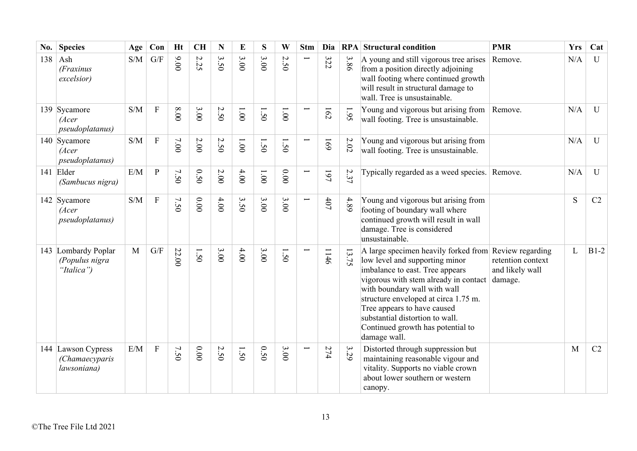| No. | <b>Species</b>                                      | Age                                               | Con            | <b>Ht</b> | <b>CH</b>           | $\mathbf N$                           | E        | S    | W                   | <b>Stm</b>    | Dia        |                                | <b>RPA</b> Structural condition                                                                                                                                                                                                                                                                                                                                    | <b>PMR</b>                                      | <b>Yrs</b> | Cat          |
|-----|-----------------------------------------------------|---------------------------------------------------|----------------|-----------|---------------------|---------------------------------------|----------|------|---------------------|---------------|------------|--------------------------------|--------------------------------------------------------------------------------------------------------------------------------------------------------------------------------------------------------------------------------------------------------------------------------------------------------------------------------------------------------------------|-------------------------------------------------|------------|--------------|
| 138 | Ash<br>(Fraxinus<br>excelsior)                      | S/M                                               | G/F            | 00.00     | $\mathcal{L}$<br>52 | $\boldsymbol{\omega}$<br>$\tilde{S}0$ | 3.00     | 3.00 | $\mathcal{L}$<br>50 |               | 322        | $\boldsymbol{\omega}$<br>$-86$ | A young and still vigorous tree arises<br>from a position directly adjoining<br>wall footing where continued growth<br>will result in structural damage to<br>wall. Tree is unsustainable.                                                                                                                                                                         | Remove.                                         | N/A        | $\mathbf{U}$ |
|     | 139 Sycamore<br>(Acer<br>pseudoplatanus)            | S/M                                               | $\overline{F}$ | 00.8      | 3.00                | 2.50                                  | $1.00\,$ | 1.50 | 1.00                |               | 162        | 1.95                           | Young and vigorous but arising from<br>wall footing. Tree is unsustainable.                                                                                                                                                                                                                                                                                        | Remove.                                         | N/A        | $\mathbf{U}$ |
|     | 140 Sycamore<br>(Acer<br>pseudoplatanus)            | S/M                                               | ${\bf F}$      | 7.00      | $2.00$              | $\sim$<br>$\dot{S}0$                  | 1.00     | 1.50 | 1.50                |               | <b>691</b> | $2.02\,$                       | Young and vigorous but arising from<br>wall footing. Tree is unsustainable.                                                                                                                                                                                                                                                                                        |                                                 | N/A        | $\mathbf{U}$ |
|     | 141 Elder<br>(Sambucus nigra)                       | E/M                                               | $\overline{P}$ | 7.50      | 0.50                | $2.00$                                | 4.00     | 1.00 | $0.00$              | $\overline{}$ | 197        | 2.37                           | Typically regarded as a weed species. Remove.                                                                                                                                                                                                                                                                                                                      |                                                 | N/A        | $\mathbf{U}$ |
|     | 142 Sycamore<br>(Acer<br>pseudoplatanus)            | $\ensuremath{\mathrm{S}}/\ensuremath{\mathrm{M}}$ | ${\bf F}$      | 7.50      | $0.00\,$            | 4.00                                  | 3.50     | 3.00 | 3.00                |               | $407$      | 4.89                           | Young and vigorous but arising from<br>footing of boundary wall where<br>continued growth will result in wall<br>damage. Tree is considered<br>unsustainable.                                                                                                                                                                                                      |                                                 | S          | C2           |
|     | 143 Lombardy Poplar<br>(Populus nigra<br>"Italica") | M                                                 | G/F            | 22.00     | 1.50                | 3.00                                  | 4.00     | 3.00 | 1.50                |               | 1146       | $\overline{3}$<br>52           | A large specimen heavily forked from Review regarding<br>low level and supporting minor<br>imbalance to east. Tree appears<br>vigorous with stem already in contact<br>with boundary wall with wall<br>structure enveloped at circa 1.75 m.<br>Tree appears to have caused<br>substantial distortion to wall.<br>Continued growth has potential to<br>damage wall. | retention context<br>and likely wall<br>damage. | L          | $B1-2$       |
|     | 144 Lawson Cypress<br>(Chamaecyparis<br>lawsoniana) | E/M                                               | ${\bf F}$      | 7.50      | 0.00                | Ņ<br>50                               | 1.50     | 0.50 | 3.00                |               | 274        | 3.29                           | Distorted through suppression but<br>maintaining reasonable vigour and<br>vitality. Supports no viable crown<br>about lower southern or western<br>canopy.                                                                                                                                                                                                         |                                                 | M          | C2           |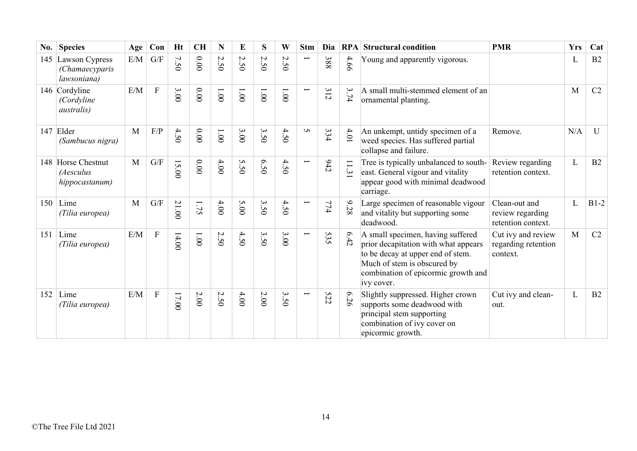| No. | <b>Species</b>                                    | Age | Con                     | <b>Ht</b> | <b>CH</b> | N                         | E               | S     | W                                   | <b>Stm</b>               | Dia | <b>RPA</b> | <b>Structural condition</b>                                                                                                                                                                        | <b>PMR</b>                                              | <b>Yrs</b> | Cat    |
|-----|---------------------------------------------------|-----|-------------------------|-----------|-----------|---------------------------|-----------------|-------|-------------------------------------|--------------------------|-----|------------|----------------------------------------------------------------------------------------------------------------------------------------------------------------------------------------------------|---------------------------------------------------------|------------|--------|
| 145 | Lawson Cypress<br>(Chamaecyparis<br>lawsoniana)   | E/M | $\mathrm{G}/\mathrm{F}$ | 7.50      | 0.00      | 2.50                      | 2.50            | 2.50  | $\overline{C}$<br>50                | $\overline{\phantom{0}}$ | 388 | 4.66       | Young and apparently vigorous.                                                                                                                                                                     |                                                         | L          | B2     |
|     | 146 Cordyline<br>(Cordyline<br><i>australis</i> ) | E/M | ${\bf F}$               | 3.00      | 0.000     | $00^{\circ}$              | $00^{\circ}1$   | 1.001 | 1.001                               | $\overline{\phantom{0}}$ | 312 | 3.74       | A small multi-stemmed element of an<br>ornamental planting.                                                                                                                                        |                                                         | M          | C2     |
| 147 | Elder<br>(Sambucus nigra)                         | M   | F/P                     | 4.50      | 0.000     | $00^{\circ}1$             | 3.00            | 3.50  | 4.50                                | S                        | 334 | $4.01$     | An unkempt, untidy specimen of a<br>weed species. Has suffered partial<br>collapse and failure.                                                                                                    | Remove.                                                 | N/A        | U      |
|     | 148 Horse Chestnut<br>(Aesculus<br>hippocastanum) | M   | G/F                     | 15.00     | $0.00$    | 4.00                      | S<br>$\ddot{5}$ | 6.50  | 4.50                                | $\overline{\phantom{0}}$ | 645 | 11.31      | Tree is typically unbalanced to south-<br>east. General vigour and vitality<br>appear good with minimal deadwood<br>carriage.                                                                      | Review regarding<br>retention context.                  | L          | B2     |
| 150 | Lime<br>(Tilia europea)                           | M   | $\mathrm{G}/\mathrm{F}$ | 21.00     | 1.75      | 4.00                      | 5.00            | 3.50  | 4.50                                | $\overline{\phantom{0}}$ | 774 | 9.28       | Large specimen of reasonable vigour<br>and vitality but supporting some<br>deadwood.                                                                                                               | Clean-out and<br>review regarding<br>retention context. | L          | $B1-2$ |
| 151 | Lime<br>(Tilia europea)                           | E/M | $\overline{F}$          | 14.00     | $1.00\,$  | 2.50                      | 4.50            | 3.50  | 3.00                                | $\overline{\phantom{0}}$ | 535 | 6.42       | A small specimen, having suffered<br>prior decapitation with what appears<br>to be decay at upper end of stem.<br>Much of stem is obscured by<br>combination of epicormic growth and<br>ivy cover. | Cut ivy and review<br>regarding retention<br>context.   | M          | C2     |
| 152 | Lime<br>(Tilia europea)                           | E/M | ${\bf F}$               | 17.00     | 2.00      | $\sim$<br>$\overline{50}$ | 4.00            | 2.00  | $\boldsymbol{\omega}$<br>$\dot{5}0$ | $\overline{\phantom{0}}$ | 522 | 6.26       | Slightly suppressed. Higher crown<br>supports some deadwood with<br>principal stem supporting<br>combination of ivy cover on<br>epicormic growth.                                                  | Cut ivy and clean-<br>out.                              | L          | B2     |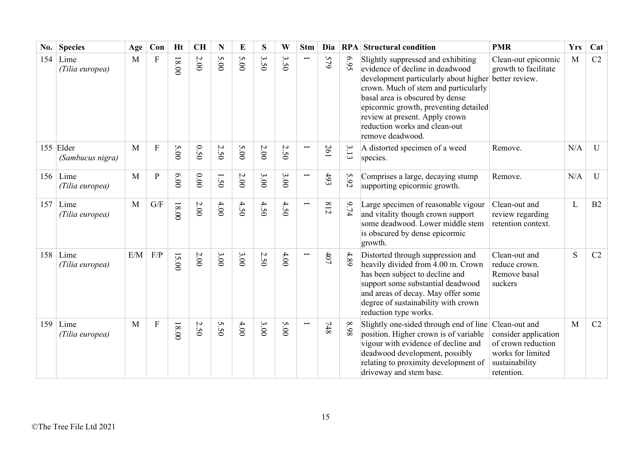| No. | <b>Species</b>                | Age          | Con                     | <b>Ht</b> | <b>CH</b> | N                               | E    | S                                     | W                  | <b>Stm</b>               | Dia   | RPA  | <b>Structural condition</b>                                                                                                                                                                                                                                                                                               | <b>PMR</b>                                                                                      | <b>Yrs</b> | Cat          |
|-----|-------------------------------|--------------|-------------------------|-----------|-----------|---------------------------------|------|---------------------------------------|--------------------|--------------------------|-------|------|---------------------------------------------------------------------------------------------------------------------------------------------------------------------------------------------------------------------------------------------------------------------------------------------------------------------------|-------------------------------------------------------------------------------------------------|------------|--------------|
| 154 | Lime<br>(Tilia europea)       | M            | ${\bf F}$               | $18.00$   | $2.00\,$  | 5.00                            | 5.00 | $\mathbf{\hat{z}}$<br>$\overline{50}$ | $\omega$<br>i<br>Õ |                          | 579   | 6.95 | Slightly suppressed and exhibiting<br>evidence of decline in deadwood<br>development particularly about higher<br>crown. Much of stem and particularly<br>basal area is obscured by dense<br>epicormic growth, preventing detailed<br>review at present. Apply crown<br>reduction works and clean-out<br>remove deadwood. | Clean-out epicormic<br>growth to facilitate<br>better review.                                   | M          | C2           |
|     | 155 Elder<br>(Sambucus nigra) | M            | $\overline{F}$          | 5.00      | 0.50      | $\boldsymbol{\mathsf{c}}$<br>50 | 5.00 | 2.00                                  | 2.50               | $\overline{\phantom{0}}$ | 261   | 3.13 | A distorted specimen of a weed<br>species.                                                                                                                                                                                                                                                                                | Remove.                                                                                         | N/A        | $\mathbf{U}$ |
|     | $156$ Lime<br>(Tilia europea) | M            | ${\bf P}$               | 0.00      | 0.00      | $\overline{\phantom{0}}$<br>50  | 2.00 | 3.00                                  | 3.00               |                          | 493   | 5.92 | Comprises a large, decaying stump<br>supporting epicormic growth.                                                                                                                                                                                                                                                         | Remove.                                                                                         | N/A        | $\mathbf U$  |
| 157 | Lime<br>(Tilia europea)       | $\mathbf{M}$ | $\mathrm{G}/\mathrm{F}$ | $18.00$   | $2.00\,$  | 4.00                            | 4.50 | 4.50                                  | 4.50               |                          | 812   | 9.74 | Large specimen of reasonable vigour<br>and vitality though crown support<br>some deadwood. Lower middle stem<br>is obscured by dense epicormic<br>growth.                                                                                                                                                                 | Clean-out and<br>review regarding<br>retention context.                                         | L          | B2           |
| 158 | Lime<br>(Tilia europea)       | E/M          | F/P                     | 15.00     | $2.00$    | 3.00                            | 3.00 | 2.50                                  | 4.00               |                          | $407$ | 4.89 | Distorted through suppression and<br>heavily divided from 4.00 m. Crown<br>has been subject to decline and<br>support some substantial deadwood<br>and areas of decay. May offer some<br>degree of sustainability with crown<br>reduction type works.                                                                     | Clean-out and<br>reduce crown.<br>Remove basal<br>suckers                                       | S          | C2           |
| 159 | Lime<br>(Tilia europea)       | $\mathbf{M}$ | ${\bf F}$               | 18.00     | 2.50      | 5.50                            | 4.00 | 3.00                                  | 5.00               |                          | $748$ | 86.8 | Slightly one-sided through end of line Clean-out and<br>position. Higher crown is of variable<br>vigour with evidence of decline and<br>deadwood development, possibly<br>relating to proximity development of<br>driveway and stem base.                                                                                 | consider application<br>of crown reduction<br>works for limited<br>sustainability<br>retention. | M          | C2           |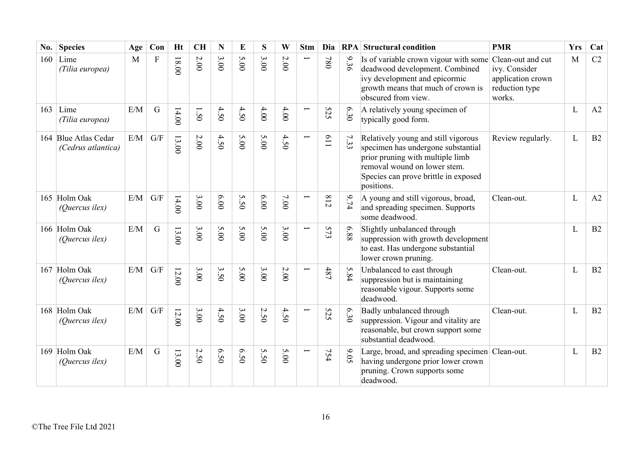| No. | <b>Species</b>                             | Age | Con                     | <b>Ht</b> | <b>CH</b> | N    | E    | S    | W      | <b>Stm</b>               | Dia        |      | <b>RPA</b> Structural condition                                                                                                                                                                     | <b>PMR</b>                                                     | <b>Yrs</b>   | Cat |
|-----|--------------------------------------------|-----|-------------------------|-----------|-----------|------|------|------|--------|--------------------------|------------|------|-----------------------------------------------------------------------------------------------------------------------------------------------------------------------------------------------------|----------------------------------------------------------------|--------------|-----|
| 160 | Lime<br>(Tilia europea)                    | M   | $\mathbf F$             | 18.00     | $2.00\,$  | 3.00 | 5.00 | 3.00 | $2.00$ | Ī                        | 780        | 9.36 | Is of variable crown vigour with some Clean-out and cut<br>deadwood development. Combined<br>ivy development and epicormic<br>growth means that much of crown is<br>obscured from view.             | ivy. Consider<br>application crown<br>reduction type<br>works. | M            | C2  |
| 163 | Lime<br>(Tilia europea)                    | E/M | $\mathbf G$             | 14.00     | 1.50      | 4.50 | 4.50 | 4.00 | 4.00   | Ē                        | 525        | 6.30 | A relatively young specimen of<br>typically good form.                                                                                                                                              |                                                                | L            | A2  |
|     | 164 Blue Atlas Cedar<br>(Cedrus atlantica) | E/M | $\mathrm{G}/\mathrm{F}$ | 13.00     | $2.00$    | 4.50 | 5.00 | 5.00 | 4.50   | Ī                        | <b>119</b> | 7.33 | Relatively young and still vigorous<br>specimen has undergone substantial<br>prior pruning with multiple limb<br>removal wound on lower stem.<br>Species can prove brittle in exposed<br>positions. | Review regularly.                                              | L            | B2  |
|     | 165 Holm Oak<br>(Quercus ilex)             | E/M | G/F                     | 14.00     | 3.00      | 6.00 | 5.50 | 6.00 | 7.00   | Ī                        | 812        | 9.74 | A young and still vigorous, broad,<br>and spreading specimen. Supports<br>some deadwood.                                                                                                            | Clean-out.                                                     | L            | A2  |
|     | 166 Holm Oak<br>(Quercus ilex)             | E/M | $\mathbf G$             | 13.00     | 3.00      | 5.00 | 5.00 | 5.00 | 3.00   | $\overline{\phantom{0}}$ | 573        | 889  | Slightly unbalanced through<br>suppression with growth development<br>to east. Has undergone substantial<br>lower crown pruning.                                                                    |                                                                | L            | B2  |
|     | 167 Holm Oak<br>(Quercus ilex)             | E/M | G/F                     | 12.00     | 3.00      | 3.50 | 5.00 | 3.00 | 2.00   | $\overline{\phantom{0}}$ | 487        | 5.84 | Unbalanced to east through<br>suppression but is maintaining<br>reasonable vigour. Supports some<br>deadwood.                                                                                       | Clean-out.                                                     | L            | B2  |
|     | 168 Holm Oak<br>(Quercus ilex)             | E/M | $\mathrm{G}/\mathrm{F}$ | 12.00     | 3.00      | 4.50 | 3.00 | 2.50 | 4.50   |                          | 525        | 6.30 | Badly unbalanced through<br>suppression. Vigour and vitality are<br>reasonable, but crown support some<br>substantial deadwood.                                                                     | Clean-out.                                                     | $\mathbf{L}$ | B2  |
|     | 169 Holm Oak<br>(Quercus ilex)             | E/M | $\mathbf G$             | 13.00     | 2.50      | 6.50 | 6.50 | 5.50 | 5.00   | Ī                        | 754        | 9.05 | Large, broad, and spreading specimen Clean-out.<br>having undergone prior lower crown<br>pruning. Crown supports some<br>deadwood.                                                                  |                                                                | L            | B2  |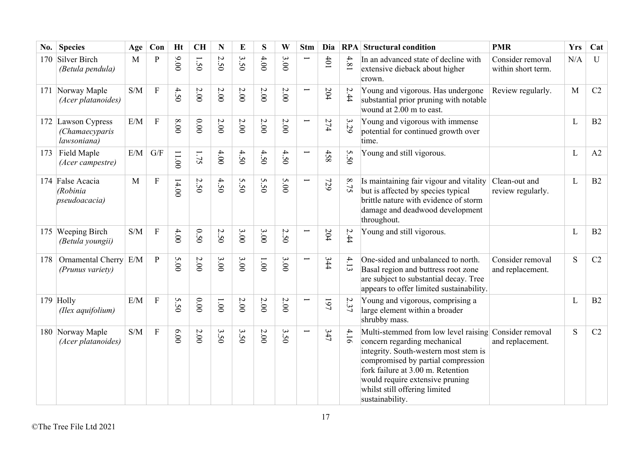| No. | <b>Species</b>                                        | Age                                               | Con                     | <b>Ht</b> | <b>CH</b> | N                               | E      | S    | W      | <b>Stm</b>               | Dia |      | <b>RPA</b> Structural condition                                                                                                                                                                                                                                                 | <b>PMR</b>                             | <b>Yrs</b> | Cat          |
|-----|-------------------------------------------------------|---------------------------------------------------|-------------------------|-----------|-----------|---------------------------------|--------|------|--------|--------------------------|-----|------|---------------------------------------------------------------------------------------------------------------------------------------------------------------------------------------------------------------------------------------------------------------------------------|----------------------------------------|------------|--------------|
| 170 | Silver Birch<br>(Betula pendula)                      | M                                                 | $\overline{P}$          | 9.00      | 1.50      | $\boldsymbol{\mathsf{c}}$<br>50 | 3.50   | 4.00 | 3.00   |                          | 401 | 4.81 | In an advanced state of decline with<br>extensive dieback about higher<br>crown.                                                                                                                                                                                                | Consider removal<br>within short term. | N/A        | $\mathbf{U}$ |
|     | 171 Norway Maple<br>(Acer platanoides)                | S/M                                               | ${\bf F}$               | 4.50      | 2.00      | 2.00                            | 2.00   | 2.00 | $2.00$ | $\overline{\phantom{0}}$ | 204 | 2.44 | Young and vigorous. Has undergone<br>substantial prior pruning with notable<br>wound at 2.00 m to east.                                                                                                                                                                         | Review regularly.                      | M          | C2           |
|     | 172 Lawson Cypress<br>(Chamaecyparis<br>lawsoniana)   | E/M                                               | ${\bf F}$               | 8.00      | 0.00      | 2.00                            | 2.00   | 2.00 | 2.00   | $\overline{\phantom{0}}$ | 274 | 3.29 | Young and vigorous with immense<br>potential for continued growth over<br>time.                                                                                                                                                                                                 |                                        | L          | B2           |
| 173 | Field Maple<br>(Acer campestre)                       | E/M                                               | $\mathrm{G}/\mathrm{F}$ | 11.00     | $-75$     | 4.00                            | 4.50   | 4.50 | 4.50   | $\overline{\phantom{0}}$ | 458 | 5.50 | Young and still vigorous.                                                                                                                                                                                                                                                       |                                        | L          | A2           |
|     | 174 False Acacia<br>(Robinia<br><i>pseudoacacia</i> ) | M                                                 | ${\bf F}$               | 14.00     | 2.50      | 4.50                            | 5.50   | 5.50 | 5.00   | $\overline{\phantom{0}}$ | 729 | 8.75 | Is maintaining fair vigour and vitality<br>but is affected by species typical<br>brittle nature with evidence of storm<br>damage and deadwood development<br>throughout.                                                                                                        | Clean-out and<br>review regularly.     | L          | B2           |
|     | 175 Weeping Birch<br>(Betula youngii)                 | $\ensuremath{\mathrm{S}}/\ensuremath{\mathrm{M}}$ | $\rm F$                 | 4.00      | 0.50      | $\boldsymbol{\mathsf{c}}$<br>50 | 3.00   | 3.00 | 2.50   |                          | 204 | 2.44 | Young and still vigorous.                                                                                                                                                                                                                                                       |                                        | L          | B2           |
| 178 | Ornamental Cherry E/M<br>(Prunus variety)             |                                                   | $\overline{P}$          | 5.00      | 2.00      | 3.00                            | 3.00   | 1.00 | 3.00   | $\overline{\phantom{0}}$ | 344 | 4.13 | One-sided and unbalanced to north.<br>Basal region and buttress root zone<br>are subject to substantial decay. Tree<br>appears to offer limited sustainability.                                                                                                                 | Consider removal<br>and replacement.   | S          | C2           |
|     | 179 Holly<br>(Ilex aquifolium)                        | E/M                                               | $\overline{F}$          | 5.50      | 0.00      | 1.00                            | $2.00$ | 2.00 | 2.00   |                          | 197 | 2.37 | Young and vigorous, comprising a<br>large element within a broader<br>shrubby mass.                                                                                                                                                                                             |                                        | L          | B2           |
|     | 180 Norway Maple<br>(Acer platanoides)                | S/M                                               | $\mathbf{F}$            | 6.00      | 2.00      | 3.50                            | 3.50   | 2.00 | 3.50   |                          | 347 | 4.16 | Multi-stemmed from low level raising<br>concern regarding mechanical<br>integrity. South-western most stem is<br>compromised by partial compression<br>fork failure at 3.00 m. Retention<br>would require extensive pruning<br>whilst still offering limited<br>sustainability. | Consider removal<br>and replacement.   | S          | C2           |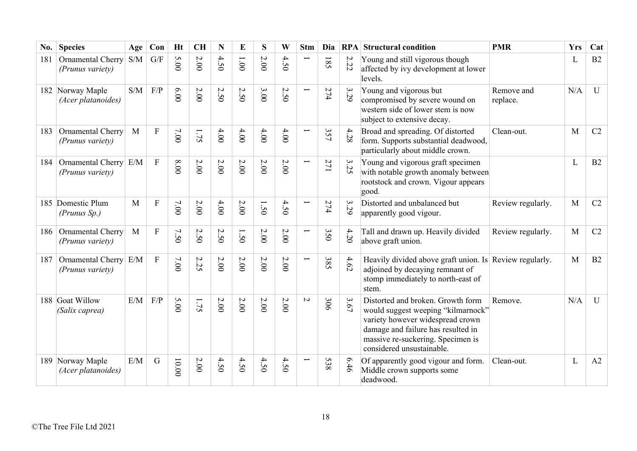| No. | <b>Species</b>                         | Age          | Con            | <b>Ht</b> | <b>CH</b>            | N                    | E      | S      | W        | <b>Stm</b>               | Dia        | RPA  | <b>Structural condition</b>                                                                                                                                                                                         | <b>PMR</b>             | <b>Yrs</b> | Cat          |
|-----|----------------------------------------|--------------|----------------|-----------|----------------------|----------------------|--------|--------|----------|--------------------------|------------|------|---------------------------------------------------------------------------------------------------------------------------------------------------------------------------------------------------------------------|------------------------|------------|--------------|
| 181 | Ornamental Cherry<br>(Prunus variety)  | S/M          | G/F            | 5.00      | 2.00                 | 4.50                 | 1.001  | 2.00   | 4.50     |                          | 581        | 2.22 | Young and still vigorous though<br>affected by ivy development at lower<br>levels.                                                                                                                                  |                        | L          | B2           |
|     | 182 Norway Maple<br>(Acer platanoides) | S/M          | F/P            | 0.000     | 2.00                 | $\overline{C}$<br>50 | 2.50   | 3.00   | 2.50     | Ţ                        | 274        | 3.29 | Young and vigorous but<br>compromised by severe wound on<br>western side of lower stem is now<br>subject to extensive decay.                                                                                        | Remove and<br>replace. | N/A        | U            |
| 183 | Ornamental Cherry<br>(Prunus variety)  | M            | ${\bf F}$      | 7.00      | 1.75                 | 4.00                 | 4.00   | 4.00   | $4.00$   | $\overline{\phantom{0}}$ | 357        | 4.28 | Broad and spreading. Of distorted<br>form. Supports substantial deadwood,<br>particularly about middle crown.                                                                                                       | Clean-out.             | M          | C2           |
| 184 | Ornamental Cherry<br>(Prunus variety)  | E/M          | $\mathbf F$    | 00'8      | 2.00                 | 2.00                 | 2.00   | 2.00   | 2.00     |                          | 271        | 3.25 | Young and vigorous graft specimen<br>with notable growth anomaly between<br>rootstock and crown. Vigour appears<br>good.                                                                                            |                        | L          | B2           |
|     | 185 Domestic Plum<br>(Prunus Sp.)      | M            | $\overline{F}$ | 7.00      | 2.00                 | 4.00                 | 2.00   | 1.50   | 4.50     | Ē.                       | 274        | 3.29 | Distorted and unbalanced but<br>apparently good vigour.                                                                                                                                                             | Review regularly.      | M          | C2           |
| 186 | Ornamental Cherry<br>(Prunus variety)  | $\mathbf{M}$ | ${\bf F}$      | 7.50      | $\sim$<br>$\dot{5}0$ | $\mathcal{L}$<br>50  | 1.50   | 2.00   | 2.00     | Ē                        | 350        | 4.20 | Tall and drawn up. Heavily divided<br>above graft union.                                                                                                                                                            | Review regularly.      | M          | C2           |
| 187 | Ornamental Cherry<br>(Prunus variety)  | E/M          | ${\bf F}$      | 7.00      | 2.25                 | $2.00\,$             | 2.00   | 2.00   | 2.00     |                          | 385        | 4.62 | Heavily divided above graft union. Is Review regularly.<br>adjoined by decaying remnant of<br>stomp immediately to north-east of<br>stem.                                                                           |                        | M          | B2           |
|     | 188 Goat Willow<br>(Salix caprea)      | E/M          | F/P            | 5.00      | 1.75                 | 2.00                 | $2.00$ | $2.00$ | $2.00\,$ | $\sim$                   | 306        | 3.67 | Distorted and broken. Growth form<br>would suggest weeping "kilmarnock"<br>variety however widespread crown<br>damage and failure has resulted in<br>massive re-suckering. Specimen is<br>considered unsustainable. | Remove.                | N/A        | $\mathbf{U}$ |
| 189 | Norway Maple<br>(Acer platanoides)     | $\rm E/M$    | $\mathbf G$    | $10.00$   | 2.00                 | 4.50                 | 4.50   | 4.50   | 4.50     |                          | <b>538</b> | 6.46 | Of apparently good vigour and form.<br>Middle crown supports some<br>deadwood.                                                                                                                                      | Clean-out.             | L          | A2           |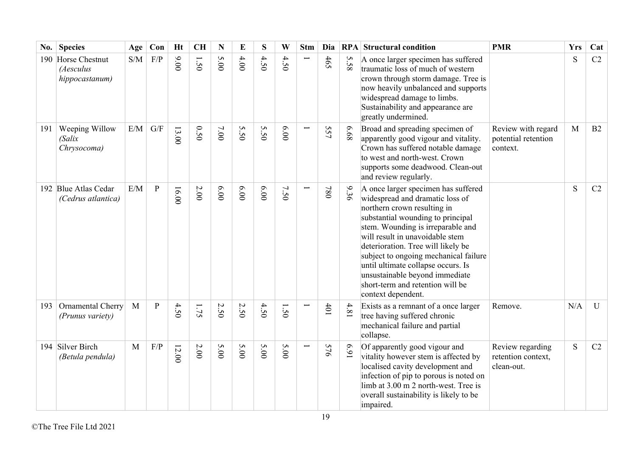| No. | <b>Species</b>                                 | Age          | Con          | <b>Ht</b> | <b>CH</b> | $\mathbf N$ | E    | S       | W    | <b>Stm</b>    | Dia |          | <b>RPA</b> Structural condition                                                                                                                                                                                                                                                                                                                                                                                                     | <b>PMR</b>                                            | <b>Yrs</b> | Cat          |
|-----|------------------------------------------------|--------------|--------------|-----------|-----------|-------------|------|---------|------|---------------|-----|----------|-------------------------------------------------------------------------------------------------------------------------------------------------------------------------------------------------------------------------------------------------------------------------------------------------------------------------------------------------------------------------------------------------------------------------------------|-------------------------------------------------------|------------|--------------|
| 190 | Horse Chestnut<br>(Aesculus<br>hippocastanum)  | S/M          | F/P          | 00.00     | 1.50      | 5.00        | 4.00 | 4.50    | 4.50 | $\overline{}$ | 465 | S<br>.58 | A once larger specimen has suffered<br>traumatic loss of much of western<br>crown through storm damage. Tree is<br>now heavily unbalanced and supports<br>widespread damage to limbs.<br>Sustainability and appearance are<br>greatly undermined.                                                                                                                                                                                   |                                                       | S          | C2           |
| 191 | <b>Weeping Willow</b><br>(Salix<br>Chrysocoma) | E/M          | G/F          | 13.00     | 0.50      | 7.00        | 5.50 | S<br>50 | 6.00 |               | 557 | 89.9     | Broad and spreading specimen of<br>apparently good vigour and vitality.<br>Crown has suffered notable damage<br>to west and north-west. Crown<br>supports some deadwood. Clean-out<br>and review regularly.                                                                                                                                                                                                                         | Review with regard<br>potential retention<br>context. | M          | B2           |
|     | 192 Blue Atlas Cedar<br>(Cedrus atlantica)     | E/M          | $\, {\bf p}$ | 16.00     | 2.00      | 00'9        | 6.00 | 6.00    | 7.50 |               | 087 | 936      | A once larger specimen has suffered<br>widespread and dramatic loss of<br>northern crown resulting in<br>substantial wounding to principal<br>stem. Wounding is irreparable and<br>will result in unavoidable stem<br>deterioration. Tree will likely be<br>subject to ongoing mechanical failure<br>until ultimate collapse occurs. Is<br>unsustainable beyond immediate<br>short-term and retention will be<br>context dependent. |                                                       | S          | C2           |
| 193 | Ornamental Cherry<br>(Prunus variety)          | $\mathbf{M}$ | $\mathbf{P}$ | 4.50      | 1.75      | 2.50        | 2.50 | 4.50    | 1.50 |               | 401 | 4.81     | Exists as a remnant of a once larger<br>tree having suffered chronic<br>mechanical failure and partial<br>collapse.                                                                                                                                                                                                                                                                                                                 | Remove.                                               | N/A        | $\mathbf{U}$ |
|     | 194 Silver Birch<br>(Betula pendula)           | M            | F/P          | 12.00     | 2.00      | 5.00        | 5.00 | 5.00    | 5.00 |               | 576 | 169      | Of apparently good vigour and<br>vitality however stem is affected by<br>localised cavity development and<br>infection of pip to porous is noted on<br>limb at 3.00 m 2 north-west. Tree is<br>overall sustainability is likely to be<br>impaired.                                                                                                                                                                                  | Review regarding<br>retention context,<br>clean-out.  | S          | C2           |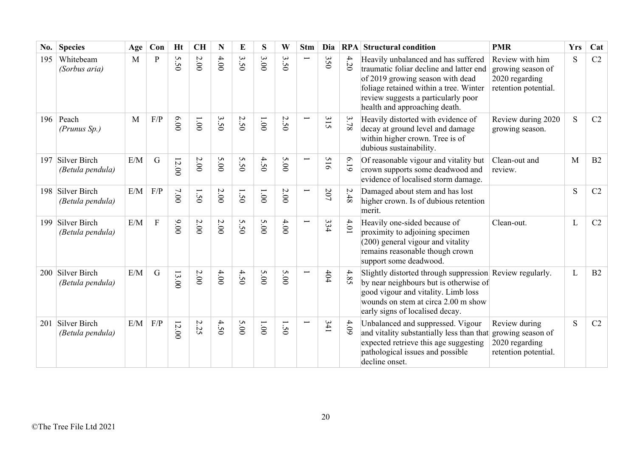| No. | <b>Species</b>                       | Age | Con            | <b>Ht</b> | <b>CH</b>    | N    | E    | S            | W              | <b>Stm</b>               | Dia | RPA    | <b>Structural condition</b>                                                                                                                                                                                                          | <b>PMR</b>                                                                     | <b>Yrs</b> | Cat |
|-----|--------------------------------------|-----|----------------|-----------|--------------|------|------|--------------|----------------|--------------------------|-----|--------|--------------------------------------------------------------------------------------------------------------------------------------------------------------------------------------------------------------------------------------|--------------------------------------------------------------------------------|------------|-----|
| 195 | Whitebeam<br>(Sorbus aria)           | M   | $\mathbf{P}$   | S<br>50   | $2.00$       | 4.00 | 3.50 | 3.00         | $\omega$<br>50 |                          | 350 | 4.20   | Heavily unbalanced and has suffered<br>traumatic foliar decline and latter end<br>of 2019 growing season with dead<br>foliage retained within a tree. Winter<br>review suggests a particularly poor<br>health and approaching death. | Review with him<br>growing season of<br>2020 regarding<br>retention potential. | S          | C2  |
|     | 196   Peach<br>(Prunus Sp.)          | M   | F/P            | 6.00      | $00^{\circ}$ | 3.50 | 2.50 | $00^{\circ}$ | 2.50           |                          | 315 | 3.78   | Heavily distorted with evidence of<br>decay at ground level and damage<br>within higher crown. Tree is of<br>dubious sustainability.                                                                                                 | Review during 2020<br>growing season.                                          | S          | C2  |
| 197 | Silver Birch<br>(Betula pendula)     | E/M | $\mathbf G$    | 12.00     | $2.00$       | 5.00 | 5.50 | 4.50         | 5.00           | $\overline{\phantom{0}}$ | 516 | 6.19   | Of reasonable vigour and vitality but<br>crown supports some deadwood and<br>evidence of localised storm damage.                                                                                                                     | Clean-out and<br>review.                                                       | M          | B2  |
|     | 198 Silver Birch<br>(Betula pendula) | E/M | F/P            | 7.00      | 1.50         | 2.00 | 1.50 | 1.001        | 2.00           |                          | 207 | 2.48   | Damaged about stem and has lost<br>higher crown. Is of dubious retention<br>merit.                                                                                                                                                   |                                                                                | S          | C2  |
|     | 199 Silver Birch<br>(Betula pendula) | E/M | $\overline{F}$ | 00.00     | 2.00         | 2.00 | 5.50 | 5.00         | 4.00           | Ē                        | 334 | $4.01$ | Heavily one-sided because of<br>proximity to adjoining specimen<br>(200) general vigour and vitality<br>remains reasonable though crown<br>support some deadwood.                                                                    | Clean-out.                                                                     | L          | C2  |
|     | 200 Silver Birch<br>(Betula pendula) | E/M | $\mathbf G$    | 13.00     | $2.00\,$     | 4.00 | 4.50 | 5.00         | 5.00           |                          | 404 | 4.85   | Slightly distorted through suppression Review regularly.<br>by near neighbours but is otherwise of<br>good vigour and vitality. Limb loss<br>wounds on stem at circa 2.00 m show<br>early signs of localised decay.                  |                                                                                | L          | B2  |
| 201 | Silver Birch<br>(Betula pendula)     | E/M | F/P            | 12.00     | $\sim$<br>52 | 4.50 | 5.00 | 1.001        | 50             |                          | 341 | 4.09   | Unbalanced and suppressed. Vigour<br>and vitality substantially less than that<br>expected retrieve this age suggesting<br>pathological issues and possible<br>decline onset.                                                        | Review during<br>growing season of<br>2020 regarding<br>retention potential.   | S          | C2  |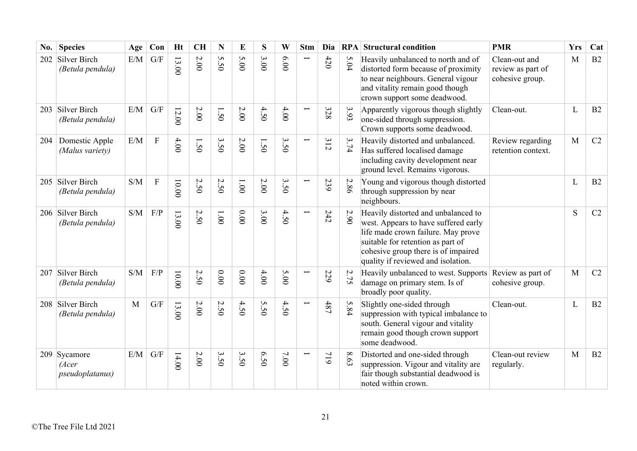| No. | <b>Species</b>                                   | Age       | Con         | <b>Ht</b> | <b>CH</b> | N    | E            | S    | W                                | <b>Stm</b>               | Dia |      | <b>RPA</b> Structural condition                                                                                                                                                                                                     | <b>PMR</b>                                            | <b>Yrs</b> | Cat            |
|-----|--------------------------------------------------|-----------|-------------|-----------|-----------|------|--------------|------|----------------------------------|--------------------------|-----|------|-------------------------------------------------------------------------------------------------------------------------------------------------------------------------------------------------------------------------------------|-------------------------------------------------------|------------|----------------|
| 202 | Silver Birch<br>(Betula pendula)                 | E/M       | G/F         | 13.00     | $2.00\,$  | 5.50 | 5.00         | 3.00 | 6.00                             |                          | 420 | 5.04 | Heavily unbalanced to north and of<br>distorted form because of proximity<br>to near neighbours. General vigour<br>and vitality remain good though<br>crown support some deadwood.                                                  | Clean-out and<br>review as part of<br>cohesive group. | M          | B2             |
| 203 | Silver Birch<br>(Betula pendula)                 | E/M       | G/F         | 12.00     | $2.00$    | 1.50 | 2.00         | 4.50 | 4.00                             | Ē                        | 328 | 3.93 | Apparently vigorous though slightly<br>one-sided through suppression.<br>Crown supports some deadwood.                                                                                                                              | Clean-out.                                            | L          | B2             |
| 204 | Domestic Apple<br>(Malus variety)                | $\rm E/M$ | $\mathbf F$ | 4.00      | 1.50      | 3.50 | 2.00         | 1.50 | 3.50                             | Ē                        | 312 | 3.74 | Heavily distorted and unbalanced.<br>Has suffered localised damage<br>including cavity development near<br>ground level. Remains vigorous.                                                                                          | Review regarding<br>retention context.                | M          | C2             |
| 205 | Silver Birch<br>(Betula pendula)                 | S/M       | ${\bf F}$   | $0.000$   | 2.50      | 2.50 | $00^{\circ}$ | 2.00 | $\mathbf{\hat{z}}$<br>$\ddot{S}$ | Ē.                       | 239 | 2.86 | Young and vigorous though distorted<br>through suppression by near<br>neighbours.                                                                                                                                                   |                                                       | L          | B2             |
|     | 206 Silver Birch<br>(Betula pendula)             | S/M       | F/P         | 13.00     | 2.50      | 001  | 0.00         | 3.00 | 4.50                             | Ē                        | 242 | 2.90 | Heavily distorted and unbalanced to<br>west. Appears to have suffered early<br>life made crown failure. May prove<br>suitable for retention as part of<br>cohesive group there is of impaired<br>quality if reviewed and isolation. |                                                       | S          | C2             |
| 207 | Silver Birch<br>(Betula pendula)                 | S/M       | F/P         | $00.00$   | 2.50      | 0.00 | 0.00         | 4.00 | 5.00                             | $\overline{\phantom{0}}$ | 229 | 2.75 | Heavily unbalanced to west. Supports<br>damage on primary stem. Is of<br>broadly poor quality.                                                                                                                                      | Review as part of<br>cohesive group.                  | M          | C2             |
| 208 | Silver Birch<br>(Betula pendula)                 | M         | G/F         | 13.00     | $2.00\,$  | 2.50 | 4.50         | 5.50 | 4.50                             | Ē                        | 487 | 5.84 | Slightly one-sided through<br>suppression with typical imbalance to<br>south. General vigour and vitality<br>remain good though crown support<br>some deadwood.                                                                     | Clean-out.                                            | L          | B <sub>2</sub> |
|     | 209 Sycamore<br>(Acer<br><i>pseudoplatanus</i> ) | E/M       | G/F         | 14.00     | 2.00      | 3.50 | 3.50         | 6.50 | 7.00                             |                          | 719 | 8.63 | Distorted and one-sided through<br>suppression. Vigour and vitality are<br>fair though substantial deadwood is<br>noted within crown.                                                                                               | Clean-out review<br>regularly.                        | M          | B2             |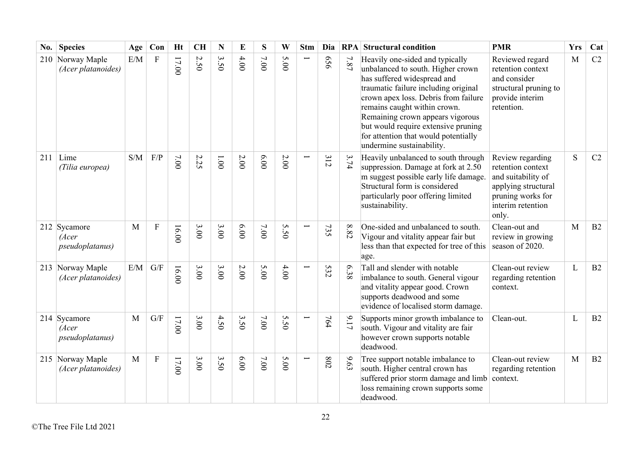| No. | <b>Species</b>                                   | Age          | Con                     | <b>Ht</b> | <b>CH</b> | N             | E        | S    | W                          | <b>Stm</b> | Dia |          | <b>RPA</b> Structural condition                                                                                                                                                                                                                                                                                                                                     | <b>PMR</b>                                                                                                                            | <b>Yrs</b>   | Cat |
|-----|--------------------------------------------------|--------------|-------------------------|-----------|-----------|---------------|----------|------|----------------------------|------------|-----|----------|---------------------------------------------------------------------------------------------------------------------------------------------------------------------------------------------------------------------------------------------------------------------------------------------------------------------------------------------------------------------|---------------------------------------------------------------------------------------------------------------------------------------|--------------|-----|
|     | 210 Norway Maple<br>(Acer platanoides)           | E/M          | $\rm F$                 | $17.00$   | 2.50      | 3.50          | 4.00     | 7.00 | $\sigma$<br>$\overline{0}$ |            | 959 | $7.87\,$ | Heavily one-sided and typically<br>unbalanced to south. Higher crown<br>has suffered widespread and<br>traumatic failure including original<br>crown apex loss. Debris from failure<br>remains caught within crown.<br>Remaining crown appears vigorous<br>but would require extensive pruning<br>for attention that would potentially<br>undermine sustainability. | Reviewed regard<br>retention context<br>and consider<br>structural pruning to<br>provide interim<br>retention.                        | $\mathbf{M}$ | C2  |
| 211 | Lime<br>(Tilia europea)                          | S/M          | F/P                     | 7.00      | 2.25      | $00^{\circ}1$ | 2.00     | 0.00 | 2.00                       |            | 312 | 3.74     | Heavily unbalanced to south through<br>suppression. Damage at fork at 2.50<br>m suggest possible early life damage.<br>Structural form is considered<br>particularly poor offering limited<br>sustainability.                                                                                                                                                       | Review regarding<br>retention context<br>and suitability of<br>applying structural<br>pruning works for<br>interim retention<br>only. | S            | C2  |
|     | 212 Sycamore<br>(Acer<br><i>pseudoplatanus</i> ) | M            | $\mathbf{F}$            | 16.00     | 3.00      | 3.00          | 00.9     | 7.00 | 5.50                       |            | 735 | $8.82\,$ | One-sided and unbalanced to south.<br>Vigour and vitality appear fair but<br>less than that expected for tree of this<br>age.                                                                                                                                                                                                                                       | Clean-out and<br>review in growing<br>season of 2020.                                                                                 | M            | B2  |
|     | 213 Norway Maple<br>(Acer platanoides)           | E/M          | $\mathrm{G}/\mathrm{F}$ | 16.00     | 3.00      | 3.00          | $2.00\,$ | 5.00 | $4.00$                     |            | 532 | 6.38     | Tall and slender with notable<br>imbalance to south. General vigour<br>and vitality appear good. Crown<br>supports deadwood and some<br>evidence of localised storm damage.                                                                                                                                                                                         | Clean-out review<br>regarding retention<br>context.                                                                                   | L            | B2  |
|     | 214 Sycamore<br>(Acer<br>pseudoplatanus)         | $\mathbf{M}$ | $\mathrm{G}/\mathrm{F}$ | $17.00$   | 3.00      | 4.50          | 3.50     | 7.00 | 5.50                       |            | 764 | 9.17     | Supports minor growth imbalance to<br>south. Vigour and vitality are fair<br>however crown supports notable<br>deadwood.                                                                                                                                                                                                                                            | Clean-out.                                                                                                                            | L            | B2  |
|     | 215 Norway Maple<br>(Acer platanoides)           | $\mathbf{M}$ | $\mathbf F$             | $17.00$   | 3.00      | 3.50          | 00'9     | 7.00 | 5.00                       |            | 802 | 6.63     | Tree support notable imbalance to<br>south. Higher central crown has<br>suffered prior storm damage and limb<br>loss remaining crown supports some<br>deadwood.                                                                                                                                                                                                     | Clean-out review<br>regarding retention<br>context.                                                                                   | M            | B2  |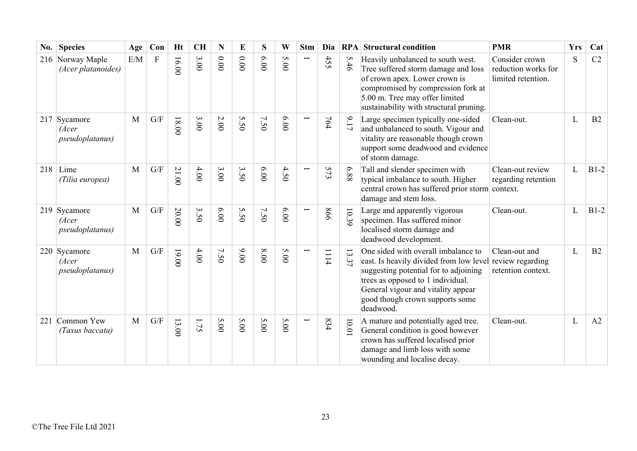| No. | <b>Species</b>                                   | Age          | Con                     | <b>Ht</b> | <b>CH</b> | N      | E                                   | S    | W    | <b>Stm</b> | Dia  | RPA                  | <b>Structural condition</b>                                                                                                                                                                                                                                         | <b>PMR</b>                                                  | <b>Yrs</b> | Cat    |
|-----|--------------------------------------------------|--------------|-------------------------|-----------|-----------|--------|-------------------------------------|------|------|------------|------|----------------------|---------------------------------------------------------------------------------------------------------------------------------------------------------------------------------------------------------------------------------------------------------------------|-------------------------------------------------------------|------------|--------|
|     | 216 Norway Maple<br>(Acer platanoides)           | E/M          | F                       | 16.00     | 3.00      | $0.00$ | 0.00                                | 6.00 | 5.00 |            | 455  | 5.46                 | Heavily unbalanced to south west.<br>Tree suffered storm damage and loss<br>of crown apex. Lower crown is<br>compromised by compression fork at<br>5.00 m. Tree may offer limited<br>sustainability with structural pruning.                                        | Consider crown<br>reduction works for<br>limited retention. | S          | C2     |
|     | 217 Sycamore<br>(Acer<br><i>pseudoplatanus</i> ) | M            | $\mathrm{G}/\mathrm{F}$ | $18.00$   | 3.00      | $2.00$ | 5.50                                | 7.50 | 00'9 |            | 764  | 9.17                 | Large specimen typically one-sided<br>and unbalanced to south. Vigour and<br>vitality are reasonable though crown<br>support some deadwood and evidence<br>of storm damage.                                                                                         | Clean-out.                                                  | L          | B2     |
| 218 | Lime<br>(Tilia europea)                          | M            | G/F                     | 21.00     | $4.00$    | 3.00   | $\boldsymbol{\omega}$<br>$\dot{50}$ | 6.00 | 4.50 |            | 573  | 6.88                 | Tall and slender specimen with<br>typical imbalance to south. Higher<br>central crown has suffered prior storm context.<br>damage and stem loss.                                                                                                                    | Clean-out review<br>regarding retention                     | L          | $B1-2$ |
|     | 219 Sycamore<br>(Acer<br>pseudoplatanus)         | $\mathbf{M}$ | $\mathrm{G}/\mathrm{F}$ | 20.00     | 3.50      | 6.00   | 5.50                                | 7.50 | 6.00 |            | 998  | 10.39                | Large and apparently vigorous<br>specimen. Has suffered minor<br>localised storm damage and<br>deadwood development.                                                                                                                                                | Clean-out.                                                  | L          | $B1-2$ |
|     | 220 Sycamore<br>(Acer<br><i>pseudoplatanus</i> ) | M            | G/F                     | 19.00     | $4.00$    | 7.50   | 00'6                                | 8.00 | 5.00 |            | 1114 | $\overline{3}$<br>37 | One sided with overall imbalance to<br>east. Is heavily divided from low level review regarding<br>suggesting potential for to adjoining<br>trees as opposed to 1 individual.<br>General vigour and vitality appear<br>good though crown supports some<br>deadwood. | Clean-out and<br>retention context.                         | L          | B2     |
| 221 | Common Yew<br>(Taxus baccata)                    | M            | G/F                     | 13.00     | 1.75      | 5.00   | 5.00                                | 5.00 | 5.00 |            | 834  | 10.01                | A mature and potentially aged tree.<br>General condition is good however<br>crown has suffered localised prior<br>damage and limb loss with some<br>wounding and localise decay.                                                                                    | Clean-out.                                                  | L          | A2     |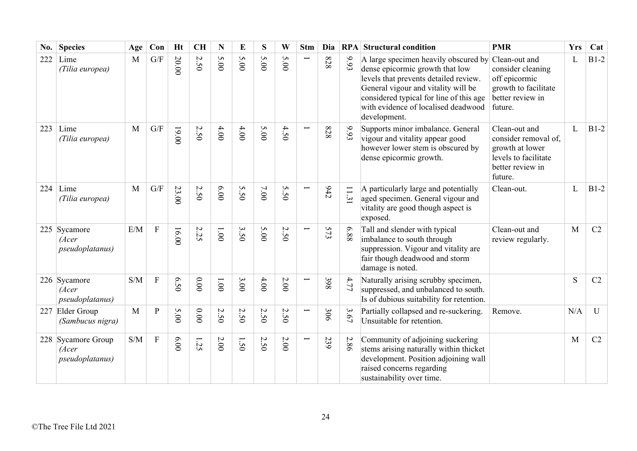| No. | <b>Species</b>                                         | Age          | Con                       | <b>Ht</b> | <b>CH</b> | N      | E                 | S    | W        | <b>Stm</b> | Dia |                          | <b>RPA</b> Structural condition                                                                                                                                                                                                                           | <b>PMR</b>                                                                                                      | <b>Yrs</b> | Cat            |
|-----|--------------------------------------------------------|--------------|---------------------------|-----------|-----------|--------|-------------------|------|----------|------------|-----|--------------------------|-----------------------------------------------------------------------------------------------------------------------------------------------------------------------------------------------------------------------------------------------------------|-----------------------------------------------------------------------------------------------------------------|------------|----------------|
| 222 | Lime<br>(Tilia europea)                                | M            | G/F                       | 20.00     | 2.50      | 5.00   | 5.00              | 5.00 | 5.00     |            | 828 | 9.93                     | A large specimen heavily obscured by<br>dense epicormic growth that low<br>levels that prevents detailed review.<br>General vigour and vitality will be<br>considered typical for line of this age<br>with evidence of localised deadwood<br>development. | Clean-out and<br>consider cleaning<br>off epicormic<br>growth to facilitate<br>better review in<br>future.      | L          | $B1-2$         |
| 223 | Lime<br>(Tilia europea)                                | $\mathbf{M}$ | G/F                       | 19.00     | 2.50      | 4.00   | 4.00              | 5.00 | 4.50     |            | 828 | 9.93                     | Supports minor imbalance. General<br>vigour and vitality appear good<br>however lower stem is obscured by<br>dense epicormic growth.                                                                                                                      | Clean-out and<br>consider removal of,<br>growth at lower<br>levels to facilitate<br>better review in<br>future. | L          | $B1-2$         |
| 224 | Lime<br>(Tilia europea)                                | M            | G/F                       | 23.00     | 2.50      | 00.00  | S<br>$\tilde{S}0$ | 7.00 | 5.50     |            | 642 | $\Box$<br>$\dot{\omega}$ | A particularly large and potentially<br>aged specimen. General vigour and<br>vitality are good though aspect is<br>exposed.                                                                                                                               | Clean-out.                                                                                                      | L          | $B1-2$         |
|     | 225 Sycamore<br>(Acer<br><i>pseudoplatanus</i> )       | E/M          | $\overline{F}$            | 16.00     | 2.25      | 1.001  | 3.50              | 5.00 | 2.50     |            | 573 | 88'9                     | Tall and slender with typical<br>imbalance to south through<br>suppression. Vigour and vitality are<br>fair though deadwood and storm<br>damage is noted.                                                                                                 | Clean-out and<br>review regularly.                                                                              | M          | C <sub>2</sub> |
|     | 226 Sycamore<br>(Acer<br><i>pseudoplatanus</i> )       | S/M          | $\boldsymbol{\mathrm{F}}$ | 6.50      | $0.00$    | 1.00   | 3.00              | 4.00 | $2.00\,$ |            | 398 | 4.77                     | Naturally arising scrubby specimen,<br>suppressed, and unbalanced to south.<br>Is of dubious suitability for retention.                                                                                                                                   |                                                                                                                 | S          | C2             |
| 227 | Elder Group<br>(Sambucus nigra)                        | M            | $\mathbf{P}$              | 5.00      | $0.00$    | 2.50   | 2.50              | 2.50 | 2.50     | Ī          | 306 | 3.67                     | Partially collapsed and re-suckering.<br>Unsuitable for retention.                                                                                                                                                                                        | Remove.                                                                                                         | N/A        | $\mathbf U$    |
|     | 228 Sycamore Group<br>(Acer<br><i>pseudoplatanus</i> ) | S/M          | $\boldsymbol{\mathrm{F}}$ | 6.00      | 1.25      | $2.00$ | I<br>50           | 2.50 | 2.00     | Ī          | 239 | 2.86                     | Community of adjoining suckering<br>stems arising naturally within thicket<br>development. Position adjoining wall<br>raised concerns regarding<br>sustainability over time.                                                                              |                                                                                                                 | M          | C2             |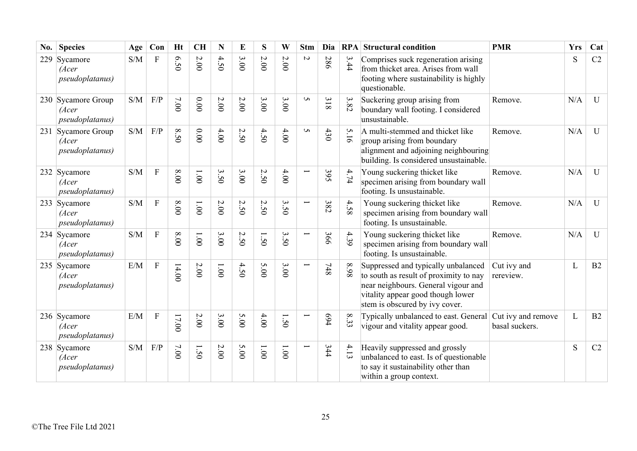| No. | <b>Species</b>                                         | Age | Con                       | Ht     | <b>CH</b>  | N      | E    | S     | W              | <b>Stm</b>               | Dia |      | <b>RPA</b> Structural condition                                                                                                                                                             | <b>PMR</b>                           | <b>Yrs</b>   | Cat          |
|-----|--------------------------------------------------------|-----|---------------------------|--------|------------|--------|------|-------|----------------|--------------------------|-----|------|---------------------------------------------------------------------------------------------------------------------------------------------------------------------------------------------|--------------------------------------|--------------|--------------|
| 229 | Sycamore<br>(Acer<br><i>pseudoplatanus</i> )           | S/M | $\boldsymbol{\mathrm{F}}$ | 6.50   | $2.00$     | 4.50   | 3.00 | 2.00  | 2.00           | $\boldsymbol{\omega}$    | 286 | 3.44 | Comprises suck regeneration arising<br>from thicket area. Arises from wall<br>footing where sustainability is highly<br>questionable.                                                       |                                      | S            | C2           |
|     | 230 Sycamore Group<br>(Acer<br><i>pseudoplatanus</i> ) | S/M | F/P                       | 7.00   | 0.00       | 2.00   | 2.00 | 3.00  | 3.00           | $\sigma$                 | 318 | 3.82 | Suckering group arising from<br>boundary wall footing. I considered<br>unsustainable.                                                                                                       | Remove.                              | N/A          | U            |
|     | 231 Sycamore Group<br>(Acer<br><i>pseudoplatanus</i> ) | S/M | F/P                       | 8.50   | 0.00       | 4.00   | 2.50 | 4.50  | 4.00           | S                        | 430 | 5.16 | A multi-stemmed and thicket like<br>group arising from boundary<br>alignment and adjoining neighbouring<br>building. Is considered unsustainable.                                           | Remove.                              | N/A          | U            |
|     | 232 Sycamore<br>(Acer<br>pseudoplatanus)               | S/M | $\boldsymbol{\mathrm{F}}$ | 8.00   | 1.00       | 3.50   | 3.00 | 2.50  | $4.00$         | $\overline{\phantom{0}}$ | 395 | 4.74 | Young suckering thicket like<br>specimen arising from boundary wall<br>footing. Is unsustainable.                                                                                           | Remove.                              | N/A          | U            |
|     | 233 Sycamore<br>(Acer<br><i>pseudoplatanus</i> )       | S/M | $\boldsymbol{\mathrm{F}}$ | $8.00$ | 1.001      | $2.00$ | 2.50 | 2.50  | 3.50           | $\overline{\phantom{0}}$ | 382 | 4.58 | Young suckering thicket like<br>specimen arising from boundary wall<br>footing. Is unsustainable.                                                                                           | Remove.                              | N/A          | $\mathbf{U}$ |
|     | 234 Sycamore<br>(Acer<br><i>pseudoplatanus</i> )       | S/M | $\mathbf{F}$              | 8.00   | 1.001      | 3.00   | 2.50 | 1.50  | 3.50           | Ţ                        | 366 | 4.39 | Young suckering thicket like<br>specimen arising from boundary wall<br>footing. Is unsustainable.                                                                                           | Remove.                              | N/A          | U            |
|     | 235 Sycamore<br>(Acer<br>pseudoplatanus)               | E/M | $\mathbf{F}$              | 14.00  | $2.00\,$   | 1.00   | 4.50 | 5.00  | 3.00           |                          | 748 | 86.8 | Suppressed and typically unbalanced<br>to south as result of proximity to nay<br>near neighbours. General vigour and<br>vitality appear good though lower<br>stem is obscured by ivy cover. | Cut ivy and<br>rereview.             | L            | B2           |
|     | 236 Sycamore<br>(Acer<br><i>pseudoplatanus</i> )       | E/M | ${\bf F}$                 | 17.00  | $2.00\,$   | 3.00   | 5.00 | 4.00  | $\dot{50}$     |                          | 694 | 8.33 | Typically unbalanced to east. General<br>vigour and vitality appear good.                                                                                                                   | Cut ivy and remove<br>basal suckers. | $\mathbf{L}$ | B2           |
|     | 238 Sycamore<br>(Acer<br>pseudoplatanus)               | S/M | F/P                       | 7.00   | $\dot{50}$ | $2.00$ | 5.00 | 1.001 | $00^{\circ}$ l |                          | 344 | 4.13 | Heavily suppressed and grossly<br>unbalanced to east. Is of questionable<br>to say it sustainability other than<br>within a group context.                                                  |                                      | S            | C2           |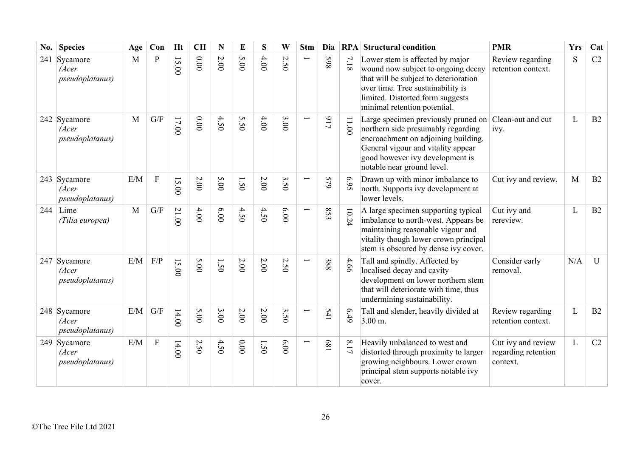| No. | <b>Species</b>                           | Age | Con                       | <b>Ht</b> | <b>CH</b> | N        | E    | S      | W            | <b>Stm</b>               | Dia |          | <b>RPA</b> Structural condition                                                                                                                                                                                         | <b>PMR</b>                                            | <b>Yrs</b>   | Cat         |
|-----|------------------------------------------|-----|---------------------------|-----------|-----------|----------|------|--------|--------------|--------------------------|-----|----------|-------------------------------------------------------------------------------------------------------------------------------------------------------------------------------------------------------------------------|-------------------------------------------------------|--------------|-------------|
|     | 241 Sycamore<br>(Acer<br>pseudoplatanus) | M   | $\mathbf P$               | 15.00     | 0.00      | $2.00\,$ | 5.00 | 4.00   | $\sim$<br>50 | $\overline{\phantom{0}}$ | 865 | $7.18\,$ | Lower stem is affected by major<br>wound now subject to ongoing decay<br>that will be subject to deterioration<br>over time. Tree sustainability is<br>limited. Distorted form suggests<br>minimal retention potential. | Review regarding<br>retention context.                | S            | C2          |
|     | 242 Sycamore<br>(Acer<br>pseudoplatanus) | M   | $\mathrm{G}/\mathrm{F}$   | 17.00     | 0.00      | 4.50     | 5.50 | $4.00$ | 3.00         |                          | 717 | 11.00    | Large specimen previously pruned on<br>northern side presumably regarding<br>encroachment on adjoining building.<br>General vigour and vitality appear<br>good however ivy development is<br>notable near ground level. | Clean-out and cut<br>ivy.                             | L            | B2          |
|     | 243 Sycamore<br>(Acer<br>pseudoplatanus) | E/M | $\boldsymbol{\mathrm{F}}$ | 15.00     | $2.00$    | 5.00     | 1.50 | $2.00$ | 3.50         |                          | 579 | 6.95     | Drawn up with minor imbalance to<br>north. Supports ivy development at<br>lower levels.                                                                                                                                 | Cut ivy and review.                                   | M            | B2          |
| 244 | Lime<br>(Tilia europea)                  | M   | G/F                       | 21.00     | 4.00      | 6.00     | 4.50 | 4.50   | 6.00         | Ī                        | 853 | 10.24    | A large specimen supporting typical<br>imbalance to north-west. Appears be<br>maintaining reasonable vigour and<br>vitality though lower crown principal<br>stem is obscured by dense ivy cover.                        | Cut ivy and<br>rereview.                              | L            | B2          |
|     | 247 Sycamore<br>(Acer<br>pseudoplatanus) | E/M | F/P                       | 15.00     | 5.00      | 1.50     | 2.00 | 2.00   | 2.50         | Ē.                       | 388 | 4.66     | Tall and spindly. Affected by<br>localised decay and cavity<br>development on lower northern stem<br>that will deteriorate with time, thus<br>undermining sustainability.                                               | Consider early<br>removal.                            | N/A          | $\mathbf U$ |
|     | 248 Sycamore<br>(Acer<br>pseudoplatanus) | E/M | G/F                       | 14.00     | 5.00      | 3.00     | 2.00 | $2.00$ | 3.50         |                          | 541 | 6.49     | Tall and slender, heavily divided at<br>$3.00 \text{ m}$ .                                                                                                                                                              | Review regarding<br>retention context.                | $\mathbf{L}$ | B2          |
|     | 249 Sycamore<br>(Acer<br>pseudoplatanus) | E/M | $\boldsymbol{\mathrm{F}}$ | 14.00     | 2.50      | 4.50     | 0.00 | 1.50   | 6.00         | Ē                        | 189 | $8.17\,$ | Heavily unbalanced to west and<br>distorted through proximity to larger<br>growing neighbours. Lower crown<br>principal stem supports notable ivy<br>cover.                                                             | Cut ivy and review<br>regarding retention<br>context. | L            | C2          |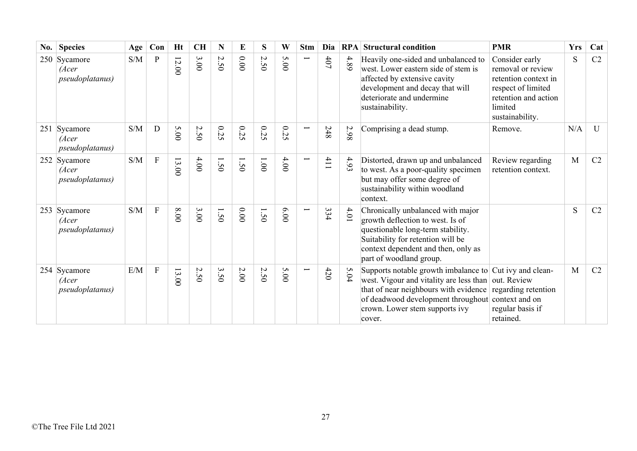| No. | <b>Species</b>                                   | Age                                               | Con                       | Ht    | CH   | N                                | E    | S                                      | W                    | <b>Stm</b>    | Dia | <b>RPA</b> | <b>Structural condition</b>                                                                                                                                                                                                                                                  | <b>PMR</b>                                                                                                                              | <b>Yrs</b> | Cat |
|-----|--------------------------------------------------|---------------------------------------------------|---------------------------|-------|------|----------------------------------|------|----------------------------------------|----------------------|---------------|-----|------------|------------------------------------------------------------------------------------------------------------------------------------------------------------------------------------------------------------------------------------------------------------------------------|-----------------------------------------------------------------------------------------------------------------------------------------|------------|-----|
|     | 250 Sycamore<br>(Acer<br>pseudoplatanus)         | $\ensuremath{\mathrm{S}}/\ensuremath{\mathrm{M}}$ | $\mathbf{P}$              | 12.00 | 3.00 | 2.50                             | 0.00 | 2.50                                   | S<br>$\overline{00}$ | Ī             | 401 | 4.89       | Heavily one-sided and unbalanced to<br>west. Lower eastern side of stem is<br>affected by extensive cavity<br>development and decay that will<br>deteriorate and undermine<br>sustainability.                                                                                | Consider early<br>removal or review<br>retention context in<br>respect of limited<br>retention and action<br>limited<br>sustainability. | S          | C2  |
|     | 251 Sycamore<br>(Acer<br><i>pseudoplatanus</i> ) | $\ensuremath{\mathrm{S}}/\ensuremath{\mathrm{M}}$ | $\mathbf D$               | 5.00  | 2.50 | 0.25                             | 0.25 | 0.25                                   | $0.2\,$<br>Ō.        | ⊢             | 248 | 2.98       | Comprising a dead stump.                                                                                                                                                                                                                                                     | Remove.                                                                                                                                 | N/A        | U   |
|     | 252 Sycamore<br>(Acer<br><i>pseudoplatanus</i> ) | $\ensuremath{\mathrm{S}}/\ensuremath{\mathrm{M}}$ | $\boldsymbol{\mathrm{F}}$ | 13.00 | 4.00 | 1.50                             | 1.50 | $00^{\circ}$                           | 4.00                 | ⊢             | 411 | 4.93       | Distorted, drawn up and unbalanced<br>to west. As a poor-quality specimen<br>but may offer some degree of<br>sustainability within woodland<br>context.                                                                                                                      | Review regarding<br>retention context.                                                                                                  | M          | C2  |
|     | 253 Sycamore<br>(Acer<br><i>pseudoplatanus</i> ) | S/M                                               | $\boldsymbol{\mathrm{F}}$ | 8.00  | 3.00 | 1.50                             | 0.00 | 1.50                                   | 6.00                 | Ī             | 334 | 4.01       | Chronically unbalanced with major<br>growth deflection to west. Is of<br>questionable long-term stability.<br>Suitability for retention will be<br>context dependent and then, only as<br>part of woodland group.                                                            |                                                                                                                                         | S          | C2  |
|     | 254 Sycamore<br>(Acer<br><i>pseudoplatanus</i> ) | E/M                                               | $\mathbf{F}$              | 13.00 | 2.50 | $\mathbf{\hat{z}}$<br>$\ddot{S}$ | 2.00 | $\boldsymbol{\mathsf{c}}$<br>$\dot{S}$ | 5.00                 | $\overline{}$ | 420 | 5.04       | Supports notable growth imbalance to Cut ivy and clean-<br>west. Vigour and vitality are less than out. Review<br>that of near neighbours with evidence regarding retention<br>of deadwood development throughout context and on<br>crown. Lower stem supports ivy<br>cover. | regular basis if<br>retained.                                                                                                           | M          | C2  |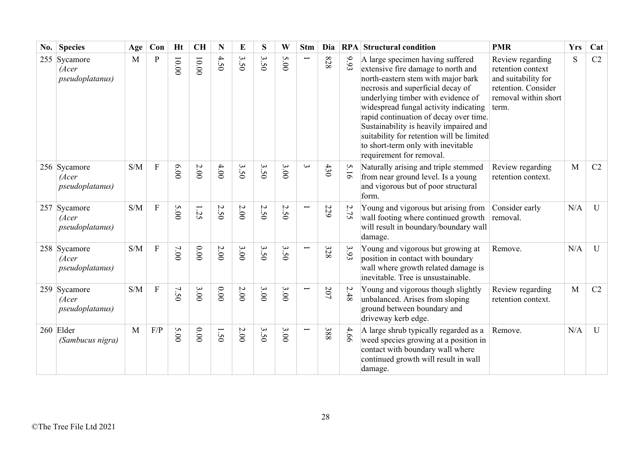| No. | <b>Species</b>                                   | Age | Con            | <b>Ht</b> | <b>CH</b> | $\mathbf N$ | E                               | S       | W                   | <b>Stm</b>               | Dia |      | <b>RPA</b> Structural condition                                                                                                                                                                                                                                                                                                                                                                                                     | <b>PMR</b>                                                                                                           | <b>Yrs</b> | Cat          |
|-----|--------------------------------------------------|-----|----------------|-----------|-----------|-------------|---------------------------------|---------|---------------------|--------------------------|-----|------|-------------------------------------------------------------------------------------------------------------------------------------------------------------------------------------------------------------------------------------------------------------------------------------------------------------------------------------------------------------------------------------------------------------------------------------|----------------------------------------------------------------------------------------------------------------------|------------|--------------|
|     | 255 Sycamore<br>(Acer<br><i>pseudoplatanus</i> ) | M   | $\mathbf{P}$   | $10.00$   | $10.00$   | 4.50        | $\mathbf{\omega}$<br>$\ddot{S}$ | 3<br>50 | S<br>$\overline{0}$ | Ë                        | 828 | 6.93 | A large specimen having suffered<br>extensive fire damage to north and<br>north-eastern stem with major bark<br>necrosis and superficial decay of<br>underlying timber with evidence of<br>widespread fungal activity indicating<br>rapid continuation of decay over time.<br>Sustainability is heavily impaired and<br>suitability for retention will be limited<br>to short-term only with inevitable<br>requirement for removal. | Review regarding<br>retention context<br>and suitability for<br>retention. Consider<br>removal within short<br>term. | S          | C2           |
|     | 256 Sycamore<br>(Acer<br>pseudoplatanus)         | S/M | $\overline{F}$ | 0.00      | $2.00$    | 4.00        | 3.50                            | 3.50    | 3.00                | $\omega$                 | 430 | 5.16 | Naturally arising and triple stemmed<br>from near ground level. Is a young<br>and vigorous but of poor structural<br>form.                                                                                                                                                                                                                                                                                                          | Review regarding<br>retention context.                                                                               | M          | C2           |
|     | 257 Sycamore<br>(Acer<br>pseudoplatanus)         | S/M | $\mathbf{F}$   | 5.00      | 1.25      | 2.50        | 2.00                            | 2.50    | 2.50                |                          | 229 | 2.75 | Young and vigorous but arising from<br>wall footing where continued growth<br>will result in boundary/boundary wall<br>damage.                                                                                                                                                                                                                                                                                                      | Consider early<br>removal.                                                                                           | N/A        | $\mathbf{U}$ |
|     | 258 Sycamore<br>(Acer<br><i>pseudoplatanus</i> ) | S/M | ${\bf F}$      | $7.00$    | $0.00$    | $2.00\,$    | 3.00                            | 3.50    | 3.50                | ╾                        | 328 | 3.93 | Young and vigorous but growing at<br>position in contact with boundary<br>wall where growth related damage is<br>inevitable. Tree is unsustainable.                                                                                                                                                                                                                                                                                 | Remove.                                                                                                              | N/A        | $\mathbf U$  |
|     | 259 Sycamore<br>(Acer<br>pseudoplatanus)         | S/M | $\mathbf F$    | 7.50      | 3.00      | 0.00        | 2.00                            | 3.00    | 3.00                | Ī                        | 207 | 2.48 | Young and vigorous though slightly<br>unbalanced. Arises from sloping<br>ground between boundary and<br>driveway kerb edge.                                                                                                                                                                                                                                                                                                         | Review regarding<br>retention context.                                                                               | M          | C2           |
|     | 260 Elder<br>(Sambucus nigra)                    | M   | F/P            | 5.00      | 0.000     | 1.50        | 2.00                            | 3.50    | 3.00                | $\overline{\phantom{0}}$ | 388 | 4.66 | A large shrub typically regarded as a<br>weed species growing at a position in<br>contact with boundary wall where<br>continued growth will result in wall<br>damage.                                                                                                                                                                                                                                                               | Remove.                                                                                                              | N/A        | $\mathbf{U}$ |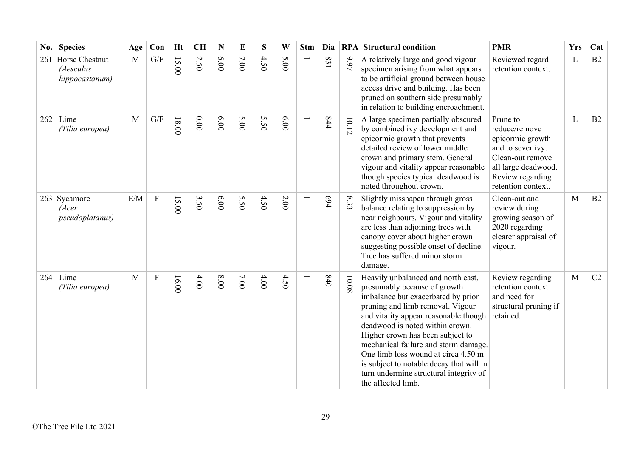| No. | <b>Species</b>                                   | Age          | Con                     | <b>Ht</b> | <b>CH</b> | N    | E    | S    | W    | <b>Stm</b> | Dia   | RPA            | <b>Structural condition</b>                                                                                                                                                                                                                                                                                                                                                                                                                             | <b>PMR</b>                                                                                                                                              | <b>Yrs</b> | Cat |
|-----|--------------------------------------------------|--------------|-------------------------|-----------|-----------|------|------|------|------|------------|-------|----------------|---------------------------------------------------------------------------------------------------------------------------------------------------------------------------------------------------------------------------------------------------------------------------------------------------------------------------------------------------------------------------------------------------------------------------------------------------------|---------------------------------------------------------------------------------------------------------------------------------------------------------|------------|-----|
| 261 | Horse Chestnut<br>(Aesculus<br>hippocastanum)    | M            | $\mathrm{G}/\mathrm{F}$ | 15.00     | 2.50      | 6.00 | 7.00 | 4.50 | 5.00 |            | 183   | 1666           | A relatively large and good vigour<br>specimen arising from what appears<br>to be artificial ground between house<br>access drive and building. Has been<br>pruned on southern side presumably<br>in relation to building encroachment.                                                                                                                                                                                                                 | Reviewed regard<br>retention context.                                                                                                                   | L          | B2  |
|     | $262$ Lime<br>(Tilia europea)                    | $\mathbf{M}$ | $\mathrm{G}/\mathrm{F}$ | $18.00$   | $0.00$    | 6.00 | 5.00 | 5.50 | 6.00 |            | 844   | 10.12          | A large specimen partially obscured<br>by combined ivy development and<br>epicormic growth that prevents<br>detailed review of lower middle<br>crown and primary stem. General<br>vigour and vitality appear reasonable<br>though species typical deadwood is<br>noted throughout crown.                                                                                                                                                                | Prune to<br>reduce/remove<br>epicormic growth<br>and to sever ivy.<br>Clean-out remove<br>all large deadwood.<br>Review regarding<br>retention context. | L          | B2  |
|     | 263 Sycamore<br>(Acer<br><i>pseudoplatanus</i> ) | E/M          | ${\bf F}$               | 15.00     | 3.50      | 6.00 | 5.50 | 4.50 | 2.00 |            | 694   | $\infty$<br>33 | Slightly misshapen through gross<br>balance relating to suppression by<br>near neighbours. Vigour and vitality<br>are less than adjoining trees with<br>canopy cover about higher crown<br>suggesting possible onset of decline.<br>Tree has suffered minor storm<br>damage.                                                                                                                                                                            | Clean-out and<br>review during<br>growing season of<br>2020 regarding<br>clearer appraisal of<br>vigour.                                                | M          | B2  |
| 264 | Lime<br>(Tilia europea)                          | $\mathbf{M}$ | ${\bf F}$               | 16.00     | 4.00      | 00.8 | 7.00 | 4.00 | 4.50 |            | $0+8$ | 10.08          | Heavily unbalanced and north east,<br>presumably because of growth<br>imbalance but exacerbated by prior<br>pruning and limb removal. Vigour<br>and vitality appear reasonable though<br>deadwood is noted within crown.<br>Higher crown has been subject to<br>mechanical failure and storm damage.<br>One limb loss wound at circa 4.50 m<br>is subject to notable decay that will in<br>turn undermine structural integrity of<br>the affected limb. | Review regarding<br>retention context<br>and need for<br>structural pruning if<br>retained.                                                             | M          | C2  |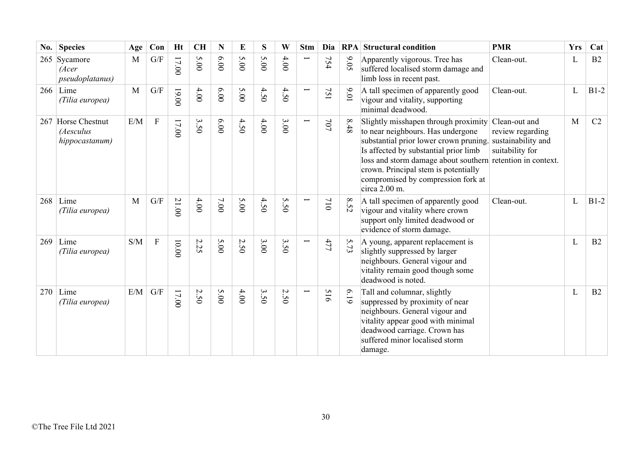| $\bf{No.}$ | <b>Species</b>                                    | Age          | Con         | <b>Ht</b> | <b>CH</b> | N     | E    | S       | W    | <b>Stm</b>               | Dia                            |          | <b>RPA</b> Structural condition                                                                                                                                                                                                                                                                                           | <b>PMR</b>                                                                 | <b>Yrs</b> | Cat    |
|------------|---------------------------------------------------|--------------|-------------|-----------|-----------|-------|------|---------|------|--------------------------|--------------------------------|----------|---------------------------------------------------------------------------------------------------------------------------------------------------------------------------------------------------------------------------------------------------------------------------------------------------------------------------|----------------------------------------------------------------------------|------------|--------|
|            | 265 Sycamore<br>(Acer<br><i>pseudoplatanus</i> )  | M            | G/F         | 17.00     | 5.00      | 6.00  | 5.00 | 5.00    | 4.00 | $\overline{\phantom{0}}$ | 754                            | 9.05     | Apparently vigorous. Tree has<br>suffered localised storm damage and<br>limb loss in recent past.                                                                                                                                                                                                                         | Clean-out.                                                                 | L          | B2     |
|            | $266$ Lime<br>(Tilia europea)                     | $\mathbf{M}$ | G/F         | 19.00     | 4.00      | 00.00 | 5.00 | 4.50    | 4.50 | $\overline{\phantom{0}}$ | 75<br>$\overline{\phantom{0}}$ | 10'6     | A tall specimen of apparently good<br>vigour and vitality, supporting<br>minimal deadwood.                                                                                                                                                                                                                                | Clean-out.                                                                 | L          | $B1-2$ |
|            | 267 Horse Chestnut<br>(Aesculus<br>hippocastanum) | E/M          | $\mathbf F$ | $17.00$   | 3.50      | 00.00 | 4.50 | 4.00    | 3.00 | $\overline{\phantom{0}}$ | 707                            | $8.48\,$ | Slightly misshapen through proximity<br>to near neighbours. Has undergone<br>substantial prior lower crown pruning.<br>Is affected by substantial prior limb<br>loss and storm damage about southern retention in context.<br>crown. Principal stem is potentially<br>compromised by compression fork at<br>circa 2.00 m. | Clean-out and<br>review regarding<br>sustainability and<br>suitability for | M          | C2     |
| 268        | Lime<br>(Tilia europea)                           | $\mathbf{M}$ | G/F         | 21.00     | 4.00      | 7.00  | 5.00 | 4.50    | 5.50 |                          | 710                            | 8.52     | A tall specimen of apparently good<br>vigour and vitality where crown<br>support only limited deadwood or<br>evidence of storm damage.                                                                                                                                                                                    | Clean-out.                                                                 | L          | $B1-2$ |
| 269        | Lime<br>(Tilia europea)                           | S/M          | $\mathbf F$ | 0.000     | 2.25      | 5.00  | 2.50 | 3.00    | 3.50 | $\overline{\phantom{0}}$ | 477                            | 5.73     | A young, apparent replacement is<br>slightly suppressed by larger<br>neighbours. General vigour and<br>vitality remain good though some<br>deadwood is noted.                                                                                                                                                             |                                                                            | L          | B2     |
| 270        | Lime<br>(Tilia europea)                           | E/M          | G/F         | $17.00$   | 2.50      | 5.00  | 4.00 | 3<br>50 | 2.50 | $\overline{\phantom{0}}$ | 516                            | 619      | Tall and columnar, slightly<br>suppressed by proximity of near<br>neighbours. General vigour and<br>vitality appear good with minimal<br>deadwood carriage. Crown has<br>suffered minor localised storm<br>damage.                                                                                                        |                                                                            | L          | B2     |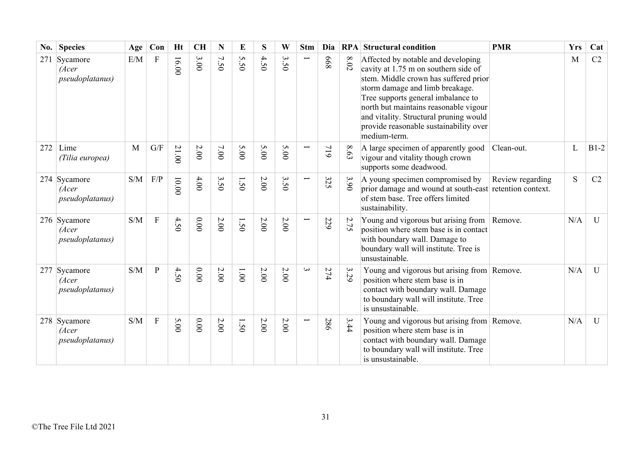| No. | <b>Species</b>                                   | Age | Con            | Ht      | <b>CH</b> | N    | E             | S      | W              | <b>Stm</b>               | Dia |          | <b>RPA</b> Structural condition                                                                                                                                                                                                                                                                                                           | <b>PMR</b>       | <b>Yrs</b> | Cat          |
|-----|--------------------------------------------------|-----|----------------|---------|-----------|------|---------------|--------|----------------|--------------------------|-----|----------|-------------------------------------------------------------------------------------------------------------------------------------------------------------------------------------------------------------------------------------------------------------------------------------------------------------------------------------------|------------------|------------|--------------|
| 271 | Sycamore<br>(Acer<br><i>pseudoplatanus</i> )     | E/M | F              | 16.00   | 3.00      | 7.50 | 5.50          | 4.50   | $\omega$<br>50 |                          | 899 | $8.02\,$ | Affected by notable and developing<br>cavity at 1.75 m on southern side of<br>stem. Middle crown has suffered prior<br>storm damage and limb breakage.<br>Tree supports general imbalance to<br>north but maintains reasonable vigour<br>and vitality. Structural pruning would<br>provide reasonable sustainability over<br>medium-term. |                  | M          | C2           |
| 272 | Lime<br>(Tilia europea)                          | M   | G/F            | 21.00   | $2.00$    | 7.00 | 5.00          | 5.00   | 5.00           | $\overline{\phantom{0}}$ | 119 | $8.63\,$ | A large specimen of apparently good<br>vigour and vitality though crown<br>supports some deadwood.                                                                                                                                                                                                                                        | Clean-out.       | L          | $B1-2$       |
|     | 274 Sycamore<br>(Acer<br><i>pseudoplatanus</i> ) | S/M | F/P            | $00.00$ | 4.00      | 3.50 | 1.50          | 2.00   | 3.50           | Ë                        | 325 | 3.90     | A young specimen compromised by<br>prior damage and wound at south-east retention context.<br>of stem base. Tree offers limited<br>sustainability.                                                                                                                                                                                        | Review regarding | S          | C2           |
|     | 276 Sycamore<br>(Acer<br>pseudoplatanus)         | S/M | $\overline{F}$ | 4.50    | 0.00      | 2.00 | 1.50          | $2.00$ | 2.00           |                          | 229 | 2.75     | Young and vigorous but arising from<br>position where stem base is in contact<br>with boundary wall. Damage to<br>boundary wall will institute. Tree is<br>unsustainable.                                                                                                                                                                 | Remove.          | N/A        | U            |
|     | 277 Sycamore<br>(Acer<br><i>pseudoplatanus</i> ) | S/M | $\mathbf{P}$   | 4.50    | 0.00      | 2.00 | $00^{\circ}1$ | 2.00   | 2.00           | $\mathbf{\omega}$        | 274 | 3.29     | Young and vigorous but arising from Remove.<br>position where stem base is in<br>contact with boundary wall. Damage<br>to boundary wall will institute. Tree<br>is unsustainable.                                                                                                                                                         |                  | N/A        | $\mathbf{U}$ |
|     | 278 Sycamore<br>(Acer<br><i>pseudoplatanus</i> ) | S/M | ${\bf F}$      | 5.00    | 0.000     | 2.00 | 1.50          | 2.00   | $2.00\,$       | ╾                        | 286 | 3.44     | Young and vigorous but arising from Remove.<br>position where stem base is in<br>contact with boundary wall. Damage<br>to boundary wall will institute. Tree<br>is unsustainable.                                                                                                                                                         |                  | N/A        | $\mathbf{U}$ |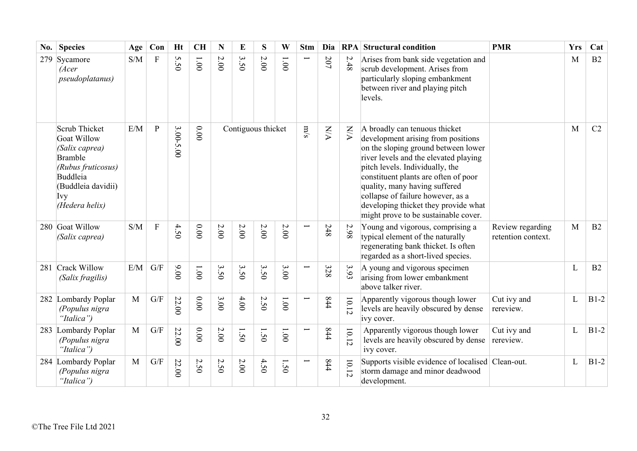| No. | <b>Species</b>                                                                                                                             | Age          | Con            | <b>Ht</b> | <b>CH</b>              | N                             | E                  | S    | W        | <b>Stm</b>               | Dia                    |                         | <b>RPA</b> Structural condition                                                                                                                                                                                                                                                                                                                                                      | <b>PMR</b>                             | <b>Yrs</b>   | Cat    |
|-----|--------------------------------------------------------------------------------------------------------------------------------------------|--------------|----------------|-----------|------------------------|-------------------------------|--------------------|------|----------|--------------------------|------------------------|-------------------------|--------------------------------------------------------------------------------------------------------------------------------------------------------------------------------------------------------------------------------------------------------------------------------------------------------------------------------------------------------------------------------------|----------------------------------------|--------------|--------|
| 279 | Sycamore<br>(Acer<br>pseudoplatanus)                                                                                                       | S/M          | ${\bf F}$      | 5.50      | $00^{\circ}$ l         | 2.00                          | 3.50               | 2.00 | 1.00     |                          | 207                    | 2.48                    | Arises from bank side vegetation and<br>scrub development. Arises from<br>particularly sloping embankment<br>between river and playing pitch<br>levels.                                                                                                                                                                                                                              |                                        | M            | B2     |
|     | Scrub Thicket<br>Goat Willow<br>(Salix caprea)<br>Bramble<br>(Rubus fruticosus)<br>Buddleia<br>(Buddleia davidii)<br>Ivy<br>(Hedera helix) | E/M          | $\mathbf{P}$   | 3.00-5.00 | 0.00                   |                               | Contiguous thicket |      |          |                          | $\mathbb{N}\mathbb{N}$ | $\mathbf{W} \mathbf{M}$ | A broadly can tenuous thicket<br>development arising from positions<br>on the sloping ground between lower<br>river levels and the elevated playing<br>pitch levels. Individually, the<br>constituent plants are often of poor<br>quality, many having suffered<br>collapse of failure however, as a<br>developing thicket they provide what<br>might prove to be sustainable cover. |                                        | M            | C2     |
|     | 280 Goat Willow<br>(Salix caprea)                                                                                                          | S/M          | $\overline{F}$ | 4.50      | 0.00                   | $2.00\,$                      | 2.00               | 2.00 | $2.00\,$ | Ē.                       | 248                    | 2.98                    | Young and vigorous, comprising a<br>typical element of the naturally<br>regenerating bank thicket. Is often<br>regarded as a short-lived species.                                                                                                                                                                                                                                    | Review regarding<br>retention context. | M            | B2     |
| 281 | Crack Willow<br>(Salix fragilis)                                                                                                           | E/M          | G/F            | 00.00     | 1.001                  | 3.50                          | 3.50               | 3.50 | 3.00     | Ē                        | 328                    | 3.93                    | A young and vigorous specimen<br>arising from lower embankment<br>above talker river.                                                                                                                                                                                                                                                                                                |                                        | $\mathbf{L}$ | B2     |
|     | 282 Lombardy Poplar<br>(Populus nigra<br>"Italica")                                                                                        | M            | G/F            | 22.00     | $0.00$                 | 3.00                          | 4.00               | 2.50 | 1.00     | L                        | 444                    | 10.12                   | Apparently vigorous though lower<br>levels are heavily obscured by dense<br>ivy cover.                                                                                                                                                                                                                                                                                               | Cut ivy and<br>rereview.               | L            | $B1-2$ |
| 283 | Lombardy Poplar<br>(Populus nigra<br>"Italica")                                                                                            | M            | G/F            | 22.00     | 0.00                   | 2.00                          | 1.50               | 1.50 | 1.00     | $\overline{\phantom{0}}$ | 844                    | 10.12                   | Apparently vigorous though lower<br>levels are heavily obscured by dense<br>ivy cover.                                                                                                                                                                                                                                                                                               | Cut ivy and<br>rereview.               | L            | $B1-2$ |
|     | 284 Lombardy Poplar<br>(Populus nigra<br>"Italica")                                                                                        | $\mathbf{M}$ | G/F            | 22.00     | $\sim$<br>$\tilde{S}0$ | $\mathcal{L}$<br>$\tilde{5}0$ | 2.00               | 4.50 | 50       |                          | 844                    | 10.12                   | Supports visible evidence of localised Clean-out.<br>storm damage and minor deadwood<br>development.                                                                                                                                                                                                                                                                                 |                                        | L            | $B1-2$ |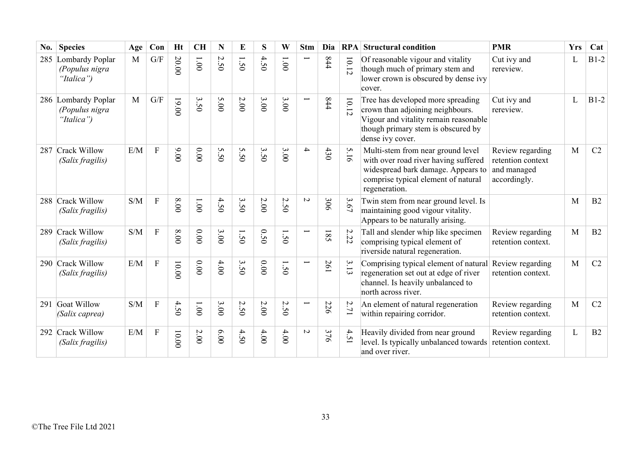| No. | <b>Species</b>                                      | Age | Con            | Ht             | <b>CH</b>    | N                              | E    | S    | W                    | <b>Stm</b>               | Dia | RPA                                        | <b>Structural condition</b>                                                                                                                                              | <b>PMR</b>                                                           | <b>Yrs</b> | Cat            |
|-----|-----------------------------------------------------|-----|----------------|----------------|--------------|--------------------------------|------|------|----------------------|--------------------------|-----|--------------------------------------------|--------------------------------------------------------------------------------------------------------------------------------------------------------------------------|----------------------------------------------------------------------|------------|----------------|
| 285 | Lombardy Poplar<br>(Populus nigra<br>"Italica")     | M   | G/F            | 20.00          | $00^{\circ}$ | $\overline{C}$<br>$\tilde{S}0$ | 1.50 | 4.50 | $00^{\circ}$ l       |                          | 844 | $10.12\,$                                  | Of reasonable vigour and vitality<br>though much of primary stem and<br>lower crown is obscured by dense ivy<br>cover.                                                   | Cut ivy and<br>rereview.                                             | L          | $B1-2$         |
|     | 286 Lombardy Poplar<br>(Populus nigra<br>"Italica") | M   | G/F            | 19.00          | 3.50         | 5.00                           | 2.00 | 3.00 | 3.00                 |                          | 444 | $10.12$                                    | Tree has developed more spreading<br>crown than adjoining neighbours.<br>Vigour and vitality remain reasonable<br>though primary stem is obscured by<br>dense ivy cover. | Cut ivy and<br>rereview.                                             | L          | $B1-2$         |
|     | 287 Crack Willow<br>(Salix fragilis)                | E/M | ${\bf F}$      | 00.00          | 0.00         | 5.50                           | 5.50 | 3.50 | 3.00                 | $\overline{\mathcal{A}}$ | 430 | 5.16                                       | Multi-stem from near ground level<br>with over road river having suffered<br>widespread bark damage. Appears to<br>comprise typical element of natural<br>regeneration.  | Review regarding<br>retention context<br>and managed<br>accordingly. | M          | C2             |
|     | 288 Crack Willow<br>(Salix fragilis)                | S/M | ${\bf F}$      | 8.00           | 1.00         | 4.50                           | 3.50 | 2.00 | 2.50                 | $\sim$                   | 306 | 3.67                                       | Twin stem from near ground level. Is<br>maintaining good vigour vitality.<br>Appears to be naturally arising.                                                            |                                                                      | M          | B2             |
|     | 289 Crack Willow<br>(Salix fragilis)                | S/M | $\overline{F}$ | 00.8           | 0.00         | 3.00                           | 1.50 | 0.50 | in<br>$\ddot{\circ}$ |                          | 581 | 2.22                                       | Tall and slender whip like specimen<br>comprising typical element of<br>riverside natural regeneration.                                                                  | Review regarding<br>retention context.                               | M          | B2             |
|     | 290 Crack Willow<br>(Salix fragilis)                | E/M | $\mathbf{F}$   | 10.00          | $0.00$       | 4.00                           | 3.50 | 0.00 | 1.50                 |                          | 261 | 3.13                                       | Comprising typical element of natural<br>regeneration set out at edge of river<br>channel. Is heavily unbalanced to<br>north across river.                               | Review regarding<br>retention context.                               | M          | C2             |
|     | 291 Goat Willow<br>(Salix caprea)                   | S/M | F              | 4.5<br>$\circ$ | 1.00         | 3.00                           | 2.50 | 2.00 | 2.5<br>$\circ$       | $\overline{\phantom{0}}$ | 226 | $\overline{\mathcal{L}}$<br>$\overline{7}$ | An element of natural regeneration<br>within repairing corridor.                                                                                                         | Review regarding<br>retention context.                               | M          | C <sub>2</sub> |
|     | 292 Crack Willow<br>(Salix fragilis)                | E/M | $\mathbf{F}$   | 10.00          | 2.00         | 0.00                           | 4.50 | 4.00 | 4.00                 | $\sim$                   | 376 | 4.5<br>$\overline{\phantom{0}}$            | Heavily divided from near ground<br>level. Is typically unbalanced towards<br>and over river.                                                                            | Review regarding<br>retention context.                               | L          | B2             |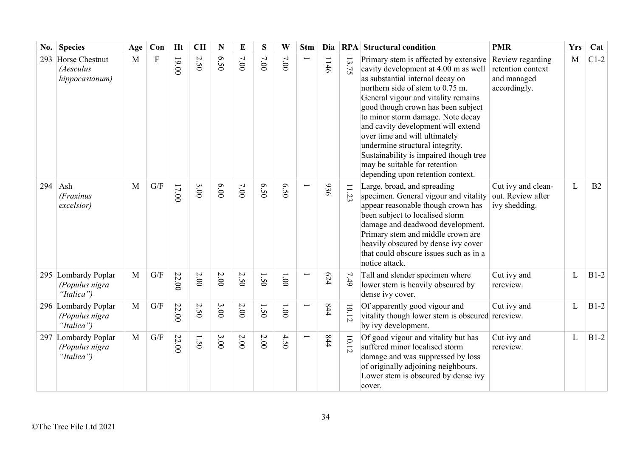| No. | <b>Species</b>                                      | Age          | Con                     | <b>Ht</b> | <b>CH</b> | N        | E      | S    | W             | <b>Stm</b> | Dia  |         | <b>RPA</b> Structural condition                                                                                                                                                                                                                                                                                                                                                                                                                                                                   | <b>PMR</b>                                                           | <b>Yrs</b> | Cat    |
|-----|-----------------------------------------------------|--------------|-------------------------|-----------|-----------|----------|--------|------|---------------|------------|------|---------|---------------------------------------------------------------------------------------------------------------------------------------------------------------------------------------------------------------------------------------------------------------------------------------------------------------------------------------------------------------------------------------------------------------------------------------------------------------------------------------------------|----------------------------------------------------------------------|------------|--------|
| 293 | Horse Chestnut<br>(Aesculus<br>hippocastanum)       | M            | ${\bf F}$               | 19.00     | 2.50      | 6.50     | 7.00   | 7.00 | 7.00          |            | 1146 | 13.75   | Primary stem is affected by extensive<br>cavity development at 4.00 m as well<br>as substantial internal decay on<br>northern side of stem to 0.75 m.<br>General vigour and vitality remains<br>good though crown has been subject<br>to minor storm damage. Note decay<br>and cavity development will extend<br>over time and will ultimately<br>undermine structural integrity.<br>Sustainability is impaired though tree<br>may be suitable for retention<br>depending upon retention context. | Review regarding<br>retention context<br>and managed<br>accordingly. | M          | $C1-2$ |
| 294 | Ash<br>(Fraxinus<br>excelsior)                      | $\mathbf{M}$ | G/F                     | $17.00$   | 3.00      | 6.00     | $7.00$ | 6.50 | 6.50          |            | 936  | 23      | Large, broad, and spreading<br>specimen. General vigour and vitality<br>appear reasonable though crown has<br>been subject to localised storm<br>damage and deadwood development.<br>Primary stem and middle crown are<br>heavily obscured by dense ivy cover<br>that could obscure issues such as in a<br>notice attack.                                                                                                                                                                         | Cut ivy and clean-<br>out. Review after<br>ivy shedding.             | L          | B2     |
|     | 295 Lombardy Poplar<br>(Populus nigra<br>"Italica") | M            | $\mathrm{G}/\mathrm{F}$ | 22.00     | $2.00\,$  | $2.00\,$ | 2.50   | 1.50 | 1.001         |            | 624  | 7.49    | Tall and slender specimen where<br>lower stem is heavily obscured by<br>dense ivy cover.                                                                                                                                                                                                                                                                                                                                                                                                          | Cut ivy and<br>rereview.                                             | L          | $B1-2$ |
|     | 296 Lombardy Poplar<br>(Populus nigra<br>"Italica") | $\mathbf{M}$ | G/F                     | 22.00     | 2.50      | 3.00     | 2.00   | 1.50 | $00^{\circ}1$ |            | 844  | 10.12   | Of apparently good vigour and<br>vitality though lower stem is obscured rereview.<br>by ivy development.                                                                                                                                                                                                                                                                                                                                                                                          | Cut ivy and                                                          | L          | $B1-2$ |
| 297 | Lombardy Poplar<br>(Populus nigra<br>"Italica")     | M            | $\mathrm{G}/\mathrm{F}$ | 22.00     | 1.50      | 3.00     | 2.00   | 2.00 | 4.50          |            | 844  | $10.12$ | Of good vigour and vitality but has<br>suffered minor localised storm<br>damage and was suppressed by loss<br>of originally adjoining neighbours.<br>Lower stem is obscured by dense ivy<br>cover.                                                                                                                                                                                                                                                                                                | Cut ivy and<br>rereview.                                             | L          | $B1-2$ |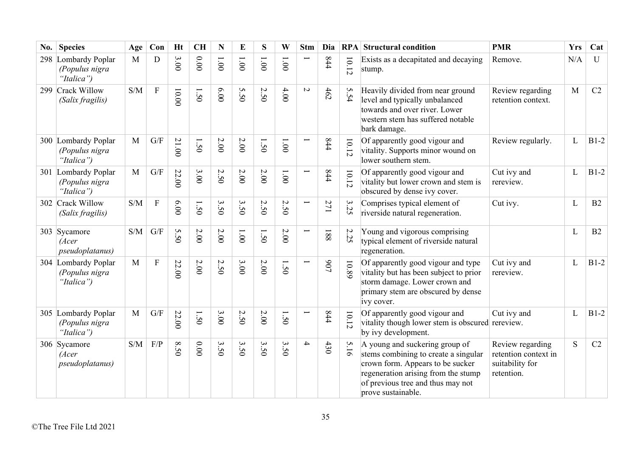| No. | <b>Species</b>                                      | Age          | Con                       | <b>Ht</b> | <b>CH</b>      | N            | E                                         | S        | W              | <b>Stm</b>               | Dia         | RPA                 | <b>Structural condition</b>                                                                                                                                                                                  | <b>PMR</b>                                                                | <b>Yrs</b> | Cat    |
|-----|-----------------------------------------------------|--------------|---------------------------|-----------|----------------|--------------|-------------------------------------------|----------|----------------|--------------------------|-------------|---------------------|--------------------------------------------------------------------------------------------------------------------------------------------------------------------------------------------------------------|---------------------------------------------------------------------------|------------|--------|
|     | 298 Lombardy Poplar<br>(Populus nigra<br>"Italica") | M            | D                         | 3.00      | 0.00           | 1.001        | 1.001                                     | 1.001    | $00^{\circ}$   |                          | 844         | $10.12$             | Exists as a decapitated and decaying<br>stump.                                                                                                                                                               | Remove.                                                                   | N/A        | U      |
|     | 299 Crack Willow<br>(Salix fragilis)                | S/M          | $\mathbf{F}$              | 10.00     | 1.50           | 0.00         | 5.50                                      | 2.50     | 4.00           | $\sim$                   | 462         | 5.54                | Heavily divided from near ground<br>level and typically unbalanced<br>towards and over river. Lower<br>western stem has suffered notable<br>bark damage.                                                     | Review regarding<br>retention context.                                    | M          | C2     |
|     | 300 Lombardy Poplar<br>(Populus nigra<br>"Italica") | M            | $\mathrm{G}/\mathrm{F}$   | 21.00     | 1.50           | $2.00$       | $2.00$                                    | 1.50     | 1.00           |                          | 844         | $10.12\,$           | Of apparently good vigour and<br>vitality. Supports minor wound on<br>lower southern stem.                                                                                                                   | Review regularly.                                                         | L          | $B1-2$ |
|     | 301 Lombardy Poplar<br>(Populus nigra<br>"Italica") | $\mathbf{M}$ | G/F                       | 22.00     | 3.00           | 2.50         | 2.00                                      | 2.00     | 1.00           |                          | 844         | 10.12               | Of apparently good vigour and<br>vitality but lower crown and stem is<br>obscured by dense ivy cover.                                                                                                        | Cut ivy and<br>rereview.                                                  | L          | $B1-2$ |
|     | 302 Crack Willow<br>(Salix fragilis)                | S/M          | $\boldsymbol{\mathrm{F}}$ | 6.00      | 1.50           | 3.50         | 3.50                                      | 2.50     | 2.50           | $\overline{\phantom{0}}$ | 271         | 3.25                | Comprises typical element of<br>riverside natural regeneration.                                                                                                                                              | Cut ivy.                                                                  | L          | B2     |
|     | 303 Sycamore<br>(Acer<br>pseudoplatanus)            | S/M          | G/F                       | 5.50      | $2.00$         | $2.00$       | $00^{\circ}$                              | 1.50     | $2.00\,$       |                          | 188         | $\mathcal{L}$<br>25 | Young and vigorous comprising<br>typical element of riverside natural<br>regeneration.                                                                                                                       |                                                                           | L          | B2     |
|     | 304 Lombardy Poplar<br>(Populus nigra<br>"Italica") | M            | $\mathbf{F}$              | 22.00     | $2.00\,$       | $\sim$<br>50 | 3.00                                      | $2.00\,$ | 1.50           |                          | $\sqrt{06}$ | 10.89               | Of apparently good vigour and type<br>vitality but has been subject to prior<br>storm damage. Lower crown and<br>primary stem are obscured by dense<br>ivy cover.                                            | Cut ivy and<br>rereview.                                                  | L          | $B1-2$ |
|     | 305 Lombardy Poplar<br>(Populus nigra<br>"Italica") | M            | G/F                       | 22.00     | $\overline{S}$ | 3.00         | $\boldsymbol{\mathsf{c}}$<br>$\tilde{S}0$ | 2.00     | $\overline{S}$ |                          | 844         | $10.12\,$           | Of apparently good vigour and<br>vitality though lower stem is obscured rereview.<br>by ivy development.                                                                                                     | Cut ivy and                                                               | L          | $B1-2$ |
|     | 306 Sycamore<br>(Acer<br>pseudoplatanus)            | S/M          | F/P                       | 8.50      | $0.00\,$       | 3.50         | 3.50                                      | 3.50     | 3.50           | $\overline{\phantom{a}}$ | 430         | 5.16                | A young and suckering group of<br>stems combining to create a singular<br>crown form. Appears to be sucker<br>regeneration arising from the stump<br>of previous tree and thus may not<br>prove sustainable. | Review regarding<br>retention context in<br>suitability for<br>retention. | S          | C2     |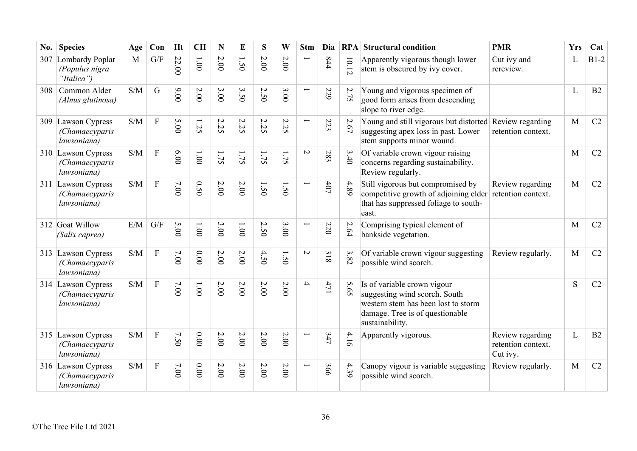| No. | <b>Species</b>                                      | Age                                               | Con            | <b>Ht</b> | <b>CH</b>    | N            | E                              | S                               | W      | <b>Stm</b>               | Dia                                     |         | <b>RPA</b> Structural condition                                                                                                                           | <b>PMR</b>                                         | <b>Yrs</b> | Cat            |
|-----|-----------------------------------------------------|---------------------------------------------------|----------------|-----------|--------------|--------------|--------------------------------|---------------------------------|--------|--------------------------|-----------------------------------------|---------|-----------------------------------------------------------------------------------------------------------------------------------------------------------|----------------------------------------------------|------------|----------------|
|     | 307 Lombardy Poplar<br>(Populus nigra<br>"Italica") | M                                                 | G/F            | 22.00     | 1.001        | $2.00\,$     | $\overline{\phantom{0}}$<br>50 | 2.00                            | 2.00   | Ē                        | 844                                     | $10.12$ | Apparently vigorous though lower<br>stem is obscured by ivy cover.                                                                                        | Cut ivy and<br>rereview.                           | L          | $B1-2$         |
| 308 | Common Alder<br>(Alnus glutinosa)                   | S/M                                               | G              | 00.00     | 2.00         | 3.00         | 3.50                           | 2.50                            | 3.00   | $\overline{\phantom{0}}$ | 529                                     | 2.75    | Young and vigorous specimen of<br>good form arises from descending<br>slope to river edge.                                                                |                                                    | L          | B2             |
| 309 | Lawson Cypress<br>(Chamaecyparis<br>lawsoniana)     | S/M                                               | $\overline{F}$ | 5.00      | 52           | $\sim$<br>52 | $\mathcal{L}$<br>:25           | $\boldsymbol{\mathsf{c}}$<br>52 | 2.25   | Ē                        | 223                                     | 2.67    | Young and still vigorous but distorted<br>suggesting apex loss in past. Lower<br>stem supports minor wound.                                               | Review regarding<br>retention context.             | M          | C2             |
|     | 310 Lawson Cypress<br>(Chamaecyparis<br>lawsoniana) | S/M                                               | ${\bf F}$      | 6.00      | 1.001        | 1.75         | 1.75                           | 1.75                            | 1.75   | $\overline{C}$           | 283                                     | 3.40    | Of variable crown vigour raising<br>concerns regarding sustainability.<br>Review regularly.                                                               |                                                    | M          | C2             |
| 311 | Lawson Cypress<br>(Chamaecyparis<br>lawsoniana)     | S/M                                               | $\mathbf{F}$   | 7.00      | 0.50         | $2.00$       | 2.00                           | 1.50                            | 1.50   |                          | $407$                                   | 4.89    | Still vigorous but compromised by<br>competitive growth of adjoining elder<br>that has suppressed foliage to south-<br>east.                              | Review regarding<br>retention context.             | M          | C2             |
|     | 312 Goat Willow<br>(Salix caprea)                   | E/M                                               | G/F            | 5.00      | $00^{\circ}$ | 3.00         | 1.001                          | 2.50                            | 3.00   |                          | 220                                     | 2.64    | Comprising typical element of<br>bankside vegetation.                                                                                                     |                                                    | M          | C <sub>2</sub> |
|     | 313 Lawson Cypress<br>(Chamaecyparis<br>lawsoniana) | S/M                                               | $\mathbf F$    | 7.00      | 0.00         | $2.00$       | $2.00$                         | 4.50                            | 1.50   | $\overline{C}$           | $\boldsymbol{\omega}$<br>$\overline{8}$ | 3.82    | Of variable crown vigour suggesting<br>possible wind scorch.                                                                                              | Review regularly.                                  | M          | C <sub>2</sub> |
|     | 314 Lawson Cypress<br>(Chamaecyparis<br>lawsoniana) | S/M                                               | $\mathbf{F}$   | 7.00      | 1.00         | $2.00\,$     | $2.00$                         | 2.00                            | $2.00$ | $\rightarrow$            | 471                                     | 5.65    | Is of variable crown vigour<br>suggesting wind scorch. South<br>western stem has been lost to storm<br>damage. Tree is of questionable<br>sustainability. |                                                    | S          | C2             |
|     | 315 Lawson Cypress<br>(Chamaecyparis<br>lawsoniana) | S/M                                               | $\mathbf{F}$   | 7.50      | 0.00         | $2.00$       | 2.00                           | $2.00$                          | 2.00   |                          | 347                                     | 4.16    | Apparently vigorous.                                                                                                                                      | Review regarding<br>retention context.<br>Cut ivy. | L          | B2             |
|     | 316 Lawson Cypress<br>(Chamaecyparis<br>lawsoniana) | $\ensuremath{\mathrm{S}}/\ensuremath{\mathrm{M}}$ | ${\bf F}$      | 7.00      | $0.00\,$     | $2.00\,$     | $2.00$                         | $2.00$                          | 2.00   |                          | 366                                     | 4.39    | Canopy vigour is variable suggesting<br>possible wind scorch.                                                                                             | Review regularly.                                  | M          | C2             |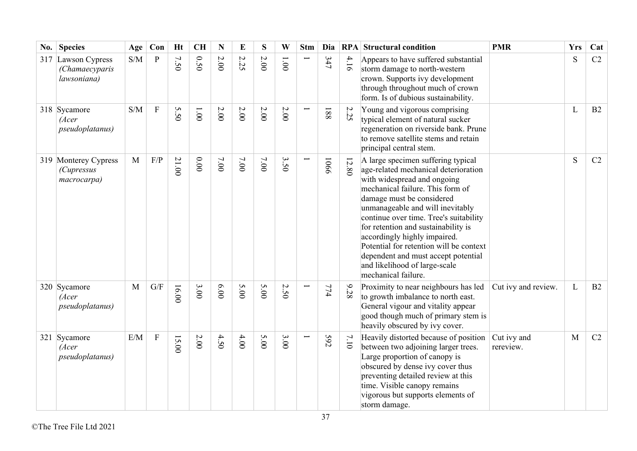| No. | <b>Species</b>                                           | Age | Con                       | <b>Ht</b> | <b>CH</b> | N        | E    | S    | W              | <b>Stm</b> | Dia  |         | <b>RPA</b> Structural condition                                                                                                                                                                                                                                                                                                                                                                                                                                           | <b>PMR</b>               | <b>Yrs</b> | Cat            |
|-----|----------------------------------------------------------|-----|---------------------------|-----------|-----------|----------|------|------|----------------|------------|------|---------|---------------------------------------------------------------------------------------------------------------------------------------------------------------------------------------------------------------------------------------------------------------------------------------------------------------------------------------------------------------------------------------------------------------------------------------------------------------------------|--------------------------|------------|----------------|
|     | 317 Lawson Cypress<br>(Chamaecyparis<br>lawsoniana)      | S/M | $\mathbf{P}$              | 7.50      | 0.50      | $2.00\,$ | 2.25 | 2.00 | $00^{\circ}$ l |            | 347  | 4.16    | Appears to have suffered substantial<br>storm damage to north-western<br>crown. Supports ivy development<br>through throughout much of crown<br>form. Is of dubious sustainability.                                                                                                                                                                                                                                                                                       |                          | S          | C2             |
|     | 318 Sycamore<br>(Acer<br><i>pseudoplatanus</i> )         | S/M | $\mathbf F$               | 5.50      | 1.00      | $2.00\,$ | 2.00 | 2.00 | $2.00$         |            | 188  | 2.25    | Young and vigorous comprising<br>typical element of natural sucker<br>regeneration on riverside bank. Prune<br>to remove satellite stems and retain<br>principal central stem.                                                                                                                                                                                                                                                                                            |                          | L          | B2             |
|     | 319 Monterey Cypress<br><i>(Cupressus</i><br>macrocarpa) | M   | $\rm F/P$                 | 21.00     | 0.00      | 7.00     | 7.00 | 7.00 | 3.50           |            | 1066 | $12.80$ | A large specimen suffering typical<br>age-related mechanical deterioration<br>with widespread and ongoing<br>mechanical failure. This form of<br>damage must be considered<br>unmanageable and will inevitably<br>continue over time. Tree's suitability<br>for retention and sustainability is<br>accordingly highly impaired.<br>Potential for retention will be context<br>dependent and must accept potential<br>and likelihood of large-scale<br>mechanical failure. |                          | S          | C2             |
|     | 320 Sycamore<br>(Acer<br><i>pseudoplatanus</i> )         | M   | G/F                       | 16.00     | 3.00      | 6.00     | 5.00 | 5.00 | 2.50           |            | 774  | 9.28    | Proximity to near neighbours has led<br>to growth imbalance to north east.<br>General vigour and vitality appear<br>good though much of primary stem is<br>heavily obscured by ivy cover.                                                                                                                                                                                                                                                                                 | Cut ivy and review.      | L          | B <sub>2</sub> |
|     | 321 Sycamore<br>(Acer<br><i>pseudoplatanus</i> )         | E/M | $\boldsymbol{\mathrm{F}}$ | 15.00     | 2.00      | 4.50     | 4.00 | 5.00 | 3.00           |            | 592  | 7.10    | Heavily distorted because of position<br>between two adjoining larger trees.<br>Large proportion of canopy is<br>obscured by dense ivy cover thus<br>preventing detailed review at this<br>time. Visible canopy remains<br>vigorous but supports elements of<br>storm damage.                                                                                                                                                                                             | Cut ivy and<br>rereview. | M          | C2             |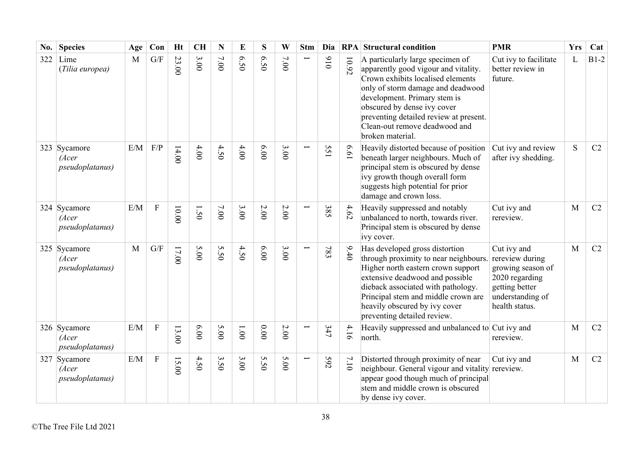| No. | <b>Species</b>                                   | Age | Con                       | <b>Ht</b> | <b>CH</b> | N      | E            | S               | W        | <b>Stm</b> | Dia |       | <b>RPA</b> Structural condition                                                                                                                                                                                                                                                                                  | <b>PMR</b>                                                                                                                    | <b>Yrs</b> | Cat    |
|-----|--------------------------------------------------|-----|---------------------------|-----------|-----------|--------|--------------|-----------------|----------|------------|-----|-------|------------------------------------------------------------------------------------------------------------------------------------------------------------------------------------------------------------------------------------------------------------------------------------------------------------------|-------------------------------------------------------------------------------------------------------------------------------|------------|--------|
| 322 | Lime<br>(Tilia europea)                          | M   | G/F                       | 23.00     | 3.00      | 7.00   | 6.50         | 6.50            | 7.00     |            | 016 | 10.92 | A particularly large specimen of<br>apparently good vigour and vitality.<br>Crown exhibits localised elements<br>only of storm damage and deadwood<br>development. Primary stem is<br>obscured by dense ivy cover<br>preventing detailed review at present.<br>Clean-out remove deadwood and<br>broken material. | Cut ivy to facilitate<br>better review in<br>future.                                                                          | L          | $B1-2$ |
|     | 323 Sycamore<br>(Acer<br>pseudoplatanus)         | E/M | F/P                       | 14.00     | 4.00      | 4.50   | 4.00         | 6.00            | 3.000    |            | 551 | 19.9  | Heavily distorted because of position<br>beneath larger neighbours. Much of<br>principal stem is obscured by dense<br>ivy growth though overall form<br>suggests high potential for prior<br>damage and crown loss.                                                                                              | Cut ivy and review<br>after ivy shedding.                                                                                     | S          | C2     |
|     | 324 Sycamore<br>(Acer<br><i>pseudoplatanus</i> ) | E/M | ${\bf F}$                 | $10.00$   | 1.50      | $7.00$ | 3.00         | $2.00$          | $2.00\,$ |            | 385 | 4.62  | Heavily suppressed and notably<br>unbalanced to north, towards river.<br>Principal stem is obscured by dense<br>ivy cover.                                                                                                                                                                                       | Cut ivy and<br>rereview.                                                                                                      | M          | C2     |
|     | 325 Sycamore<br>(Acer<br>pseudoplatanus)         | M   | G/F                       | $17.00$   | 5.00      | 5.50   | 4.50         | 6.00            | 3.000    |            | 783 | 9.40  | Has developed gross distortion<br>through proximity to near neighbours.<br>Higher north eastern crown support<br>extensive deadwood and possible<br>dieback associated with pathology.<br>Principal stem and middle crown are<br>heavily obscured by ivy cover<br>preventing detailed review.                    | Cut ivy and<br>rereview during<br>growing season of<br>2020 regarding<br>getting better<br>understanding of<br>health status. | M          | C2     |
|     | 326 Sycamore<br>(Acer<br><i>pseudoplatanus</i> ) | E/M | ${\bf F}$                 | 13.00     | 6.00      | 5.00   | $00^{\circ}$ | 0.00            | 2.00     |            | 347 | 4.16  | Heavily suppressed and unbalanced to Cut ivy and<br>north.                                                                                                                                                                                                                                                       | rereview.                                                                                                                     | M          | C2     |
|     | 327 Sycamore<br>(Acer<br>pseudoplatanus)         | E/M | $\boldsymbol{\mathrm{F}}$ | 15.00     | 4.50      | 3.50   | 3.00         | S<br>$\dot{S}0$ | 5.00     |            | 592 | 7.10  | Distorted through proximity of near<br>neighbour. General vigour and vitality<br>appear good though much of principal<br>stem and middle crown is obscured<br>by dense ivy cover.                                                                                                                                | Cut ivy and<br>rereview.                                                                                                      | M          | C2     |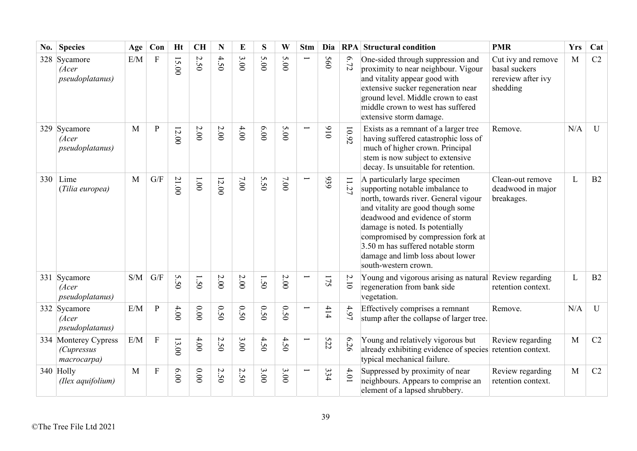| No. | <b>Species</b>                                           | Age          | Con                       | <b>Ht</b>    | <b>CH</b> | N                               | E                      | S              | W      | <b>Stm</b> | Dia |                         | <b>RPA</b> Structural condition                                                                                                                                                                                                                                                                                                                             | <b>PMR</b>                                                            | <b>Yrs</b> | Cat          |
|-----|----------------------------------------------------------|--------------|---------------------------|--------------|-----------|---------------------------------|------------------------|----------------|--------|------------|-----|-------------------------|-------------------------------------------------------------------------------------------------------------------------------------------------------------------------------------------------------------------------------------------------------------------------------------------------------------------------------------------------------------|-----------------------------------------------------------------------|------------|--------------|
|     | 328 Sycamore<br>(Acer<br><i>pseudoplatanus</i> )         | E/M          | $\boldsymbol{\mathrm{F}}$ | 15.00        | 2.50      | 4.50                            | 3.00                   | S<br>$\hat{S}$ | 5.00   |            | 560 | 6.72                    | One-sided through suppression and<br>proximity to near neighbour. Vigour<br>and vitality appear good with<br>extensive sucker regeneration near<br>ground level. Middle crown to east<br>middle crown to west has suffered<br>extensive storm damage.                                                                                                       | Cut ivy and remove<br>basal suckers<br>rereview after ivy<br>shedding | M          | C2           |
|     | 329 Sycamore<br>(Acer<br>pseudoplatanus)                 | M            | $\mathbf{P}$              | 12.00        | $2.00\,$  | $2.00\,$                        | 4.00                   | 6.00           | 5.00   |            | 016 | 10.92                   | Exists as a remnant of a larger tree<br>having suffered catastrophic loss of<br>much of higher crown. Principal<br>stem is now subject to extensive<br>decay. Is unsuitable for retention.                                                                                                                                                                  | Remove.                                                               | N/A        | $\mathbf{U}$ |
| 330 | Lime<br>(Tilia europea)                                  | $\mathbf{M}$ | $\mathrm{G}/\mathrm{F}$   | 21.00        | $1.00\,$  | 12.00                           | 7.00                   | 5.50           | $7.00$ |            | 939 | $\Box$<br>57            | A particularly large specimen<br>supporting notable imbalance to<br>north, towards river. General vigour<br>and vitality are good though some<br>deadwood and evidence of storm<br>damage is noted. Is potentially<br>compromised by compression fork at<br>$3.50$ m has suffered notable storm<br>damage and limb loss about lower<br>south-western crown. | Clean-out remove<br>deadwood in major<br>breakages.                   | L          | B2           |
|     | 331 Sycamore<br>(Acer<br><i>pseudoplatanus</i> )         | S/M          | G/F                       | S<br>j،<br>Õ | 50        | $2.00$                          | $2.00$                 | 1.50           | 2.00   |            | 175 | 2.10                    | Young and vigorous arising as natural Review regarding<br>regeneration from bank side<br>vegetation.                                                                                                                                                                                                                                                        | retention context.                                                    | L          | B2           |
|     | 332 Sycamore<br>(Acer<br><i>pseudoplatanus</i> )         | E/M          | P                         | 4.00         | $0.00\,$  | 0.50                            | 0.50                   | 0.50           | 0.50   |            | 414 | 4.97                    | Effectively comprises a remnant<br>stump after the collapse of larger tree.                                                                                                                                                                                                                                                                                 | Remove.                                                               | N/A        | $\mathbf{U}$ |
|     | 334 Monterey Cypress<br><i>(Cupressus</i><br>macrocarpa) | E/M          | ${\bf F}$                 | 13.00        | $4.00$    | $\boldsymbol{\mathsf{c}}$<br>50 | 3.00                   | 4.50           | 4.50   |            | 522 | $\mathbf{\Omega}$<br>56 | Young and relatively vigorous but<br>already exhibiting evidence of species<br>typical mechanical failure.                                                                                                                                                                                                                                                  | Review regarding<br>retention context.                                | M          | C2           |
|     | 340 Holly<br>(Ilex aquifolium)                           | M            | ${\bf F}$                 | 00.00        | $0.00\,$  | $\sim$<br>$\tilde{S}$           | $\sim$<br>$\tilde{S}0$ | 3.00           | 3.00   |            | 334 | 4.01                    | Suppressed by proximity of near<br>neighbours. Appears to comprise an<br>element of a lapsed shrubbery.                                                                                                                                                                                                                                                     | Review regarding<br>retention context.                                | M          | C2           |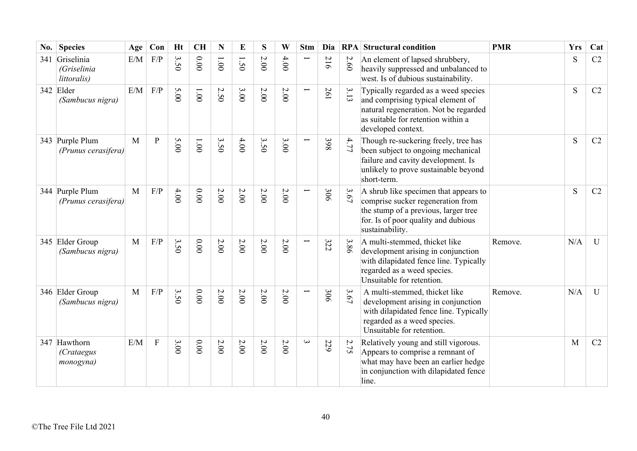| No. | <b>Species</b>                                 | Age          | Con            | <b>Ht</b>                                                | <b>CH</b>     | N             | E    | S        | W        | <b>Stm</b>               | Dia |      | <b>RPA</b> Structural condition                                                                                                                                                | <b>PMR</b> | <b>Yrs</b> | Cat          |
|-----|------------------------------------------------|--------------|----------------|----------------------------------------------------------|---------------|---------------|------|----------|----------|--------------------------|-----|------|--------------------------------------------------------------------------------------------------------------------------------------------------------------------------------|------------|------------|--------------|
| 341 | Griselinia<br>(Griselinia<br>littoralis)       | E/M          | F/P            | $\mathbf{\hat{z}}$<br>$\tilde{\omega}$<br>$\ddot{\circ}$ | 0.00          | $00^{\circ}1$ | 1.50 | 2.00     | 4.00     |                          | 216 | 2.60 | An element of lapsed shrubbery,<br>heavily suppressed and unbalanced to<br>west. Is of dubious sustainability.                                                                 |            | S          | C2           |
|     | 342 Elder<br>(Sambucus nigra)                  | E/M          | F/P            | 5.00                                                     | $00^{\circ}1$ | 2.50          | 3.00 | 2.00     | 2.00     | Ţ                        | 261 | 3.13 | Typically regarded as a weed species<br>and comprising typical element of<br>natural regeneration. Not be regarded<br>as suitable for retention within a<br>developed context. |            | S          | C2           |
|     | 343 Purple Plum<br>(Prunus cerasifera)         | M            | $\overline{P}$ | 5.00                                                     | $1.00\,$      | 3.50          | 4.00 | 3.50     | 3.00     | $\overline{}$            | 398 | 4.77 | Though re-suckering freely, tree has<br>been subject to ongoing mechanical<br>failure and cavity development. Is<br>unlikely to prove sustainable beyond<br>short-term.        |            | S          | C2           |
|     | 344 Purple Plum<br>(Prunus cerasifera)         | $\mathbf{M}$ | F/P            | 4.00                                                     | 0.000         | 2.00          | 2.00 | 2.00     | 2.00     | ╾                        | 306 | 3.67 | A shrub like specimen that appears to<br>comprise sucker regeneration from<br>the stump of a previous, larger tree<br>for. Is of poor quality and dubious<br>sustainability.   |            | S          | C2           |
|     | 345 Elder Group<br>(Sambucus nigra)            | M            | F/P            | 3.50                                                     | 0.00          | $2.00\,$      | 2.00 | $2.00$   | 2.00     | $\overline{\phantom{0}}$ | 322 | 3.86 | A multi-stemmed, thicket like<br>development arising in conjunction<br>with dilapidated fence line. Typically<br>regarded as a weed species.<br>Unsuitable for retention.      | Remove.    | N/A        | $\mathbf{U}$ |
|     | 346 Elder Group<br>(Sambucus nigra)            | $\mathbf{M}$ | $\rm F/P$      | 3.50                                                     | 0.00          | 2.00          | 2.00 | $2.00$   | 2.00     |                          | 306 | 3.67 | A multi-stemmed, thicket like<br>development arising in conjunction<br>with dilapidated fence line. Typically<br>regarded as a weed species.<br>Unsuitable for retention.      | Remove.    | N/A        | U            |
|     | 347 Hawthorn<br><i>(Crataegus</i><br>monogyna) | E/M          | $\mathbf{F}$   | 3.00                                                     | 0.00          | 2.00          | 2.00 | $2.00\,$ | $2.00\,$ | $\mathbf{\omega}$        | 229 | 2.75 | Relatively young and still vigorous.<br>Appears to comprise a remnant of<br>what may have been an earlier hedge<br>in conjunction with dilapidated fence<br>line.              |            | M          | C2           |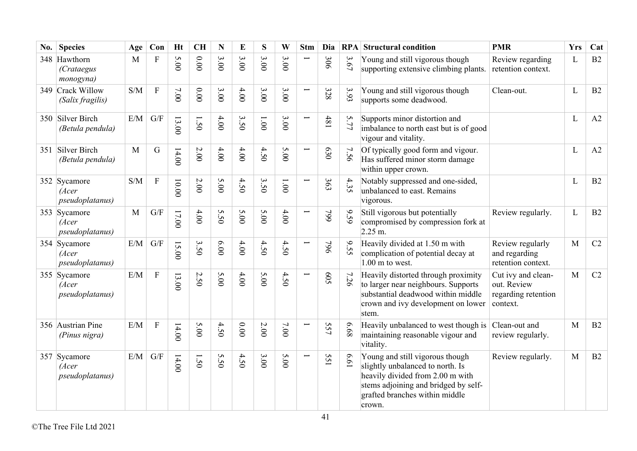| No. | <b>Species</b>                                   | Age          | Con                       | <b>Ht</b> | <b>CH</b> | N    | E    | S                               | W                             | <b>Stm</b>               | Dia        |      | <b>RPA</b> Structural condition                                                                                                                                                             | <b>PMR</b>                                                           | <b>Yrs</b>   | Cat |
|-----|--------------------------------------------------|--------------|---------------------------|-----------|-----------|------|------|---------------------------------|-------------------------------|--------------------------|------------|------|---------------------------------------------------------------------------------------------------------------------------------------------------------------------------------------------|----------------------------------------------------------------------|--------------|-----|
|     | 348 Hawthorn<br>(Crataegus<br>monogyna)          | $\mathbf{M}$ | $\overline{F}$            | 5.00      | 0.00      | 3.00 | 3.00 | 3.00                            | $\mathbf \omega$<br>$\sim 00$ | $\overline{\phantom{0}}$ | 306        | 3.67 | Young and still vigorous though<br>supporting extensive climbing plants.                                                                                                                    | Review regarding<br>retention context.                               | L            | B2  |
|     | 349 Crack Willow<br>(Salix fragilis)             | S/M          | $\boldsymbol{\mathrm{F}}$ | 7.00      | 0.00      | 3.00 | 4.00 | $\mathbf{\hat{z}}$<br>$\dot{0}$ | 3.00                          | L                        | 328        | 3.93 | Young and still vigorous though<br>supports some deadwood.                                                                                                                                  | Clean-out.                                                           | L            | B2  |
|     | 350 Silver Birch<br>(Betula pendula)             | E/M          | G/F                       | 13.00     | 1.50      | 4.00 | 3.50 | 1.001                           | 3.00                          | $\overline{\phantom{0}}$ | 481        | 5.77 | Supports minor distortion and<br>imbalance to north east but is of good<br>vigour and vitality.                                                                                             |                                                                      | L            | A2  |
| 351 | Silver Birch<br>(Betula pendula)                 | M            | $\mathbf G$               | 14.00     | 2.00      | 4.00 | 4.00 | 4.50                            | 5.00                          | Ţ                        | 630        | 7.56 | Of typically good form and vigour.<br>Has suffered minor storm damage<br>within upper crown.                                                                                                |                                                                      | L            | A2  |
|     | 352 Sycamore<br>(Acer<br><i>pseudoplatanus</i> ) | S/M          | $\boldsymbol{\mathrm{F}}$ | 10.00     | $2.00$    | 5.00 | 4.50 | 3.50                            | $1.00\,$                      |                          | 363        | 4.35 | Notably suppressed and one-sided,<br>unbalanced to east. Remains<br>vigorous.                                                                                                               |                                                                      | L            | B2  |
|     | 353 Sycamore<br>(Acer<br>pseudoplatanus)         | $\mathbf{M}$ | G/F                       | $17.00$   | $4.00$    | 5.50 | 5.00 | 5.00                            | 4.00                          | Ī                        | 662        | 9.59 | Still vigorous but potentially<br>compromised by compression fork at<br>$2.25$ m.                                                                                                           | Review regularly.                                                    | L            | B2  |
|     | 354 Sycamore<br>(Acer<br>pseudoplatanus)         | E/M          | G/F                       | 15.00     | 3.50      | 6.00 | 4.00 | 4.50                            | 4.50                          | $\overline{\phantom{0}}$ | 964        | 9.55 | Heavily divided at 1.50 m with<br>complication of potential decay at<br>$1.00$ m to west.                                                                                                   | Review regularly<br>and regarding<br>retention context.              | M            | C2  |
|     | 355 Sycamore<br>(Acer<br>pseudoplatanus)         | E/M          | $\rm F$                   | 13.00     | 2.50      | 5.00 | 4.00 | 5.00                            | 4.50                          | Ē.                       | <b>S09</b> | 7.26 | Heavily distorted through proximity<br>to larger near neighbours. Supports<br>substantial deadwood within middle<br>crown and ivy development on lower<br>stem.                             | Cut ivy and clean-<br>out. Review<br>regarding retention<br>context. | M            | C2  |
|     | 356 Austrian Pine<br>(Pinus nigra)               | E/M          | $\boldsymbol{\mathrm{F}}$ | 14.00     | 5.00      | 4.50 | 0.00 | 2.00                            | 7.00                          |                          | 557        | 89.9 | Heavily unbalanced to west though is<br>maintaining reasonable vigour and<br>vitality.                                                                                                      | Clean-out and<br>review regularly.                                   | M            | B2  |
|     | 357 Sycamore<br>(Acer<br>pseudoplatanus)         | E/M          | G/F                       | 14.00     | 1.50      | 5.50 | 4.50 | 3.00                            | 5.00                          | Ţ                        | 551        | 19'9 | Young and still vigorous though<br>slightly unbalanced to north. Is<br>heavily divided from 2.00 m with<br>stems adjoining and bridged by self-<br>grafted branches within middle<br>crown. | Review regularly.                                                    | $\mathbf{M}$ | B2  |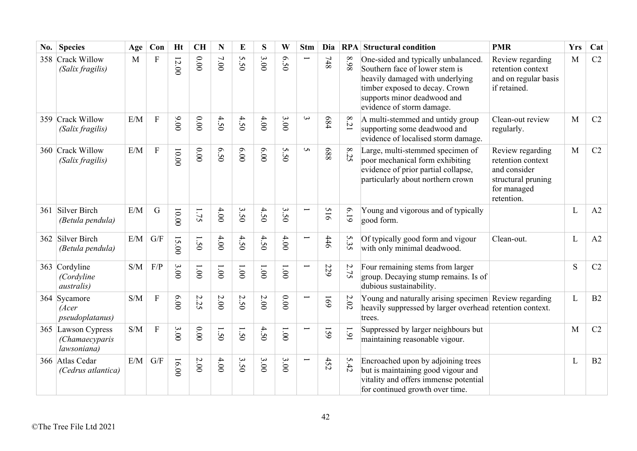| No. | <b>Species</b>                                      | Age | Con                     | <b>Ht</b>                                 | <b>CH</b> | N      | E                          | S     | W                   | <b>Stm</b>               | Dia        |                | <b>RPA</b> Structural condition                                                                                                                                                                        | <b>PMR</b>                                                                                               | <b>Yrs</b> | Cat |
|-----|-----------------------------------------------------|-----|-------------------------|-------------------------------------------|-----------|--------|----------------------------|-------|---------------------|--------------------------|------------|----------------|--------------------------------------------------------------------------------------------------------------------------------------------------------------------------------------------------------|----------------------------------------------------------------------------------------------------------|------------|-----|
|     | 358 Crack Willow<br>(Salix fragilis)                | M   | ${\bf F}$               | $12.00$                                   | 0.00      | $7.00$ | $\mathbf{c}$<br>$\ddot{5}$ | 3.00  | $\mathcal{O}$<br>50 |                          | 748        | 86.8           | One-sided and typically unbalanced.<br>Southern face of lower stem is<br>heavily damaged with underlying<br>timber exposed to decay. Crown<br>supports minor deadwood and<br>evidence of storm damage. | Review regarding<br>retention context<br>and on regular basis<br>if retained.                            | M          | C2  |
|     | 359 Crack Willow<br>(Salix fragilis)                | E/M | ${\bf F}$               | 00'6                                      | 0.00      | 4.50   | 4.50                       | 4.00  | 3.00                | $\omega$                 | 684        | 8.21           | A multi-stemmed and untidy group<br>supporting some deadwood and<br>evidence of localised storm damage.                                                                                                | Clean-out review<br>regularly.                                                                           | M          | C2  |
|     | 360 Crack Willow<br>(Salix fragilis)                | E/M | $\rm F$                 | 00.001                                    | 0.00      | 6.50   | 00'9                       | 6.00  | S<br>$\ddot{S}$     | S                        | 889        | $\infty$<br>35 | Large, multi-stemmed specimen of<br>poor mechanical form exhibiting<br>evidence of prior partial collapse,<br>particularly about northern crown                                                        | Review regarding<br>retention context<br>and consider<br>structural pruning<br>for managed<br>retention. | M          | C2  |
|     | 361 Silver Birch<br>(Betula pendula)                | E/M | $\mathbf G$             | $00.00$                                   | 1.75      | 4.00   | 3.50                       | 4.50  | 3.50                | $\overline{}$            | 516        | 619            | Young and vigorous and of typically<br>good form.                                                                                                                                                      |                                                                                                          | L          | A2  |
|     | 362 Silver Birch<br>(Betula pendula)                | E/M | G/F                     | $\overline{\mathbf{c}}$<br>$\overline{0}$ | 1.50      | 4.00   | 4.50                       | 4.50  | 4.00                | $\overline{\phantom{0}}$ | 446        | 5.35           | Of typically good form and vigour<br>with only minimal deadwood.                                                                                                                                       | Clean-out.                                                                                               | L          | A2  |
|     | 363 Cordyline<br>(Cordyline<br><i>australis</i> )   | S/M | F/P                     | 3.00                                      | 1.001     | 1.001  | 1.00                       | 1.001 | 1.001               | $\overline{\phantom{0}}$ | 229        | 2.75           | Four remaining stems from larger<br>group. Decaying stump remains. Is of<br>dubious sustainability.                                                                                                    |                                                                                                          | S          | C2  |
|     | 364 Sycamore<br>(Acer<br><i>pseudoplatanus</i> )    | S/M | $\overline{F}$          | 6.00                                      | 2.25      | 2.00   | 2.50                       | 2.00  | $0.00$              |                          | <b>691</b> | $2.02\,$       | Young and naturally arising specimen Review regarding<br>heavily suppressed by larger overhead retention context.<br>trees.                                                                            |                                                                                                          | L          | B2  |
|     | 365 Lawson Cypress<br>(Chamaecyparis<br>lawsoniana) | S/M | ${\bf F}$               | 3.00                                      | 0.00      | 1.50   | 1.50                       | 4.50  | $1.00\,$            | $\overline{}$            | 159        | 1.91           | Suppressed by larger neighbours but<br>maintaining reasonable vigour.                                                                                                                                  |                                                                                                          | M          | C2  |
|     | 366 Atlas Cedar<br>(Cedrus atlantica)               | E/M | $\mathrm{G}/\mathrm{F}$ | 16.00                                     | $2.00\,$  | 4.00   | 3.50                       | 3.00  | 3.00                |                          | 452        | 5.42           | Encroached upon by adjoining trees<br>but is maintaining good vigour and<br>vitality and offers immense potential<br>for continued growth over time.                                                   |                                                                                                          | L          | B2  |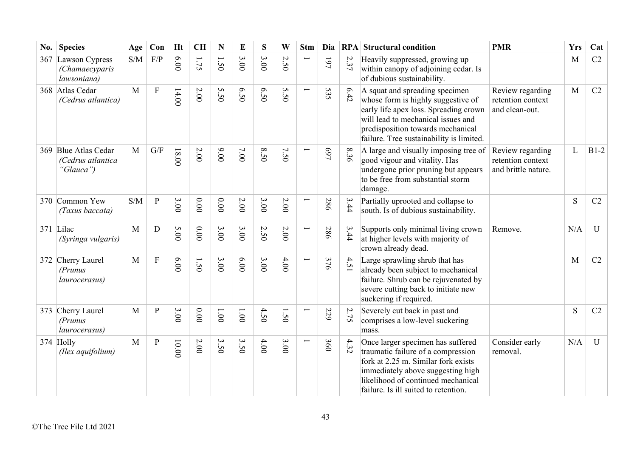| No. | <b>Species</b>                                         | Age          | Con                       | <b>Ht</b> | <b>CH</b> | N     | E              | S    | W                   | <b>Stm</b>               | Dia |      | <b>RPA</b> Structural condition                                                                                                                                                                                                      | <b>PMR</b>                                                   | <b>Yrs</b>   | Cat          |
|-----|--------------------------------------------------------|--------------|---------------------------|-----------|-----------|-------|----------------|------|---------------------|--------------------------|-----|------|--------------------------------------------------------------------------------------------------------------------------------------------------------------------------------------------------------------------------------------|--------------------------------------------------------------|--------------|--------------|
|     | 367 Lawson Cypress<br>(Chamaecyparis<br>lawsoniana)    | S/M          | F/P                       | 6.00      | 1.75      | 1.50  | 3.00           | 3.00 | $\mathcal{L}$<br>50 |                          | 161 | 2.37 | Heavily suppressed, growing up<br>within canopy of adjoining cedar. Is<br>of dubious sustainability.                                                                                                                                 |                                                              | M            | C2           |
|     | 368 Atlas Cedar<br>(Cedrus atlantica)                  | M            | $\mathbf{F}$              | 14.00     | $2.00\,$  | 5.50  | 6.50           | 6.50 | S<br>$\dot{50}$     | $\overline{\phantom{0}}$ | 535 | 6.42 | A squat and spreading specimen<br>whose form is highly suggestive of<br>early life apex loss. Spreading crown<br>will lead to mechanical issues and<br>predisposition towards mechanical<br>failure. Tree sustainability is limited. | Review regarding<br>retention context<br>and clean-out.      | M            | C2           |
|     | 369 Blue Atlas Cedar<br>(Cedrus atlantica<br>"Glauca") | $\mathbf{M}$ | G/F                       | $18.00$   | 2.00      | 00'6  | 7.00           | 8.50 | 7.50                |                          | 469 | 8.36 | A large and visually imposing tree of<br>good vigour and vitality. Has<br>undergone prior pruning but appears<br>to be free from substantial storm<br>damage.                                                                        | Review regarding<br>retention context<br>and brittle nature. | $\mathbf{L}$ | $B1-2$       |
|     | 370 Common Yew<br>(Taxus baccata)                      | S/M          | $\, {\bf p}$              | 3.00      | $0.00$    | 0.00  | 2.00           | 3.00 | $2.00\,$            | Ţ                        | 286 | 3.44 | Partially uprooted and collapse to<br>south. Is of dubious sustainability.                                                                                                                                                           |                                                              | S            | C2           |
|     | 371 Lilac<br>(Syringa vulgaris)                        | M            | $\mathbf D$               | 5.00      | 0.00      | 3.00  | 3.00           | 2.50 | $2.00\,$            | $\overline{}$            | 286 | 3.44 | Supports only minimal living crown<br>at higher levels with majority of<br>crown already dead.                                                                                                                                       | Remove.                                                      | N/A          | $\mathbf{U}$ |
| 372 | Cherry Laurel<br>(Prunus<br>laurocerasus)              | M            | $\boldsymbol{\mathrm{F}}$ | 0.00      | 1.50      | 3.00  | 00'9           | 3.00 | 4.00                |                          | 376 | 4.51 | Large sprawling shrub that has<br>already been subject to mechanical<br>failure. Shrub can be rejuvenated by<br>severe cutting back to initiate new<br>suckering if required.                                                        |                                                              | M            | C2           |
|     | 373 Cherry Laurel<br>(Prunus<br><i>laurocerasus</i> )  | M            | $\mathbf{P}$              | 3.00      | 0.00      | 1.001 | $00^{\circ}$ l | 4.50 | 1.50                | Ţ                        | 229 | 2.75 | Severely cut back in past and<br>comprises a low-level suckering<br>mass.                                                                                                                                                            |                                                              | S            | C2           |
|     | 374 Holly<br>(Ilex aquifolium)                         | M            | ${\bf P}$                 | $10.00$   | $2.00\,$  | 3.50  | 3.50           | 4.00 | 3.000               | Ē.                       | 360 | 4.32 | Once larger specimen has suffered<br>traumatic failure of a compression<br>fork at 2.25 m. Similar fork exists<br>immediately above suggesting high<br>likelihood of continued mechanical<br>failure. Is ill suited to retention.    | Consider early<br>removal.                                   | N/A          | U            |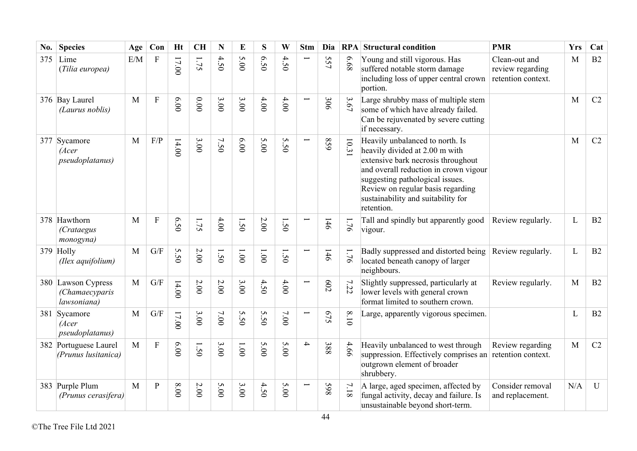| No. | <b>Species</b>                                      | Age          | Con                       | Ht    | <b>CH</b> | N      | E             | S               | W      | <b>Stm</b>               | Dia        |        | <b>RPA</b> Structural condition                                                                                                                                                                                                                                              | <b>PMR</b>                                              | Yrs          | Cat         |
|-----|-----------------------------------------------------|--------------|---------------------------|-------|-----------|--------|---------------|-----------------|--------|--------------------------|------------|--------|------------------------------------------------------------------------------------------------------------------------------------------------------------------------------------------------------------------------------------------------------------------------------|---------------------------------------------------------|--------------|-------------|
| 375 | Lime<br>(Tilia europea)                             | E/M          | ${\bf F}$                 | 17.00 | 52.1      | 4.50   | 5.00          | 6.50            | 4.50   | $\overline{}$            | 557        | 89.9   | Young and still vigorous. Has<br>suffered notable storm damage<br>including loss of upper central crown<br>portion.                                                                                                                                                          | Clean-out and<br>review regarding<br>retention context. | M            | B2          |
|     | 376 Bay Laurel<br>(Laurus noblis)                   | M            | ${\bf F}$                 | 6.00  | 0.00      | 3.00   | 3.00          | 4.00            | 4.00   | Ë                        | 306        | 3.67   | Large shrubby mass of multiple stem<br>some of which have already failed.<br>Can be rejuvenated by severe cutting<br>if necessary.                                                                                                                                           |                                                         | M            | C2          |
|     | 377 Sycamore<br>(Acer<br><i>pseudoplatanus</i> )    | M            | F/P                       | 14.00 | 3.00      | 7.50   | 6.00          | 5.00            | 5.50   |                          | 629        | 10.31  | Heavily unbalanced to north. Is<br>heavily divided at 2.00 m with<br>extensive bark necrosis throughout<br>and overall reduction in crown vigour<br>suggesting pathological issues.<br>Review on regular basis regarding<br>sustainability and suitability for<br>retention. |                                                         | M            | C2          |
|     | 378 Hawthorn<br>(Crataegus<br>monogyna)             | M            | $\boldsymbol{\mathrm{F}}$ | 6.50  | 1.75      | 4.00   | 1.50          | 2.00            | 1.50   |                          | 146        | 1.76   | Tall and spindly but apparently good<br>vigour.                                                                                                                                                                                                                              | Review regularly.                                       | L            | B2          |
|     | 379 Holly<br>(Ilex aquifolium)                      | M            | G/F                       | 5.50  | $2.00\,$  | 1.50   | $00^{\circ}1$ | $1.00$          | 1.50   |                          | 146        | 1.76   | Badly suppressed and distorted being<br>located beneath canopy of larger<br>neighbours.                                                                                                                                                                                      | Review regularly.                                       | $\mathbf{L}$ | B2          |
|     | 380 Lawson Cypress<br>(Chamaecyparis<br>lawsoniana) | M            | G/F                       | 14.00 | $2.00$    | $2.00$ | 3.00          | 4.50            | $4.00$ | $\overline{\phantom{0}}$ | <b>602</b> | 7.22   | Slightly suppressed, particularly at<br>lower levels with general crown<br>format limited to southern crown.                                                                                                                                                                 | Review regularly.                                       | M            | B2          |
|     | 381 Sycamore<br>(Acer<br>pseudoplatanus)            | M            | G/F                       | 17.00 | 3.00      | 7.00   | 5.50          | S<br>$\dot{5}0$ | $7.00$ | Ë                        | 575        | $8.10$ | Large, apparently vigorous specimen.                                                                                                                                                                                                                                         |                                                         | L            | B2          |
|     | 382 Portuguese Laurel<br>(Prunus lusitanica)        | $\mathbf{M}$ | ${\bf F}$                 | 6.00  | 1.50      | 3.00   | 1.00          | 5.00            | 5.00   | $\rightarrow$            | 388        | 4.66   | Heavily unbalanced to west through<br>suppression. Effectively comprises an<br>outgrown element of broader<br>shrubbery.                                                                                                                                                     | Review regarding<br>retention context.                  | M            | C2          |
|     | 383 Purple Plum<br>(Prunus cerasifera)              | $\mathbf{M}$ | ${\bf P}$                 | 00.8  | 2.00      | 5.00   | 3.00          | 4.50            | 5.00   | Ī                        | 865        | $7.18$ | A large, aged specimen, affected by<br>fungal activity, decay and failure. Is<br>unsustainable beyond short-term.                                                                                                                                                            | Consider removal<br>and replacement.                    | N/A          | $\mathbf U$ |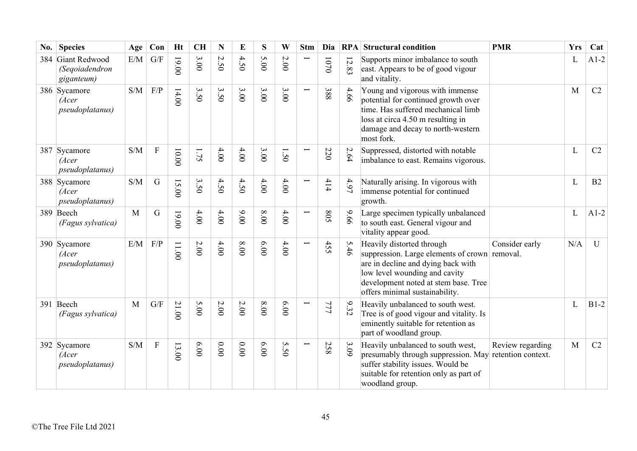| No. | <b>Species</b>                                    | Age                                               | Con                     | Ht      | <b>CH</b> | ${\bf N}$                       | E     | S    | W    | <b>Stm</b>               | Dia          |                                            | <b>RPA</b> Structural condition                                                                                                                                                                                             | <b>PMR</b>                             | <b>Yrs</b> | Cat          |
|-----|---------------------------------------------------|---------------------------------------------------|-------------------------|---------|-----------|---------------------------------|-------|------|------|--------------------------|--------------|--------------------------------------------|-----------------------------------------------------------------------------------------------------------------------------------------------------------------------------------------------------------------------------|----------------------------------------|------------|--------------|
|     | 384 Giant Redwood<br>(Seqoiadendron<br>giganteum) | E/M                                               | G/F                     | 19.00   | 3.00      | $\boldsymbol{\mathsf{c}}$<br>50 | 4.50  | 5.00 | 2.00 |                          | $0\sqrt{01}$ | $\overline{5}$<br>$\overline{\mathscr{S}}$ | Supports minor imbalance to south<br>east. Appears to be of good vigour<br>and vitality.                                                                                                                                    |                                        | L          | $A1-2$       |
|     | 386 Sycamore<br>(Acer<br><i>pseudoplatanus</i> )  | S/M                                               | F/P                     | 14.00   | 3.50      | 3.50                            | 3.00  | 3.00 | 3.00 | $\overline{\phantom{0}}$ | 388          | 4.66                                       | Young and vigorous with immense<br>potential for continued growth over<br>time. Has suffered mechanical limb<br>loss at circa 4.50 m resulting in<br>damage and decay to north-western<br>most fork.                        |                                        | M          | C2           |
|     | 387 Sycamore<br>(Acer<br>pseudoplatanus)          | $\ensuremath{\mathrm{S}}/\ensuremath{\mathrm{M}}$ | $\overline{F}$          | $10.00$ | 1.75      | 4.00                            | 4.00  | 3.00 | 1.50 |                          | 220          | 2.64                                       | Suppressed, distorted with notable<br>imbalance to east. Remains vigorous.                                                                                                                                                  |                                        | L          | C2           |
|     | 388 Sycamore<br>(Acer<br><i>pseudoplatanus</i> )  | S/M                                               | $\mathbf G$             | 15.00   | 3.50      | 4.50                            | 4.50  | 4.00 | 4.00 |                          | 414          | 4.97                                       | Naturally arising. In vigorous with<br>immense potential for continued<br>growth.                                                                                                                                           |                                        | L          | B2           |
|     | 389 Beech<br>(Fagus sylvatica)                    | M                                                 | $\mathbf G$             | $00.00$ | $4.00$    | 4.00                            | 00.00 | 8.00 | 4.00 |                          | 508          | 9.66                                       | Large specimen typically unbalanced<br>to south east. General vigour and<br>vitality appear good.                                                                                                                           |                                        | L          | $A1-2$       |
|     | 390 Sycamore<br>(Acer<br>pseudoplatanus)          | E/M                                               | F/P                     | 11.00   | $2.00$    | 4.00                            | 8.00  | 6.00 | 4.00 |                          | 455          | 5.46                                       | Heavily distorted through<br>suppression. Large elements of crown removal.<br>are in decline and dying back with<br>low level wounding and cavity<br>development noted at stem base. Tree<br>offers minimal sustainability. | Consider early                         | N/A        | $\mathbf{U}$ |
|     | 391 Beech<br>(Fagus sylvatica)                    | M                                                 | $\mathrm{G}/\mathrm{F}$ | 21.00   | 5.00      | $2.00\,$                        | 2.00  | 8.00 | 6.00 |                          | 777          | 9.32                                       | Heavily unbalanced to south west.<br>Tree is of good vigour and vitality. Is<br>eminently suitable for retention as<br>part of woodland group.                                                                              |                                        | L          | $B1-2$       |
|     | 392 Sycamore<br>(Acer<br><i>pseudoplatanus</i> )  | S/M                                               | ${\bf F}$               | 13.00   | 6.00      | 0.00                            | 0.00  | 6.00 | 5.50 | $\overline{}$            | 258          | 3.09                                       | Heavily unbalanced to south west,<br>presumably through suppression. May<br>suffer stability issues. Would be<br>suitable for retention only as part of<br>woodland group.                                                  | Review regarding<br>retention context. | M          | C2           |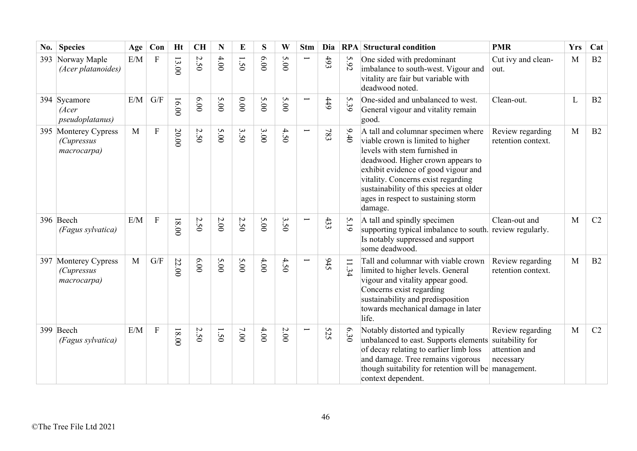| No. | <b>Species</b>                                           | Age | Con         | <b>Ht</b> | <b>CH</b> | N           | E    | S    | W                    | <b>Stm</b> | Dia |             | <b>RPA</b> Structural condition                                                                                                                                                                                                                                                                                         | <b>PMR</b>                                                        | <b>Yrs</b> | Cat |
|-----|----------------------------------------------------------|-----|-------------|-----------|-----------|-------------|------|------|----------------------|------------|-----|-------------|-------------------------------------------------------------------------------------------------------------------------------------------------------------------------------------------------------------------------------------------------------------------------------------------------------------------------|-------------------------------------------------------------------|------------|-----|
| 393 | Norway Maple<br>(Acer platanoides)                       | E/M | ${\bf F}$   | 13.00     | 2.50      | 4.00        | 1.50 | 0.00 | S<br>$\overline{00}$ |            | 493 | 5.92        | One sided with predominant<br>imbalance to south-west. Vigour and<br>vitality are fair but variable with<br>deadwood noted.                                                                                                                                                                                             | Cut ivy and clean-<br>out.                                        | M          | B2  |
|     | 394 Sycamore<br>(Acer<br>pseudoplatanus)                 | E/M | G/F         | 16.00     | 6.00      | 5.00        | 0.00 | 5.00 | 5.00                 | Ē          | 449 | 5.39        | One-sided and unbalanced to west.<br>General vigour and vitality remain<br>good.                                                                                                                                                                                                                                        | Clean-out.                                                        | L          | B2  |
|     | 395 Monterey Cypress<br><i>(Cupressus</i><br>macrocarpa) | M   | $\mathbf F$ | 20.00     | 2.50      | 5.00        | 3.50 | 3.00 | 4.50                 | Ē          | 783 | 9.40        | A tall and columnar specimen where<br>viable crown is limited to higher<br>levels with stem furnished in<br>deadwood. Higher crown appears to<br>exhibit evidence of good vigour and<br>vitality. Concerns exist regarding<br>sustainability of this species at older<br>ages in respect to sustaining storm<br>damage. | Review regarding<br>retention context.                            | M          | B2  |
|     | 396 Beech<br>(Fagus sylvatica)                           | E/M | $\mathbf F$ | $18.00$   | 2.50      | 2.00        | 2.50 | 5.00 | 3.50                 |            | 433 | 5.19        | A tall and spindly specimen<br>supporting typical imbalance to south. review regularly.<br>Is notably suppressed and support<br>some deadwood.                                                                                                                                                                          | Clean-out and                                                     | M          | C2  |
|     | 397 Monterey Cypress<br>(Cupressus<br>macrocarpa)        | M   | G/F         | 22.00     | 0.00      | 5.00        | 5.00 | 4.00 | 4.50                 |            | 945 | $\ddot{34}$ | Tall and columnar with viable crown<br>limited to higher levels. General<br>vigour and vitality appear good.<br>Concerns exist regarding<br>sustainability and predisposition<br>towards mechanical damage in later<br>life.                                                                                            | Review regarding<br>retention context.                            | M          | B2  |
|     | 399 Beech<br>(Fagus sylvatica)                           | E/M | $\mathbf F$ | $18.00$   | 2.50      | $\tilde{S}$ | 7.00 | 4.00 | 2.00                 |            | 525 | 6.30        | Notably distorted and typically<br>unbalanced to east. Supports elements<br>of decay relating to earlier limb loss<br>and damage. Tree remains vigorous<br>though suitability for retention will be management.<br>context dependent.                                                                                   | Review regarding<br>suitability for<br>attention and<br>necessary | M          | C2  |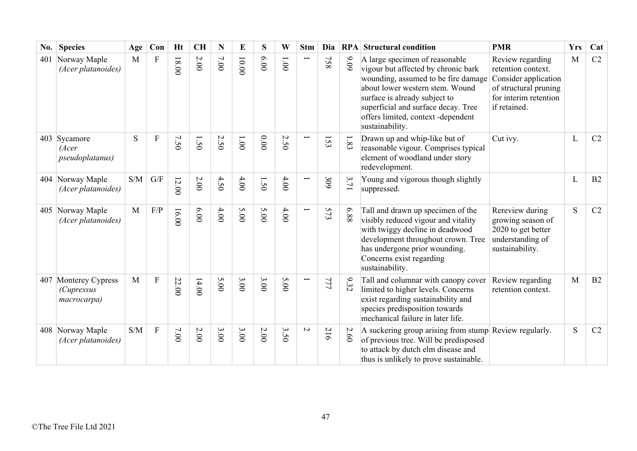| No. | <b>Species</b>                                           | Age          | Con                     | <b>Ht</b> | <b>CH</b> | $\mathbf N$ | E        | S    | W             | <b>Stm</b>     | Dia |          | <b>RPA</b> Structural condition                                                                                                                                                                                                                                                  | <b>PMR</b>                                                                                                                       | <b>Yrs</b> | Cat |
|-----|----------------------------------------------------------|--------------|-------------------------|-----------|-----------|-------------|----------|------|---------------|----------------|-----|----------|----------------------------------------------------------------------------------------------------------------------------------------------------------------------------------------------------------------------------------------------------------------------------------|----------------------------------------------------------------------------------------------------------------------------------|------------|-----|
| 401 | Norway Maple<br>(Acer platanoides)                       | M            | $\mathbf{F}$            | $18.00$   | $2.00\,$  | $7.00$      | 10.00    | 6.00 | $00^{\circ}1$ |                | 758 | 60'6     | A large specimen of reasonable<br>vigour but affected by chronic bark<br>wounding, assumed to be fire damage<br>about lower western stem. Wound<br>surface is already subject to<br>superficial and surface decay. Tree<br>offers limited, context -dependent<br>sustainability. | Review regarding<br>retention context.<br>Consider application<br>of structural pruning<br>for interim retention<br>if retained. | M          | C2  |
|     | 403 Sycamore<br>(Acer<br><i>pseudoplatanus</i> )         | S            | $\mathbf{F}$            | 7.50      | 1.50      | 2.50        | $1.00\,$ | 0.00 | 2.50          |                | 153 | $1.83\,$ | Drawn up and whip-like but of<br>reasonable vigour. Comprises typical<br>element of woodland under story<br>redevelopment.                                                                                                                                                       | Cut ivy.                                                                                                                         | L          | C2  |
|     | 404 Norway Maple<br>(Acer platanoides)                   | S/M          | $\mathrm{G}/\mathrm{F}$ | 12.00     | 2.00      | 4.50        | 4.00     | 1.50 | $4.00$        |                | 309 | 3.71     | Young and vigorous though slightly<br>suppressed.                                                                                                                                                                                                                                |                                                                                                                                  | L          | B2  |
|     | 405 Norway Maple<br>(Acer platanoides)                   | $\mathbf{M}$ | $\rm F/P$               | 16.00     | 6.00      | 4.00        | 5.00     | 5.00 | $4.00$        |                | 573 | 6.88     | Tall and drawn up specimen of the<br>visibly reduced vigour and vitality<br>with twiggy decline in deadwood<br>development throughout crown. Tree<br>has undergone prior wounding.<br>Concerns exist regarding<br>sustainability.                                                | Rereview during<br>growing season of<br>2020 to get better<br>understanding of<br>sustainability.                                | S          | C2  |
|     | 407 Monterey Cypress<br><i>(Cupressus</i><br>macrocarpa) | $\mathbf{M}$ | ${\bf F}$               | 22.00     | 14.00     | 5.00        | 3.00     | 3.00 | 5.00          |                | 777 | 9.32     | Tall and columnar with canopy cover<br>limited to higher levels. Concerns<br>exist regarding sustainability and<br>species predisposition towards<br>mechanical failure in later life.                                                                                           | Review regarding<br>retention context.                                                                                           | M          | B2  |
|     | 408 Norway Maple<br>(Acer platanoides)                   | S/M          | $\mathbf{F}$            | 7.00      | 2.00      | 3.00        | 3.00     | 2.00 | 3.50          | $\overline{C}$ | 216 | 2.60     | A suckering group arising from stump Review regularly.<br>of previous tree. Will be predisposed<br>to attack by dutch elm disease and<br>thus is unlikely to prove sustainable.                                                                                                  |                                                                                                                                  | S          | C2  |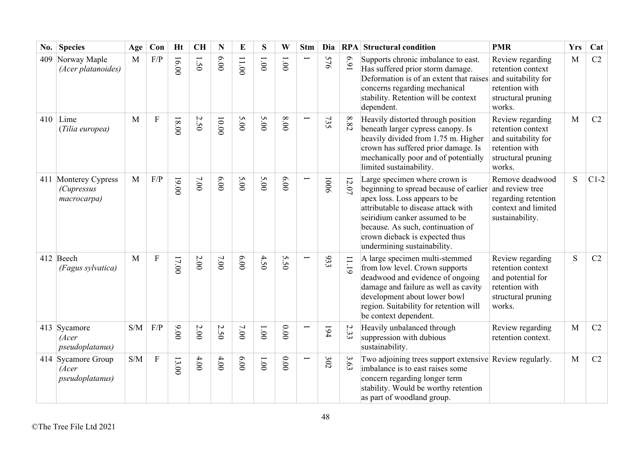| No. | <b>Species</b>                                           | Age | Con       | <b>Ht</b> | <b>CH</b> | N      | E     | S            | W     | <b>Stm</b> | Dia  | RPA      | <b>Structural condition</b>                                                                                                                                                                                                                                                             | <b>PMR</b>                                                                                                     | <b>Yrs</b> | Cat    |
|-----|----------------------------------------------------------|-----|-----------|-----------|-----------|--------|-------|--------------|-------|------------|------|----------|-----------------------------------------------------------------------------------------------------------------------------------------------------------------------------------------------------------------------------------------------------------------------------------------|----------------------------------------------------------------------------------------------------------------|------------|--------|
| 409 | Norway Maple<br>(Acer platanoides)                       | M   | F/P       | 16.00     | 1.50      | 0.00   | 11.00 | 1.001        | 1.001 |            | 576  | 169      | Supports chronic imbalance to east.<br>Has suffered prior storm damage.<br>Deformation is of an extent that raises<br>concerns regarding mechanical<br>stability. Retention will be context<br>dependent.                                                                               | Review regarding<br>retention context<br>and suitability for<br>retention with<br>structural pruning<br>works. | M          | C2     |
|     | $410$ Lime<br>(Tilia europea)                            | M   | ${\bf F}$ | $18.00$   | 2.50      | 10.00  | 5.00  | 5.00         | 00.8  |            | 735  | $8.82\,$ | Heavily distorted through position<br>beneath larger cypress canopy. Is<br>heavily divided from 1.75 m. Higher<br>crown has suffered prior damage. Is<br>mechanically poor and of potentially<br>limited sustainability.                                                                | Review regarding<br>retention context<br>and suitability for<br>retention with<br>structural pruning<br>works. | M          | C2     |
|     | 411 Monterey Cypress<br><i>(Cupressus</i><br>macrocarpa) | M   | F/P       | $00.00$   | $7.00$    | 6.00   | 5.00  | 5.00         | 6.00  |            | 1006 | $12.07$  | Large specimen where crown is<br>beginning to spread because of earlier<br>apex loss. Loss appears to be<br>attributable to disease attack with<br>seiridium canker assumed to be<br>because. As such, continuation of<br>crown dieback is expected thus<br>undermining sustainability. | Remove deadwood<br>and review tree<br>regarding retention<br>context and limited<br>sustainability.            | S          | $C1-2$ |
|     | 412 Beech<br>(Fagus sylvatica)                           | M   | ${\bf F}$ | 17.00     | $2.00$    | $7.00$ | 00.00 | 4.50         | 5.50  |            | 933  | 11.19    | A large specimen multi-stemmed<br>from low level. Crown supports<br>deadwood and evidence of ongoing<br>damage and failure as well as cavity<br>development about lower bowl<br>region. Suitability for retention will<br>be context dependent.                                         | Review regarding<br>retention context<br>and potential for<br>retention with<br>structural pruning<br>works.   | S          | C2     |
|     | 413 Sycamore<br>(Acer<br>pseudoplatanus)                 | S/M | F/P       | 00.00     | 2.00      | 2.50   | 7.00  | 1.001        | 0.00  |            | 194  | 2.33     | Heavily unbalanced through<br>suppression with dubious<br>sustainability.                                                                                                                                                                                                               | Review regarding<br>retention context.                                                                         | M          | C2     |
|     | 414 Sycamore Group<br>(Acer<br>pseudoplatanus)           | S/M | ${\bf F}$ | 13.00     | $4.00$    | 4.00   | 0.00  | $00^{\circ}$ | 0.00  |            | 302  | 3.63     | Two adjoining trees support extensive Review regularly.<br>imbalance is to east raises some<br>concern regarding longer term<br>stability. Would be worthy retention<br>as part of woodland group.                                                                                      |                                                                                                                | M          | C2     |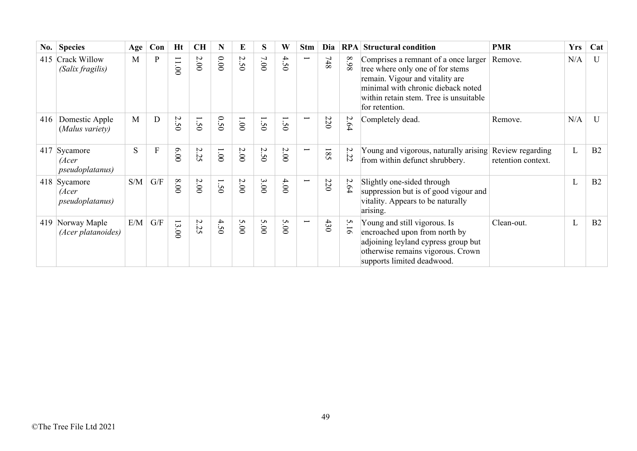| $\bf{No.}$ | <b>Species</b>                                   | Age | Con                     | Ht                              | <b>CH</b> | N             | E    | S       | W               | <b>Stm</b>               | Dia   | RPA                   | <b>Structural condition</b>                                                                                                                                                                                   | <b>PMR</b>                             | <b>Yrs</b> | Cat          |
|------------|--------------------------------------------------|-----|-------------------------|---------------------------------|-----------|---------------|------|---------|-----------------|--------------------------|-------|-----------------------|---------------------------------------------------------------------------------------------------------------------------------------------------------------------------------------------------------------|----------------------------------------|------------|--------------|
|            | 415 Crack Willow<br>(Salix fragilis)             | M   | P                       | 11.00                           | $2.00\,$  | 00.00         | 2.50 | 7.00    | 4.50            | $\overline{\phantom{0}}$ | $748$ | 86.8                  | Comprises a remnant of a once larger<br>tree where only one of for stems<br>remain. Vigour and vitality are<br>minimal with chronic dieback noted<br>within retain stem. Tree is unsuitable<br>for retention. | Remove.                                | N/A        | $\mathbf{U}$ |
| 416        | Domestic Apple<br>(Malus variety)                | M   | D                       | N<br>i<br>⊂                     | 1.50      | 0.50          | 00'1 | ļ<br>50 | j<br>$\bigcirc$ |                          | 220   | 2.64                  | Completely dead.                                                                                                                                                                                              | Remove.                                | N/A        | U            |
|            | 417 Sycamore<br>(Acer<br><i>pseudoplatanus</i> ) | S   | F                       | 00'9                            | 2.25      | $00^{\circ}1$ | 2.00 | 2.50    | 2.00            | $\overline{\phantom{0}}$ | 581   | 2.22                  | Young and vigorous, naturally arising<br>from within defunct shrubbery.                                                                                                                                       | Review regarding<br>retention context. | L          | B2           |
|            | 418 Sycamore<br>(Acer<br><i>pseudoplatanus</i> ) | S/M | G/F                     | 00.8                            | 2.00      | 1.50          | 2.00 | 3.00    | 4.00            | $\overline{\phantom{0}}$ | 220   | 2.64                  | Slightly one-sided through<br>suppression but is of good vigour and<br>vitality. Appears to be naturally<br>arising.                                                                                          |                                        | L          | B2           |
| 419        | Norway Maple<br>(Acer platanoides)               | E/M | $\mathrm{G}/\mathrm{F}$ | $\overline{3}$<br>$\frac{1}{2}$ | 2.25      | 4.50          | 5.00 | 5.00    | 5.00            | $\overline{}$            | 430   | َم.<br>$\overline{9}$ | Young and still vigorous. Is<br>encroached upon from north by<br>adjoining leyland cypress group but<br>otherwise remains vigorous. Crown<br>supports limited deadwood.                                       | Clean-out.                             | L          | B2           |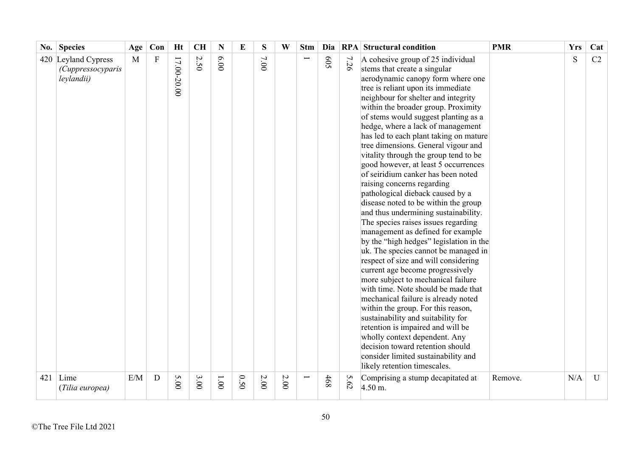| No. | <b>Species</b>                                                 | Age      | Con            | <b>Ht</b>   | <b>CH</b> | N    | E    | S    | W        | <b>Stm</b> | Dia |         | <b>RPA</b> Structural condition                                                                                                                                                                                                                                                                                                                                                                                                                                                                                                                                                                                                                                                                                                                                                                                                                                                                                                                                                                                                                                                                                                                                                                                                                                                                                                    | <b>PMR</b> | <b>Yrs</b> | Cat     |
|-----|----------------------------------------------------------------|----------|----------------|-------------|-----------|------|------|------|----------|------------|-----|---------|------------------------------------------------------------------------------------------------------------------------------------------------------------------------------------------------------------------------------------------------------------------------------------------------------------------------------------------------------------------------------------------------------------------------------------------------------------------------------------------------------------------------------------------------------------------------------------------------------------------------------------------------------------------------------------------------------------------------------------------------------------------------------------------------------------------------------------------------------------------------------------------------------------------------------------------------------------------------------------------------------------------------------------------------------------------------------------------------------------------------------------------------------------------------------------------------------------------------------------------------------------------------------------------------------------------------------------|------------|------------|---------|
| 421 | 420 Leyland Cypress<br>(Cuppressocyparis<br>leylandii)<br>Lime | M<br>E/M | ${\bf F}$<br>D | 17.00-20.00 | 2.50      | 6.00 |      | 7.00 |          |            | 505 | 7<br>26 | A cohesive group of 25 individual<br>stems that create a singular<br>aerodynamic canopy form where one<br>tree is reliant upon its immediate<br>neighbour for shelter and integrity<br>within the broader group. Proximity<br>of stems would suggest planting as a<br>hedge, where a lack of management<br>has led to each plant taking on mature<br>tree dimensions. General vigour and<br>vitality through the group tend to be<br>good however, at least 5 occurrences<br>of seiridium canker has been noted<br>raising concerns regarding<br>pathological dieback caused by a<br>disease noted to be within the group<br>and thus undermining sustainability.<br>The species raises issues regarding<br>management as defined for example<br>by the "high hedges" legislation in the<br>uk. The species cannot be managed in<br>respect of size and will considering<br>current age become progressively<br>more subject to mechanical failure<br>with time. Note should be made that<br>mechanical failure is already noted<br>within the group. For this reason,<br>sustainability and suitability for<br>retention is impaired and will be<br>wholly context dependent. Any<br>decision toward retention should<br>consider limited sustainability and<br>likely retention timescales.<br>Comprising a stump decapitated at | Remove.    | S<br>N/A   | C2<br>U |
|     | (Tilia europea)                                                |          |                | 5.00        | 3.00      | 1.00 | 0.50 | 2.00 | $2.00\,$ |            | 468 | 5.62    | $4.50$ m.                                                                                                                                                                                                                                                                                                                                                                                                                                                                                                                                                                                                                                                                                                                                                                                                                                                                                                                                                                                                                                                                                                                                                                                                                                                                                                                          |            |            |         |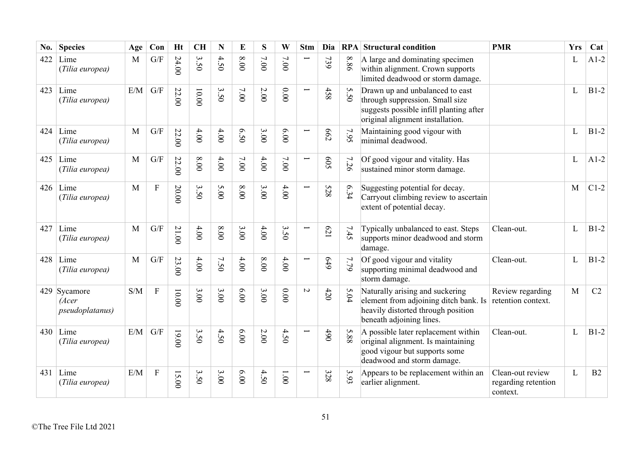| No. | <b>Species</b>                                   | Age | Con                     | <b>Ht</b> | <b>CH</b>           | $\mathbf N$ | E        | S        | W      | <b>Stm</b> | Dia            |         | <b>RPA</b> Structural condition                                                                                                                   | <b>PMR</b>                                          | <b>Yrs</b> | Cat    |
|-----|--------------------------------------------------|-----|-------------------------|-----------|---------------------|-------------|----------|----------|--------|------------|----------------|---------|---------------------------------------------------------------------------------------------------------------------------------------------------|-----------------------------------------------------|------------|--------|
| 422 | Lime<br>(Tilia europea)                          | M   | G/F                     | 24.00     | 3.50                | 4.50        | 00.8     | 7.00     | 7.00   |            | 739            | 8.86    | A large and dominating specimen<br>within alignment. Crown supports<br>limited deadwood or storm damage.                                          |                                                     | L          | $A1-2$ |
| 423 | Lime<br>(Tilia europea)                          | E/M | G/F                     | 22.00     | $10.00$             | 3.50        | 7.00     | $2.00\,$ | 0.00   |            | 458            | S<br>50 | Drawn up and unbalanced to east<br>through suppression. Small size<br>suggests possible infill planting after<br>original alignment installation. |                                                     | L          | $B1-2$ |
| 424 | Lime<br>(Tilia europea)                          | M   | $\mathrm{G}/\mathrm{F}$ | 22.00     | 4.00                | 4.00        | 6.50     | 3.00     | 00'9   |            | 662            | 7.95    | Maintaining good vigour with<br>minimal deadwood.                                                                                                 |                                                     | L          | $B1-2$ |
| 425 | Lime<br>(Tilia europea)                          | M   | G/F                     | 22.00     | 8.00                | $4.00$      | $7.00$   | 4.00     | 7.00   |            | <b>SO9</b>     | 7<br>56 | Of good vigour and vitality. Has<br>sustained minor storm damage.                                                                                 |                                                     | L          | $A1-2$ |
| 426 | Lime<br>(Tilia europea)                          | M   | $\overline{F}$          | 20.00     | 3.50                | 5.00        | $00.8\,$ | 3.00     | 4.00   |            | 528            | 6.34    | Suggesting potential for decay.<br>Carryout climbing review to ascertain<br>extent of potential decay.                                            |                                                     | M          | $C1-2$ |
| 427 | Lime<br>(Tilia europea)                          | M   | G/F                     | 21.00     | 4.00                | $8.00$      | 3.00     | $4.00$   | 3.50   |            | $\mathcal{C}2$ | 7.45    | Typically unbalanced to east. Steps<br>supports minor deadwood and storm<br>damage.                                                               | Clean-out.                                          | L          | $B1-2$ |
| 428 | Lime<br>(Tilia europea)                          | M   | G/F                     | 23.00     | 4.00                | 7.50        | 4.00     | $0.00$   | 4.00   | ╾          | 649            | 7.79    | Of good vigour and vitality<br>supporting minimal deadwood and<br>storm damage.                                                                   | Clean-out.                                          | L          | $B1-2$ |
|     | 429 Sycamore<br>(Acer<br><i>pseudoplatanus</i> ) | S/M | ${\bf F}$               | 10.00     | 3.00                | 3.00        | 6.00     | 3.00     | $0.00$ | $\sim$     | $420$          | 5.04    | Naturally arising and suckering<br>element from adjoining ditch bank. Is<br>heavily distorted through position<br>beneath adjoining lines.        | Review regarding<br>retention context.              | M          | C2     |
| 430 | Lime<br>(Tilia europea)                          | E/M | $\mathrm{G}/\mathrm{F}$ | $19.00$   | 3.50                | 4.50        | 6.00     | $2.00$   | 4.50   |            | 490            | 5.88    | A possible later replacement within<br>original alignment. Is maintaining<br>good vigour but supports some<br>deadwood and storm damage.          | Clean-out.                                          | L          | $B1-2$ |
| 431 | Lime<br>(Tilia europea)                          | E/M | $\mathbf F$             | 15.00     | $\bm{\omega}$<br>50 | 3.000       | 00.00    | 4.50     | 1.00   |            | 328            | 3.93    | Appears to be replacement within an<br>earlier alignment.                                                                                         | Clean-out review<br>regarding retention<br>context. | L          | B2     |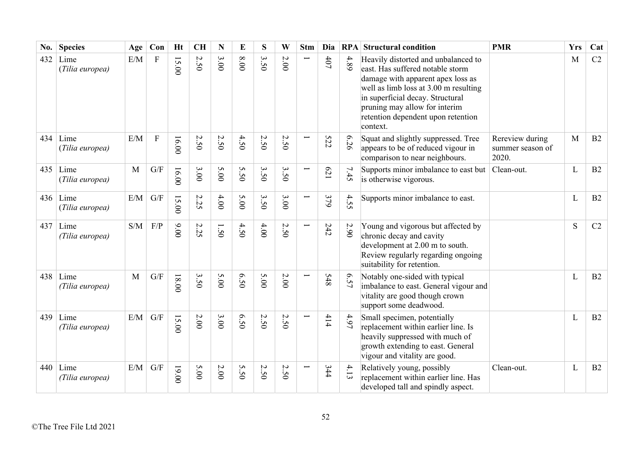| No. | <b>Species</b>                | Age          | Con                     | <b>Ht</b> | <b>CH</b>    | N                                   | E    | S                | W      | <b>Stm</b>               | Dia   |      | <b>RPA</b> Structural condition                                                                                                                                                                                                                                              | <b>PMR</b>                                   | <b>Yrs</b> | Cat |
|-----|-------------------------------|--------------|-------------------------|-----------|--------------|-------------------------------------|------|------------------|--------|--------------------------|-------|------|------------------------------------------------------------------------------------------------------------------------------------------------------------------------------------------------------------------------------------------------------------------------------|----------------------------------------------|------------|-----|
| 432 | Lime<br>(Tilia europea)       | E/M          | $\mathbf{F}$            | 15.00     | 2.50         | $\mathbf{\omega}$<br>$\overline{0}$ | 00.8 | $\epsilon$<br>50 | 2.00   |                          | $407$ | 4.89 | Heavily distorted and unbalanced to<br>east. Has suffered notable storm<br>damage with apparent apex loss as<br>well as limb loss at 3.00 m resulting<br>in superficial decay. Structural<br>pruning may allow for interim<br>retention dependent upon retention<br>context. |                                              | M          | C2  |
| 434 | Lime<br>(Tilia europea)       | E/M          | ${\bf F}$               | 16.00     | 2.50         | 2.50                                | 4.50 | 2.50             | 2.50   | $\overline{\phantom{0}}$ | 522   | 6.26 | Squat and slightly suppressed. Tree<br>appears to be of reduced vigour in<br>comparison to near neighbours.                                                                                                                                                                  | Rereview during<br>summer season of<br>2020. | M          | B2  |
| 435 | Lime<br>(Tilia europea)       | $\mathbf{M}$ | $\mathrm{G}/\mathrm{F}$ | 16.00     | 3.00         | 5.00                                | 5.50 | 3.50             | 3.50   |                          | 179   | 7.45 | Supports minor imbalance to east but<br>is otherwise vigorous.                                                                                                                                                                                                               | Clean-out.                                   | L          | B2  |
|     | $436$ Lime<br>(Tilia europea) | E/M          | G/F                     | 15.00     | $\sim$<br>35 | 4.00                                | 5.00 | 3.50             | 3.00   |                          | 379   | 4.55 | Supports minor imbalance to east.                                                                                                                                                                                                                                            |                                              | L          | B2  |
| 437 | Lime<br>(Tilia europea)       | S/M          | $\rm F/P$               | 9.00      | 2.25         | 1.50                                | 4.50 | 4.00             | 2.50   |                          | 242   | 2.90 | Young and vigorous but affected by<br>chronic decay and cavity<br>development at 2.00 m to south.<br>Review regularly regarding ongoing<br>suitability for retention.                                                                                                        |                                              | S          | C2  |
|     | $438$ Lime<br>(Tilia europea) | M            | G/F                     | $18.00$   | 3.50         | 5.00                                | 6.50 | 5.00             | $2.00$ | $\overline{\phantom{0}}$ | 548   | 6.57 | Notably one-sided with typical<br>imbalance to east. General vigour and<br>vitality are good though crown<br>support some deadwood.                                                                                                                                          |                                              | L          | B2  |
| 439 | Lime<br>(Tilia europea)       | E/M          | G/F                     | 15.00     | $2.00$       | 3.00                                | 6.50 | 2.50             | 2.50   |                          | 414   | 4.97 | Small specimen, potentially<br>replacement within earlier line. Is<br>heavily suppressed with much of<br>growth extending to east. General<br>vigour and vitality are good.                                                                                                  |                                              | L          | B2  |
| 440 | Lime<br>(Tilia europea)       | E/M          | G/F                     | 19.00     | 5.00         | $2.00\,$                            | 5.50 | 2.50             | 2.50   |                          | 344   | 4.13 | Relatively young, possibly<br>replacement within earlier line. Has<br>developed tall and spindly aspect.                                                                                                                                                                     | Clean-out.                                   | L          | B2  |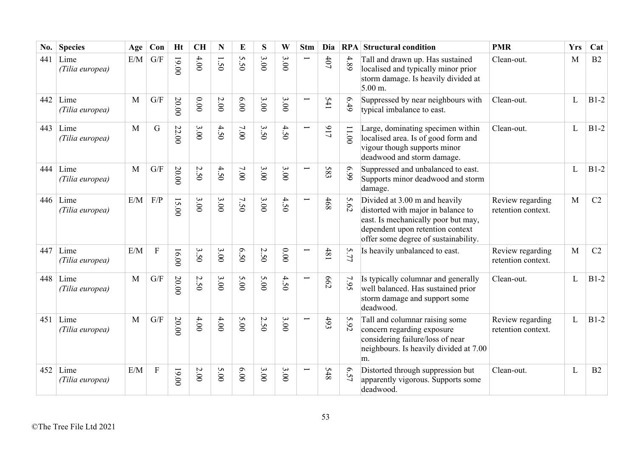| No. | <b>Species</b>          | Age          | Con                     | <b>Ht</b>                                 | <b>CH</b> | N        | E       | S    | W      | <b>Stm</b>               | Dia        |       | <b>RPA</b> Structural condition                                                                                                                                                        | <b>PMR</b>                             | <b>Yrs</b>   | Cat    |
|-----|-------------------------|--------------|-------------------------|-------------------------------------------|-----------|----------|---------|------|--------|--------------------------|------------|-------|----------------------------------------------------------------------------------------------------------------------------------------------------------------------------------------|----------------------------------------|--------------|--------|
| 441 | Lime<br>(Tilia europea) | E/M          | G/F                     | $19.00$                                   | 4.00      | 1.50     | S<br>50 | 3.00 | 3.00   |                          | $407$      | 4.89  | Tall and drawn up. Has sustained<br>localised and typically minor prior<br>storm damage. Is heavily divided at<br>$5.00 \text{ m}$ .                                                   | Clean-out.                             | M            | B2     |
| 442 | Lime<br>(Tilia europea) | M            | G/F                     | 20.00                                     | $0.00$    | $2.00\,$ | 6.00    | 3.00 | 3.00   |                          | 541        | 6.49  | Suppressed by near neighbours with<br>typical imbalance to east.                                                                                                                       | Clean-out.                             | L            | $B1-2$ |
| 443 | Lime<br>(Tilia europea) | $\mathbf{M}$ | G                       | 22.00                                     | 3.00      | 4.50     | $7.00$  | 3.50 | 4.50   |                          | 117        | 11.00 | Large, dominating specimen within<br>localised area. Is of good form and<br>vigour though supports minor<br>deadwood and storm damage.                                                 | Clean-out.                             | L            | $B1-2$ |
| 444 | Lime<br>(Tilia europea) | $\mathbf{M}$ | $\mathrm{G}/\mathrm{F}$ | 20.00                                     | 2.50      | 4.50     | 7.00    | 3.00 | 3.00   |                          | 583        | 66.9  | Suppressed and unbalanced to east.<br>Supports minor deadwood and storm<br>damage.                                                                                                     |                                        | L            | $B1-2$ |
| 446 | Lime<br>(Tilia europea) | E/M          | F/P                     | $\overline{\mathbf{S}}$<br>$\overline{5}$ | 3.00      | 3.00     | 7.50    | 3.00 | 4.50   | $\overline{\phantom{0}}$ | 468        | 5.62  | Divided at 3.00 m and heavily<br>distorted with major in balance to<br>east. Is mechanically poor but may,<br>dependent upon retention context<br>offer some degree of sustainability. | Review regarding<br>retention context. | $\mathbf{M}$ | C2     |
| 447 | Lime<br>(Tilia europea) | E/M          | $\mathbf F$             | 16.00                                     | 3.50      | 3.00     | 6.50    | 2.50 | $0.00$ |                          | 481        | 5.77  | Is heavily unbalanced to east.                                                                                                                                                         | Review regarding<br>retention context. | M            | C2     |
| 448 | Lime<br>(Tilia europea) | $\mathbf{M}$ | $\mathrm{G}/\mathrm{F}$ | 20.00                                     | 2.50      | 3.00     | 5.00    | 5.00 | 4.50   |                          | <b>662</b> | 7.95  | Is typically columnar and generally<br>well balanced. Has sustained prior<br>storm damage and support some<br>deadwood.                                                                | Clean-out.                             | L            | $B1-2$ |
| 451 | Lime<br>(Tilia europea) | M            | $\mathrm{G}/\mathrm{F}$ | 20.00                                     | 4.00      | $4.00$   | 5.00    | 2.50 | 3.00   |                          | 493        | 5.92  | Tall and columnar raising some<br>concern regarding exposure<br>considering failure/loss of near<br>neighbours. Is heavily divided at 7.00<br>m.                                       | Review regarding<br>retention context. | L            | $B1-2$ |
| 452 | Lime<br>(Tilia europea) | E/M          | $\mathbf F$             | $00.00$                                   | $2.00$    | 5.00     | 6.00    | 3.00 | 3.00   |                          | <b>S48</b> | 6.57  | Distorted through suppression but<br>apparently vigorous. Supports some<br>deadwood.                                                                                                   | Clean-out.                             | L            | B2     |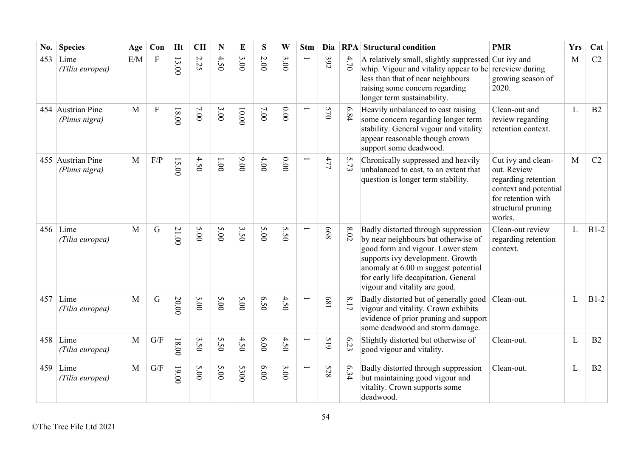| No. | <b>Species</b>                     | Age          | Con            | <b>Ht</b> | <b>CH</b>                | N             | E      | S    | W               | <b>Stm</b>               | Dia        | RPA      | <b>Structural condition</b>                                                                                                                                                                                                                                        | <b>PMR</b>                                                                                                                              | <b>Yrs</b> | Cat    |
|-----|------------------------------------|--------------|----------------|-----------|--------------------------|---------------|--------|------|-----------------|--------------------------|------------|----------|--------------------------------------------------------------------------------------------------------------------------------------------------------------------------------------------------------------------------------------------------------------------|-----------------------------------------------------------------------------------------------------------------------------------------|------------|--------|
| 453 | Lime<br>(Tilia europea)            | E/M          | $\overline{F}$ | 13.00     | 2.25                     | 4.50          | 3.00   | 2.00 | 3.00            |                          | 392        | 4.70     | A relatively small, slightly suppressed Cut ivy and<br>whip. Vigour and vitality appear to be<br>less than that of near neighbours<br>raising some concern regarding<br>longer term sustainability.                                                                | rereview during<br>growing season of<br>2020.                                                                                           | M          | C2     |
|     | 454 Austrian Pine<br>(Pinus nigra) | M            | ${\bf F}$      | 18.00     | $7.00$                   | 3.00          | 00.001 | 7.00 | 0.00            |                          | 570        | 6.84     | Heavily unbalanced to east raising<br>some concern regarding longer term<br>stability. General vigour and vitality<br>appear reasonable though crown<br>support some deadwood.                                                                                     | Clean-out and<br>review regarding<br>retention context.                                                                                 | L          | B2     |
|     | 455 Austrian Pine<br>(Pinus nigra) | $\mathbf{M}$ | $\rm F/P$      | 15.00     | 4.50                     | $00^{\circ}1$ | 00'6   | 4.00 | 0.00            |                          | 477        | 5.73     | Chronically suppressed and heavily<br>unbalanced to east, to an extent that<br>question is longer term stability.                                                                                                                                                  | Cut ivy and clean-<br>out. Review<br>regarding retention<br>context and potential<br>for retention with<br>structural pruning<br>works. | M          | C2     |
|     | $456$ Lime<br>(Tilia europea)      | M            | $\mathbf G$    | 21.00     | 5.00                     | 5.00          | 3.50   | 5.00 | S<br>$\ddot{S}$ |                          | 899        | $8.02\,$ | Badly distorted through suppression<br>by near neighbours but otherwise of<br>good form and vigour. Lower stem<br>supports ivy development. Growth<br>anomaly at 6.00 m suggest potential<br>for early life decapitation. General<br>vigour and vitality are good. | Clean-out review<br>regarding retention<br>context.                                                                                     | L          | $B1-2$ |
| 457 | Lime<br>(Tilia europea)            | M            | G              | 20.00     | 3.00                     | 5.00          | 5.00   | 6.50 | 4.50            |                          | 189        | 8.17     | Badly distorted but of generally good<br>vigour and vitality. Crown exhibits<br>evidence of prior pruning and support<br>some deadwood and storm damage.                                                                                                           | Clean-out.                                                                                                                              | L          | $B1-2$ |
| 458 | Lime<br>(Tilia europea)            | M            | G/F            | $18.00$   | $\mathbf{\hat{z}}$<br>50 | S<br>50       | 4.50   | 6.00 | $4.5$<br>Õ      |                          | 61S        | 6.23     | Slightly distorted but otherwise of<br>good vigour and vitality.                                                                                                                                                                                                   | Clean-out.                                                                                                                              | L          | B2     |
| 459 | Lime<br>(Tilia europea)            | M            | G/F            | $19.00$   | 5.00                     | 5.00          | 5300   | 6.00 | 3.00            | $\overline{\phantom{0}}$ | <b>528</b> | 6.34     | Badly distorted through suppression<br>but maintaining good vigour and<br>vitality. Crown supports some<br>deadwood.                                                                                                                                               | Clean-out.                                                                                                                              | L          | B2     |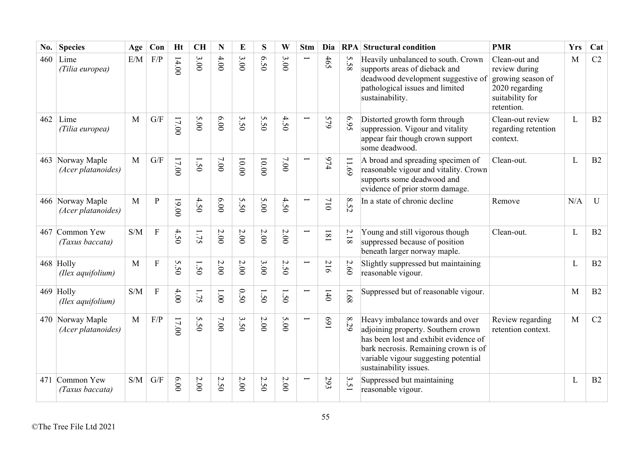| No. | <b>Species</b>                         | Age          | Con                     | <b>Ht</b> | <b>CH</b>   | N                   | E       | S                 | W          | <b>Stm</b>               | Dia                                         |                | <b>RPA</b> Structural condition                                                                                                                                                                                           | <b>PMR</b>                                                                                             | <b>Yrs</b>   | Cat |
|-----|----------------------------------------|--------------|-------------------------|-----------|-------------|---------------------|---------|-------------------|------------|--------------------------|---------------------------------------------|----------------|---------------------------------------------------------------------------------------------------------------------------------------------------------------------------------------------------------------------------|--------------------------------------------------------------------------------------------------------|--------------|-----|
| 460 | Lime<br>(Tilia europea)                | E/M          | F/P                     | 14.00     | 3.00        | 4.00                | 3.00    | 6.50              | 3.00       |                          | 465                                         | 5.58           | Heavily unbalanced to south. Crown<br>supports areas of dieback and<br>deadwood development suggestive of<br>pathological issues and limited<br>sustainability.                                                           | Clean-out and<br>review during<br>growing season of<br>2020 regarding<br>suitability for<br>retention. | M            | C2  |
| 462 | Lime<br>(Tilia europea)                | $\mathbf{M}$ | $\mathrm{G}/\mathrm{F}$ | $17.00$   | 5.00        | 0.00                | 3.50    | S<br>$\tilde{5}0$ | 4.50       |                          | 579                                         | £6.9           | Distorted growth form through<br>suppression. Vigour and vitality<br>appear fair though crown support<br>some deadwood.                                                                                                   | Clean-out review<br>regarding retention<br>context.                                                    | $\mathbf{L}$ | B2  |
|     | 463 Norway Maple<br>(Acer platanoides) | M            | $\mathrm{G}/\mathrm{F}$ | 17.00     | $\tilde{S}$ | 7.00                | $10.00$ | 10.00             | 7.00       | Ē,                       | 974                                         | 11.69          | A broad and spreading specimen of<br>reasonable vigour and vitality. Crown<br>supports some deadwood and<br>evidence of prior storm damage.                                                                               | Clean-out.                                                                                             | $\mathbf{L}$ | B2  |
|     | 466 Norway Maple<br>(Acer platanoides) | $\mathbf{M}$ | $\overline{P}$          | 19.00     | 4.50        | 6.00                | 5.50    | 5.00              | 4.50       |                          | 710                                         | 8.52           | In a state of chronic decline                                                                                                                                                                                             | Remove                                                                                                 | N/A          | U   |
|     | 467 Common Yew<br>(Taxus baccata)      | S/M          | $\mathbf F$             | 4.50      | 1.75        | 2.00                | 2.00    | 2.00              | 2.00       | $\overline{\phantom{0}}$ | $\overline{\phantom{0}}$<br>$\overline{18}$ | $2.18\,$       | Young and still vigorous though<br>suppressed because of position<br>beneath larger norway maple.                                                                                                                         | Clean-out.                                                                                             | L            | B2  |
|     | 468 Holly<br>(Ilex aquifolium)         | M            | $\rm F$                 | 5.50      | 50          | 2.00                | $2.00$  | 3.00              | 2.50       | $\overline{\phantom{0}}$ | $\overline{C}$<br>$\overline{6}$            | 2.60           | Slightly suppressed but maintaining<br>reasonable vigour.                                                                                                                                                                 |                                                                                                        | L            | B2  |
|     | 469 Holly<br>(Ilex aquifolium)         | S/M          | $\overline{F}$          | 4.00      | 1.75        | 1.00                | 0.50    | $\dot{S}$         | $\dot{50}$ |                          | 140                                         | 1.68           | Suppressed but of reasonable vigour.                                                                                                                                                                                      |                                                                                                        | M            | B2  |
|     | 470 Norway Maple<br>(Acer platanoides) | M            | F/P                     | 17.00     | 5.50        | 7.00                | 3.50    | 2.00              | 5.00       | $\overline{}$            | 169                                         | $\infty$<br>62 | Heavy imbalance towards and over<br>adjoining property. Southern crown<br>has been lost and exhibit evidence of<br>bark necrosis. Remaining crown is of<br>variable vigour suggesting potential<br>sustainability issues. | Review regarding<br>retention context.                                                                 | M            | C2  |
|     | 471 Common Yew<br>(Taxus baccata)      | S/M          | $\mathrm{G}/\mathrm{F}$ | 00'9      | 2.00        | $\mathcal{L}$<br>50 | 2.00    | N<br>$\tilde{50}$ | $2.00\,$   |                          | 293                                         | 3.51           | Suppressed but maintaining<br>reasonable vigour.                                                                                                                                                                          |                                                                                                        | L            | B2  |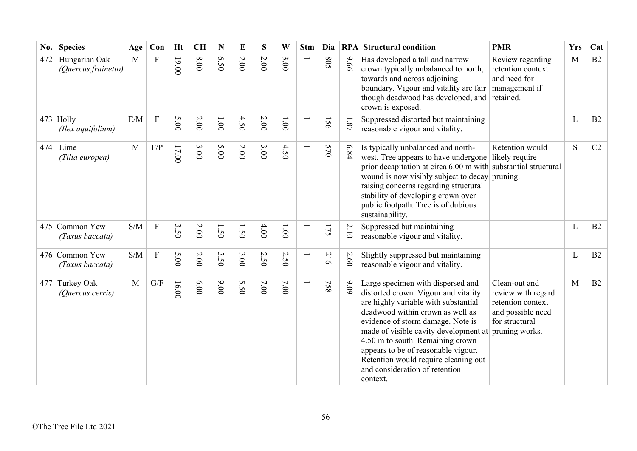| No. | <b>Species</b>                       | Age | Con            | Ht    | <b>CH</b> | N     | E    | S    | W                               | <b>Stm</b> | Dia        |          | <b>RPA</b> Structural condition                                                                                                                                                                                                                                                                                                                                                                      | <b>PMR</b>                                                                                                        | <b>Yrs</b> | Cat |
|-----|--------------------------------------|-----|----------------|-------|-----------|-------|------|------|---------------------------------|------------|------------|----------|------------------------------------------------------------------------------------------------------------------------------------------------------------------------------------------------------------------------------------------------------------------------------------------------------------------------------------------------------------------------------------------------------|-------------------------------------------------------------------------------------------------------------------|------------|-----|
| 472 | Hungarian Oak<br>(Quercus frainetto) | M   | $\mathbf F$    | 19.00 | $0.00$    | 6.50  | 2.00 | 2.00 | 3.00                            |            | <b>SO8</b> | 9.66     | Has developed a tall and narrow<br>crown typically unbalanced to north,<br>towards and across adjoining<br>boundary. Vigour and vitality are fair<br>though deadwood has developed, and<br>crown is exposed.                                                                                                                                                                                         | Review regarding<br>retention context<br>and need for<br>management if<br>retained.                               | M          | B2  |
|     | 473 Holly<br>(Ilex aquifolium)       | E/M | $\overline{F}$ | 5.00  | $2.00\,$  | 1.001 | 4.50 | 2.00 | $00^{\circ}1$                   |            | 156        | $1.87\,$ | Suppressed distorted but maintaining<br>reasonable vigour and vitality.                                                                                                                                                                                                                                                                                                                              |                                                                                                                   | L          | B2  |
| 474 | Lime<br>(Tilia europea)              | M   | F/P            | 17.00 | 3.00      | 5.00  | 2.00 | 3.00 | 4.50                            |            | 570        | 6.84     | Is typically unbalanced and north-<br>west. Tree appears to have undergone likely require<br>prior decapitation at circa 6.00 m with substantial structural<br>wound is now visibly subject to decay pruning.<br>raising concerns regarding structural<br>stability of developing crown over<br>public footpath. Tree is of dubious<br>sustainability.                                               | Retention would                                                                                                   | S          | C2  |
|     | 475 Common Yew<br>(Taxus baccata)    | S/M | $\mathbf{F}$   | 3.50  | 2.00      | 1.50  | 1.50 | 4.00 | $1.00\,$                        |            | 175        | 2.10     | Suppressed but maintaining<br>reasonable vigour and vitality.                                                                                                                                                                                                                                                                                                                                        |                                                                                                                   | L          | B2  |
|     | 476 Common Yew<br>(Taxus baccata)    | S/M | $\mathbf{F}$   | 5.00  | 2.00      | 3.50  | 3.00 | 2.50 | $\boldsymbol{\mathsf{c}}$<br>50 | Ţ          | 216        | 2.60     | Slightly suppressed but maintaining<br>reasonable vigour and vitality.                                                                                                                                                                                                                                                                                                                               |                                                                                                                   | L          | B2  |
|     | 477 Turkey Oak<br>(Quercus cerris)   | M   | G/F            | 16.00 | 00.9      | 00.00 | 5.50 | 7.00 | 7.00                            | Ë          | 758        | $9.09$   | Large specimen with dispersed and<br>distorted crown. Vigour and vitality<br>are highly variable with substantial<br>deadwood within crown as well as<br>evidence of storm damage. Note is<br>made of visible cavity development at<br>4.50 m to south. Remaining crown<br>appears to be of reasonable vigour.<br>Retention would require cleaning out<br>and consideration of retention<br>context. | Clean-out and<br>review with regard<br>retention context<br>and possible need<br>for structural<br>pruning works. | M          | B2  |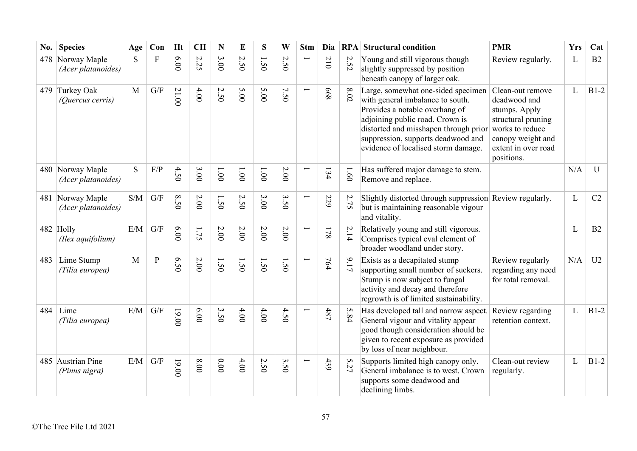| No. | <b>Species</b>                         | Age          | Con                     | <b>Ht</b> | <b>CH</b>                       | N                              | E                                         | S                              | W                    | <b>Stm</b> | Dia                                         |                      | <b>RPA</b> Structural condition                                                                                                                                                                                                                                   | <b>PMR</b>                                                                                                                                           | <b>Yrs</b> | Cat          |
|-----|----------------------------------------|--------------|-------------------------|-----------|---------------------------------|--------------------------------|-------------------------------------------|--------------------------------|----------------------|------------|---------------------------------------------|----------------------|-------------------------------------------------------------------------------------------------------------------------------------------------------------------------------------------------------------------------------------------------------------------|------------------------------------------------------------------------------------------------------------------------------------------------------|------------|--------------|
|     | 478 Norway Maple<br>(Acer platanoides) | S            | $\overline{F}$          | 6.00      | $\boldsymbol{\mathsf{c}}$<br>52 | 3.00                           | $\boldsymbol{\mathsf{c}}$<br>$\tilde{S}0$ | $\overline{\phantom{0}}$<br>50 | $\overline{C}$<br>50 |            | $\boldsymbol{\mathsf{c}}$<br>$\overline{0}$ | 2.52                 | Young and still vigorous though<br>slightly suppressed by position<br>beneath canopy of larger oak.                                                                                                                                                               | Review regularly.                                                                                                                                    | L          | B2           |
|     | 479 Turkey Oak<br>(Quercus cerris)     | M            | $\mathrm{G}/\mathrm{F}$ | 21.00     | 4.00                            | $\sim$<br>$\ddot{S}$           | 5.00                                      | 5.00                           | 7.50                 |            | 899                                         | $\infty$<br>.02      | Large, somewhat one-sided specimen<br>with general imbalance to south.<br>Provides a notable overhang of<br>adjoining public road. Crown is<br>distorted and misshapen through prior<br>suppression, supports deadwood and<br>evidence of localised storm damage. | Clean-out remove<br>deadwood and<br>stumps. Apply<br>structural pruning<br>works to reduce<br>canopy weight and<br>extent in over road<br>positions. | L          | $B1-2$       |
|     | 480 Norway Maple<br>(Acer platanoides) | S            | F/P                     | 4.50      | 3.00                            | 1.001                          | $00^{\circ}$                              | 00'1                           | 2.00                 |            | 134                                         | 1.60                 | Has suffered major damage to stem.<br>Remove and replace.                                                                                                                                                                                                         |                                                                                                                                                      | N/A        | $\mathbf{U}$ |
|     | 481 Norway Maple<br>(Acer platanoides) | S/M          | G/F                     | 8.50      | 2.00                            | $\overline{\phantom{0}}$<br>50 | 2.50                                      | 3.00                           | 3.50                 |            | 229                                         | 2.75                 | Slightly distorted through suppression Review regularly.<br>but is maintaining reasonable vigour<br>and vitality.                                                                                                                                                 |                                                                                                                                                      | L          | C2           |
|     | 482 Holly<br>(Ilex aquifolium)         | E/M          | G/F                     | 6.00      | 1.75                            | $2.00$                         | 2.00                                      | 2.00                           | $2.00$               |            | 178                                         | 2.14                 | Relatively young and still vigorous.<br>Comprises typical eval element of<br>broader woodland under story.                                                                                                                                                        |                                                                                                                                                      | L          | B2           |
| 483 | Lime Stump<br>(Tilia europea)          | $\mathbf{M}$ | ${\bf P}$               | 6.50      | $2.00$                          | $\dot{50}$                     | 1.50                                      | $\dot{50}$                     | 50                   |            | 764                                         | 9.17                 | Exists as a decapitated stump<br>supporting small number of suckers.<br>Stump is now subject to fungal<br>activity and decay and therefore<br>regrowth is of limited sustainability.                                                                              | Review regularly<br>regarding any need<br>for total removal.                                                                                         | N/A        | U2           |
| 484 | Lime<br>(Tilia europea)                | E/M          | $\mathrm{G}/\mathrm{F}$ | $19.00$   | 6.00                            | 3.50                           | $4.00$                                    | 4.00                           | 4.50                 |            | $487$                                       | 5.84                 | Has developed tall and narrow aspect.<br>General vigour and vitality appear<br>good though consideration should be<br>given to recent exposure as provided<br>by loss of near neighbour.                                                                          | Review regarding<br>retention context.                                                                                                               | L          | $B1-2$       |
|     | 485 Austrian Pine<br>(Pinus nigra)     | E/M          | G/F                     | $00.00$   | $8.00$                          | 0.00                           | 4.00                                      | 2.50                           | 3.50                 |            | 439                                         | ِب.<br>$\mathcal{Z}$ | Supports limited high canopy only.<br>General imbalance is to west. Crown<br>supports some deadwood and<br>declining limbs.                                                                                                                                       | Clean-out review<br>regularly.                                                                                                                       | L          | $B1-2$       |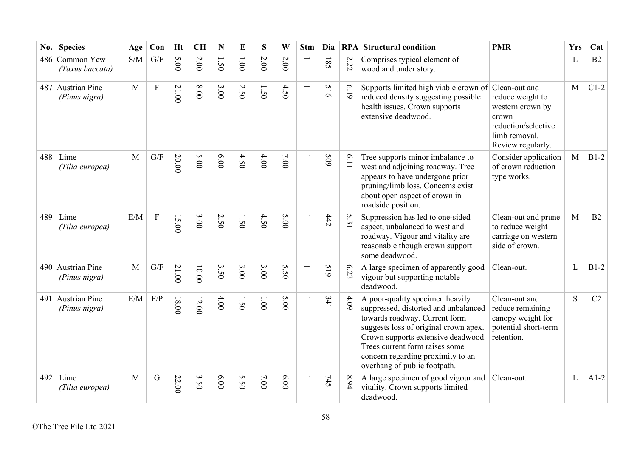| No. | <b>Species</b>                     | Age          | Con                     | <b>Ht</b> | <b>CH</b>                | N                              | E                 | S     | W      | <b>Stm</b>    | Dia                           | RPA                                            | <b>Structural condition</b>                                                                                                                                                                                                                                                                    | <b>PMR</b>                                                                                                 | <b>Yrs</b> | Cat    |
|-----|------------------------------------|--------------|-------------------------|-----------|--------------------------|--------------------------------|-------------------|-------|--------|---------------|-------------------------------|------------------------------------------------|------------------------------------------------------------------------------------------------------------------------------------------------------------------------------------------------------------------------------------------------------------------------------------------------|------------------------------------------------------------------------------------------------------------|------------|--------|
|     | 486 Common Yew<br>(Taxus baccata)  | S/M          | G/F                     | 5.00      | 2.00                     | $\overline{\phantom{0}}$<br>50 | 1.001             | 2.00  | $2.00$ |               | I<br>$\overline{\mathcal{S}}$ | $\sim$<br>52                                   | Comprises typical element of<br>woodland under story.                                                                                                                                                                                                                                          |                                                                                                            | L          | B2     |
|     | 487 Austrian Pine<br>(Pinus nigra) | M            | $\overline{F}$          | 21.00     | 8.00                     | 3.00                           | 2.50              | 1.50  | 4.50   | $\overline{}$ | 516                           | 6.19                                           | Supports limited high viable crown of Clean-out and<br>reduced density suggesting possible<br>health issues. Crown supports<br>extensive deadwood.                                                                                                                                             | reduce weight to<br>western crown by<br>crown<br>reduction/selective<br>limb removal.<br>Review regularly. | M          | $C1-2$ |
|     | $488$ Lime<br>(Tilia europea)      | M            | G/F                     | 20.00     | 5.00                     | 6.00                           | 4.50              | 4.00  | 7.00   |               | 509                           | $\mathbf{\hat{o}}$<br>$\overline{\phantom{0}}$ | Tree supports minor imbalance to<br>west and adjoining roadway. Tree<br>appears to have undergone prior<br>pruning/limb loss. Concerns exist<br>about open aspect of crown in<br>roadside position.                                                                                            | Consider application<br>of crown reduction<br>type works.                                                  | M          | $B1-2$ |
| 489 | Lime<br>(Tilia europea)            | E/M          | ${\bf F}$               | 15.00     | 3.00                     | 2.50                           | 1.50              | 4.50  | 5.00   |               | 442                           | 5.31                                           | Suppression has led to one-sided<br>aspect, unbalanced to west and<br>roadway. Vigour and vitality are<br>reasonable though crown support<br>some deadwood.                                                                                                                                    | Clean-out and prune<br>to reduce weight<br>carriage on western<br>side of crown.                           | M          | B2     |
|     | 490 Austrian Pine<br>(Pinus nigra) | M            | $\mathrm{G}/\mathrm{F}$ | 21.00     | $10.00$                  | 3.50                           | 3.00              | 3.00  | 5.50   |               | 61S                           | $\sigma$<br>53                                 | A large specimen of apparently good<br>vigour but supporting notable<br>deadwood.                                                                                                                                                                                                              | Clean-out.                                                                                                 | L          | $B1-2$ |
|     | 491 Austrian Pine<br>(Pinus nigra) | E/M          | F/P                     | $18.00$   | 12.00                    | 4.00                           | 1.50              | 1.001 | 5.00   |               | 341                           | 4.09                                           | A poor-quality specimen heavily<br>suppressed, distorted and unbalanced<br>towards roadway. Current form<br>suggests loss of original crown apex.<br>Crown supports extensive deadwood.<br>Trees current form raises some<br>concern regarding proximity to an<br>overhang of public footpath. | Clean-out and<br>reduce remaining<br>canopy weight for<br>potential short-term<br>retention.               | S          | C2     |
| 492 | Lime<br>(Tilia europea)            | $\mathbf{M}$ | G                       | 22.00     | $\mathbf{\hat{z}}$<br>50 | 6.00                           | S<br>$\tilde{S}0$ | 7.00  | 6.00   |               | 745                           | 8.94                                           | A large specimen of good vigour and<br>vitality. Crown supports limited<br>deadwood.                                                                                                                                                                                                           | Clean-out.                                                                                                 | L          | $A1-2$ |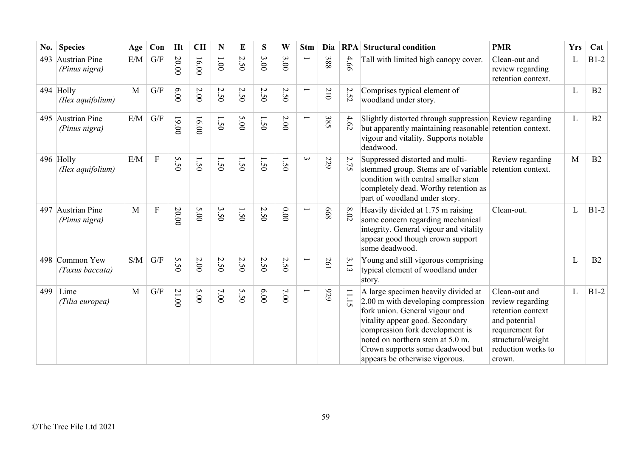| No. | <b>Species</b>                     | Age | Con                     | <b>Ht</b>       | <b>CH</b> | N                           | E                           | S    | W                     | <b>Stm</b>               | Dia |                          | <b>RPA</b> Structural condition                                                                                                                                                                                                                                                             | <b>PMR</b>                                                                                                                                      | <b>Yrs</b> | Cat    |
|-----|------------------------------------|-----|-------------------------|-----------------|-----------|-----------------------------|-----------------------------|------|-----------------------|--------------------------|-----|--------------------------|---------------------------------------------------------------------------------------------------------------------------------------------------------------------------------------------------------------------------------------------------------------------------------------------|-------------------------------------------------------------------------------------------------------------------------------------------------|------------|--------|
| 493 | Austrian Pine<br>(Pinus nigra)     | E/M | G/F                     | 20.00           | 16.00     | $00^{\circ}1$               | $\mathcal{L}$<br>$\ddot{5}$ | 3.00 | 3.00                  |                          | 388 | 4.66                     | Tall with limited high canopy cover.                                                                                                                                                                                                                                                        | Clean-out and<br>review regarding<br>retention context.                                                                                         | L          | $B1-2$ |
|     | 494 Holly<br>(Ilex aquifolium)     | M   | $\mathrm{G}/\mathrm{F}$ | 00.9            | $2.00$    | $\mathcal{L}$<br>$\dot{5}$  | $\sim$<br>50                | 2.50 | 2.5<br>$\ddot{\circ}$ | $\overline{\phantom{0}}$ | 210 | $\sim$<br>j،<br>$\omega$ | Comprises typical element of<br>woodland under story.                                                                                                                                                                                                                                       |                                                                                                                                                 | L          | B2     |
|     | 495 Austrian Pine<br>(Pinus nigra) | E/M | G/F                     | $00.00$         | 16.00     | 1.50                        | 5.00                        | 1.50 | $2.00\,$              |                          | 385 | 4.62                     | Slightly distorted through suppression Review regarding<br>but apparently maintaining reasonable retention context.<br>vigour and vitality. Supports notable<br>deadwood.                                                                                                                   |                                                                                                                                                 | L          | B2     |
|     | 496 Holly<br>(Ilex aquifolium)     | E/M | $\overline{F}$          | S<br>$\dot{S}$  | 1.50      | 1.50                        | 1.50                        | 1.50 | 1.50                  | $\mathbf{\omega}$        | 229 | 2.75                     | Suppressed distorted and multi-<br>stemmed group. Stems are of variable<br>condition with central smaller stem<br>completely dead. Worthy retention as<br>part of woodland under story.                                                                                                     | Review regarding<br>retention context.                                                                                                          | M          | B2     |
|     | 497 Austrian Pine<br>(Pinus nigra) | M   | ${\bf F}$               | 20.00           | 5.00      | $\boldsymbol{\omega}$<br>50 | Ī<br>50                     | 2.50 | 0.00                  |                          | 899 | $8.02\,$                 | Heavily divided at 1.75 m raising<br>some concern regarding mechanical<br>integrity. General vigour and vitality<br>appear good though crown support<br>some deadwood.                                                                                                                      | Clean-out.                                                                                                                                      | L          | $B1-2$ |
| 498 | Common Yew<br>(Taxus baccata)      | S/M | G/F                     | S<br>$\ddot{S}$ | $2.00$    | 2.50                        | 2.50                        | 2.50 | 2.50                  | Ī                        | 261 | 3.13                     | Young and still vigorous comprising<br>typical element of woodland under<br>story.                                                                                                                                                                                                          |                                                                                                                                                 | L          | B2     |
| 499 | Lime<br>(Tilia europea)            | M   | G/F                     | 21.00           | 5.00      | $7.00$                      | 5.50                        | 6.00 | $7.00$                |                          | 676 | 11.15                    | A large specimen heavily divided at<br>2.00 m with developing compression<br>fork union. General vigour and<br>vitality appear good. Secondary<br>compression fork development is<br>noted on northern stem at 5.0 m.<br>Crown supports some deadwood but<br>appears be otherwise vigorous. | Clean-out and<br>review regarding<br>retention context<br>and potential<br>requirement for<br>structural/weight<br>reduction works to<br>crown. | L          | $B1-2$ |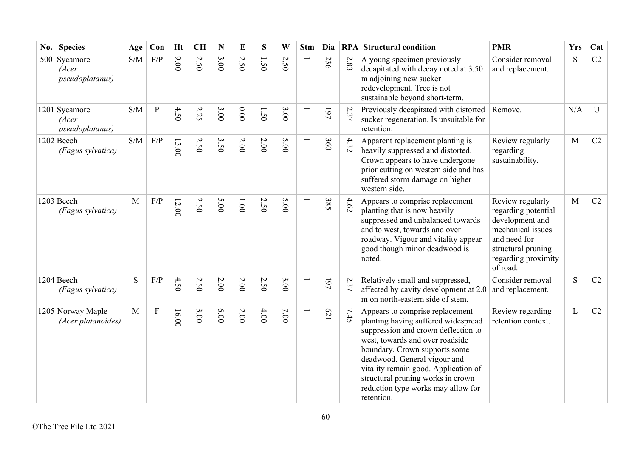| No. | <b>Species</b>                                    | Age                                               | Con       | <b>Ht</b> | CH                                        | N      | E                                     | S                                      | W            | <b>Stm</b>               | Dia        | <b>RPA</b> | <b>Structural condition</b>                                                                                                                                                                                                                                                                                                                        | <b>PMR</b>                                                                                                                                               | <b>Yrs</b> | Cat |
|-----|---------------------------------------------------|---------------------------------------------------|-----------|-----------|-------------------------------------------|--------|---------------------------------------|----------------------------------------|--------------|--------------------------|------------|------------|----------------------------------------------------------------------------------------------------------------------------------------------------------------------------------------------------------------------------------------------------------------------------------------------------------------------------------------------------|----------------------------------------------------------------------------------------------------------------------------------------------------------|------------|-----|
|     | 500 Sycamore<br>(Acer<br>pseudoplatanus)          | S/M                                               | F/P       | 00.00     | $\boldsymbol{\mathsf{c}}$<br>$\tilde{S}0$ | 3.00   | $\overline{\mathsf{C}}$<br>$\dot{50}$ | $\overline{\phantom{0}}$<br>$\dot{50}$ | $\sim$<br>50 |                          | 236        | 2.83       | A young specimen previously<br>decapitated with decay noted at 3.50<br>m adjoining new sucker<br>redevelopment. Tree is not<br>sustainable beyond short-term.                                                                                                                                                                                      | Consider removal<br>and replacement.                                                                                                                     | S          | C2  |
|     | 1201 Sycamore<br>(Acer<br><i>pseudoplatanus</i> ) | S/M                                               | ${\bf P}$ | 4.50      | 2.25                                      | 3.00   | 0.00                                  | 1.50                                   | 3.00         |                          | 161        | 2.37       | Previously decapitated with distorted<br>sucker regeneration. Is unsuitable for<br>retention.                                                                                                                                                                                                                                                      | Remove.                                                                                                                                                  | N/A        | U   |
|     | 1202 Beech<br>(Fagus sylvatica)                   | $\ensuremath{\mathrm{S}}/\ensuremath{\mathrm{M}}$ | $\rm F/P$ | 13.00     | 2.50                                      | 3.50   | $2.00$                                | 2.00                                   | 5.00         | $\overline{\phantom{0}}$ | 360        | 4.32       | Apparent replacement planting is<br>heavily suppressed and distorted.<br>Crown appears to have undergone<br>prior cutting on western side and has<br>suffered storm damage on higher<br>western side.                                                                                                                                              | Review regularly<br>regarding<br>sustainability.                                                                                                         | M          | C2  |
|     | $1203$ Beech<br>(Fagus sylvatica)                 | M                                                 | F/P       | 12.00     | 2.50                                      | 5.00   | $1.00\,$                              | 2.50                                   | 5.00         |                          | 385        | 4.62       | Appears to comprise replacement<br>planting that is now heavily<br>suppressed and unbalanced towards<br>and to west, towards and over<br>roadway. Vigour and vitality appear<br>good though minor deadwood is<br>noted.                                                                                                                            | Review regularly<br>regarding potential<br>development and<br>mechanical issues<br>and need for<br>structural pruning<br>regarding proximity<br>of road. | M          | C2  |
|     | $1204$ Beech<br>(Fagus sylvatica)                 | S                                                 | F/P       | 4.50      | 2.50                                      | $2.00$ | $2.00\,$                              | 2.50                                   | 3.00         |                          | 197        | 2.37       | Relatively small and suppressed,<br>affected by cavity development at 2.0<br>m on north-eastern side of stem.                                                                                                                                                                                                                                      | Consider removal<br>and replacement.                                                                                                                     | S          | C2  |
|     | 1205 Norway Maple<br>(Acer platanoides)           | M                                                 | $\rm F$   | 16.00     | 3.00                                      | 6.00   | $2.00\,$                              | $4.00$                                 | 7.00         |                          | <b>C21</b> | 7.45       | Appears to comprise replacement<br>planting having suffered widespread<br>suppression and crown deflection to<br>west, towards and over roadside<br>boundary. Crown supports some<br>deadwood. General vigour and<br>vitality remain good. Application of<br>structural pruning works in crown<br>reduction type works may allow for<br>retention. | Review regarding<br>retention context.                                                                                                                   | L          | C2  |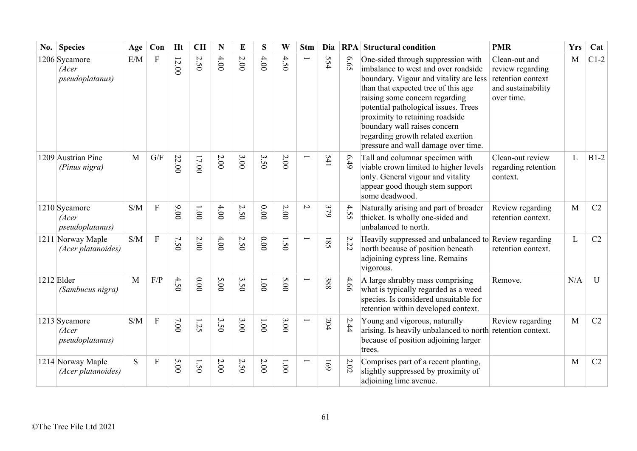| No. | <b>Species</b>                                    | Age          | Con                       | <b>Ht</b> | <b>CH</b> | N      | E                                         | S       | W              | <b>Stm</b>               | Dia        |              | <b>RPA</b> Structural condition                                                                                                                                                                                                                                                                                                                                                     | <b>PMR</b>                                                                                 | <b>Yrs</b> | Cat            |
|-----|---------------------------------------------------|--------------|---------------------------|-----------|-----------|--------|-------------------------------------------|---------|----------------|--------------------------|------------|--------------|-------------------------------------------------------------------------------------------------------------------------------------------------------------------------------------------------------------------------------------------------------------------------------------------------------------------------------------------------------------------------------------|--------------------------------------------------------------------------------------------|------------|----------------|
|     | 1206 Sycamore<br>(Acer<br>pseudoplatanus)         | E/M          | ${\bf F}$                 | $12.00$   | 2.50      | 4.00   | $2.00$                                    | 4.00    | 4.50           | $\overline{\phantom{0}}$ | 554        | 6.65         | One-sided through suppression with<br>imbalance to west and over roadside<br>boundary. Vigour and vitality are less<br>than that expected tree of this age<br>raising some concern regarding<br>potential pathological issues. Trees<br>proximity to retaining roadside<br>boundary wall raises concern<br>regarding growth related exertion<br>pressure and wall damage over time. | Clean-out and<br>review regarding<br>retention context<br>and sustainability<br>over time. | M          | $C1-2$         |
|     | 1209 Austrian Pine<br>(Pinus nigra)               | M            | G/F                       | 22.00     | 17.00     | $2.00$ | 3.00                                      | 3.50    | 2.00           |                          | 541        | 6.49         | Tall and columnar specimen with<br>viable crown limited to higher levels<br>only. General vigour and vitality<br>appear good though stem support<br>some deadwood.                                                                                                                                                                                                                  | Clean-out review<br>regarding retention<br>context.                                        | L          | $B1-2$         |
|     | 1210 Sycamore<br>(Acer<br><i>pseudoplatanus</i> ) | S/M          | ${\bf F}$                 | 9.00      | 1.00      | 4.00   | 2.50                                      | 0.00    | $2.00\,$       | $\overline{C}$           | 379        | 4.55         | Naturally arising and part of broader<br>thicket. Is wholly one-sided and<br>unbalanced to north.                                                                                                                                                                                                                                                                                   | Review regarding<br>retention context.                                                     | M          | C2             |
|     | 1211 Norway Maple<br>(Acer platanoides)           | S/M          | $\mathbf F$               | 7.50      | $2.00$    | 4.00   | 2.50                                      | 0.00    | 1.50           |                          | 185        | $\sim$<br>52 | Heavily suppressed and unbalanced to Review regarding<br>north because of position beneath<br>adjoining cypress line. Remains<br>vigorous.                                                                                                                                                                                                                                          | retention context.                                                                         | L          | C2             |
|     | 1212 Elder<br>(Sambucus nigra)                    | $\mathbf{M}$ | F/P                       | 4.50      | $0.00$    | 5.00   | 3.50                                      | 1.00    | 5.00           | $\overline{\phantom{0}}$ | 388        | 4.66         | A large shrubby mass comprising<br>what is typically regarded as a weed<br>species. Is considered unsuitable for<br>retention within developed context.                                                                                                                                                                                                                             | Remove.                                                                                    | N/A        | U              |
|     | 1213 Sycamore<br>(Acer<br><i>pseudoplatanus</i> ) | S/M          | $\overline{F}$            | 7.00      | 32        | 3.50   | 3.00                                      | $1.001$ | 3.00           |                          | 204        | 2.44         | Young and vigorous, naturally<br>arising. Is heavily unbalanced to north retention context.<br>because of position adjoining larger<br>trees.                                                                                                                                                                                                                                       | Review regarding                                                                           | M          | C2             |
|     | 1214 Norway Maple<br>(Acer platanoides)           | S            | $\boldsymbol{\mathrm{F}}$ | 5.00      | 1.50      | $2.00$ | $\boldsymbol{\mathsf{c}}$<br>$\tilde{S}0$ | 2.00    | $00^{\circ}$ l |                          | <b>691</b> | $2.02\,$     | Comprises part of a recent planting,<br>slightly suppressed by proximity of<br>adjoining lime avenue.                                                                                                                                                                                                                                                                               |                                                                                            | M          | C <sub>2</sub> |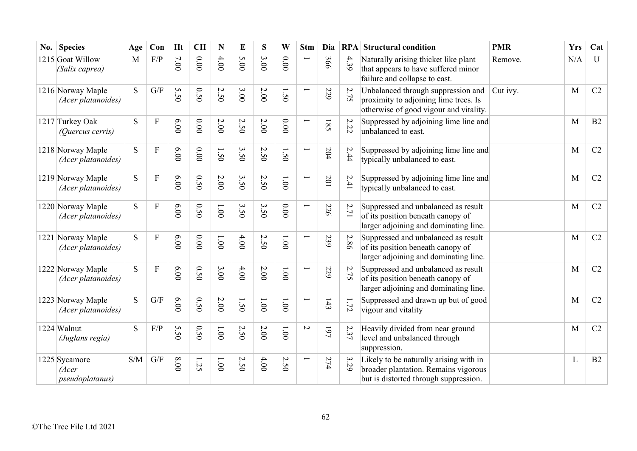| $\bf{No.}$ | <b>Species</b>                            | Age          | Con            | <b>Ht</b> | <b>CH</b> | N                               | E    | S     | W                   | <b>Stm</b>               | Dia | RPA                                   | <b>Structural condition</b>                                                                                             | <b>PMR</b> | <b>Yrs</b> | Cat       |
|------------|-------------------------------------------|--------------|----------------|-----------|-----------|---------------------------------|------|-------|---------------------|--------------------------|-----|---------------------------------------|-------------------------------------------------------------------------------------------------------------------------|------------|------------|-----------|
|            | 1215 Goat Willow<br>(Salix caprea)        | $\mathbf{M}$ | F/P            | 7.00      | 0.00      | 4.00                            | 5.00 | 3.00  | $0.00$              |                          | 366 | 4.39                                  | Naturally arising thicket like plant<br>that appears to have suffered minor<br>failure and collapse to east.            | Remove.    | N/A        | ${\bf U}$ |
|            | 1216 Norway Maple<br>(Acer platanoides)   | S            | G/F            | 5.50      | 0.50      | $\boldsymbol{\mathsf{c}}$<br>50 | 3.00 | 2.00  | 1.50                |                          | 229 | 2.75                                  | Unbalanced through suppression and<br>proximity to adjoining lime trees. Is<br>otherwise of good vigour and vitality.   | Cut ivy.   | M          | C2        |
|            | 1217 Turkey Oak<br>(Quercus cerris)       | S            | $\overline{F}$ | 00'9      | 0.00      | $2.00$                          | 2.50 | 2.00  | 0.00                | $\overline{\phantom{0}}$ | 185 | 2.22                                  | Suppressed by adjoining lime line and<br>unbalanced to east.                                                            |            | M          | B2        |
|            | 1218 Norway Maple<br>(Acer platanoides)   | S            | ${\bf F}$      | 6.00      | 0.00      | 1.50                            | 3.50 | 2.50  | 1.50                | $\overline{\phantom{0}}$ | 204 | $\dot{\mathcal{L}}$<br>$\ddot{4}$     | Suppressed by adjoining lime line and<br>typically unbalanced to east.                                                  |            | M          | C2        |
|            | 1219 Norway Maple<br>(Acer platanoides)   | S            | ${\bf F}$      | 0.00      | 0.50      | 2.00                            | 3.50 | 2.50  | $00^{\circ}$        | $\overline{\phantom{0}}$ | 201 | 2.41                                  | Suppressed by adjoining lime line and<br>typically unbalanced to east.                                                  |            | M          | C2        |
|            | 1220 Norway Maple<br>(Acer platanoides)   | S            | $\overline{F}$ | 6.00      | 0.50      | 00'1                            | 3.50 | 3.50  | $0.00$              | $\overline{\phantom{0}}$ | 226 | 2.71                                  | Suppressed and unbalanced as result<br>of its position beneath canopy of<br>larger adjoining and dominating line.       |            | M          | C2        |
|            | 1221 Norway Maple<br>(Acer platanoides)   | S            | $\overline{F}$ | 6.00      | 0.00      | 1.00                            | 4.00 | 2.50  | $1.00\,$            |                          | 239 | $\dot{\mathcal{L}}$<br>8 <sup>o</sup> | Suppressed and unbalanced as result<br>of its position beneath canopy of<br>larger adjoining and dominating line.       |            | M          | C2        |
|            | 1222 Norway Maple<br>(Acer platanoides)   | S            | ${\bf F}$      | 6.00      | 0.50      | 3.00                            | 4.00 | 2.00  | $1.00\,$            | $\overline{\phantom{0}}$ | 229 | $\overline{\mathcal{L}}$<br>75        | Suppressed and unbalanced as result<br>of its position beneath canopy of<br>larger adjoining and dominating line.       |            | M          | C2        |
|            | 1223 Norway Maple<br>(Acer platanoides)   | S            | G/F            | 6.00      | 0.50      | $2.00\,$                        | 1.50 | 1.001 | $1.00\,$            |                          | 143 | 1.72                                  | Suppressed and drawn up but of good<br>vigour and vitality                                                              |            | M          | C2        |
|            | 1224 Walnut<br>(Juglans regia)            | S            | F/P            | 5.50      | 0.50      | 1.00                            | 2.50 | 2.00  | 1.001               | $\sim$                   | 197 | 2.37                                  | Heavily divided from near ground<br>level and unbalanced through<br>suppression.                                        |            | M          | C2        |
|            | 1225 Sycamore<br>(Acer<br>pseudoplatanus) | S/M          | G/F            | $00.8\,$  | 52        | 1.001                           | 2.50 | 4.00  | $\mathcal{L}$<br>50 |                          | 274 | 3.29                                  | Likely to be naturally arising with in<br>broader plantation. Remains vigorous<br>but is distorted through suppression. |            | L          | B2        |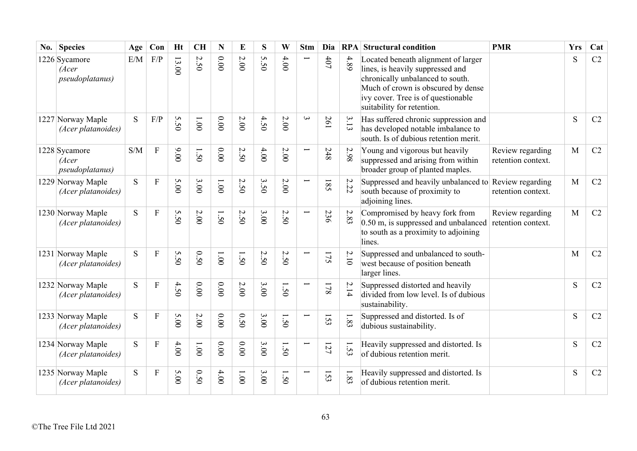| No. Species                                       | Age | Con                       | <b>Ht</b>       | <b>CH</b>     | $\mathbf N$ | E            | S                                | W            | <b>Stm</b>               | Dia |          | <b>RPA</b> Structural condition                                                                                                                                                                                       | <b>PMR</b>                             | <b>Yrs</b> | Cat |
|---------------------------------------------------|-----|---------------------------|-----------------|---------------|-------------|--------------|----------------------------------|--------------|--------------------------|-----|----------|-----------------------------------------------------------------------------------------------------------------------------------------------------------------------------------------------------------------------|----------------------------------------|------------|-----|
| 1226 Sycamore<br>(Acer<br>pseudoplatanus)         | E/M | F/P                       | 13.00           | 2.50          | 0.00        | 2.00         | S<br>50                          | 4.00         |                          | 407 | 4.89     | Located beneath alignment of larger<br>lines, is heavily suppressed and<br>chronically unbalanced to south.<br>Much of crown is obscured by dense<br>ivy cover. Tree is of questionable<br>suitability for retention. |                                        | S          | C2  |
| 1227 Norway Maple<br>(Acer platanoides)           | S   | F/P                       | S<br>$\ddot{S}$ | $00^{\circ}1$ | 0.00        | 2.00         | 4.50                             | 2.00         | $\omega$                 | 261 | 3.13     | Has suffered chronic suppression and<br>has developed notable imbalance to<br>south. Is of dubious retention merit.                                                                                                   |                                        | S          | C2  |
| 1228 Sycamore<br>(Acer<br><i>pseudoplatanus</i> ) | S/M | ${\bf F}$                 | 00.00           | 1.50          | 0.00        | 2.50         | 4.00                             | $2.00$       | $\overline{\phantom{0}}$ | 248 | 2.98     | Young and vigorous but heavily<br>suppressed and arising from within<br>broader group of planted maples.                                                                                                              | Review regarding<br>retention context. | M          | C2  |
| 1229 Norway Maple<br>(Acer platanoides)           | S   | $\overline{F}$            | 5.00            | 3.00          | 1.001       | 2.50         | $\mathbf{\hat{z}}$<br>$\dot{5}0$ | 2.00         | L                        | 185 | 2.22     | Suppressed and heavily unbalanced to Review regarding<br>south because of proximity to<br>adjoining lines.                                                                                                            | retention context.                     | M          | C2  |
| 1230 Norway Maple<br>(Acer platanoides)           | S   | $\overline{F}$            | S<br>50         | 2.00          | 1.50        | 2.50         | 3.00                             | $\sim$<br>50 | ┕                        | 236 | $2.83\,$ | Compromised by heavy fork from<br>$0.50$ m, is suppressed and unbalanced<br>to south as a proximity to adjoining<br>lines.                                                                                            | Review regarding<br>retention context. | M          | C2  |
| 1231 Norway Maple<br>(Acer platanoides)           | S   | $\overline{F}$            | 5.50            | 0.50          | 1.001       | 1.50         | 2.50                             | 2.50         | $\overline{\phantom{0}}$ | 175 | $2.10\,$ | Suppressed and unbalanced to south-<br>west because of position beneath<br>larger lines.                                                                                                                              |                                        | M          | C2  |
| 1232 Norway Maple<br>(Acer platanoides)           | S   | $\boldsymbol{\mathrm{F}}$ | 4.50            | 0.00          | 0.00        | 2.00         | 3.00                             | 1.50         |                          | 178 | 2.14     | Suppressed distorted and heavily<br>divided from low level. Is of dubious<br>sustainability.                                                                                                                          |                                        | S          | C2  |
| 1233 Norway Maple<br>(Acer platanoides)           | S   | $\overline{F}$            | 5.00            | 2.00          | 0.00        | 0.50         | 3.00                             | $\tilde{S}$  |                          | 153 | $1.83\,$ | Suppressed and distorted. Is of<br>dubious sustainability.                                                                                                                                                            |                                        | S          | C2  |
| 1234 Norway Maple<br>(Acer platanoides)           | S   | $\overline{F}$            | 4.00            | 1.001         | 0.00        | 0.00         | 3.00                             | 1.50         |                          | 127 | 1.53     | Heavily suppressed and distorted. Is<br>of dubious retention merit.                                                                                                                                                   |                                        | S          | C2  |
| 1235 Norway Maple<br>(Acer platanoides)           | S   | $\overline{F}$            | 5.00            | 0.50          | 4.00        | $00^{\circ}$ | 3.00                             | 50           |                          | 153 | $1.83\,$ | Heavily suppressed and distorted. Is<br>of dubious retention merit.                                                                                                                                                   |                                        | S          | C2  |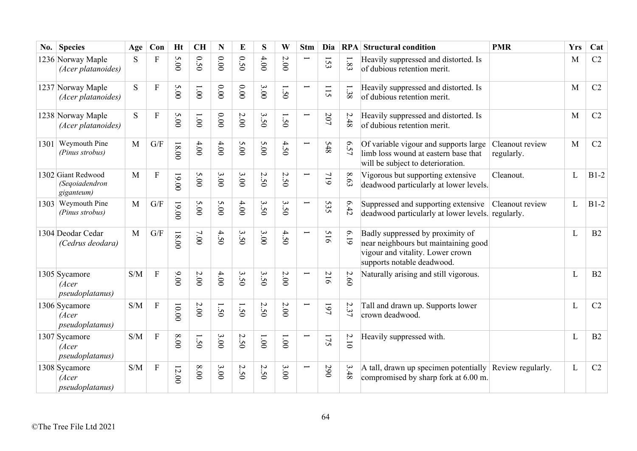| $\bf{No.}$ | <b>Species</b>                                     | Age | Con          | <b>Ht</b> | <b>CH</b> | $\mathbf N$ | E                         | S                                | W     | <b>Stm</b>               | Dia                                                   |                    | <b>RPA</b> Structural condition                                                                                                            | <b>PMR</b>                    | <b>Yrs</b> | Cat    |
|------------|----------------------------------------------------|-----|--------------|-----------|-----------|-------------|---------------------------|----------------------------------|-------|--------------------------|-------------------------------------------------------|--------------------|--------------------------------------------------------------------------------------------------------------------------------------------|-------------------------------|------------|--------|
|            | 1236 Norway Maple<br>(Acer platanoides)            | S   | $\mathbf{F}$ | 5.00      | 0.50      | 0.00        | 0.50                      | 4.00                             | 2.00  |                          | 153                                                   | 1.83               | Heavily suppressed and distorted. Is<br>of dubious retention merit.                                                                        |                               | M          | C2     |
|            | 1237 Norway Maple<br>(Acer platanoides)            | S.  | $\mathbf F$  | 5.00      | 1.00      | 0.00        | 0.00                      | 3.00                             | 1.50  |                          | 115                                                   | $1.38\,$           | Heavily suppressed and distorted. Is<br>of dubious retention merit.                                                                        |                               | M          | C2     |
|            | 1238 Norway Maple<br>(Acer platanoides)            | S.  | $\mathbf F$  | 5.00      | 1.001     | 0.00        | 2.00                      | 3.50                             | 1.50  |                          | 207                                                   | 2.48               | Heavily suppressed and distorted. Is<br>of dubious retention merit.                                                                        |                               | M          | C2     |
|            | 1301 Weymouth Pine<br>(Pinus strobus)              | M   | G/F          | $18.00$   | $4.00$    | 4.00        | 5.00                      | 5.00                             | 4.50  |                          | <b>S48</b>                                            | $\mathsf{S}$<br>57 | Of variable vigour and supports large<br>limb loss wound at eastern base that<br>will be subject to deterioration.                         | Cleanout review<br>regularly. | M          | C2     |
|            | 1302 Giant Redwood<br>(Seqoiadendron<br>giganteum) | M   | $\mathbf F$  | $19.00$   | 5.00      | 3.00        | 3.00                      | 2.50                             | 2.50  |                          | 719                                                   | $\infty$<br>63     | Vigorous but supporting extensive<br>deadwood particularly at lower levels.                                                                | Cleanout.                     | L          | $B1-2$ |
|            | 1303 Weymouth Pine<br>(Pinus strobus)              | M   | G/F          | $19.00$   | 5.00      | 5.00        | 4.00                      | $\mathbf{\hat{z}}$<br>$\ddot{5}$ | 3.50  | $\overline{\phantom{0}}$ | 535                                                   | 6.42               | Suppressed and supporting extensive<br>deadwood particularly at lower levels.                                                              | Cleanout review<br>regularly. | L          | $B1-2$ |
|            | 1304 Deodar Cedar<br>(Cedrus deodara)              | M   | G/F          | $18.00$   | 7.00      | 4.50        | 3.50                      | 3.00                             | 4.50  |                          | 516                                                   | 6.19               | Badly suppressed by proximity of<br>near neighbours but maintaining good<br>vigour and vitality. Lower crown<br>supports notable deadwood. |                               | L          | B2     |
|            | 1305 Sycamore<br>(Acer<br><i>pseudoplatanus</i> )  | S/M | $\mathbf F$  | 00'6      | $2.00\,$  | 4.00        | 3.50                      | 3.50                             | 2.00  |                          | $\mathcal{L}$<br>$\overline{\phantom{a}}$<br>$\sigma$ | 2.60               | Naturally arising and still vigorous.                                                                                                      |                               | L          | B2     |
|            | 1306 Sycamore<br>(Acer<br><i>pseudoplatanus</i> )  | S/M | $\mathbf F$  | 00.00     | 2.00      | 1.50        | 1.50                      | Ņ<br>$\dot{5}0$                  | 2.00  |                          | 197                                                   | 2.37               | Tall and drawn up. Supports lower<br>crown deadwood.                                                                                       |                               | L          | C2     |
|            | 1307 Sycamore<br>(Acer<br><i>pseudoplatanus</i> )  | S/M | ${\bf F}$    | 00.8      | 1.50      | 3.00        | 2.50                      | 1.001                            | 1.001 | Ī                        | 175                                                   | 2.10               | Heavily suppressed with.                                                                                                                   |                               | L          | B2     |
|            | 1308 Sycamore<br>(Acer<br>pseudoplatanus)          | S/M | $\mathbf F$  | 12.00     | $0.00$    | 3.00        | $\sim$<br>$\overline{50}$ | 2.50                             | 3.00  |                          | 290                                                   | 3.48               | A tall, drawn up specimen potentially<br>compromised by sharp fork at 6.00 m.                                                              | Review regularly.             | L          | C2     |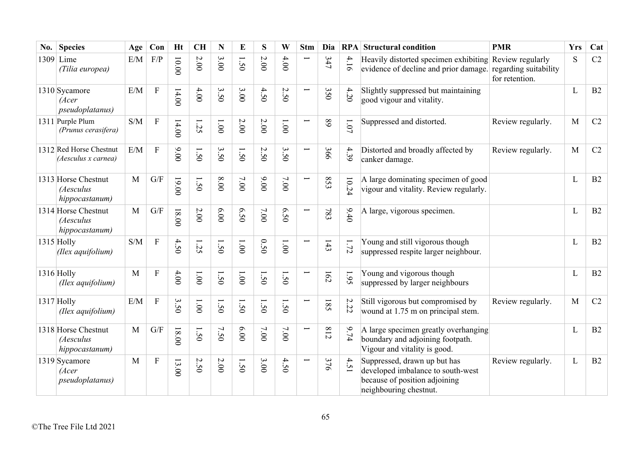| No. | <b>Species</b>                                     | Age          | Con            | <b>Ht</b>                           | <b>CH</b> | N      | E            | S               | W            | <b>Stm</b>               | Dia |                 | <b>RPA</b> Structural condition                                                                                              | <b>PMR</b>                              | <b>Yrs</b> | Cat |
|-----|----------------------------------------------------|--------------|----------------|-------------------------------------|-----------|--------|--------------|-----------------|--------------|--------------------------|-----|-----------------|------------------------------------------------------------------------------------------------------------------------------|-----------------------------------------|------------|-----|
|     | $1309$ Lime<br>(Tilia europea)                     | E/M          | F/P            | 10.00                               | $2.00$    | 3.00   | 1.50         | 2.00            | 4.00         |                          | 347 | 4.1<br>$\sigma$ | Heavily distorted specimen exhibiting Review regularly<br>evidence of decline and prior damage.                              | regarding suitability<br>for retention. | S          | C2  |
|     | 1310 Sycamore<br>(Acer<br><i>pseudoplatanus</i> )  | E/M          | ${\bf F}$      | 14.00                               | 4.00      | 3.50   | 3.00         | 4.50            | 2.50         | $\overline{}$            | 350 | 4.20            | Slightly suppressed but maintaining<br>good vigour and vitality.                                                             |                                         | L          | B2  |
|     | 1311 Purple Plum<br>(Prunus cerasifera)            | S/M          | ${\bf F}$      | 14.00                               | 25        | 1.001  | 2.00         | 2.00            | $00^{\circ}$ |                          | 89  | $1.07\,$        | Suppressed and distorted.                                                                                                    | Review regularly.                       | M          | C2  |
|     | 1312 Red Horse Chestnut<br>(Aesculus x carnea)     | E/M          | $\overline{F}$ | 9.00                                | 1.50      | 3.50   | 1.50         | Ņ<br>$\dot{5}0$ | 3.50         | $\overline{\phantom{0}}$ | 366 | 4.39            | Distorted and broadly affected by<br>canker damage.                                                                          | Review regularly.                       | M          | C2  |
|     | 1313 Horse Chestnut<br>(Aesculus<br>hippocastanum) | $\mathbf{M}$ | G/F            | 19.00                               | 1.50      | 8.00   | 7.00         | 9.00            | 7.00         | $\overline{}$            | 853 | 10.24           | A large dominating specimen of good<br>vigour and vitality. Review regularly.                                                |                                         | L          | B2  |
|     | 1314 Horse Chestnut<br>(Aesculus<br>hippocastanum) | M            | G/F            | $18.00$                             | 2.00      | 6.00   | 6.50         | 7.00            | 6.50         |                          | 783 | 9.40            | A large, vigorous specimen.                                                                                                  |                                         | L          | B2  |
|     | $1315$ Holly<br>(Ilex aquifolium)                  | S/M          | $\overline{F}$ | 4.50                                | 1.25      | 1.50   | $00^{\circ}$ | 0.50            | 1.00         |                          | 143 | 1.72            | Young and still vigorous though<br>suppressed respite larger neighbour.                                                      |                                         | L          | B2  |
|     | 1316 Holly<br>(Ilex aquifolium)                    | M            | $\overline{F}$ | 4.00                                | 1.00      | 1.50   | $00^{\circ}$ | 1.50            | 1.50         |                          | 162 | 1.95            | Young and vigorous though<br>suppressed by larger neighbours                                                                 |                                         | L          | B2  |
|     | 1317 Holly<br>(Ilex aquifolium)                    | E/M          | $\mathbf{F}$   | $\boldsymbol{\omega}$<br>$\dot{50}$ | 1.001     | 50     | 1.50         | $\dot{50}$      | 50           |                          | 185 | $\sim$<br>52    | Still vigorous but compromised by<br>wound at 1.75 m on principal stem.                                                      | Review regularly.                       | M          | C2  |
|     | 1318 Horse Chestnut<br>(Aesculus<br>hippocastanum) | M            | G/F            | $18.00$                             | 1.50      | 7.50   | 6.00         | 7.00            | 7.00         | $\overline{\phantom{0}}$ | 812 | 9.74            | A large specimen greatly overhanging<br>boundary and adjoining footpath.<br>Vigour and vitality is good.                     |                                         | L          | B2  |
|     | 1319 Sycamore<br>(Acer<br>pseudoplatanus)          | M            | $\overline{F}$ | 13.00                               | 2.50      | $2.00$ | 1.50         | 3.00            | 4.50         |                          | 376 | 4.51            | Suppressed, drawn up but has<br>developed imbalance to south-west<br>because of position adjoining<br>neighbouring chestnut. | Review regularly.                       | L          | B2  |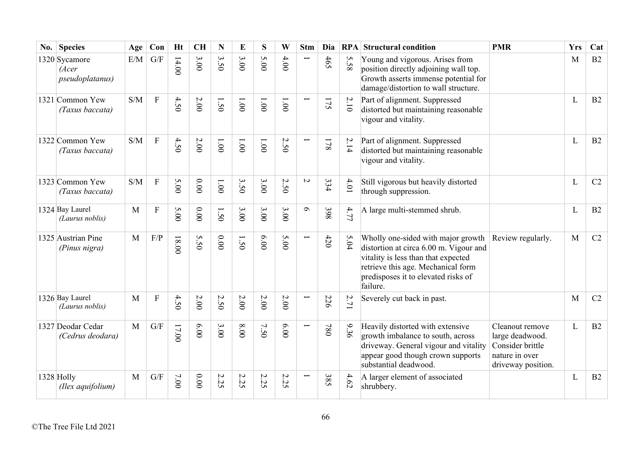| $\bf{No.}$ | <b>Species</b>                            | Age          | Con            | <b>Ht</b> | <b>CH</b> | N                           | E                                       | S     | W                                       | <b>Stm</b>               | Dia |        | <b>RPA</b> Structural condition                                                                                                                                                                              | <b>PMR</b>                                                                                     | <b>Yrs</b> | Cat |
|------------|-------------------------------------------|--------------|----------------|-----------|-----------|-----------------------------|-----------------------------------------|-------|-----------------------------------------|--------------------------|-----|--------|--------------------------------------------------------------------------------------------------------------------------------------------------------------------------------------------------------------|------------------------------------------------------------------------------------------------|------------|-----|
|            | 1320 Sycamore<br>(Acer<br>pseudoplatanus) | E/M          | G/F            | 14.00     | 3.00      | $\boldsymbol{\omega}$<br>50 | 3.00                                    | 5.00  | 4.00                                    |                          | 465 | 5.58   | Young and vigorous. Arises from<br>position directly adjoining wall top.<br>Growth asserts immense potential for<br>damage/distortion to wall structure.                                                     |                                                                                                | M          | B2  |
|            | 1321 Common Yew<br>(Taxus baccata)        | S/M          | $\mathbf{F}$   | 4.50      | $2.00$    | 1.50                        | $00^{\circ}$                            | 1.001 | 1.001                                   |                          | 175 | $2.10$ | Part of alignment. Suppressed<br>distorted but maintaining reasonable<br>vigour and vitality.                                                                                                                |                                                                                                | L          | B2  |
|            | 1322 Common Yew<br>(Taxus baccata)        | S/M          | $\overline{F}$ | 4.50      | $2.00$    | 00'1                        | 00'1                                    | 1.001 | 2.50                                    |                          | 178 | 2.14   | Part of alignment. Suppressed<br>distorted but maintaining reasonable<br>vigour and vitality.                                                                                                                |                                                                                                | L          | B2  |
|            | 1323 Common Yew<br>(Taxus baccata)        | S/M          | $\overline{F}$ | 5.00      | $0.00$    | 1.00                        | $\boldsymbol{\omega}$<br>$\dot{50}$     | 3.00  | $\boldsymbol{\mathsf{c}}$<br>$\ddot{5}$ | $\sim$                   | 334 | 4.01   | Still vigorous but heavily distorted<br>through suppression.                                                                                                                                                 |                                                                                                | L          | C2  |
|            | 1324 Bay Laurel<br>(Laurus noblis)        | M            | F              | 5.00      | 0.00      | $\dot{50}$                  | 3.00                                    | 3.00  | 3.00                                    | $\sigma$                 | 398 | 4.77   | A large multi-stemmed shrub.                                                                                                                                                                                 |                                                                                                | L          | B2  |
|            | 1325 Austrian Pine<br>(Pinus nigra)       | $\mathbf{M}$ | F/P            | $18.00$   | S<br>50   | 0.00                        | $\overline{\phantom{0}}$<br>$\tilde{S}$ | 6.00  | 5.00                                    | $\overline{\phantom{0}}$ | 420 | 5.04   | Wholly one-sided with major growth<br>distortion at circa 6.00 m. Vigour and<br>vitality is less than that expected<br>retrieve this age. Mechanical form<br>predisposes it to elevated risks of<br>failure. | Review regularly.                                                                              | M          | C2  |
|            | 1326 Bay Laurel<br>(Laurus noblis)        | M            | ${\bf F}$      | 4.50      | $2.00$    | $\sim$<br>50                | $2.00$                                  | 2.00  | $2.00$                                  |                          | 226 | 2.71   | Severely cut back in past.                                                                                                                                                                                   |                                                                                                | M          | C2  |
|            | 1327 Deodar Cedar<br>(Cedrus deodara)     | $\mathbf{M}$ | G/F            | $17.00$   | 6.00      | 3.00                        | 00.8                                    | 7.50  | 6.00                                    | $\overline{\phantom{0}}$ | 780 | 9.36   | Heavily distorted with extensive<br>growth imbalance to south, across<br>driveway. General vigour and vitality<br>appear good though crown supports<br>substantial deadwood.                                 | Cleanout remove<br>large deadwood.<br>Consider brittle<br>nature in over<br>driveway position. | L          | B2  |
|            | 1328 Holly<br>(Ilex aquifolium)           | M            | G/F            | 7.00      | 0.00      | $\mathcal{L}$<br>52         | 2.25                                    | 2.25  | Ņ<br>52                                 |                          | 385 | 4.62   | A larger element of associated<br>shrubbery.                                                                                                                                                                 |                                                                                                | L          | B2  |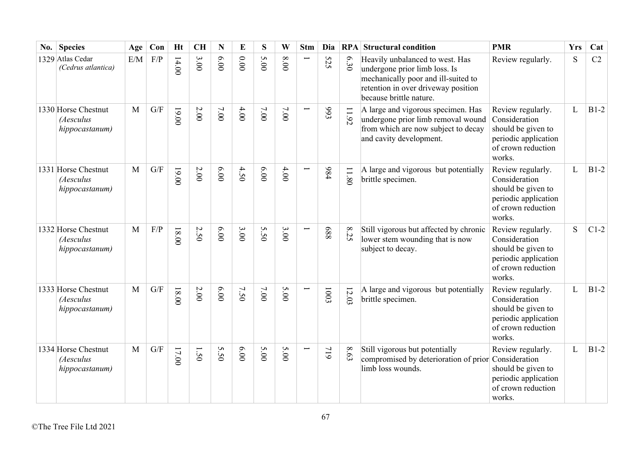| No. | <b>Species</b>                                     | Age          | Con                     | <b>Ht</b> | <b>CH</b> | $\mathbf N$ | E    | S      | W    | <b>Stm</b>               | Dia        |                | <b>RPA</b> Structural condition                                                                                                                                           | <b>PMR</b>                                                                                                       | <b>Yrs</b> | Cat    |
|-----|----------------------------------------------------|--------------|-------------------------|-----------|-----------|-------------|------|--------|------|--------------------------|------------|----------------|---------------------------------------------------------------------------------------------------------------------------------------------------------------------------|------------------------------------------------------------------------------------------------------------------|------------|--------|
|     | 1329 Atlas Cedar<br>(Cedrus atlantica)             | E/M          | F/P                     | 14.00     | 3.00      | 00'9        | 0.00 | 5.00   | 00.8 |                          | 525        | 6.30           | Heavily unbalanced to west. Has<br>undergone prior limb loss. Is<br>mechanically poor and ill-suited to<br>retention in over driveway position<br>because brittle nature. | Review regularly.                                                                                                | S          | C2     |
|     | 1330 Horse Chestnut<br>(Aesculus<br>hippocastanum) | $\mathbf{M}$ | G/F                     | $00.00$   | $2.00$    | 7.00        | 4.00 | 7.00   | 7.00 |                          | £66        | 11.92          | A large and vigorous specimen. Has<br>undergone prior limb removal wound<br>from which are now subject to decay<br>and cavity development.                                | Review regularly.<br>Consideration<br>should be given to<br>periodic application<br>of crown reduction<br>works. | L          | $B1-2$ |
|     | 1331 Horse Chestnut<br>(Aesculus<br>hippocastanum) | M            | G/F                     | $19.00$   | $2.00\,$  | 00'9        | 4.50 | 6.00   | 4.00 |                          | 984        | 11.80          | A large and vigorous but potentially<br>brittle specimen.                                                                                                                 | Review regularly.<br>Consideration<br>should be given to<br>periodic application<br>of crown reduction<br>works. | L          | $B1-2$ |
|     | 1332 Horse Chestnut<br>(Aesculus<br>hippocastanum) | M            | F/P                     | $18.00$   | 2.50      | 00'9        | 3.00 | 5.50   | 3.00 |                          | 889        | $\infty$<br>32 | Still vigorous but affected by chronic<br>lower stem wounding that is now<br>subject to decay.                                                                            | Review regularly.<br>Consideration<br>should be given to<br>periodic application<br>of crown reduction<br>works. | S          | $C1-2$ |
|     | 1333 Horse Chestnut<br>(Aesculus<br>hippocastanum) | M            | $\mathrm{G}/\mathrm{F}$ | $18.00$   | $2.00$    | 6.00        | 7.50 | $7.00$ | 5.00 | $\overline{\phantom{0}}$ | 1003       | 12.03          | A large and vigorous but potentially<br>brittle specimen.                                                                                                                 | Review regularly.<br>Consideration<br>should be given to<br>periodic application<br>of crown reduction<br>works. | L          | $B1-2$ |
|     | 1334 Horse Chestnut<br>(Aesculus<br>hippocastanum) | $\mathbf{M}$ | $\mathrm{G}/\mathrm{F}$ | 17.00     | 1.50      | 5.50        | 6.00 | 5.00   | 5.00 | $\overline{\phantom{0}}$ | <b>917</b> | 8.63           | Still vigorous but potentially<br>compromised by deterioration of prior<br>limb loss wounds.                                                                              | Review regularly.<br>Consideration<br>should be given to<br>periodic application<br>of crown reduction<br>works. | L          | $B1-2$ |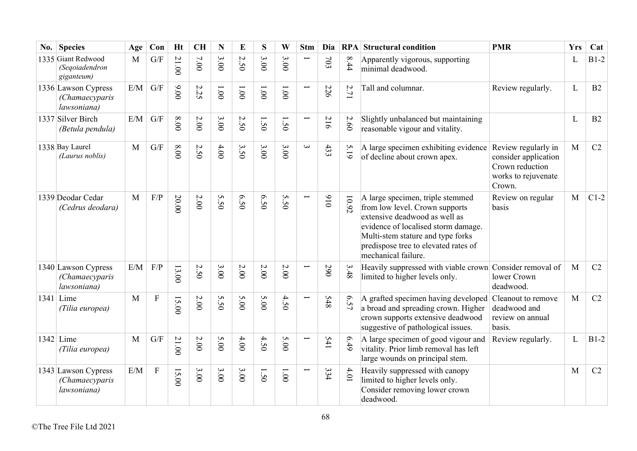| No. | <b>Species</b>                                       | Age | Con            | <b>Ht</b> | <b>CH</b> | N                    | E                                   | S          | W        | <b>Stm</b>               | Dia |                              | <b>RPA</b> Structural condition                                                                                                                                                                                                                | <b>PMR</b>                                                                                      | <b>Yrs</b> | Cat    |
|-----|------------------------------------------------------|-----|----------------|-----------|-----------|----------------------|-------------------------------------|------------|----------|--------------------------|-----|------------------------------|------------------------------------------------------------------------------------------------------------------------------------------------------------------------------------------------------------------------------------------------|-------------------------------------------------------------------------------------------------|------------|--------|
|     | 1335 Giant Redwood<br>(Segoiadendron<br>giganteum)   | M   | G/F            | 21.00     | 7.00      | 3.00                 | $\boldsymbol{\omega}$<br>$\dot{5}0$ | 3.00       | 3.00     |                          | 703 | $\infty$<br>$\ddot{44}$      | Apparently vigorous, supporting<br>minimal deadwood.                                                                                                                                                                                           |                                                                                                 | L          | $B1-2$ |
|     | 1336 Lawson Cypress<br>(Chamaecyparis<br>lawsoniana) | E/M | G/F            | 9.00      | 2.25      | 1.001                | 1.001                               | 1.001      | 1.001    | $\overline{\phantom{0}}$ | 226 | 2.71                         | Tall and columnar.                                                                                                                                                                                                                             | Review regularly.                                                                               | L          | B2     |
|     | 1337 Silver Birch<br>(Betula pendula)                | E/M | G/F            | 00.8      | $2.00$    | 3.00                 | 2.50                                | $\ddot{S}$ | 1.50     |                          | 216 | 2.60                         | Slightly unbalanced but maintaining<br>reasonable vigour and vitality.                                                                                                                                                                         |                                                                                                 | L          | B2     |
|     | 1338 Bay Laurel<br>(Laurus noblis)                   | M   | G/F            | $00.8\,$  | 2.50      | $4.00$               | 3.50                                | 3.00       | 3.00     | $\omega$                 | 433 | 5.19                         | A large specimen exhibiting evidence<br>of decline about crown apex.                                                                                                                                                                           | Review regularly in<br>consider application<br>Crown reduction<br>works to rejuvenate<br>Crown. | M          | C2     |
|     | 1339 Deodar Cedar<br>(Cedrus deodara)                | M   | F/P            | 20.00     | 2.00      | S<br>$\overline{50}$ | 6.50                                | 6.50       | S<br>50  |                          | 016 | 10.92                        | A large specimen, triple stemmed<br>from low level. Crown supports<br>extensive deadwood as well as<br>evidence of localised storm damage.<br>Multi-stem stature and type forks<br>predispose tree to elevated rates of<br>mechanical failure. | Review on regular<br>basis                                                                      | M          | $C1-2$ |
|     | 1340 Lawson Cypress<br>(Chamaecyparis<br>lawsoniana) | E/M | F/P            | 13.00     | 2.50      | 3.00                 | 2.00                                | 2.00       | $2.00\,$ |                          | 290 | 3.48                         | Heavily suppressed with viable crown Consider removal of<br>limited to higher levels only.                                                                                                                                                     | lower Crown<br>deadwood.                                                                        | M          | C2     |
|     | $1341$ Lime<br>(Tilia europea)                       | M   | $\overline{F}$ | 15.00     | 2.00      | S<br>50              | 5.00                                | 5.00       | 4.50     |                          | 548 | $\mathbf{\hat{p}}$<br>ن<br>2 | A grafted specimen having developed<br>a broad and spreading crown. Higher<br>crown supports extensive deadwood<br>suggestive of pathological issues.                                                                                          | Cleanout to remove<br>deadwood and<br>review on annual<br>basis.                                | M          | C2     |
|     | $1342$ Lime<br>(Tilia europea)                       | M   | G/F            | 21.00     | 2.00      | 5.00                 | 4.00                                | 4.50       | 5.00     |                          | 541 | 6.49                         | A large specimen of good vigour and<br>vitality. Prior limb removal has left<br>large wounds on principal stem.                                                                                                                                | Review regularly.                                                                               | L          | $B1-2$ |
|     | 1343 Lawson Cypress<br>(Chamaecyparis<br>lawsoniana) | E/M | ${\bf F}$      | 15.00     | 3.00      | 3.00                 | 3.00                                | 1.50       | 1.00     |                          | 334 | 4.01                         | Heavily suppressed with canopy<br>limited to higher levels only.<br>Consider removing lower crown<br>deadwood.                                                                                                                                 |                                                                                                 | M          | C2     |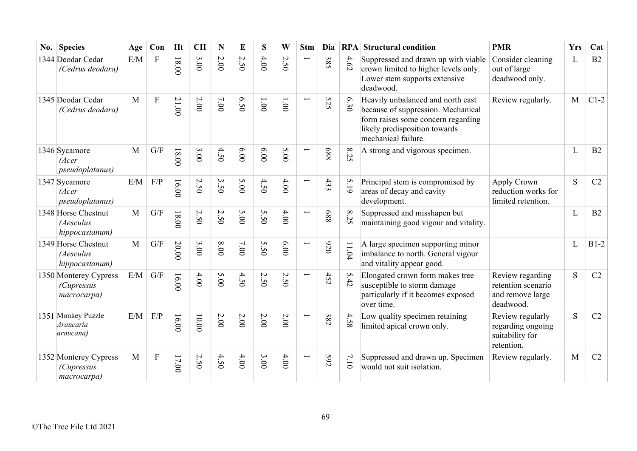| No. | <b>Species</b>                                            | Age          | Con          | <b>Ht</b> | <b>CH</b>    | N                                         | E      | S                    | W                                  | <b>Stm</b> | Dia |         | <b>RPA</b> Structural condition                                                                                                                                       | <b>PMR</b>                                                              | <b>Yrs</b>   | Cat    |
|-----|-----------------------------------------------------------|--------------|--------------|-----------|--------------|-------------------------------------------|--------|----------------------|------------------------------------|------------|-----|---------|-----------------------------------------------------------------------------------------------------------------------------------------------------------------------|-------------------------------------------------------------------------|--------------|--------|
|     | 1344 Deodar Cedar<br>(Cedrus deodara)                     | E/M          | $\mathbf F$  | $18.00$   | 3.00         | 2.00                                      | 2.50   | 4.00                 | $\mathcal{L}$<br>50                | Ë          | 385 | 4.62    | Suppressed and drawn up with viable<br>crown limited to higher levels only.<br>Lower stem supports extensive<br>deadwood.                                             | Consider cleaning<br>out of large<br>deadwood only.                     | L            | B2     |
|     | 1345 Deodar Cedar<br>(Cedrus deodara)                     | M            | $\mathbf{F}$ | 21.00     | $2.00$       | 7.00                                      | 6.50   | 1.001                | 1.001                              |            | 525 | 6.30    | Heavily unbalanced and north east<br>because of suppression. Mechanical<br>form raises some concern regarding<br>likely predisposition towards<br>mechanical failure. | Review regularly.                                                       | M            | $C1-2$ |
|     | 1346 Sycamore<br>(Acer<br><i>pseudoplatanus</i> )         | M            | G/F          | $18.00$   | 3.00         | 4.50                                      | 6.00   | 6.00                 | 5.00                               |            | 889 | 8.25    | A strong and vigorous specimen.                                                                                                                                       |                                                                         | L            | B2     |
|     | 1347 Sycamore<br>(Acer<br><i>pseudoplatanus</i> )         | E/M          | F/P          | 16.00     | $\sim$<br>50 | 3.50                                      | 5.00   | 4.50                 | 4.00                               | Ī          | 433 | 5.19    | Principal stem is compromised by<br>areas of decay and cavity<br>development.                                                                                         | Apply Crown<br>reduction works for<br>limited retention.                | S            | C2     |
|     | 1348 Horse Chestnut<br>(Aesculus<br>hippocastanum)        | $\mathbf{M}$ | G/F          | $00.81$   | $\sim$<br>50 | $\boldsymbol{\mathsf{c}}$<br>$\tilde{S}0$ | 5.00   | S<br>50              | $4.00$                             | ⊢          | 889 | 8.25    | Suppressed and misshapen but<br>maintaining good vigour and vitality.                                                                                                 |                                                                         | $\mathbf{L}$ | B2     |
|     | 1349 Horse Chestnut<br>(Aesculus<br>hippocastanum)        | M            | G/F          | 20.00     | 3.00         | 00.8                                      | $7.00$ | S<br>$\ddot{S}$      | 6.00                               | Ē          | 076 | $11.04$ | A large specimen supporting minor<br>imbalance to north. General vigour<br>and vitality appear good.                                                                  |                                                                         | L            | $B1-2$ |
|     | 1350 Monterey Cypress<br><i>(Cupressus</i><br>macrocarpa) | E/M          | G/F          | 16.00     | 4.00         | 5.00                                      | 4.50   | $\sim$<br>$\dot{50}$ | $\boldsymbol{\omega}$<br>$\dot{S}$ | Ē.         | 452 | 5.42    | Elongated crown form makes tree<br>susceptible to storm damage<br>particularly if it becomes exposed<br>over time.                                                    | Review regarding<br>retention scenario<br>and remove large<br>deadwood. | S            | C2     |
|     | 1351 Monkey Puzzle<br>Araucaria<br>araucana)              | E/M          | $\rm F/P$    | 16.00     | $00.00$      | 2.00                                      | 2.00   | $2.00$               | 2.00                               | ╾          | 382 | 4.58    | Low quality specimen retaining<br>limited apical crown only.                                                                                                          | Review regularly<br>regarding ongoing<br>suitability for<br>retention.  | S            | C2     |
|     | 1352 Monterey Cypress<br>(Cupressus<br>macrocarpa)        | M            | ${\bf F}$    | 17.00     | 2.50         | 4.50                                      | 4.00   | 3.00                 | 4.00                               |            | 592 | 7.10    | Suppressed and drawn up. Specimen<br>would not suit isolation.                                                                                                        | Review regularly.                                                       | M            | C2     |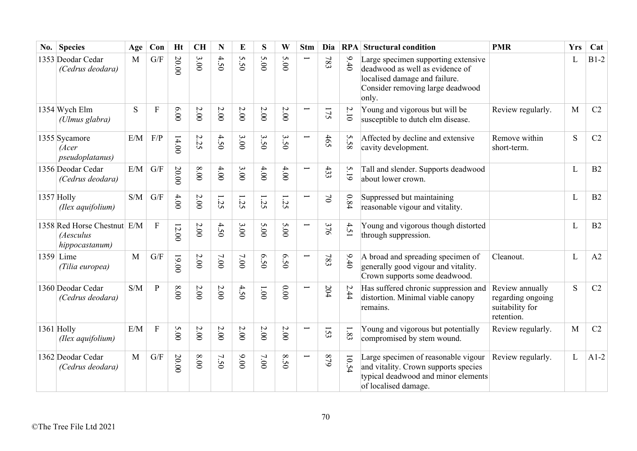| No. | <b>Species</b>                                             | Age | Con                     | <b>Ht</b> | <b>CH</b> | N        | E                 | S      | W        | <b>Stm</b>               | Dia       |          | <b>RPA</b> Structural condition                                                                                                                      | <b>PMR</b>                                                            | <b>Yrs</b> | Cat            |
|-----|------------------------------------------------------------|-----|-------------------------|-----------|-----------|----------|-------------------|--------|----------|--------------------------|-----------|----------|------------------------------------------------------------------------------------------------------------------------------------------------------|-----------------------------------------------------------------------|------------|----------------|
|     | 1353 Deodar Cedar<br>(Cedrus deodara)                      | M   | G/F                     | 20.00     | 3.00      | 4.50     | S<br>$\tilde{S}0$ | 5.00   | 5.00     | Ī                        | 783       | 9.40     | Large specimen supporting extensive<br>deadwood as well as evidence of<br>localised damage and failure.<br>Consider removing large deadwood<br>only. |                                                                       | L          | $B1-2$         |
|     | 1354 Wych Elm<br>(Ulmus glabra)                            | S   | $\mathbf{F}$            | 6.00      | $2.00$    | $2.00\,$ | $2.00$            | 2.00   | 2.00     |                          | 175       | $2.10$   | Young and vigorous but will be<br>susceptible to dutch elm disease.                                                                                  | Review regularly.                                                     | M          | C2             |
|     | 1355 Sycamore<br>(Acer<br><i>pseudoplatanus</i> )          | E/M | F/P                     | 14.00     | 2.25      | 4.50     | 3.00              | 3.50   | 3.50     |                          | 465       | S<br>.58 | Affected by decline and extensive<br>cavity development.                                                                                             | Remove within<br>short-term.                                          | S          | C2             |
|     | 1356 Deodar Cedar<br>(Cedrus deodara)                      | E/M | G/F                     | 20.00     | $0.00$    | $4.00$   | 3.00              | 4.00   | 4.00     |                          | 433       | 5.19     | Tall and slender. Supports deadwood<br>about lower crown.                                                                                            |                                                                       | L          | B2             |
|     | 1357 Holly<br>(Ilex aquifolium)                            | S/M | G/F                     | 4.00      | $2.00$    | 1.25     | 1.25              | 35     | 1.25     |                          | $\gtrsim$ | 0.84     | Suppressed but maintaining<br>reasonable vigour and vitality.                                                                                        |                                                                       | L          | B2             |
|     | 1358 Red Horse Chestnut E/M<br>(Aesculus<br>hippocastanum) |     | $\mathbf{F}$            | 12.00     | 2.00      | 4.50     | 3.00              | 5.00   | 5.00     |                          | 376       | 4.51     | Young and vigorous though distorted<br>through suppression.                                                                                          |                                                                       | L          | B2             |
|     | $1359$ Lime<br>(Tilia europea)                             | M   | $\mathrm{G}/\mathrm{F}$ | 19.00     | 2.00      | 7.00     | 7.00              | 6.50   | 6.50     | Ī                        | 783       | 9.40     | A broad and spreading specimen of<br>generally good vigour and vitality.<br>Crown supports some deadwood.                                            | Cleanout.                                                             | L          | A2             |
|     | 1360 Deodar Cedar<br>(Cedrus deodara)                      | S/M | $\mathbf{P}$            | 00.8      | 2.00      | $2.00$   | 4.50              | 00'1   | 0.00     |                          | 204       | 2.44     | Has suffered chronic suppression and<br>distortion. Minimal viable canopy<br>remains.                                                                | Review annually<br>regarding ongoing<br>suitability for<br>retention. | S          | C2             |
|     | 1361 Holly<br>(Ilex aquifolium)                            | E/M | $\mathbf{F}$            | 5.00      | $2.00$    | $2.00\,$ | 2.00              | 2.00   | $2.00\,$ | $\overline{\phantom{0}}$ | 153       | 1.83     | Young and vigorous but potentially<br>compromised by stem wound.                                                                                     | Review regularly.                                                     | M          | C <sub>2</sub> |
|     | 1362 Deodar Cedar<br>(Cedrus deodara)                      | M   | G/F                     | 20.00     | $8.00$    | 7.50     | 00.00             | $7.00$ | 8.50     | Ī                        | 679       | 10.54    | Large specimen of reasonable vigour<br>and vitality. Crown supports species<br>typical deadwood and minor elements<br>of localised damage.           | Review regularly.                                                     | L          | $A1-2$         |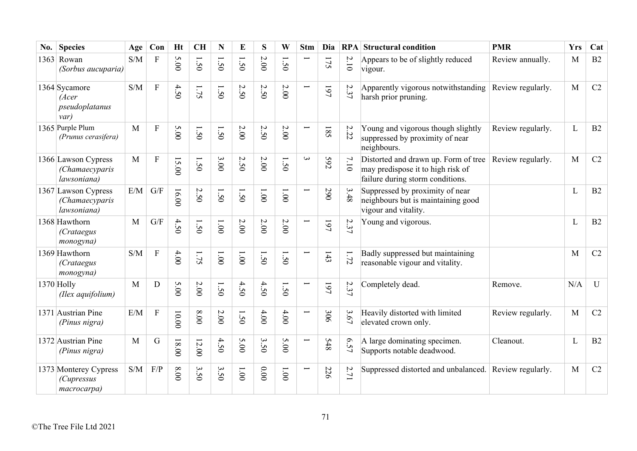| No. | <b>Species</b>                                       | Age          | Con            | <b>Ht</b> | <b>CH</b>                         | N                                       | E            | S                        | W              | <b>Stm</b>               | Dia | RPA                 | <b>Structural condition</b>                                                                                   | <b>PMR</b>        | <b>Yrs</b> | Cat          |
|-----|------------------------------------------------------|--------------|----------------|-----------|-----------------------------------|-----------------------------------------|--------------|--------------------------|----------------|--------------------------|-----|---------------------|---------------------------------------------------------------------------------------------------------------|-------------------|------------|--------------|
|     | $1363$ Rowan<br>(Sorbus aucuparia)                   | S/M          | $\rm F$        | 5.00      | $\mathcal{S}^{\mathcal{C}}$       | $\overline{\phantom{0}}$<br>$\ddot{5}0$ | $\dot{S}$    | 2.00                     | 50             |                          | 175 | $2.10$              | Appears to be of slightly reduced<br>vigour.                                                                  | Review annually.  | M          | B2           |
|     | 1364 Sycamore<br>(Acer<br>pseudoplatanus<br>var)     | S/M          | ${\bf F}$      | 4.50      | 1.75                              | 1.50                                    | 2.50         | 2.50                     | $2.00$         | $\overline{\phantom{0}}$ | 197 | $\mathcal{L}$<br>37 | Apparently vigorous notwithstanding<br>harsh prior pruning.                                                   | Review regularly. | M          | C2           |
|     | 1365 Purple Plum<br>(Prunus cerasifera)              | M            | ${\bf F}$      | 5.00      | 1.50                              | 1.50                                    | 2.00         | 2.50                     | 2.00           |                          | 185 | 2.22                | Young and vigorous though slightly<br>suppressed by proximity of near<br>neighbours.                          | Review regularly. | L          | B2           |
|     | 1366 Lawson Cypress<br>(Chamaecyparis<br>lawsoniana) | M            | ${\bf F}$      | 15.00     | $\tilde{S}$                       | 3.00                                    | 2.50         | 2.00                     | 50             | $\omega$                 | 592 | 7.10                | Distorted and drawn up. Form of tree<br>may predispose it to high risk of<br>failure during storm conditions. | Review regularly. | M          | C2           |
|     | 1367 Lawson Cypress<br>(Chamaecyparis<br>lawsoniana) | E/M          | G/F            | 16.00     | 2.50                              | 1.50                                    | 1.50         | 1.001                    | 1.00           | $\overline{\phantom{0}}$ | 290 | 3.48                | Suppressed by proximity of near<br>neighbours but is maintaining good<br>vigour and vitality.                 |                   | L          | B2           |
|     | 1368 Hawthorn<br><i>(Crataegus</i><br>monogyna)      | $\mathbf{M}$ | G/F            | 4.50      | 1.50                              | 1.00                                    | 2.00         | 2.00                     | 2.00           |                          | 161 | 2.37                | Young and vigorous.                                                                                           |                   | L          | B2           |
|     | 1369 Hawthorn<br><i>(Crataegus</i><br>monogyna)      | S/M          | ${\bf F}$      | 4.00      | 1.75                              | 1.00                                    | 1.00         | Ī<br>$\dot{50}$          | $\ddot{5}$     | $\overline{\phantom{0}}$ | 143 | 1.72                | Badly suppressed but maintaining<br>reasonable vigour and vitality.                                           |                   | M          | C2           |
|     | 1370 Holly<br>(Ilex aquifolium)                      | M            | D              | 5.00      | $2.00$                            | $\tilde{50}$                            | 4.50         | 4.50                     | 1.50           |                          | 197 | 2.37                | Completely dead.                                                                                              | Remove.           | N/A        | $\mathbf{U}$ |
|     | 1371 Austrian Pine<br>(Pinus nigra)                  | E/M          | $\overline{F}$ | 10.00     | 00.8                              | 2.00                                    | 1.50         | 4.00                     | 4.00           |                          | 306 | 3.67                | Heavily distorted with limited<br>elevated crown only.                                                        | Review regularly. | M          | C2           |
|     | 1372 Austrian Pine<br>(Pinus nigra)                  | M            | G              | $18.00$   | 12.00                             | 4.50                                    | 5.00         | $\epsilon$<br>$\dot{5}0$ | 5.00           | $\overline{\phantom{0}}$ | 548 | 6.57                | A large dominating specimen.<br>Supports notable deadwood.                                                    | Cleanout.         | L          | B2           |
|     | 1373 Monterey Cypress<br>(Cupressus<br>macrocarpa)   | S/M          | F/P            | $00.8\,$  | $\mathbf{\omega}$<br>$\tilde{S}0$ | $\mathbf{\hat{z}}$<br>$\overline{50}$   | $00^{\circ}$ | 0.00                     | $00^{\circ}$ l | $\overline{\phantom{0}}$ | 226 | 2.71                | Suppressed distorted and unbalanced.                                                                          | Review regularly. | M          | C2           |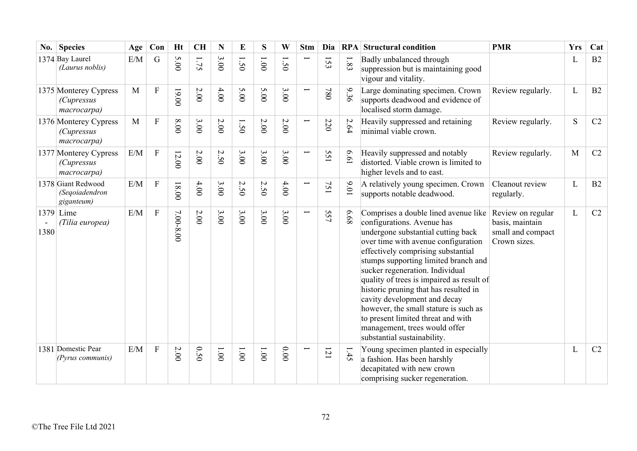| $\bf{No.}$ | <b>Species</b>                                            | Age | Con            | <b>Ht</b> | <b>CH</b> | N                                       | E                   | S     | W        | <b>Stm</b>               | Dia     |          | <b>RPA</b> Structural condition                                                                                                                                                                                                                                                                                                                                                                                                                                                                                                       | <b>PMR</b>                                                                | <b>Yrs</b>   | Cat |
|------------|-----------------------------------------------------------|-----|----------------|-----------|-----------|-----------------------------------------|---------------------|-------|----------|--------------------------|---------|----------|---------------------------------------------------------------------------------------------------------------------------------------------------------------------------------------------------------------------------------------------------------------------------------------------------------------------------------------------------------------------------------------------------------------------------------------------------------------------------------------------------------------------------------------|---------------------------------------------------------------------------|--------------|-----|
|            | 1374 Bay Laurel<br>(Laurus noblis)                        | E/M | G              | 5.00      | 1.75      | 3.00                                    | 1.50                | 1.001 | 50       |                          | 153     | $1.83\,$ | Badly unbalanced through<br>suppression but is maintaining good<br>vigour and vitality.                                                                                                                                                                                                                                                                                                                                                                                                                                               |                                                                           | L            | B2  |
|            | 1375 Monterey Cypress<br><i>(Cupressus</i><br>macrocarpa) | M   | $\mathbf F$    | 19.00     | $2.00$    | $4.00$                                  | 5.00                | 5.00  | 3.00     | $\overline{\phantom{0}}$ | 087     | 9.36     | Large dominating specimen. Crown<br>supports deadwood and evidence of<br>localised storm damage.                                                                                                                                                                                                                                                                                                                                                                                                                                      | Review regularly.                                                         | $\mathbf{L}$ | B2  |
|            | 1376 Monterey Cypress<br><i>(Cupressus</i><br>macrocarpa) | M   | $\overline{F}$ | 8.00      | 3.00      | 2.00                                    | 1.50                | 2.00  | $2.00\,$ | Ţ                        | 220     | 2.64     | Heavily suppressed and retaining<br>minimal viable crown.                                                                                                                                                                                                                                                                                                                                                                                                                                                                             | Review regularly.                                                         | S            | C2  |
|            | 1377 Monterey Cypress<br><i>(Cupressus</i><br>macrocarpa) | E/M | $\mathbf F$    | 12.00     | $2.00$    | $\boldsymbol{\mathsf{c}}$<br>$\ddot{S}$ | 3.00                | 3.00  | 3.00     | $\overline{\phantom{0}}$ | 55<br>I | 19'9     | Heavily suppressed and notably<br>distorted. Viable crown is limited to<br>higher levels and to east.                                                                                                                                                                                                                                                                                                                                                                                                                                 | Review regularly.                                                         | M            | C2  |
|            | 1378 Giant Redwood<br>(Segoiadendron<br>giganteum)        | E/M | $\overline{F}$ | $18.00$   | 4.00      | 3.00                                    | $\mathcal{L}$<br>50 | 2.50  | $4.00$   |                          | 75<br>I | 0.01     | A relatively young specimen. Crown<br>supports notable deadwood.                                                                                                                                                                                                                                                                                                                                                                                                                                                                      | Cleanout review<br>regularly.                                             | $\mathbf{L}$ | B2  |
| 1380       | 1379 Lime<br>(Tilia europea)                              | E/M | ${\bf F}$      | 7.00-8.00 | 2.00      | 3.00                                    | 3.00                | 3.00  | 3.00     | $\overline{\phantom{0}}$ | 557     | 89.9     | Comprises a double lined avenue like<br>configurations. Avenue has<br>undergone substantial cutting back<br>over time with avenue configuration<br>effectively comprising substantial<br>stumps supporting limited branch and<br>sucker regeneration. Individual<br>quality of trees is impaired as result of<br>historic pruning that has resulted in<br>cavity development and decay<br>however, the small stature is such as<br>to present limited threat and with<br>management, trees would offer<br>substantial sustainability. | Review on regular<br>basis, maintain<br>small and compact<br>Crown sizes. | L            | C2  |
|            | 1381 Domestic Pear<br>(Pyrus communis)                    | E/M | $\overline{F}$ | $2.00\,$  | 0.50      | 1.001                                   | $00^{\circ}$        | 1.001 | 0.00     |                          | 121     | 1.45     | Young specimen planted in especially<br>a fashion. Has been harshly<br>decapitated with new crown<br>comprising sucker regeneration.                                                                                                                                                                                                                                                                                                                                                                                                  |                                                                           | L            | C2  |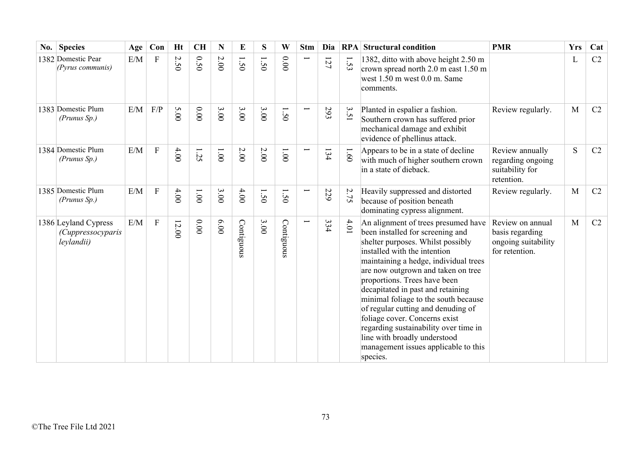| No. Species                                                    | Age | Con            | <b>Ht</b>    | CH            | N     | E          | S               | W              | <b>Stm</b> | Dia | RPA    | <b>Structural condition</b>                                                                                                                                                                                                                                                                                                                                                                                                                                                                                                                  | <b>PMR</b>                                                                   | <b>Yrs</b> | Cat |
|----------------------------------------------------------------|-----|----------------|--------------|---------------|-------|------------|-----------------|----------------|------------|-----|--------|----------------------------------------------------------------------------------------------------------------------------------------------------------------------------------------------------------------------------------------------------------------------------------------------------------------------------------------------------------------------------------------------------------------------------------------------------------------------------------------------------------------------------------------------|------------------------------------------------------------------------------|------------|-----|
| 1382 Domestic Pear<br>$(Pyrus$ communis)                       | E/M | $\overline{F}$ | $\sim$<br>50 | 0.50          | 2.00  | 1.50       | $\overline{50}$ | 0.000          |            | 127 | 1.53   | 1382, ditto with above height 2.50 m<br>crown spread north 2.0 m east 1.50 m<br>west 1.50 m west 0.0 m. Same<br>comments.                                                                                                                                                                                                                                                                                                                                                                                                                    |                                                                              | L          | C2  |
| 1383 Domestic Plum<br>(Prunus Sp.)                             | E/M | F/P            | 5.00         | 0.00          | 3.00  | 3.00       | 3.00            | 1.50           |            | 293 | 3.51   | Planted in espalier a fashion.<br>Southern crown has suffered prior<br>mechanical damage and exhibit<br>evidence of phellinus attack.                                                                                                                                                                                                                                                                                                                                                                                                        | Review regularly.                                                            | M          | C2  |
| 1384 Domestic Plum<br>(Prunus Sp.)                             | E/M | ${\bf F}$      | 4.00         | 1.25          | 1.001 | 2.00       | 2.00            | $00^{\circ}$ l |            | 134 | 1.60   | Appears to be in a state of decline<br>with much of higher southern crown<br>in a state of dieback.                                                                                                                                                                                                                                                                                                                                                                                                                                          | Review annually<br>regarding ongoing<br>suitability for<br>retention.        | S          | C2  |
| 1385 Domestic Plum<br>(Prunus Sp.)                             | E/M | $\mathbf F$    | 4.00         | $00^{\circ}1$ | 3.00  | 4.00       | ━<br>50         | $\tilde{S}$    |            | 229 | 2.75   | Heavily suppressed and distorted<br>because of position beneath<br>dominating cypress alignment.                                                                                                                                                                                                                                                                                                                                                                                                                                             | Review regularly.                                                            | M          | C2  |
| 1386 Leyland Cypress<br><i>(Cuppressocyparis</i><br>leylandii) | E/M | ${\bf F}$      | 12.00        | 0.00          | 00.00 | Contiguous | 3.00            | Contiguous     |            | 334 | $4.01$ | An alignment of trees presumed have<br>been installed for screening and<br>shelter purposes. Whilst possibly<br>installed with the intention<br>maintaining a hedge, individual trees<br>are now outgrown and taken on tree<br>proportions. Trees have been<br>decapitated in past and retaining<br>minimal foliage to the south because<br>of regular cutting and denuding of<br>foliage cover. Concerns exist<br>regarding sustainability over time in<br>line with broadly understood<br>management issues applicable to this<br>species. | Review on annual<br>basis regarding<br>ongoing suitability<br>for retention. | M          | C2  |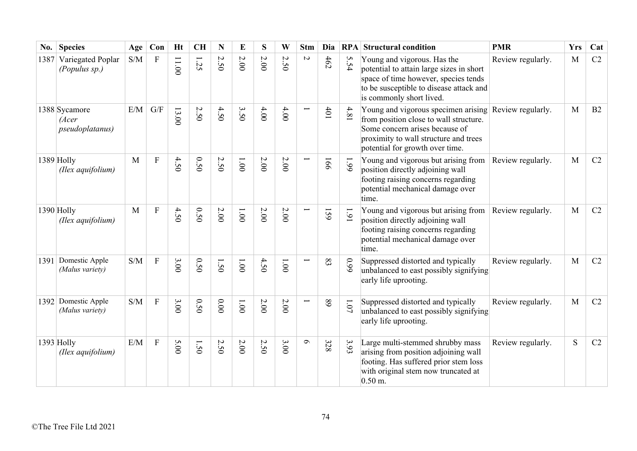| No.  | <b>Species</b>                            | Age                                               | Con                       | <b>Ht</b> | <b>CH</b>                      | N                           | E              | S        | W                     | <b>Stm</b> | Dia        |          | <b>RPA</b> Structural condition                                                                                                                                                                               | <b>PMR</b>        | <b>Yrs</b> | Cat |
|------|-------------------------------------------|---------------------------------------------------|---------------------------|-----------|--------------------------------|-----------------------------|----------------|----------|-----------------------|------------|------------|----------|---------------------------------------------------------------------------------------------------------------------------------------------------------------------------------------------------------------|-------------------|------------|-----|
|      | 1387 Variegated Poplar<br>(Populus sp.)   | $\ensuremath{\mathrm{S}}/\ensuremath{\mathrm{M}}$ | $\mathbf{F}$              | 11.00     | $\overline{\phantom{0}}$<br>52 | $\mathcal{L}$<br>$\dot{5}0$ | 2.00           | 2.00     | $\sim$<br>$\tilde{S}$ | $\sim$     | 462        | 5.54     | Young and vigorous. Has the<br>potential to attain large sizes in short<br>space of time however, species tends<br>to be susceptible to disease attack and<br>is commonly short lived.                        | Review regularly. | M          | C2  |
|      | 1388 Sycamore<br>(Acer<br>pseudoplatanus) | E/M                                               | $\mathrm{G}/\mathrm{F}$   | 13.00     | 2.50                           | 4.50                        | 3.50           | 4.00     | 4.00                  |            | 401        | 4.81     | Young and vigorous specimen arising Review regularly.<br>from position close to wall structure.<br>Some concern arises because of<br>proximity to wall structure and trees<br>potential for growth over time. |                   | M          | B2  |
|      | 1389 Holly<br>(Ilex aquifolium)           | M                                                 | $\boldsymbol{\mathrm{F}}$ | 4.50      | 0.50                           | 2.50                        | $00^{\circ}$   | 2.00     | $2.00$                |            | <b>166</b> | 661      | Young and vigorous but arising from<br>position directly adjoining wall<br>footing raising concerns regarding<br>potential mechanical damage over<br>time.                                                    | Review regularly. | M          | C2  |
|      | 1390 Holly<br>(Ilex aquifolium)           | M                                                 | ${\bf F}$                 | 4.50      | 0.50                           | $2.00\,$                    | 1.001          | $2.00$   | $2.00\,$              | Ī          | 159        | $1.91$   | Young and vigorous but arising from<br>position directly adjoining wall<br>footing raising concerns regarding<br>potential mechanical damage over<br>time.                                                    | Review regularly. | M          | C2  |
| 1391 | Domestic Apple<br>(Malus variety)         | S/M                                               | $\boldsymbol{\mathrm{F}}$ | 3.00      | 0.50                           | 1.50                        | $00^{\circ}$ I | 4.50     | 1.001                 | L          | 83         | 66.0     | Suppressed distorted and typically<br>unbalanced to east possibly signifying<br>early life uprooting.                                                                                                         | Review regularly. | M          | C2  |
| 1392 | Domestic Apple<br>(Malus variety)         | S/M                                               | ${\bf F}$                 | 3.00      | 0.50                           | 0.00                        | $1.00\,$       | $2.00\,$ | $2.00\,$              |            | 89         | $1.07\,$ | Suppressed distorted and typically<br>unbalanced to east possibly signifying<br>early life uprooting.                                                                                                         | Review regularly. | M          | C2  |
|      | 1393 Holly<br>(Ilex aquifolium)           | E/M                                               | ${\bf F}$                 | 5.00      | 1.50                           | Z.<br>50                    | $2.00\,$       | 2.50     | 3.00                  | $\sigma$   | 328        | 3.93     | Large multi-stemmed shrubby mass<br>arising from position adjoining wall<br>footing. Has suffered prior stem loss<br>with original stem now truncated at<br>$0.50 \text{ m}$ .                                | Review regularly. | S          | C2  |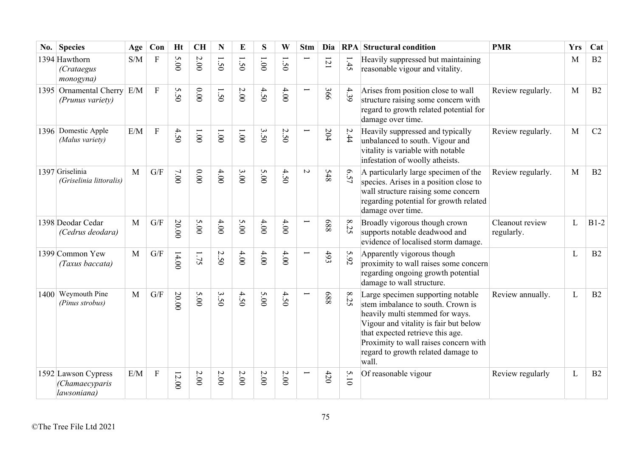| No. | <b>Species</b>                                       | Age | Con                       | <b>Ht</b>           | <b>CH</b>      | N      | E           | S      | W                               | <b>Stm</b> | Dia        | RPA            | <b>Structural condition</b>                                                                                                                                                                                                                                                    | <b>PMR</b>                    | <b>Yrs</b> | Cat    |
|-----|------------------------------------------------------|-----|---------------------------|---------------------|----------------|--------|-------------|--------|---------------------------------|------------|------------|----------------|--------------------------------------------------------------------------------------------------------------------------------------------------------------------------------------------------------------------------------------------------------------------------------|-------------------------------|------------|--------|
|     | 1394 Hawthorn<br><i>(Crataegus</i><br>monogyna)      | S/M | $\boldsymbol{\mathrm{F}}$ | S<br>$\overline{5}$ | 2.00           | 1.50   | $\tilde{S}$ | 1.001  | 50                              |            | 121        | 1.45           | Heavily suppressed but maintaining<br>reasonable vigour and vitality.                                                                                                                                                                                                          |                               | M          | B2     |
|     | 1395 Ornamental Cherry<br>(Prunus variety)           | E/M | $\overline{F}$            | S<br>50             | 0.00           | 1.50   | 2.00        | 4.50   | 4.00                            | ━          | 366        | 4.39           | Arises from position close to wall<br>structure raising some concern with<br>regard to growth related potential for<br>damage over time.                                                                                                                                       | Review regularly.             | M          | B2     |
|     | 1396 Domestic Apple<br>(Malus variety)               | E/M | F                         | 4.50                | $00^{\circ}$ l | 1.001  | 1.001       | 3.50   | $\boldsymbol{\mathsf{c}}$<br>50 | Ī          | 204        | 2.44           | Heavily suppressed and typically<br>unbalanced to south. Vigour and<br>vitality is variable with notable<br>infestation of woolly atheists.                                                                                                                                    | Review regularly.             | M          | C2     |
|     | 1397 Griselinia<br>(Griselinia littoralis)           | M   | $\mathrm{G}/\mathrm{F}$   | 7.00                | 0.00           | 4.00   | 3.00        | 5.00   | 4.50                            | $\sim$     | <b>S48</b> | 6.57           | A particularly large specimen of the<br>species. Arises in a position close to<br>wall structure raising some concern<br>regarding potential for growth related<br>damage over time.                                                                                           | Review regularly.             | M          | B2     |
|     | 1398 Deodar Cedar<br>(Cedrus deodara)                | M   | $\mathrm{G}/\mathrm{F}$   | 20.00               | 5.00           | 4.00   | 5.00        | $4.00$ | 4.00                            |            | 889        | $\infty$<br>25 | Broadly vigorous though crown<br>supports notable deadwood and<br>evidence of localised storm damage.                                                                                                                                                                          | Cleanout review<br>regularly. | L          | $B1-2$ |
|     | 1399 Common Yew<br>(Taxus baccata)                   | M   | G/F                       | 14.00               | 1.75           | 2.50   | 4.00        | 4.00   | 4.00                            |            | 493        | 5.92           | Apparently vigorous though<br>proximity to wall raises some concern<br>regarding ongoing growth potential<br>damage to wall structure.                                                                                                                                         |                               | L          | B2     |
|     | $1400$ Weymouth Pine<br>(Pinus strobus)              | M   | G/F                       | 20.00               | 5.00           | 3.50   | 4.50        | 5.00   | 4.50                            |            | 889        | $\infty$<br>25 | Large specimen supporting notable<br>stem imbalance to south. Crown is<br>heavily multi stemmed for ways.<br>Vigour and vitality is fair but below<br>that expected retrieve this age.<br>Proximity to wall raises concern with<br>regard to growth related damage to<br>wall. | Review annually.              | L          | B2     |
|     | 1592 Lawson Cypress<br>(Chamaecyparis<br>lawsoniana) | E/M | $\mathbf F$               | $12.00$             | $2.00\,$       | $2.00$ | $2.00$      | 2.00   | $2.00\,$                        |            | 420        | 5.10           | Of reasonable vigour                                                                                                                                                                                                                                                           | Review regularly              | L          | B2     |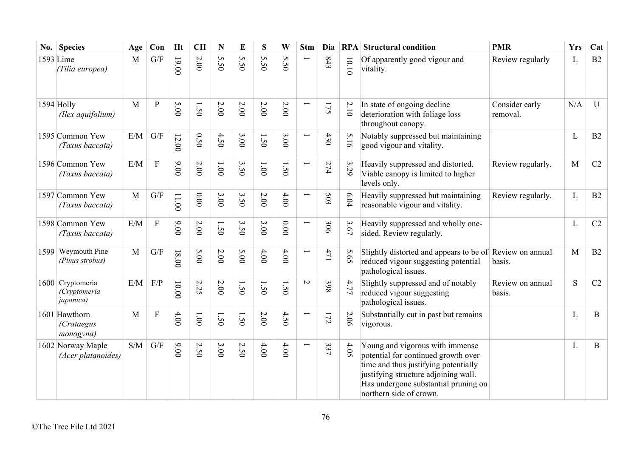| No. | <b>Species</b>                                        | Age          | Con                       | <b>Ht</b> | <b>CH</b>  | N                 | E               | S                 | W       | <b>Stm</b>               | Dia     | RPA   | <b>Structural condition</b>                                                                                                                                                                                               | <b>PMR</b>                 | <b>Yrs</b> | Cat         |
|-----|-------------------------------------------------------|--------------|---------------------------|-----------|------------|-------------------|-----------------|-------------------|---------|--------------------------|---------|-------|---------------------------------------------------------------------------------------------------------------------------------------------------------------------------------------------------------------------------|----------------------------|------------|-------------|
|     | 1593 Lime<br>(Tilia europea)                          | M            | G/F                       | 19.00     | $2.00\,$   | S<br>$\tilde{S}0$ | S<br>$\ddot{S}$ | S<br>$\tilde{S}0$ | S<br>50 |                          | 843     | 10.10 | Of apparently good vigour and<br>vitality.                                                                                                                                                                                | Review regularly           | L          | B2          |
|     | 1594 Holly<br>(Ilex aquifolium)                       | M            | P                         | 5.00      | $\dot{50}$ | $2.00$            | 2.00            | $2.00$            | 2.00    |                          | 175     | 2.10  | In state of ongoing decline<br>deterioration with foliage loss<br>throughout canopy.                                                                                                                                      | Consider early<br>removal. | N/A        | U           |
|     | 1595 Common Yew<br>(Taxus baccata)                    | E/M          | G/F                       | $12.00$   | 0.50       | 4.50              | 3.00            | I<br>50           | 3.00    | Ţ                        | 430     | 5.16  | Notably suppressed but maintaining<br>good vigour and vitality.                                                                                                                                                           |                            | L          | B2          |
|     | 1596 Common Yew<br>(Taxus baccata)                    | E/M          | ${\bf F}$                 | 9.00      | $2.00$     | 1.00              | 3.50            | 1.001             | 1.50    | $\overline{\phantom{0}}$ | 274     | 3.29  | Heavily suppressed and distorted.<br>Viable canopy is limited to higher<br>levels only.                                                                                                                                   | Review regularly.          | M          | C2          |
|     | 1597 Common Yew<br>(Taxus baccata)                    | M            | G/F                       | 11.00     | 0.00       | 3.00              | 3.50            | $2.00$            | 4.00    | Ē.                       | 503     | 6.04  | Heavily suppressed but maintaining<br>reasonable vigour and vitality.                                                                                                                                                     | Review regularly.          | L          | B2          |
|     | 1598 Common Yew<br>(Taxus baccata)                    | E/M          | $\mathbf{F}$              | 00.00     | 2.00       | 1.50              | 3.50            | 3.00              | $0.00$  | Ē                        | 306     | 3.67  | Heavily suppressed and wholly one-<br>sided. Review regularly.                                                                                                                                                            |                            | L          | C2          |
|     | 1599 Weymouth Pine<br>(Pinus strobus)                 | M            | G/F                       | 18.00     | 5.00       | $2.00$            | 5.00            | 4.00              | 4.00    | ┙                        | 471     | 5.65  | Slightly distorted and appears to be of Review on annual<br>reduced vigour suggesting potential<br>pathological issues.                                                                                                   | basis.                     | M          | B2          |
|     | 1600 Cryptomeria<br>(Cryptomeria<br><i>japonica</i> ) | E/M          | F/P                       | 00.00     | 2.25       | $2.00$            | 1.50            | 1.50              | 1.50    | $\overline{C}$           | 398     | 4.77  | Slightly suppressed and of notably<br>reduced vigour suggesting<br>pathological issues.                                                                                                                                   | Review on annual<br>basis. | S          | C2          |
|     | 1601 Hawthorn<br>(Crataegus<br>monogyna)              | $\mathbf{M}$ | $\boldsymbol{\mathrm{F}}$ | 4.00      | 1.001      | Ī<br>50           | $\tilde{S}$     | 2.00              | 4.50    | ┙                        | $172\,$ | 2.06  | Substantially cut in past but remains<br>vigorous.                                                                                                                                                                        |                            | L          | $\bf{B}$    |
|     | 1602 Norway Maple<br>(Acer platanoides)               | S/M          | G/F                       | 9.00      | 2.50       | 3.00              | 2.50            | 4.00              | 4.00    | L                        | 337     | 4.05  | Young and vigorous with immense<br>potential for continued growth over<br>time and thus justifying potentially<br>justifying structure adjoining wall.<br>Has undergone substantial pruning on<br>northern side of crown. |                            | L          | $\mathbf B$ |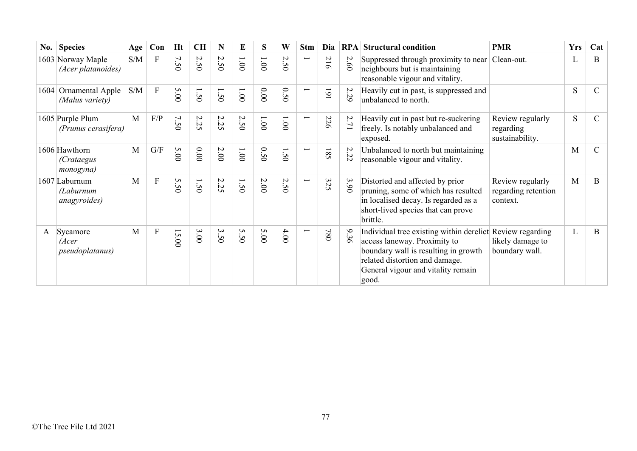| $\bf{No.}$ | <b>Species</b>                                    | Age                                               | Con                     | Ht   | <b>CH</b> | N                                     | E             | S.    | W                                                       | <b>Stm</b>               | Dia | RPA  | <b>Structural condition</b>                                                                                                                                                                                        | <b>PMR</b>                                          | <b>Yrs</b> | Cat           |
|------------|---------------------------------------------------|---------------------------------------------------|-------------------------|------|-----------|---------------------------------------|---------------|-------|---------------------------------------------------------|--------------------------|-----|------|--------------------------------------------------------------------------------------------------------------------------------------------------------------------------------------------------------------------|-----------------------------------------------------|------------|---------------|
|            | 1603 Norway Maple<br>(Acer platanoides)           | S/M                                               | F                       | 7.50 | 2.50      | 2.50                                  | $00^{\circ}1$ | 1.001 | $\mathcal{L}$<br>$\ddot{\bm{\omega}}$<br>$\ddot{\circ}$ | $\overline{\phantom{0}}$ | 216 | 2.60 | Suppressed through proximity to near<br>neighbours but is maintaining<br>reasonable vigour and vitality.                                                                                                           | Clean-out.                                          | L          | B             |
|            | 1604 Ornamental Apple<br>(Malus variety)          | $\ensuremath{\mathrm{S}}/\ensuremath{\mathrm{M}}$ | $\mathbf{F}$            | 5.00 | 1.50      | 1.50                                  | $00^{\circ}1$ | 0.00  | 0.5<br>$\ddot{\circ}$                                   | ╾                        | 161 | 2.29 | Heavily cut in past, is suppressed and<br>unbalanced to north.                                                                                                                                                     |                                                     | S          | $\mathsf{C}$  |
|            | 1605 Purple Plum<br>$(Prunus \text{ cerasifera})$ | M                                                 | F/P                     | 7.50 | 2.25      | 2.25                                  | 2.50          | 1.001 | 1.001                                                   | $\overline{\phantom{0}}$ | 226 | 2.71 | Heavily cut in past but re-suckering<br>freely. Is notably unbalanced and<br>exposed.                                                                                                                              | Review regularly<br>regarding<br>sustainability.    | S          | C             |
|            | 1606 Hawthorn<br><i>(Crataegus</i><br>monogyna)   | M                                                 | $\mathrm{G}/\mathrm{F}$ | 5.00 | 0.00      | $2.00$                                | 1.001         | 0.50  | 1.50                                                    |                          | 185 | 2.22 | Unbalanced to north but maintaining<br>reasonable vigour and vitality.                                                                                                                                             |                                                     | M          | $\mathcal{C}$ |
|            | 1607 Laburnum<br>(Laburnum<br>anagyroides)        | M                                                 | $\mathbf{F}$            | 5.50 | 1.50      | 2.25                                  | 1.50          | 2.00  | 2.50                                                    | ⊢                        | 325 | 3.90 | Distorted and affected by prior<br>pruning, some of which has resulted<br>in localised decay. Is regarded as a<br>short-lived species that can prove<br>brittle.                                                   | Review regularly<br>regarding retention<br>context. | M          | <sub>B</sub>  |
| A          | Sycamore<br>(Acer<br><i>pseudoplatanus</i> )      | M                                                 | ${\bf F}$               | 5.00 | 3.00      | $\boldsymbol{\omega}$<br>$\tilde{S}0$ | 5.50          | 5.00  | 4.00                                                    |                          | 084 | 936  | Individual tree existing within derelict Review regarding<br>access laneway. Proximity to<br>boundary wall is resulting in growth<br>related distortion and damage.<br>General vigour and vitality remain<br>good. | likely damage to<br>boundary wall.                  | L          | $\bf{B}$      |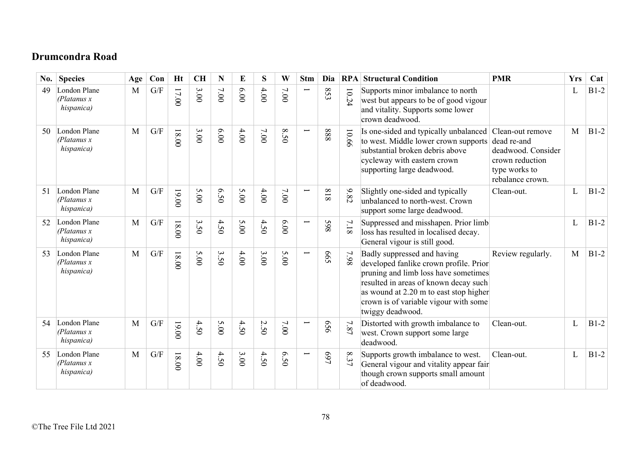## **Drumcondra Road**

| No. | <b>Species</b>                             | Age | Con | Ht      | <b>CH</b> | N      | E     | S    | W      | <b>Stm</b>               | Dia        |                                         | <b>RPA</b> Structural Condition                                                                                                                                                                                                                               | <b>PMR</b>                                                                                                    | <b>Yrs</b> | Cat    |
|-----|--------------------------------------------|-----|-----|---------|-----------|--------|-------|------|--------|--------------------------|------------|-----------------------------------------|---------------------------------------------------------------------------------------------------------------------------------------------------------------------------------------------------------------------------------------------------------------|---------------------------------------------------------------------------------------------------------------|------------|--------|
| 49  | London Plane<br>(Platanus x<br>hispanica)  | M   | G/F | $17.00$ | 3.00      | $7.00$ | 00.00 | 4.00 | $7.00$ |                          | 853        | $\overline{\phantom{0}}$<br>$\tilde{z}$ | Supports minor imbalance to north<br>west but appears to be of good vigour<br>and vitality. Supports some lower<br>crown deadwood.                                                                                                                            |                                                                                                               | L          | $B1-2$ |
| 50  | London Plane<br>(Platanus x)<br>hispanica) | M   | G/F | 18.00   | 3.00      | 00.00  | 4.00  | 7.00 | 8.50   |                          | 888        | 10.66                                   | Is one-sided and typically unbalanced<br>to west. Middle lower crown supports<br>substantial broken debris above<br>cycleway with eastern crown<br>supporting large deadwood.                                                                                 | Clean-out remove<br>dead re-and<br>deadwood. Consider<br>crown reduction<br>type works to<br>rebalance crown. | M          | $B1-2$ |
| 51  | London Plane<br>(Platanus x)<br>hispanica) | M   | G/F | $19.00$ | 5.00      | 6.50   | 5.00  | 4.00 | 7.00   |                          | 818        | 9.82                                    | Slightly one-sided and typically<br>unbalanced to north-west. Crown<br>support some large deadwood.                                                                                                                                                           | Clean-out.                                                                                                    | L          | $B1-2$ |
| 52  | London Plane<br>(Platanus x)<br>hispanica) | M   | G/F | 18.00   | 3.50      | 4.50   | 5.00  | 4.50 | 6.00   |                          | 865        | $7.18\,$                                | Suppressed and misshapen. Prior limb<br>loss has resulted in localised decay.<br>General vigour is still good.                                                                                                                                                |                                                                                                               | L          | $B1-2$ |
| 53  | London Plane<br>(Platanus x)<br>hispanica) | M   | G/F | 18.00   | 5.00      | 3.50   | 4.00  | 3.00 | 5.00   | $\overline{\phantom{0}}$ | <b>S99</b> | 7.98                                    | Badly suppressed and having<br>developed fanlike crown profile. Prior<br>pruning and limb loss have sometimes<br>resulted in areas of known decay such<br>as wound at 2.20 m to east stop higher<br>crown is of variable vigour with some<br>twiggy deadwood. | Review regularly.                                                                                             | M          | $B1-2$ |
| 54  | London Plane<br>(Platanus x<br>hispanica)  | M   | G/F | 19.00   | 4.50      | 5.00   | 4.50  | 2.50 | 7.00   |                          | 959        | 7.87                                    | Distorted with growth imbalance to<br>west. Crown support some large<br>deadwood.                                                                                                                                                                             | Clean-out.                                                                                                    | L          | $B1-2$ |
| 55  | London Plane<br>(Platanus x)<br>hispanica) | M   | G/F | 18.00   | $4.00$    | 4.50   | 3.00  | 4.50 | 6.50   |                          | 469        | $\infty$<br>37                          | Supports growth imbalance to west.<br>General vigour and vitality appear fair<br>though crown supports small amount<br>of deadwood.                                                                                                                           | Clean-out.                                                                                                    | L          | $B1-2$ |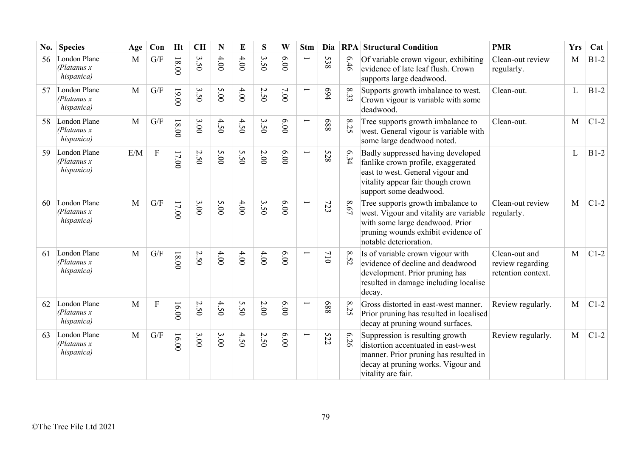| No. | <b>Species</b>                             | Age | Con            | <b>Ht</b> | <b>CH</b> | $\mathbf N$ | E    | S                       | W     | <b>Stm</b>               | Dia        |                | <b>RPA</b> Structural Condition                                                                                                                                                | <b>PMR</b>                                              | <b>Yrs</b> | Cat    |
|-----|--------------------------------------------|-----|----------------|-----------|-----------|-------------|------|-------------------------|-------|--------------------------|------------|----------------|--------------------------------------------------------------------------------------------------------------------------------------------------------------------------------|---------------------------------------------------------|------------|--------|
| 56  | London Plane<br>(Platanus x)<br>hispanica) | M   | G/F            | $18.00$   | 3.50      | 4.00        | 4.00 | $\mathbf{\omega}$<br>50 | 00.00 | $\overline{\phantom{0}}$ | 538        | 979            | Of variable crown vigour, exhibiting<br>evidence of late leaf flush. Crown<br>supports large deadwood.                                                                         | Clean-out review<br>regularly.                          | M          | $B1-2$ |
| 57  | London Plane<br>(Platanus x)<br>hispanica) | M   | G/F            | 19.00     | 3.50      | 5.00        | 4.00 | 2.50                    | 7.00  | $\overline{\phantom{0}}$ | 694        | $\infty$<br>33 | Supports growth imbalance to west.<br>Crown vigour is variable with some<br>deadwood.                                                                                          | Clean-out.                                              | L          | $B1-2$ |
| 58  | London Plane<br>(Platanus x)<br>hispanica) | M   | G/F            | $00.81$   | 3.00      | 4.50        | 4.50 | 3.50                    | 6.00  | Ē                        | 889        | $\infty$<br>52 | Tree supports growth imbalance to<br>west. General vigour is variable with<br>some large deadwood noted.                                                                       | Clean-out.                                              | M          | $C1-2$ |
| 59  | London Plane<br>(Platanus x)<br>hispanica) | E/M | $\overline{F}$ | 17.00     | 2.50      | 5.00        | 5.50 | 2.00                    | 00'9  |                          | <b>528</b> | 6.34           | Badly suppressed having developed<br>fanlike crown profile, exaggerated<br>east to west. General vigour and<br>vitality appear fair though crown<br>support some deadwood.     |                                                         | L          | $B1-2$ |
| 60  | London Plane<br>(Platanus x)<br>hispanica) | M   | G/F            | 17.00     | 3.00      | 5.00        | 4.00 | 3.50                    | 6.00  |                          | 723        | $8.67\,$       | Tree supports growth imbalance to<br>west. Vigour and vitality are variable<br>with some large deadwood. Prior<br>pruning wounds exhibit evidence of<br>notable deterioration. | Clean-out review<br>regularly.                          | M          | $C1-2$ |
| 61  | London Plane<br>(Platanus x)<br>hispanica) | M   | G/F            | $18.00$   | 2.50      | 4.00        | 4.00 | 4.00                    | 00'9  |                          | 110        | 8.52           | Is of variable crown vigour with<br>evidence of decline and deadwood<br>development. Prior pruning has<br>resulted in damage including localise<br>decay.                      | Clean-out and<br>review regarding<br>retention context. | M          | $C1-2$ |
| 62  | London Plane<br>(Platanus x)<br>hispanica) | M   | ${\bf F}$      | 16.00     | 2.50      | 4.50        | 5.50 | 2.00                    | 6.00  |                          | 889        | $\infty$<br>25 | Gross distorted in east-west manner.<br>Prior pruning has resulted in localised<br>decay at pruning wound surfaces.                                                            | Review regularly.                                       | M          | $C1-2$ |
| 63  | London Plane<br>(Platanus x)<br>hispanica) | M   | G/F            | 16.00     | 3.00      | 3.00        | 4.50 | 2.50                    | 6.00  |                          | <b>522</b> | 6.26           | Suppression is resulting growth<br>distortion accentuated in east-west<br>manner. Prior pruning has resulted in<br>decay at pruning works. Vigour and<br>vitality are fair.    | Review regularly.                                       | M          | $C1-2$ |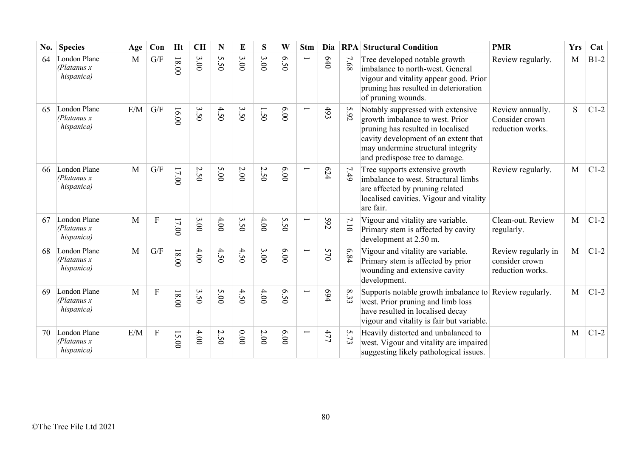| No. | <b>Species</b>                             | Age | Con                     | <b>Ht</b> | <b>CH</b> | N       | E        | S               | W                | <b>Stm</b>    | Dia   | RPA  | <b>Structural Condition</b>                                                                                                                                                                                               | <b>PMR</b>                                                | <b>Yrs</b> | Cat    |
|-----|--------------------------------------------|-----|-------------------------|-----------|-----------|---------|----------|-----------------|------------------|---------------|-------|------|---------------------------------------------------------------------------------------------------------------------------------------------------------------------------------------------------------------------------|-----------------------------------------------------------|------------|--------|
| 64  | London Plane<br>(Platanus x)<br>hispanica) | M   | $\mathrm{G}/\mathrm{F}$ | 18.00     | 3.00      | S<br>50 | 3.00     | 3.00            | 6.50             |               | 640   | 7.68 | Tree developed notable growth<br>imbalance to north-west. General<br>vigour and vitality appear good. Prior<br>pruning has resulted in deterioration<br>of pruning wounds.                                                | Review regularly.                                         | M          | $B1-2$ |
| 65  | London Plane<br>(Platanus x)<br>hispanica) | E/M | G/F                     | 16.00     | 3.50      | 4.50    | 3.50     | ⊢<br>$\dot{50}$ | 6.00             |               | $493$ | 5.92 | Notably suppressed with extensive<br>growth imbalance to west. Prior<br>pruning has resulted in localised<br>cavity development of an extent that<br>may undermine structural integrity<br>and predispose tree to damage. | Review annually.<br>Consider crown<br>reduction works.    | S          | $C1-2$ |
| 66  | London Plane<br>(Platanus x)<br>hispanica) | M   | G/F                     | $17.00$   | 2.50      | 5.00    | $2.00\,$ | 2.50            | 00'9             |               | 624   | 7.49 | Tree supports extensive growth<br>imbalance to west. Structural limbs<br>are affected by pruning related<br>localised cavities. Vigour and vitality<br>are fair.                                                          | Review regularly.                                         | M          | $C1-2$ |
| 67  | London Plane<br>(Platanus x)<br>hispanica) | M   | ${\bf F}$               | 17.00     | 3.00      | 4.00    | 3.50     | 4.00            | 5.50             |               | 592   | 7.10 | Vigour and vitality are variable.<br>Primary stem is affected by cavity<br>development at 2.50 m.                                                                                                                         | Clean-out. Review<br>regularly.                           | M          | $C1-2$ |
| 68  | London Plane<br>(Platanus x)<br>hispanica) | M   | G/F                     | 18.00     | 4.00      | 4.50    | 4.50     | 3.00            | 0.00             | $\overline{}$ | 570   | 6.84 | Vigour and vitality are variable.<br>Primary stem is affected by prior<br>wounding and extensive cavity<br>development.                                                                                                   | Review regularly in<br>consider crown<br>reduction works. | M          | $C1-2$ |
| 69  | London Plane<br>(Platanus x)<br>hispanica) | M   | $\overline{F}$          | 18.00     | 3.50      | 5.00    | 4.50     | 4.00            | $6.5$<br>$\circ$ |               | 694   | 8.33 | Supports notable growth imbalance to Review regularly.<br>west. Prior pruning and limb loss<br>have resulted in localised decay<br>vigour and vitality is fair but variable.                                              |                                                           | M          | $C1-2$ |
| 70  | London Plane<br>(Platanus x)<br>hispanica) | E/M | $\overline{F}$          | 15.00     | 4.00      | 2.50    | 0.00     | 2.00            | 00.00            | Ī             | 477   | 5.73 | Heavily distorted and unbalanced to<br>west. Vigour and vitality are impaired<br>suggesting likely pathological issues.                                                                                                   |                                                           | M          | $C1-2$ |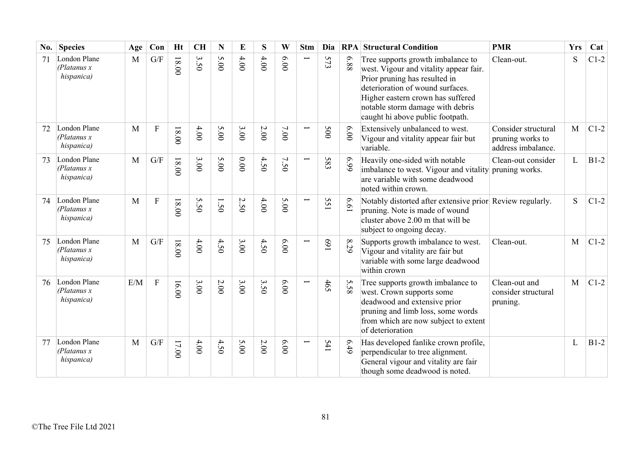| No. | <b>Species</b>                             | Age          | Con                       | <b>Ht</b> | <b>CH</b> | N    | E    | S    | W    | <b>Stm</b>               | Dia |          | <b>RPA Structural Condition</b>                                                                                                                                                                                                                               | <b>PMR</b>                                                    | <b>Yrs</b> | Cat    |
|-----|--------------------------------------------|--------------|---------------------------|-----------|-----------|------|------|------|------|--------------------------|-----|----------|---------------------------------------------------------------------------------------------------------------------------------------------------------------------------------------------------------------------------------------------------------------|---------------------------------------------------------------|------------|--------|
| 71  | London Plane<br>(Platanus x<br>hispanica)  | M            | G/F                       | $18.00$   | 3.50      | 5.00 | 4.00 | 4.00 | 6.00 |                          | 573 | 88'9     | Tree supports growth imbalance to<br>west. Vigour and vitality appear fair.<br>Prior pruning has resulted in<br>deterioration of wound surfaces.<br>Higher eastern crown has suffered<br>notable storm damage with debris<br>caught hi above public footpath. | Clean-out.                                                    | S          | $C1-2$ |
| 72  | London Plane<br>(Platanus x)<br>hispanica) | $\mathbf{M}$ | $\boldsymbol{\mathrm{F}}$ | $18.00$   | $4.00$    | 5.00 | 3.00 | 2.00 | 7.00 | $\overline{\phantom{0}}$ | 500 | 6.00     | Extensively unbalanced to west.<br>Vigour and vitality appear fair but<br>variable.                                                                                                                                                                           | Consider structural<br>pruning works to<br>address imbalance. | M          | $C1-2$ |
| 73  | London Plane<br>(Platanus x)<br>hispanica) | $\mathbf{M}$ | G/F                       | $18.00$   | 3.00      | 5.00 | 0.00 | 4.50 | 7.50 |                          | 583 | 66.9     | Heavily one-sided with notable<br>imbalance to west. Vigour and vitality pruning works.<br>are variable with some deadwood<br>noted within crown.                                                                                                             | Clean-out consider                                            | L          | $B1-2$ |
| 74  | London Plane<br>(Platanus x)<br>hispanica) | $\mathbf{M}$ | $\boldsymbol{\mathrm{F}}$ | $18.00$   | 5.50      | 1.50 | 2.50 | 4.00 | 5.00 | $\overline{\phantom{0}}$ | 55  | 19'9     | Notably distorted after extensive prior Review regularly.<br>pruning. Note is made of wound<br>cluster above 2.00 m that will be<br>subject to ongoing decay.                                                                                                 |                                                               | S          | $C1-2$ |
| 75  | London Plane<br>(Platanus x)<br>hispanica) | M            | G/F                       | $18.00$   | 4.00      | 4.50 | 3.00 | 4.50 | 6.00 | Ī                        | 169 | 8.29     | Supports growth imbalance to west.<br>Vigour and vitality are fair but<br>variable with some large deadwood<br>within crown                                                                                                                                   | Clean-out.                                                    | M          | $C1-2$ |
| 76  | London Plane<br>(Platanus x)<br>hispanica) | E/M          | $\mathbf{F}$              | 16.00     | 3.00      | 2.00 | 3.00 | 3.50 | 6.00 |                          | 465 | S<br>.58 | Tree supports growth imbalance to<br>west. Crown supports some<br>deadwood and extensive prior<br>pruning and limb loss, some words<br>from which are now subject to extent<br>of deterioration                                                               | Clean-out and<br>consider structural<br>pruning.              | M          | $C1-2$ |
| 77  | London Plane<br>(Platanus x)<br>hispanica) | M            | G/F                       | 17.00     | 4.00      | 4.50 | 5.00 | 2.00 | 6.00 |                          | 541 | 6.49     | Has developed fanlike crown profile,<br>perpendicular to tree alignment.<br>General vigour and vitality are fair<br>though some deadwood is noted.                                                                                                            |                                                               | L          | $B1-2$ |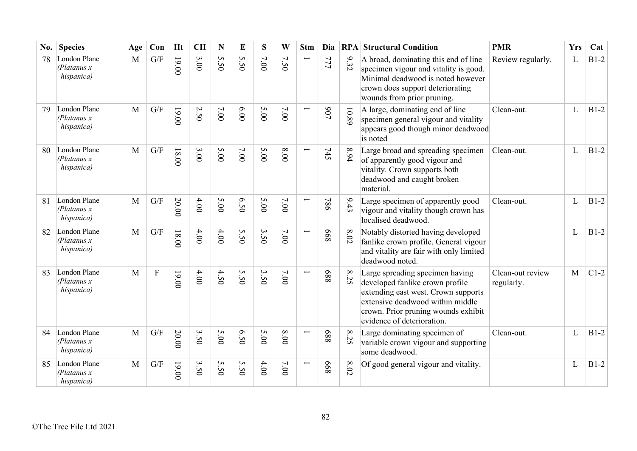| No. | <b>Species</b>                             | Age          | Con                       | <b>Ht</b> | <b>CH</b>                   | N                 | E               | S    | W        | <b>Stm</b>               | Dia |                | <b>RPA Structural Condition</b>                                                                                                                                                                                    | <b>PMR</b>                     | <b>Yrs</b> | Cat    |
|-----|--------------------------------------------|--------------|---------------------------|-----------|-----------------------------|-------------------|-----------------|------|----------|--------------------------|-----|----------------|--------------------------------------------------------------------------------------------------------------------------------------------------------------------------------------------------------------------|--------------------------------|------------|--------|
| 78  | London Plane<br>(Platanus x)<br>hispanica) | M            | G/F                       | 19.00     | 3.00                        | S<br>$\tilde{S}0$ | S<br>$\ddot{s}$ | 7.00 | 7.50     |                          | 777 | 9.32           | A broad, dominating this end of line<br>specimen vigour and vitality is good.<br>Minimal deadwood is noted however<br>crown does support deteriorating<br>wounds from prior pruning.                               | Review regularly.              | L          | $B1-2$ |
| 79  | London Plane<br>(Platanus x)<br>hispanica) | M            | G/F                       | 19.00     | 2.50                        | 7.00              | 6.00            | 5.00 | 7.00     |                          | 106 | 10.89          | A large, dominating end of line<br>specimen general vigour and vitality<br>appears good though minor deadwood<br>is noted                                                                                          | Clean-out.                     | L          | $B1-2$ |
| 80  | London Plane<br>(Platanus x)<br>hispanica) | M            | G/F                       | $00.81$   | 3.00                        | 5.00              | 7.00            | 5.00 | $00.8\,$ | $\overline{\phantom{0}}$ | 745 | 8.94           | Large broad and spreading specimen<br>of apparently good vigour and<br>vitality. Crown supports both<br>deadwood and caught broken<br>material.                                                                    | Clean-out.                     | L          | $B1-2$ |
| 81  | London Plane<br>(Platanus x)<br>hispanica) | M            | G/F                       | 20.00     | 4.00                        | 5.00              | 6.50            | 5.00 | $7.00$   |                          | 984 | 9.43           | Large specimen of apparently good<br>vigour and vitality though crown has<br>localised deadwood.                                                                                                                   | Clean-out.                     | L          | $B1-2$ |
| 82  | London Plane<br>(Platanus x)<br>hispanica) | M            | G/F                       | $18.00$   | 4.00                        | 4.00              | 5.50            | 3.50 | 7.00     |                          | 899 | $8.02\,$       | Notably distorted having developed<br>fanlike crown profile. General vigour<br>and vitality are fair with only limited<br>deadwood noted.                                                                          |                                | L          | $B1-2$ |
| 83  | London Plane<br>(Platanus x)<br>hispanica) | M            | $\boldsymbol{\mathrm{F}}$ | 00.00     | 4.00                        | 4.50              | 5.50            | 3.50 | $7.00$   |                          | 889 | $\infty$<br>25 | Large spreading specimen having<br>developed fanlike crown profile<br>extending east west. Crown supports<br>extensive deadwood within middle<br>crown. Prior pruning wounds exhibit<br>evidence of deterioration. | Clean-out review<br>regularly. | M          | $C1-2$ |
| 84  | London Plane<br>(Platanus x)<br>hispanica) | $\mathbf{M}$ | G/F                       | 20.00     | 3.50                        | 5.00              | 6.50            | 5.00 | $00.8\,$ |                          | 889 | $\infty$<br>25 | Large dominating specimen of<br>variable crown vigour and supporting<br>some deadwood.                                                                                                                             | Clean-out.                     | L          | $B1-2$ |
| 85  | London Plane<br>(Platanus x)<br>hispanica) | M            | G/F                       | 19.00     | $\boldsymbol{\omega}$<br>50 | S<br>50           | S<br>50         | 4.00 | $7.00$   |                          | 899 | $8.02\,$       | Of good general vigour and vitality.                                                                                                                                                                               |                                | L          | $B1-2$ |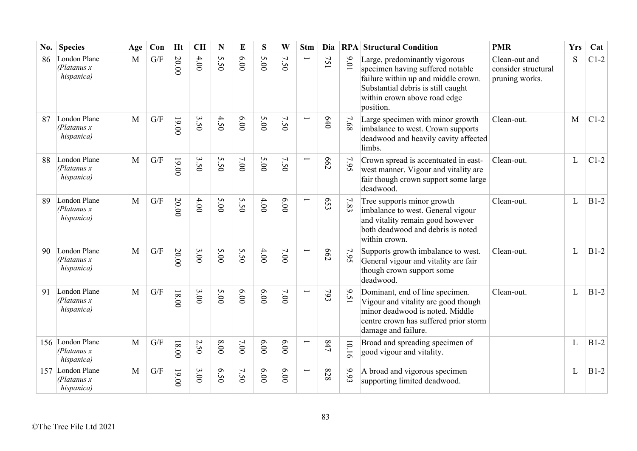| No. | <b>Species</b>                                 | Age          | Con                     | <b>Ht</b> | <b>CH</b> | N                 | E     | S    | W                                      | <b>Stm</b> | Dia        |          | <b>RPA Structural Condition</b>                                                                                                                                                             | <b>PMR</b>                                             | <b>Yrs</b> | Cat    |
|-----|------------------------------------------------|--------------|-------------------------|-----------|-----------|-------------------|-------|------|----------------------------------------|------------|------------|----------|---------------------------------------------------------------------------------------------------------------------------------------------------------------------------------------------|--------------------------------------------------------|------------|--------|
| 86  | London Plane<br>(Platanus x)<br>hispanica)     | M            | $\mathrm{G}/\mathrm{F}$ | 20.00     | $4.00$    | S<br>$\tilde{S}0$ | 00'9  | 5.00 | $\overline{\phantom{0}}$<br>$\ddot{S}$ |            | 751        | 10.6     | Large, predominantly vigorous<br>specimen having suffered notable<br>failure within up and middle crown.<br>Substantial debris is still caught<br>within crown above road edge<br>position. | Clean-out and<br>consider structural<br>pruning works. | S          | $C1-2$ |
| 87  | London Plane<br>(Platanus x)<br>hispanica)     | $\mathbf{M}$ | G/F                     | 19.00     | 3.50      | 4.50              | 00'9  | 5.00 | 7.50                                   |            | 640        | $7.68\,$ | Large specimen with minor growth<br>imbalance to west. Crown supports<br>deadwood and heavily cavity affected<br>limbs.                                                                     | Clean-out.                                             | M          | $C1-2$ |
| 88  | London Plane<br>(Platanus x)<br>hispanica)     | M            | G/F                     | 19.00     | 3.50      | S<br>$\dot{50}$   | 7.00  | 5.00 | 7.50                                   |            | 662        | 7.95     | Crown spread is accentuated in east-<br>west manner. Vigour and vitality are<br>fair though crown support some large<br>deadwood.                                                           | Clean-out.                                             | L          | $C1-2$ |
| 89  | London Plane<br>(Platanus x)<br>hispanica)     | M            | G/F                     | 20.00     | 4.00      | 5.00              | 5.50  | 4.00 | 6.00                                   |            | 653        | 7.83     | Tree supports minor growth<br>imbalance to west. General vigour<br>and vitality remain good however<br>both deadwood and debris is noted<br>within crown.                                   | Clean-out.                                             | L          | $B1-2$ |
| 90  | London Plane<br>(Platanus x)<br>hispanica)     | M            | G/F                     | 20.00     | 3.00      | 5.00              | 5.50  | 4.00 | 7.00                                   |            | <b>662</b> | 7.95     | Supports growth imbalance to west.<br>General vigour and vitality are fair<br>though crown support some<br>deadwood.                                                                        | Clean-out.                                             | L          | $B1-2$ |
| 91  | London Plane<br>(Platanus x)<br>hispanica)     | $\mathbf{M}$ | G/F                     | $18.00$   | 3.00      | 5.00              | 00.00 | 6.00 | 7.00                                   |            | 793        | 9.51     | Dominant, end of line specimen.<br>Vigour and vitality are good though<br>minor deadwood is noted. Middle<br>centre crown has suffered prior storm<br>damage and failure.                   | Clean-out.                                             | L          | $B1-2$ |
|     | 156 London Plane<br>(Platanus x)<br>hispanica) | $\mathbf{M}$ | G/F                     | 18.00     | 2.50      | $8.00$            | 7.00  | 6.00 | 6.00                                   |            | 247        | 10.16    | Broad and spreading specimen of<br>good vigour and vitality.                                                                                                                                |                                                        | L          | $B1-2$ |
| 157 | London Plane<br>(Platanus x)<br>hispanica)     | M            | G/F                     | 00.00     | 3.00      | 6.50              | 7.50  | 6.00 | 6.00                                   |            | 828        | 9.93     | A broad and vigorous specimen<br>supporting limited deadwood.                                                                                                                               |                                                        | L          | $B1-2$ |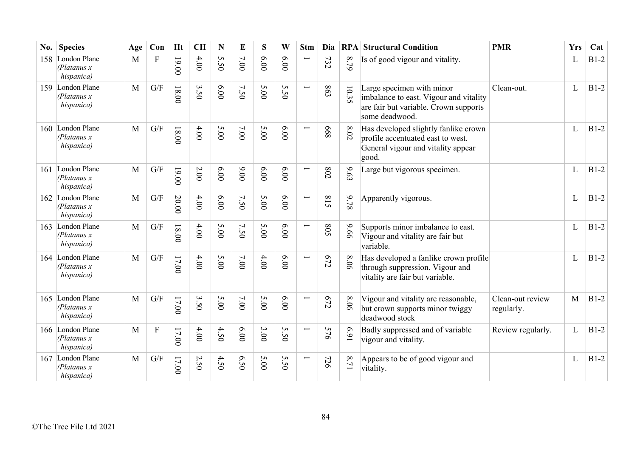| No.  | <b>Species</b>                                 | Age          | Con                       | <b>Ht</b> | <b>CH</b> | N       | E      | S    | W               | <b>Stm</b>               | Dia        |                            | <b>RPA Structural Condition</b>                                                                                                | <b>PMR</b>                     | <b>Yrs</b> | Cat    |
|------|------------------------------------------------|--------------|---------------------------|-----------|-----------|---------|--------|------|-----------------|--------------------------|------------|----------------------------|--------------------------------------------------------------------------------------------------------------------------------|--------------------------------|------------|--------|
| 158  | London Plane<br>(Platanus x)<br>hispanica)     | M            | $\boldsymbol{\mathrm{F}}$ | 19.00     | 4.00      | S<br>50 | 7.00   | 6.00 | 6.00            | Ī                        | 732        | 8.79                       | Is of good vigour and vitality.                                                                                                |                                | L          | $B1-2$ |
| 159  | London Plane<br>(Platanus x)<br>hispanica)     | M            | G/F                       | $18.00$   | 3.50      | 6.00    | 7.50   | 5.00 | 5.50            | $\overline{\phantom{0}}$ | 863        | 10.35                      | Large specimen with minor<br>imbalance to east. Vigour and vitality<br>are fair but variable. Crown supports<br>some deadwood. | Clean-out.                     | L          | $B1-2$ |
| 160  | London Plane<br>(Platanus x)<br>hispanica)     | M            | $\mathrm{G}/\mathrm{F}$   | $18.00$   | 4.00      | 5.00    | 7.00   | 5.00 | 6.00            |                          | 899        | $8.02$                     | Has developed slightly fanlike crown<br>profile accentuated east to west.<br>General vigour and vitality appear<br>good.       |                                | L          | $B1-2$ |
| 161  | London Plane<br>(Platanus x)<br>hispanica)     | M            | G/F                       | 19.00     | $2.00\,$  | 6.00    | 00.00  | 6.00 | 6.00            |                          | 802        | 6.63                       | Large but vigorous specimen.                                                                                                   |                                | L          | $B1-2$ |
| 162  | London Plane<br>(Platanus x)<br>hispanica)     | M            | G/F                       | 20.00     | 4.00      | 6.00    | 7.50   | 5.00 | 0.000           | $\overline{\phantom{0}}$ | 815        | 9.78                       | Apparently vigorous.                                                                                                           |                                | L          | $B1-2$ |
|      | 163 London Plane<br>(Platanus x)<br>hispanica) | M            | $\mathrm{G}/\mathrm{F}$   | $18.00$   | 4.00      | 5.00    | 7.50   | 5.00 | 6.00            | $\overline{\phantom{0}}$ | <b>SO8</b> | 99.6                       | Supports minor imbalance to east.<br>Vigour and vitality are fair but<br>variable.                                             |                                | L          | $B1-2$ |
| 164  | London Plane<br>(Platanus x)<br>hispanica)     | M            | $\mathrm{G}/\mathrm{F}$   | 17.00     | 4.00      | 5.00    | 7.00   | 4.00 | 6.00            | $\overline{\phantom{0}}$ | C72        | 8.06                       | Has developed a fanlike crown profile<br>through suppression. Vigour and<br>vitality are fair but variable.                    |                                | L          | $B1-2$ |
| 165  | London Plane<br>(Platanus x)<br>hispanica)     | M            | G/F                       | 17.00     | 3.50      | 5.00    | $7.00$ | 5.00 | 6.00            | $\overline{\phantom{0}}$ | $672$      | 8.06                       | Vigour and vitality are reasonable,<br>but crown supports minor twiggy<br>deadwood stock                                       | Clean-out review<br>regularly. | M          | $B1-2$ |
| 166. | London Plane<br>(Platanus x)<br>hispanica)     | $\mathbf{M}$ | ${\bf F}$                 | $17.00$   | 4.00      | 4.50    | 00.9   | 3.00 | S<br>$\ddot{S}$ | $\overline{\phantom{0}}$ | 576        | 169                        | Badly suppressed and of variable<br>vigour and vitality.                                                                       | Review regularly.              | L          | $B1-2$ |
| 167  | London Plane<br>(Platanus x)<br>hispanica)     | $\mathbf{M}$ | $\mathrm{G}/\mathrm{F}$   | 17.00     | 2.50      | 4.50    | 6.50   | 5.00 | 5.50            |                          | 726        | $\infty$<br>$\overline{7}$ | Appears to be of good vigour and<br>vitality.                                                                                  |                                | L          | $B1-2$ |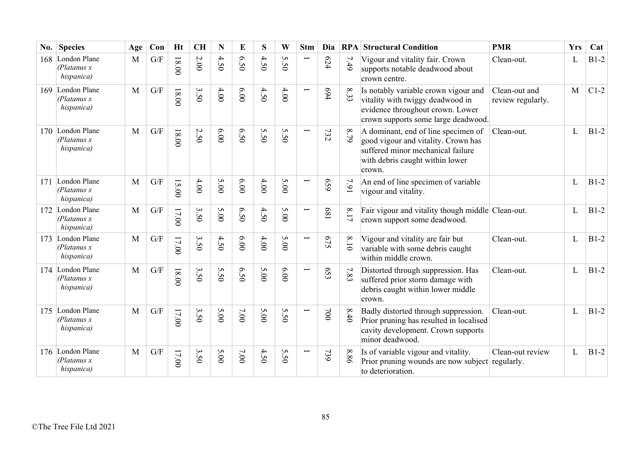| No. | <b>Species</b>                                 | Age          | Con | <b>Ht</b> | <b>CH</b> | N     | E    | S    | W                     | <b>Stm</b>               | Dia        | RPA      | <b>Structural Condition</b>                                                                                                                                  | <b>PMR</b>                         | <b>Yrs</b> | Cat    |
|-----|------------------------------------------------|--------------|-----|-----------|-----------|-------|------|------|-----------------------|--------------------------|------------|----------|--------------------------------------------------------------------------------------------------------------------------------------------------------------|------------------------------------|------------|--------|
| 168 | London Plane<br>(Platanus x)<br>hispanica)     | M            | G/F | $18.00$   | $2.00$    | 4.50  | 6.50 | 4.50 | S<br>in<br>Õ          |                          | 624        | 7.49     | Vigour and vitality fair. Crown<br>supports notable deadwood about<br>crown centre.                                                                          | Clean-out.                         | L          | $B1-2$ |
| 169 | London Plane<br>(Platanus x)<br>hispanica)     | M            | G/F | $18.00$   | 3.50      | 4.00  | 0.00 | 4.50 | 4.00                  |                          | 694        | 33       | Is notably variable crown vigour and<br>vitality with twiggy deadwood in<br>evidence throughout crown. Lower<br>crown supports some large deadwood.          | Clean-out and<br>review regularly. | M          | $C1-2$ |
| 170 | London Plane<br>(Platanus x)<br>hispanica)     | M            | G/F | $18.00$   | 2.50      | 00.00 | 6.50 | 5.50 | 5.5<br>$\ddot{\circ}$ |                          | 732        | 8.79     | A dominant, end of line specimen of<br>good vigour and vitality. Crown has<br>suffered minor mechanical failure<br>with debris caught within lower<br>crown. | Clean-out.                         | L          | $B1-2$ |
| 171 | London Plane<br>(Platanus x)<br>hispanica)     | $\mathbf{M}$ | G/F | 15.00     | 4.00      | 5.00  | 00'9 | 4.00 | 5.00                  |                          | 659        | 7.91     | An end of line specimen of variable<br>vigour and vitality.                                                                                                  |                                    | L          | $B1-2$ |
| 172 | London Plane<br>(Platanus x)<br>hispanica)     | M            | G/F | $17.00$   | 3.50      | 5.00  | 6.50 | 4.50 | 5.00                  | $\overline{\phantom{0}}$ | 189        | $8.17\,$ | Fair vigour and vitality though middle Clean-out.<br>crown support some deadwood.                                                                            |                                    | L          | $B1-2$ |
| 173 | London Plane<br>(Platanus x)<br>hispanica)     | M            | G/F | 17.00     | 3.50      | 4.50  | 6.00 | 4.00 | 5.00                  | Ē                        | 575        | 8.10     | Vigour and vitality are fair but<br>variable with some debris caught<br>within middle crown.                                                                 | Clean-out.                         | L          | $B1-2$ |
| 174 | London Plane<br>(Platanus x)<br>hispanica)     | M            | G/F | $18.00$   | 3.50      | 5.50  | 0.50 | 5.00 | 6.00                  | $\overline{\phantom{0}}$ | £59        | 7.83     | Distorted through suppression. Has<br>suffered prior storm damage with<br>debris caught within lower middle<br>crown.                                        | Clean-out.                         | L          | $B1-2$ |
| 175 | London Plane<br>(Platanus x)<br>hispanica)     | M            | G/F | $17.00$   | 3.50      | 5.00  | 7.00 | 5.00 | S<br>$\ddot{S}$       | Ē                        | $00\angle$ | 8.40     | Badly distorted through suppression.<br>Prior pruning has resulted in localised<br>cavity development. Crown supports<br>minor deadwood.                     | Clean-out.                         | L          | $B1-2$ |
|     | 176 London Plane<br>(Platanus x)<br>hispanica) | M            | G/F | $17.00$   | 3.50      | 5.00  | 7.00 | 4.50 | 5.5<br>$\circ$        |                          | 739        | 8.86     | Is of variable vigour and vitality.<br>Prior pruning wounds are now subject regularly.<br>to deterioration.                                                  | Clean-out review                   | L          | $B1-2$ |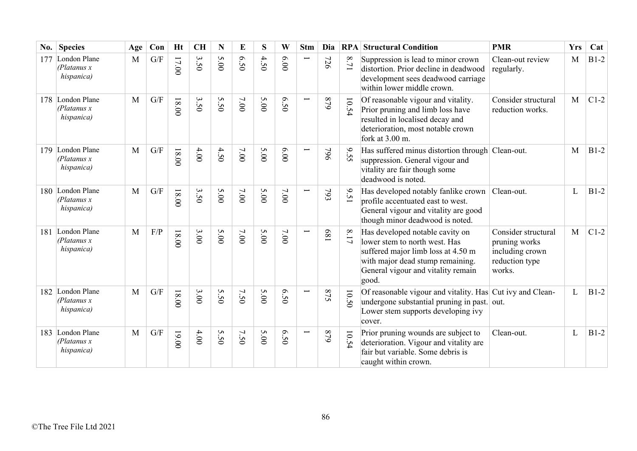| No. | <b>Species</b>                             | Age          | Con | <b>Ht</b> | <b>CH</b> | N                 | E    | S    | W    | <b>Stm</b>               | Dia | RPA      | <b>Structural Condition</b>                                                                                                                                                               | <b>PMR</b>                                                                          | <b>Yrs</b> | Cat    |
|-----|--------------------------------------------|--------------|-----|-----------|-----------|-------------------|------|------|------|--------------------------|-----|----------|-------------------------------------------------------------------------------------------------------------------------------------------------------------------------------------------|-------------------------------------------------------------------------------------|------------|--------|
| 177 | London Plane<br>(Platanus x)<br>hispanica) | M            | G/F | 17.00     | 3.50      | 5.00              | 0.50 | 4.50 | 00'9 |                          | 726 | 17.1     | Suppression is lead to minor crown<br>distortion. Prior decline in deadwood<br>development sees deadwood carriage<br>within lower middle crown.                                           | Clean-out review<br>regularly.                                                      | M          | $B1-2$ |
| 178 | London Plane<br>(Platanus x)<br>hispanica) | $\mathbf{M}$ | G/F | 18.00     | 3.50      | 5.50              | 7.00 | 5.00 | 6.50 | Ţ                        | 628 | 10.54    | Of reasonable vigour and vitality.<br>Prior pruning and limb loss have<br>resulted in localised decay and<br>deterioration, most notable crown<br>fork at 3.00 m.                         | Consider structural<br>reduction works.                                             | M          | $C1-2$ |
| 179 | London Plane<br>(Platanus x)<br>hispanica) | M            | G/F | $18.00$   | 4.00      | 4.50              | 7.00 | 5.00 | 00'9 | Ē                        | 964 | 9.55     | Has suffered minus distortion through Clean-out.<br>suppression. General vigour and<br>vitality are fair though some<br>deadwood is noted.                                                |                                                                                     | M          | $B1-2$ |
| 180 | London Plane<br>(Platanus x)<br>hispanica) | M            | G/F | $18.00$   | 3.50      | 5.00              | 7.00 | 5.00 | 7.00 |                          | 793 | 9.51     | Has developed notably fanlike crown<br>profile accentuated east to west.<br>General vigour and vitality are good<br>though minor deadwood is noted.                                       | Clean-out.                                                                          | L          | $B1-2$ |
| 181 | London Plane<br>(Platanus x)<br>hispanica) | M            | F/P | 18.00     | 3.00      | 5.00              | 7.00 | 5.00 | 7.00 | Ē                        | 189 | $8.17\,$ | Has developed notable cavity on<br>lower stem to north west. Has<br>suffered major limb loss at 4.50 m<br>with major dead stump remaining.<br>General vigour and vitality remain<br>good. | Consider structural<br>pruning works<br>including crown<br>reduction type<br>works. | M          | $C1-2$ |
| 182 | London Plane<br>(Platanus x)<br>hispanica) | M            | G/F | $00.81$   | 3.00      | 5.50              | 7.50 | 5.00 | 05.9 |                          | 875 | 10.50    | Of reasonable vigour and vitality. Has Cut ivy and Clean-<br>undergone substantial pruning in past. out.<br>Lower stem supports developing ivy<br>cover.                                  |                                                                                     | L          | $B1-2$ |
| 183 | London Plane<br>(Platanus x)<br>hispanica) | $\mathbf{M}$ | G/F | 19.00     | 4.00      | S<br>$\tilde{S}0$ | 7.50 | 5.00 | 05.9 | $\overline{\phantom{0}}$ | 648 | 10.54    | Prior pruning wounds are subject to<br>deterioration. Vigour and vitality are<br>fair but variable. Some debris is<br>caught within crown.                                                | Clean-out.                                                                          | L          | $B1-2$ |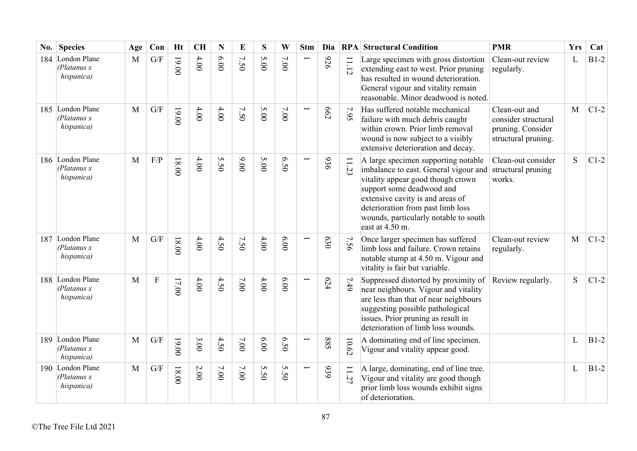| No. | <b>Species</b>                                 | Age | Con                     | <b>Ht</b> | <b>CH</b> | $\mathbf N$ | E    | S             | W    | <b>Stm</b>    | Dia        | RPA        | <b>Structural Condition</b>                                                                                                                                                                                                                                                           | <b>PMR</b>                                                                       | <b>Yrs</b>   | Cat    |
|-----|------------------------------------------------|-----|-------------------------|-----------|-----------|-------------|------|---------------|------|---------------|------------|------------|---------------------------------------------------------------------------------------------------------------------------------------------------------------------------------------------------------------------------------------------------------------------------------------|----------------------------------------------------------------------------------|--------------|--------|
| 184 | London Plane<br>(Platanus x)<br>hispanica)     | M   | $\mathrm{G}/\mathrm{F}$ | 19.00     | 4.00      | 00'9        | 7.50 | 5.00          | 7.00 |               | 976        | $11.12$    | Large specimen with gross distortion<br>extending east to west. Prior pruning<br>has resulted in wound deterioration.<br>General vigour and vitality remain<br>reasonable. Minor deadwood is noted.                                                                                   | Clean-out review<br>regularly.                                                   | L            | $B1-2$ |
|     | 185 London Plane<br>(Platanus x)<br>hispanica) | M   | G/F                     | 19.00     | 4.00      | 4.00        | 7.50 | 5.00          | 7.00 |               | <b>662</b> | 7.95       | Has suffered notable mechanical<br>failure with much debris caught<br>within crown. Prior limb removal<br>wound is now subject to a visibly<br>extensive deterioration and decay.                                                                                                     | Clean-out and<br>consider structural<br>pruning. Consider<br>structural pruning. | M            | $C1-2$ |
|     | 186 London Plane<br>(Platanus x)<br>hispanica) | M   | F/P                     | $18.00$   | 4.00      | 5.50        | 00'6 | 5.00          | 6.50 |               | 936        | 53         | A large specimen supporting notable<br>imbalance to east. General vigour and<br>vitality appear good though crown<br>support some deadwood and<br>extensive cavity is and areas of<br>deterioration from past limb loss<br>wounds, particularly notable to south<br>east at $4.50$ m. | Clean-out consider<br>structural pruning<br>works.                               | S            | $C1-2$ |
| 187 | London Plane<br>(Platanus x)<br>hispanica)     | M   | G/F                     | $18.00$   | 4.00      | 4.50        | 7.50 | 4.00          | 00'9 |               | 630        | 7.56       | Once larger specimen has suffered<br>limb loss and failure. Crown retains<br>notable stump at 4.50 m. Vigour and<br>vitality is fair but variable.                                                                                                                                    | Clean-out review<br>regularly.                                                   | $\mathbf{M}$ | $C1-2$ |
|     | 188 London Plane<br>(Platanus x)<br>hispanica) | M   | $\overline{F}$          | 17.00     | 4.00      | 4.50        | 7.00 | 4.00          | 6.00 |               | 624        | 7.49       | Suppressed distorted by proximity of<br>near neighbours. Vigour and vitality<br>are less than that of near neighbours<br>suggesting possible pathological<br>issues. Prior pruning as result in<br>deterioration of limb loss wounds.                                                 | Review regularly.                                                                | S            | $C1-2$ |
|     | 189 London Plane<br>(Platanus x)<br>hispanica) | M   | G/F                     | 19.00     | 3.00      | 4.50        | 7.00 | 0.00          | 6.50 | $\overline{}$ | 885        | $10.62\,$  | A dominating end of line specimen.<br>Vigour and vitality appear good.                                                                                                                                                                                                                |                                                                                  | L            | $B1-2$ |
|     | 190 London Plane<br>(Platanus x)<br>hispanica) | M   | G/F                     | $18.00$   | $2.00$    | $7.00$      | 7.00 | ζŃ.<br>ن<br>0 | 5.50 | Ţ             | 939        | $\ddot{z}$ | A large, dominating, end of line tree.<br>Vigour and vitality are good though<br>prior limb loss wounds exhibit signs<br>of deterioration.                                                                                                                                            |                                                                                  | L            | $B1-2$ |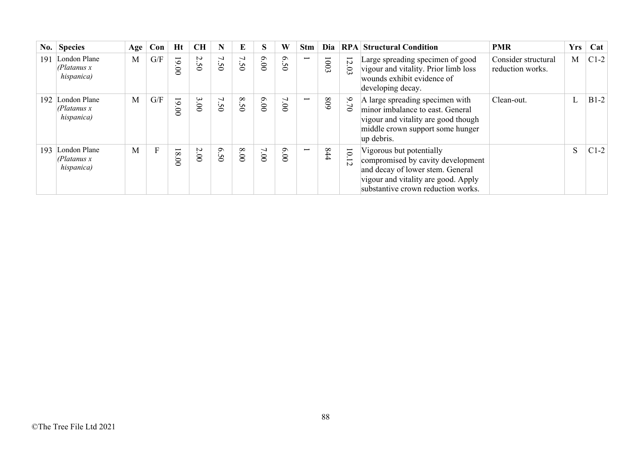|     | No. Species                                      | Age | Con          | Ht                         | <b>CH</b> | N                 | E    | S    | W                             | <b>Stm</b>               | Dia  |                                  | <b>RPA Structural Condition</b>                                                                                                                                                | <b>PMR</b>                              | <b>Yrs</b> | Cat    |
|-----|--------------------------------------------------|-----|--------------|----------------------------|-----------|-------------------|------|------|-------------------------------|--------------------------|------|----------------------------------|--------------------------------------------------------------------------------------------------------------------------------------------------------------------------------|-----------------------------------------|------------|--------|
| 191 | London Plane<br>(Platanus x)<br>hispanica)       | M   | G/F          | $19.$<br>$\infty$          | 2.50      | 7<br>$\tilde{S}0$ | 7.50 | 6.00 | $\mathcal{S}$<br>Ü<br>$\circ$ | $\overline{\phantom{0}}$ | 1003 | $\overline{z}$<br>$\Omega$       | Large spreading specimen of good<br>vigour and vitality. Prior limb loss<br>wounds exhibit evidence of<br>developing decay.                                                    | Consider structural<br>reduction works. | M          | $C1-2$ |
|     | 192 London Plane<br>(Platanus x)<br>hispanica)   | M   | G/F          | $\overline{6}$<br>$\infty$ | 3.00      | 7.50              | 8.50 | 6.00 | 7.00                          | $\overline{\phantom{0}}$ | 608  | $6\overline{6}$<br>$\circ$       | A large spreading specimen with<br>minor imbalance to east. General<br>vigour and vitality are good though<br>middle crown support some hunger<br>up debris.                   | Clean-out.                              | L          | $B1-2$ |
| 193 | London Plane<br>$\theta$ latanus x<br>hispanica) | M   | $\mathbf{F}$ | 18<br>$\infty$             | 2.00      | 6.50              | 00.8 | 7.00 | 0.00                          | $\overline{\phantom{0}}$ | 444  | $\overline{0}$<br>$\overline{5}$ | Vigorous but potentially<br>compromised by cavity development<br>and decay of lower stem. General<br>vigour and vitality are good. Apply<br>substantive crown reduction works. |                                         | S          | $C1-2$ |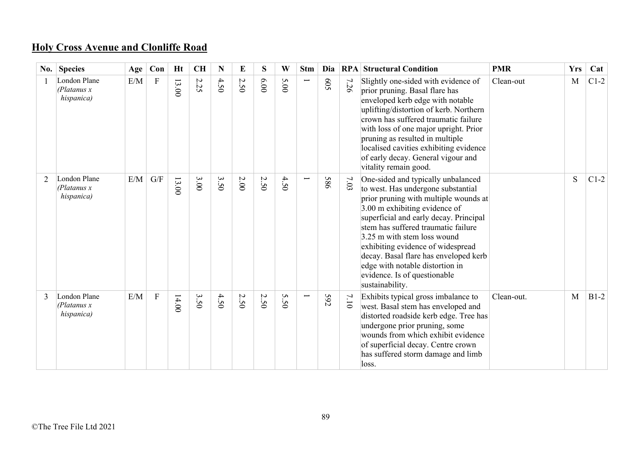## **Holy Cross Avenue and Clonliffe Road**

|   | No. Species                                | Age | Con                     | Ht               | <b>CH</b> | N    | E      | S    | W                     | <b>Stm</b>               | Dia        |      | <b>RPA Structural Condition</b>                                                                                                                                                                                                                                                                                                                                                                                                        | <b>PMR</b> | <b>Yrs</b> | Cat    |
|---|--------------------------------------------|-----|-------------------------|------------------|-----------|------|--------|------|-----------------------|--------------------------|------------|------|----------------------------------------------------------------------------------------------------------------------------------------------------------------------------------------------------------------------------------------------------------------------------------------------------------------------------------------------------------------------------------------------------------------------------------------|------------|------------|--------|
|   | London Plane<br>(Platanus x)<br>hispanica) | E/M | F                       | 13<br>$\ddot{0}$ | 2.25      | 4.50 | 2.50   | 6.00 | 5.00                  | $\overline{\phantom{0}}$ | 509        | 7.26 | Slightly one-sided with evidence of<br>prior pruning. Basal flare has<br>enveloped kerb edge with notable<br>uplifting/distortion of kerb. Northern<br>crown has suffered traumatic failure<br>with loss of one major upright. Prior<br>pruning as resulted in multiple<br>localised cavities exhibiting evidence<br>of early decay. General vigour and<br>vitality remain good.                                                       | Clean-out  | M          | $C1-2$ |
| 2 | London Plane<br>(Platanus x<br>hispanica)  | E/M | $\mathrm{G}/\mathrm{F}$ | 13.00            | 3.00      | 3.50 | $2.00$ | 2.50 | 4.5<br>$\ddot{\circ}$ |                          | 586        | 7.03 | One-sided and typically unbalanced<br>to west. Has undergone substantial<br>prior pruning with multiple wounds at<br>3.00 m exhibiting evidence of<br>superficial and early decay. Principal<br>stem has suffered traumatic failure<br>3.25 m with stem loss wound<br>exhibiting evidence of widespread<br>decay. Basal flare has enveloped kerb<br>edge with notable distortion in<br>evidence. Is of questionable<br>sustainability. |            | S          | $C1-2$ |
|   | London Plane<br>(Platanus x<br>hispanica)  | E/M | $\mathbf F$             | 14.00            | 3.50      | 4.50 | 2.50   | 2.50 | S<br>i<br>Õ           |                          | <b>592</b> | 7.10 | Exhibits typical gross imbalance to<br>west. Basal stem has enveloped and<br>distorted roadside kerb edge. Tree has<br>undergone prior pruning, some<br>wounds from which exhibit evidence<br>of superficial decay. Centre crown<br>has suffered storm damage and limb<br>loss.                                                                                                                                                        | Clean-out. | M          | $B1-2$ |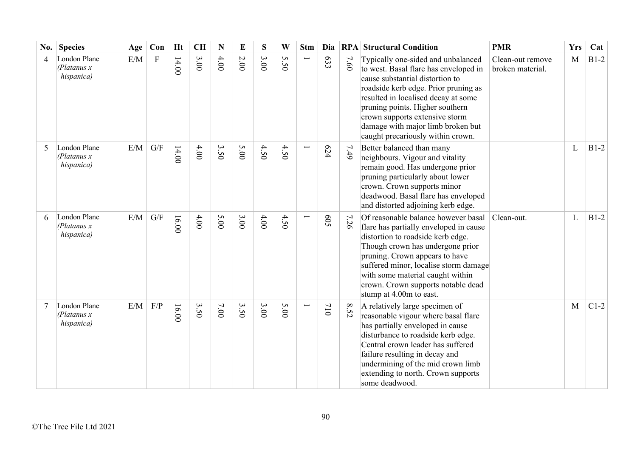| No. | <b>Species</b>                             | Age       | Con                     | <b>Ht</b> | <b>CH</b> | N      | E        | S    | W               | <b>Stm</b> | Dia |      | <b>RPA Structural Condition</b>                                                                                                                                                                                                                                                                                                              | <b>PMR</b>                           | <b>Yrs</b> | Cat    |
|-----|--------------------------------------------|-----------|-------------------------|-----------|-----------|--------|----------|------|-----------------|------------|-----|------|----------------------------------------------------------------------------------------------------------------------------------------------------------------------------------------------------------------------------------------------------------------------------------------------------------------------------------------------|--------------------------------------|------------|--------|
| 4   | London Plane<br>(Platanus x)<br>hispanica) | E/M       | $\mathbf F$             | 14.00     | 3.00      | 4.00   | $2.00\,$ | 3.00 | S<br>$\ddot{S}$ |            | 633 | 7.60 | Typically one-sided and unbalanced<br>to west. Basal flare has enveloped in<br>cause substantial distortion to<br>roadside kerb edge. Prior pruning as<br>resulted in localised decay at some<br>pruning points. Higher southern<br>crown supports extensive storm<br>damage with major limb broken but<br>caught precariously within crown. | Clean-out remove<br>broken material. | M          | $B1-2$ |
|     | London Plane<br>(Platanus x)<br>hispanica) | $\rm E/M$ | $\mathrm{G}/\mathrm{F}$ | 14.00     | 4.00      | 3.50   | 5.00     | 4.50 | 4.50            |            | 624 | 7.49 | Better balanced than many<br>neighbours. Vigour and vitality<br>remain good. Has undergone prior<br>pruning particularly about lower<br>crown. Crown supports minor<br>deadwood. Basal flare has enveloped<br>and distorted adjoining kerb edge.                                                                                             |                                      | L          | $B1-2$ |
| 6   | London Plane<br>(Platanus x)<br>hispanica) | E/M       | G/F                     | 16.00     | 4.00      | 5.00   | 3.00     | 4.00 | 4.50            |            | 509 | 7.26 | Of reasonable balance however basal<br>flare has partially enveloped in cause<br>distortion to roadside kerb edge.<br>Though crown has undergone prior<br>pruning. Crown appears to have<br>suffered minor, localise storm damage<br>with some material caught within<br>crown. Crown supports notable dead<br>stump at 4.00m to east.       | Clean-out.                           | L          | $B1-2$ |
|     | London Plane<br>(Platanus x)<br>hispanica) | E/M       | F/P                     | 16.00     | 3.50      | $7.00$ | 3.50     | 3.00 | 5.00            |            | 110 | 8.52 | A relatively large specimen of<br>reasonable vigour where basal flare<br>has partially enveloped in cause<br>disturbance to roadside kerb edge.<br>Central crown leader has suffered<br>failure resulting in decay and<br>undermining of the mid crown limb<br>extending to north. Crown supports<br>some deadwood.                          |                                      | M          | $C1-2$ |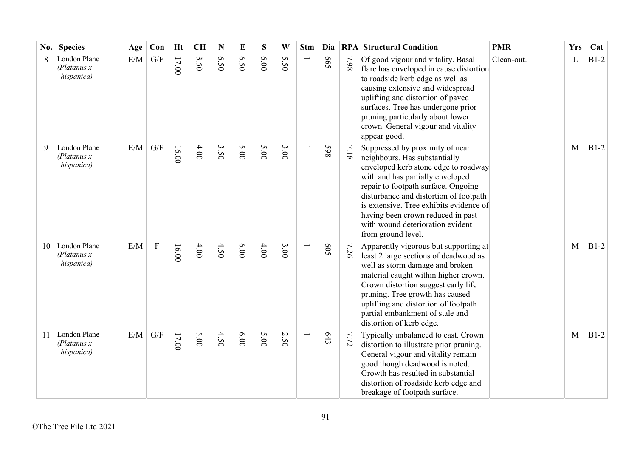| No. | <b>Species</b>                             | Age | Con                     | <b>Ht</b> | <b>CH</b> | N    | E    | S    | W       | <b>Stm</b> | Dia        |          | <b>RPA Structural Condition</b>                                                                                                                                                                                                                                                                                                                                         | <b>PMR</b> | <b>Yrs</b> | Cat    |
|-----|--------------------------------------------|-----|-------------------------|-----------|-----------|------|------|------|---------|------------|------------|----------|-------------------------------------------------------------------------------------------------------------------------------------------------------------------------------------------------------------------------------------------------------------------------------------------------------------------------------------------------------------------------|------------|------------|--------|
| 8   | London Plane<br>(Platanus x)<br>hispanica) | E/M | G/F                     | 17.00     | 3.50      | 6.50 | 6.50 | 6.00 | S<br>50 |            | <b>S99</b> | 7.98     | Of good vigour and vitality. Basal<br>flare has enveloped in cause distortion<br>to roadside kerb edge as well as<br>causing extensive and widespread<br>uplifting and distortion of paved<br>surfaces. Tree has undergone prior<br>pruning particularly about lower<br>crown. General vigour and vitality<br>appear good.                                              | Clean-out. | L          | $B1-2$ |
| 9   | London Plane<br>(Platanus x)<br>hispanica) | E/M | G/F                     | 16.00     | 4.00      | 3.50 | 5.00 | 5.00 | 3.00    |            | 865        | $7.18\,$ | Suppressed by proximity of near<br>neighbours. Has substantially<br>enveloped kerb stone edge to roadway<br>with and has partially enveloped<br>repair to footpath surface. Ongoing<br>disturbance and distortion of footpath<br>is extensive. Tree exhibits evidence of<br>having been crown reduced in past<br>with wound deterioration evident<br>from ground level. |            | M          | $B1-2$ |
| 10  | London Plane<br>(Platanus x)<br>hispanica) | E/M | $\mathbf F$             | 16.00     | 4.00      | 4.50 | 6.00 | 4.00 | 3.00    |            | 509        | 7.26     | Apparently vigorous but supporting at<br>least 2 large sections of deadwood as<br>well as storm damage and broken<br>material caught within higher crown.<br>Crown distortion suggest early life<br>pruning. Tree growth has caused<br>uplifting and distortion of footpath<br>partial embankment of stale and<br>distortion of kerb edge.                              |            | M          | $B1-2$ |
| 11  | London Plane<br>(Platanus x)<br>hispanica) | E/M | $\mathrm{G}/\mathrm{F}$ | $17.00$   | 5.00      | 4.50 | 00.9 | 5.00 | 2.50    |            | 643        | 7.72     | Typically unbalanced to east. Crown<br>distortion to illustrate prior pruning.<br>General vigour and vitality remain<br>good though deadwood is noted.<br>Growth has resulted in substantial<br>distortion of roadside kerb edge and<br>breakage of footpath surface.                                                                                                   |            | M          | $B1-2$ |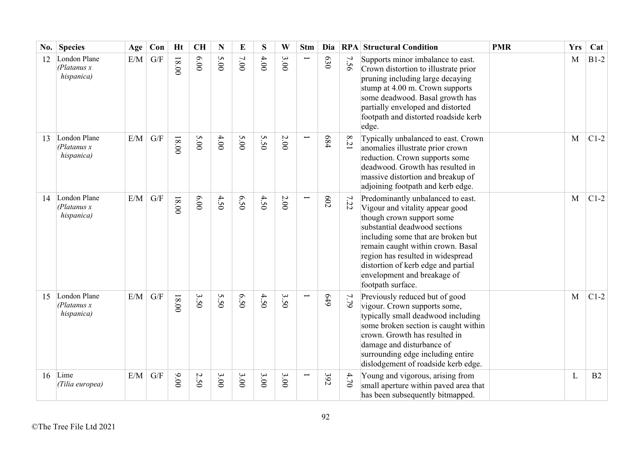| No. | <b>Species</b>                             | Age | Con                     | <b>Ht</b> | <b>CH</b> | N    | E    | S    | W        | <b>Stm</b>    | Dia            |          | <b>RPA Structural Condition</b>                                                                                                                                                                                                                                                                                                               | <b>PMR</b> | <b>Yrs</b> | Cat    |
|-----|--------------------------------------------|-----|-------------------------|-----------|-----------|------|------|------|----------|---------------|----------------|----------|-----------------------------------------------------------------------------------------------------------------------------------------------------------------------------------------------------------------------------------------------------------------------------------------------------------------------------------------------|------------|------------|--------|
| 12  | London Plane<br>(Platanus x)<br>hispanica) | E/M | G/F                     | $18.00$   | 6.00      | 5.00 | 7.00 | 4.00 | 3.00     |               | 630            | 7<br>56  | Supports minor imbalance to east.<br>Crown distortion to illustrate prior<br>pruning including large decaying<br>stump at 4.00 m. Crown supports<br>some deadwood. Basal growth has<br>partially enveloped and distorted<br>footpath and distorted roadside kerb<br>edge.                                                                     |            | M          | $B1-2$ |
| 13  | London Plane<br>(Platanus x<br>hispanica)  | E/M | G/F                     | $18.00$   | 5.00      | 4.00 | 5.00 | 5.50 | $2.00\,$ |               | 684            | $8.21\,$ | Typically unbalanced to east. Crown<br>anomalies illustrate prior crown<br>reduction. Crown supports some<br>deadwood. Growth has resulted in<br>massive distortion and breakup of<br>adjoining footpath and kerb edge.                                                                                                                       |            | M          | $C1-2$ |
| 14  | London Plane<br>(Platanus x)<br>hispanica) | E/M | G/F                     | $18.00$   | 6.00      | 4.50 | 6.50 | 4.50 | 2.00     | $\overline{}$ | $\overline{c}$ | 7.22     | Predominantly unbalanced to east.<br>Vigour and vitality appear good<br>though crown support some<br>substantial deadwood sections<br>including some that are broken but<br>remain caught within crown. Basal<br>region has resulted in widespread<br>distortion of kerb edge and partial<br>envelopment and breakage of<br>footpath surface. |            | M          | $C1-2$ |
| 15  | London Plane<br>(Platanus x)<br>hispanica) | E/M | $\mathrm{G}/\mathrm{F}$ | $18.00$   | 3.50      | 5.50 | 6.50 | 4.50 | 3.50     |               | 6+9            | 622      | Previously reduced but of good<br>vigour. Crown supports some,<br>typically small deadwood including<br>some broken section is caught within<br>crown. Growth has resulted in<br>damage and disturbance of<br>surrounding edge including entire<br>dislodgement of roadside kerb edge.                                                        |            | M          | $C1-2$ |
| 16  | Lime<br>(Tilia europea)                    | E/M | $\mathrm{G}/\mathrm{F}$ | 00'6      | 2.50      | 3.00 | 3.00 | 3.00 | 3.00     |               | 392            | 4.70     | Young and vigorous, arising from<br>small aperture within paved area that<br>has been subsequently bitmapped.                                                                                                                                                                                                                                 |            | L          | B2     |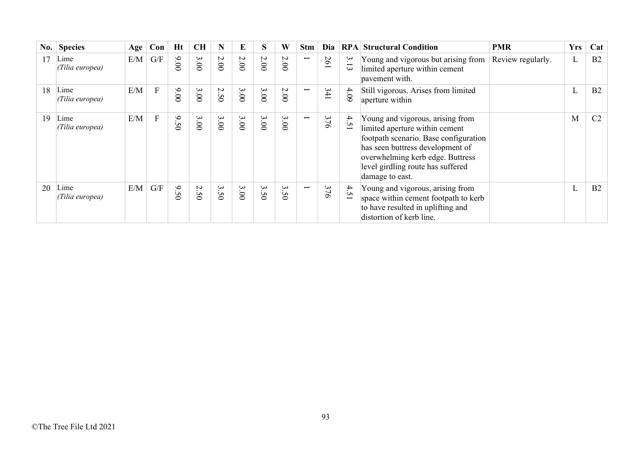| No. | <b>Species</b>          | Age | Con | Ht                               | <b>CH</b> | N    | E    | S                                     | W                                          | <b>Stm</b>               | Dia            |                 | <b>RPA Structural Condition</b>                                                                                                                                                                                                             | <b>PMR</b>        | <b>Yrs</b> | Cat            |
|-----|-------------------------|-----|-----|----------------------------------|-----------|------|------|---------------------------------------|--------------------------------------------|--------------------------|----------------|-----------------|---------------------------------------------------------------------------------------------------------------------------------------------------------------------------------------------------------------------------------------------|-------------------|------------|----------------|
|     | Lime<br>(Tilia europea) | E/M | G/F | 00.00                            | 3.00      | 2.00 | 2.00 | 2.00                                  | 2.00                                       | $\overline{\phantom{0}}$ | 261            | 3.1<br>$\omega$ | Young and vigorous but arising from<br>limited aperture within cement<br>pavement with.                                                                                                                                                     | Review regularly. | L          | B2             |
| 18  | Lime<br>(Tilia europea) | E/M | F   | 00.00                            | 3.00      | 2.50 | 3.00 | 3.000                                 | 2.00                                       | $\overline{\phantom{0}}$ | 341            | 4.09            | Still vigorous. Arises from limited<br>aperture within                                                                                                                                                                                      |                   | L          | B <sub>2</sub> |
| 19  | Lime<br>(Tilia europea) | E/M | F   | $\mathsf{a}.$<br>$\overline{50}$ | 3.00      | 3.00 | 3.00 | 3.00                                  | 3.00                                       | $\overline{\phantom{0}}$ | 376            | 4.51            | Young and vigorous, arising from<br>limited aperture within cement<br>footpath scenario. Base configuration<br>has seen buttress development of<br>overwhelming kerb edge. Buttress<br>level girdling route has suffered<br>damage to east. |                   | M          | C <sub>2</sub> |
| 20  | Lime<br>(Tilia europea) | E/M | G/F | $\mathsf{a}.$<br>$\overline{50}$ | 2.50      | 3.50 | 3.00 | $\ddot{\bm{\omega}}$<br>$\mathcal{S}$ | $\ddot{\mathbf{3}}$<br>Ü<br>$\ddot{\circ}$ | $\overline{\phantom{0}}$ | 37<br>$\sigma$ | 4.51            | Young and vigorous, arising from<br>space within cement footpath to kerb<br>to have resulted in uplifting and<br>distortion of kerb line.                                                                                                   |                   | L          | B2             |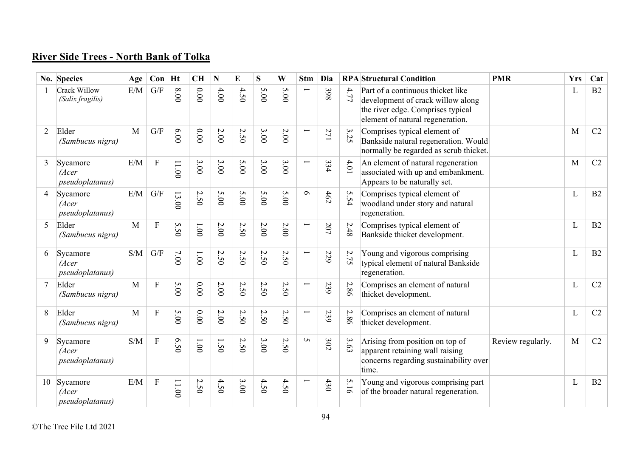## **River Side Trees - North Bank of Tolka**

|                | No. Species                          | Age | Con                     | Ht    | <b>CH</b> | N      | E                                       | S                               | W                                         | <b>Stm</b>               | Dia |        | <b>RPA</b> Structural Condition                                                                                                                 | <b>PMR</b>        | <b>Yrs</b>   | Cat |
|----------------|--------------------------------------|-----|-------------------------|-------|-----------|--------|-----------------------------------------|---------------------------------|-------------------------------------------|--------------------------|-----|--------|-------------------------------------------------------------------------------------------------------------------------------------------------|-------------------|--------------|-----|
|                | Crack Willow<br>(Salix fragilis)     | E/M | G/F                     | 8.00  | $0.00$    | 4.00   | 4.50                                    | 5.00                            | 5.00                                      |                          | 398 | 4.77   | Part of a continuous thicket like<br>development of crack willow along<br>the river edge. Comprises typical<br>element of natural regeneration. |                   | L            | B2  |
| $\overline{2}$ | Elder<br>(Sambucus nigra)            | M   | $\mathrm{G}/\mathrm{F}$ | 6.00  | 0.00      | $2.00$ | 2.50                                    | 3.00                            | 2.00                                      |                          | 271 | 3.25   | Comprises typical element of<br>Bankside natural regeneration. Would<br>normally be regarded as scrub thicket.                                  |                   | M            | C2  |
| 3              | Sycamore<br>(Acer<br>pseudoplatanus) | E/M | $\mathbf F$             | 11.00 | 3.00      | 3.00   | 5.00                                    | 3.00                            | 3.00                                      | Ī                        | 334 | $4.01$ | An element of natural regeneration<br>associated with up and embankment.<br>Appears to be naturally set.                                        |                   | M            | C2  |
| 4              | Sycamore<br>(Acer<br>pseudoplatanus) | E/M | G/F                     | 13.00 | 2.50      | 5.00   | 5.00                                    | 5.00                            | 5.00                                      | $\sigma$                 | 462 | 5.54   | Comprises typical element of<br>woodland under story and natural<br>regeneration.                                                               |                   | L            | B2  |
| 5              | Elder<br>(Sambucus nigra)            | M   | $\mathbf F$             | 5.50  | $1.00\,$  | $2.00$ | 2.50                                    | $2.00$                          | 2.00                                      | Ī                        | 207 | 2.48   | Comprises typical element of<br>Bankside thicket development.                                                                                   |                   | L            | B2  |
| 6              | Sycamore<br>(Acer<br>pseudoplatanus) | S/M | G/F                     | 007   | $1.00\,$  | 2.50   | $\sim$<br>50                            | 2.50                            | $\boldsymbol{\mathsf{c}}$<br>$\tilde{S}0$ |                          | 229 | 2.75   | Young and vigorous comprising<br>typical element of natural Bankside<br>regeneration.                                                           |                   | L            | B2  |
|                | Elder<br>(Sambucus nigra)            | M   | $\overline{F}$          | 5.00  | 00.00     | $2.00$ | $\boldsymbol{\mathsf{c}}$<br>$\dot{50}$ | $\boldsymbol{\mathsf{c}}$<br>50 | $\overline{M}$<br>$\tilde{S}0$            | $\overline{\phantom{0}}$ | 239 | 2.86   | Comprises an element of natural<br>thicket development.                                                                                         |                   | L            | C2  |
| 8              | Elder<br>(Sambucus nigra)            | M   | ${\bf F}$               | 5.00  | 0.00      | $2.00$ | 2.50                                    | 2.50                            | 2.50                                      | Ī                        | 239 | 2.86   | Comprises an element of natural<br>thicket development.                                                                                         |                   | L            | C2  |
| 9              | Sycamore<br>(Acer<br>pseudoplatanus) | S/M | $\mathbf F$             | 6.50  | $1.00\,$  | 1.50   | 2.50                                    | 3.00                            | Ņ<br>50                                   | $\sigma$                 | 302 | 3.63   | Arising from position on top of<br>apparent retaining wall raising<br>concerns regarding sustainability over<br>time.                           | Review regularly. | $\mathbf{M}$ | C2  |
| 10             | Sycamore<br>(Acer<br>pseudoplatanus) | E/M | $\mathbf F$             | 11.00 | 2.50      | 4.50   | 3.00                                    | 4.50                            | 4.50                                      |                          | 430 | 5.16   | Young and vigorous comprising part<br>of the broader natural regeneration.                                                                      |                   | L            | B2  |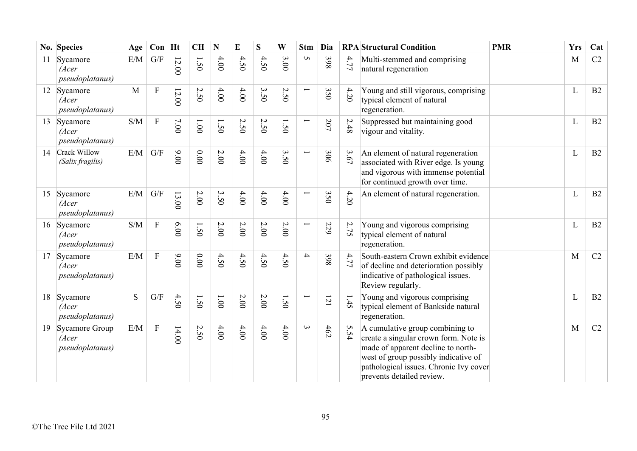|    | No. Species                                  | Age | $Con$ Ht     |       | <b>CH</b> | N            | E        | S    | W                                       | <b>Stm</b>               | Dia     |      | <b>RPA</b> Structural Condition                                                                                                                                                                                               | <b>PMR</b> | <b>Yrs</b> | Cat |
|----|----------------------------------------------|-----|--------------|-------|-----------|--------------|----------|------|-----------------------------------------|--------------------------|---------|------|-------------------------------------------------------------------------------------------------------------------------------------------------------------------------------------------------------------------------------|------------|------------|-----|
| 11 | Sycamore<br>(Acer<br><i>pseudoplatanus</i> ) | E/M | G/F          | 12.00 | 1.50      | 4.00         | 4.50     | 4.50 | 3.00                                    | S                        | 398     | 4.77 | Multi-stemmed and comprising<br>natural regeneration                                                                                                                                                                          |            | M          | C2  |
|    | 12 Sycamore<br>(Acer<br>pseudoplatanus)      | M   | ${\bf F}$    | 12.00 | 2.50      | 4.00         | 4.00     | 3.50 | $\boldsymbol{\mathsf{c}}$<br>$\dot{5}0$ | $\overline{\phantom{0}}$ | 350     | 4.20 | Young and still vigorous, comprising<br>typical element of natural<br>regeneration.                                                                                                                                           |            | L          | B2  |
| 13 | Sycamore<br>(Acer<br>pseudoplatanus)         | S/M | $\mathbf{F}$ | 7.00  | 1.001     | 1.50         | 2.50     | 2.50 | 50                                      | $\overline{\phantom{0}}$ | $207\,$ | 2.48 | Suppressed but maintaining good<br>vigour and vitality.                                                                                                                                                                       |            | L          | B2  |
| 14 | Crack Willow<br>(Salix fragilis)             | E/M | G/F          | 00.00 | $0.00$    | 2.00         | $4.00$   | 4.00 | 3.50                                    | $\overline{\phantom{0}}$ | 306     | 3.67 | An element of natural regeneration<br>associated with River edge. Is young<br>and vigorous with immense potential<br>for continued growth over time.                                                                          |            | L          | B2  |
| 15 | Sycamore<br>(Acer<br>pseudoplatanus)         | E/M | G/F          | 13.00 | $2.00$    | 3.50         | 4.00     | 4.00 | 4.00                                    | Ī                        | 350     | 4.20 | An element of natural regeneration.                                                                                                                                                                                           |            | L          | B2  |
| 16 | Sycamore<br>(Acer<br><i>pseudoplatanus</i> ) | S/M | $\mathbf{F}$ | 6.00  | 1.50      | 2.00         | $2.00\,$ | 2.00 | $2.00\,$                                | $\overline{\phantom{0}}$ | 229     | 2.75 | Young and vigorous comprising<br>typical element of natural<br>regeneration.                                                                                                                                                  |            | L          | B2  |
| 17 | Sycamore<br>(Acer<br>pseudoplatanus)         | E/M | $\rm F$      | 00.00 | 0.00      | 4.50         | 4.50     | 4.50 | 4.50                                    | $\overline{\mathcal{A}}$ | 398     | 4.77 | South-eastern Crown exhibit evidence<br>of decline and deterioration possibly<br>indicative of pathological issues.<br>Review regularly.                                                                                      |            | M          | C2  |
| 18 | Sycamore<br>(Acer<br><i>pseudoplatanus</i> ) | S   | G/F          | 4.50  | 1.50      | $00^{\circ}$ | $2.00\,$ | 2.00 | $\tilde{S}$                             |                          | 121     | 1.45 | Young and vigorous comprising<br>typical element of Bankside natural<br>regeneration.                                                                                                                                         |            | L          | B2  |
| 19 | Sycamore Group<br>(Acer<br>pseudoplatanus)   | E/M | $\mathbf F$  | 14.00 | 2.50      | 4.00         | 4.00     | 4.00 | 4.00                                    | $\omega$                 | 462     | 5.54 | A cumulative group combining to<br>create a singular crown form. Note is<br>made of apparent decline to north-<br>west of group possibly indicative of<br>pathological issues. Chronic Ivy cover<br>prevents detailed review. |            | M          | C2  |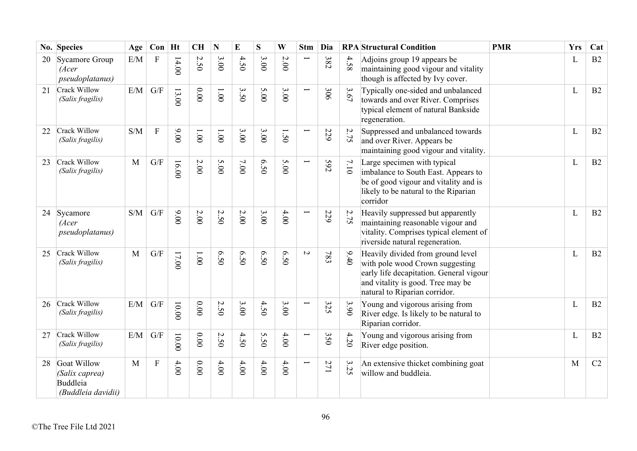|    | No. Species                                                     | Age          | $Con$ Ht       |         | <b>CH</b>                     | N                       | $\bf{E}$ | S       | W            | <b>Stm</b>               | Dia |      | <b>RPA</b> Structural Condition                                                                                                                                                       | <b>PMR</b> | <b>Yrs</b>   | Cat |
|----|-----------------------------------------------------------------|--------------|----------------|---------|-------------------------------|-------------------------|----------|---------|--------------|--------------------------|-----|------|---------------------------------------------------------------------------------------------------------------------------------------------------------------------------------------|------------|--------------|-----|
| 20 | Sycamore Group<br>(Acer<br>pseudoplatanus)                      | $\rm E/M$    | ${\bf F}$      | 14.00   | $\overline{C}$<br>$\tilde{S}$ | 3.00                    | 4.50     | 3.00    | $2.00$       |                          | 382 | 4.58 | Adjoins group 19 appears be<br>maintaining good vigour and vitality<br>though is affected by Ivy cover.                                                                               |            | $\mathbf{L}$ | B2  |
| 21 | Crack Willow<br>(Salix fragilis)                                | E/M          | G/F            | 13.00   | 0.00                          | 1.001                   | 3.50     | 5.00    | 3.00         | Ē                        | 306 | 3.67 | Typically one-sided and unbalanced<br>towards and over River. Comprises<br>typical element of natural Bankside<br>regeneration.                                                       |            | L            | B2  |
| 22 | Crack Willow<br>(Salix fragilis)                                | S/M          | $\mathbf F$    | 00.00   | 1.00                          | 1.001                   | 3.00     | 3.00    | $\tilde{S}0$ | Ē                        | 229 | 2.75 | Suppressed and unbalanced towards<br>and over River. Appears be<br>maintaining good vigour and vitality.                                                                              |            | L            | B2  |
| 23 | Crack Willow<br>(Salix fragilis)                                | $\mathbf{M}$ | G/F            | 16.00   | 2.00                          | 5.00                    | $7.00$   | 6.50    | 5.00         | $\overline{\phantom{0}}$ | 592 | 7.10 | Large specimen with typical<br>imbalance to South East. Appears to<br>be of good vigour and vitality and is<br>likely to be natural to the Riparian<br>corridor                       |            | $\mathbf{L}$ | B2  |
| 24 | Sycamore<br>(Acer<br>pseudoplatanus)                            | S/M          | G/F            | 00.00   | 2.00                          | 2.50                    | $2.00\,$ | 3.00    | 4.00         | L                        | 229 | 2.75 | Heavily suppressed but apparently<br>maintaining reasonable vigour and<br>vitality. Comprises typical element of<br>riverside natural regeneration.                                   |            | L            | B2  |
| 25 | Crack Willow<br>(Salix fragilis)                                | $\mathbf{M}$ | G/F            | 17.00   | $00^{\circ}$ l                | 6.50                    | 0.50     | 6.50    | 6.50         | $\sim$                   | 783 | 9.40 | Heavily divided from ground level<br>with pole wood Crown suggesting<br>early life decapitation. General vigour<br>and vitality is good. Tree may be<br>natural to Riparian corridor. |            | L            | B2  |
| 26 | Crack Willow<br>(Salix fragilis)                                | E/M          | G/F            | 00.00   | $0.00$                        | $\mathcal{L}$<br>ن<br>0 | 3.00     | 4.50    | 3.00         | Ī                        | 325 | 3.90 | Young and vigorous arising from<br>River edge. Is likely to be natural to<br>Riparian corridor.                                                                                       |            | $\mathbf{L}$ | B2  |
| 27 | Crack Willow<br>(Salix fragilis)                                | E/M          | G/F            | $00.00$ | $0.00\,$                      | Ņ<br>$\dot{S}0$         | 4.50     | Ŝ<br>50 | 4.00         | $\overline{\phantom{0}}$ | 350 | 4.20 | Young and vigorous arising from<br>River edge position.                                                                                                                               |            | L            | B2  |
| 28 | Goat Willow<br>(Salix caprea)<br>Buddleia<br>(Buddleia davidii) | M            | $\overline{F}$ | 4.00    | 0.00                          | 4.00                    | 4.00     | $4.00$  | $4.00$       | $\overline{\phantom{0}}$ | 271 | 3.25 | An extensive thicket combining goat<br>willow and buddleia.                                                                                                                           |            | M            | C2  |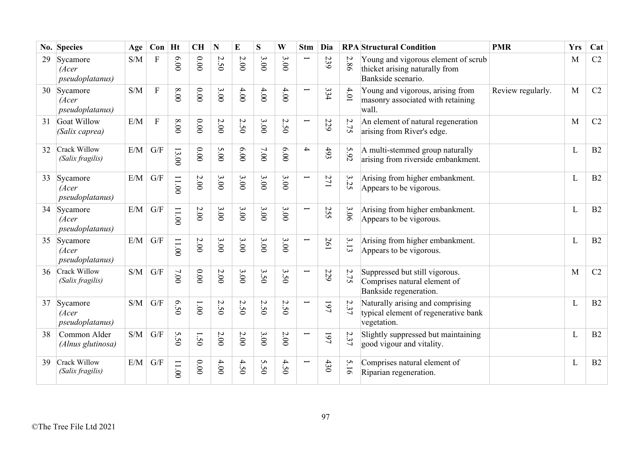|    | No. Species                                  | Age | $Con$ Ht     |         | <b>CH</b>      | $\mathbf N$ | $\bf{E}$ | S                                | W                                         | <b>Stm</b>               | Dia |                             | <b>RPA</b> Structural Condition                                                             | <b>PMR</b>        | <b>Yrs</b> | Cat |
|----|----------------------------------------------|-----|--------------|---------|----------------|-------------|----------|----------------------------------|-------------------------------------------|--------------------------|-----|-----------------------------|---------------------------------------------------------------------------------------------|-------------------|------------|-----|
| 29 | Sycamore<br>(Acer<br><i>pseudoplatanus</i> ) | S/M | F            | 6.00    | $0.00$         | 2.50        | $2.00\,$ | 3.00                             | 3.00                                      |                          | 239 | 2.86                        | Young and vigorous element of scrub<br>thicket arising naturally from<br>Bankside scenario. |                   | M          | C2  |
|    | 30 Sycamore<br>(Acer<br>pseudoplatanus)      | S/M | $\mathbf{F}$ | 8.00    | $0.00$         | 3.00        | 4.00     | 4.00                             | 4.00                                      | Ī                        | 334 | $4.01$                      | Young and vigorous, arising from<br>masonry associated with retaining<br>wall.              | Review regularly. | M          | C2  |
| 31 | Goat Willow<br>(Salix caprea)                | E/M | $\mathbf{F}$ | 8.00    | $0.00$         | 2.00        | 2.50     | 3.00                             | $\boldsymbol{\mathsf{c}}$<br>50           | Ţ                        | 229 | 2.75                        | An element of natural regeneration<br>arising from River's edge.                            |                   | M          | C2  |
| 32 | Crack Willow<br>(Salix fragilis)             | E/M | G/F          | 13.00   | $0.00$         | 5.00        | 6.00     | 7.00                             | 6.00                                      | 4                        | 493 | 5.92                        | A multi-stemmed group naturally<br>arising from riverside embankment.                       |                   | L          | B2  |
| 33 | Sycamore<br>(Acer<br>pseudoplatanus)         | E/M | G/F          | 11.00   | $2.00$         | 3.00        | 3.00     | 3.00                             | 3.00                                      | $\overline{\phantom{0}}$ | 271 | $\boldsymbol{\omega}$<br>52 | Arising from higher embankment.<br>Appears to be vigorous.                                  |                   | L          | B2  |
| 34 | Sycamore<br>(Acer<br>pseudoplatanus)         | E/M | G/F          | 11.00   | $2.00\,$       | 3.00        | 3.00     | 3.00                             | 3.00                                      | Ţ                        | 255 | 3.06                        | Arising from higher embankment.<br>Appears to be vigorous.                                  |                   | L          | B2  |
| 35 | Sycamore<br>(Acer<br>pseudoplatanus)         | E/M | G/F          | 11.00   | $2.00\,$       | 3.00        | 3.00     | 3.00                             | 3.00                                      | $\overline{\phantom{0}}$ | 261 | 3.13                        | Arising from higher embankment.<br>Appears to be vigorous.                                  |                   | L          | B2  |
| 36 | Crack Willow<br>(Salix fragilis)             | S/M | G/F          | 7.00    | $0.00$         | 2.00        | 3.00     | $\mathbf{\hat{z}}$<br>$\ddot{5}$ | $\boldsymbol{\omega}$<br>50               | Ë                        | 229 | 2.75                        | Suppressed but still vigorous.<br>Comprises natural element of<br>Bankside regeneration.    |                   | M          | C2  |
| 37 | Sycamore<br>(Acer<br>pseudoplatanus)         | S/M | G/F          | 0.50    | $00^{\circ}$ l | 2.50        | 2.50     | 2.50                             | $\boldsymbol{\mathsf{c}}$<br>$\tilde{S}0$ | Ī                        | 197 | 2.37                        | Naturally arising and comprising<br>typical element of regenerative bank<br>vegetation.     |                   | L          | B2  |
| 38 | Common Alder<br>(Alnus glutinosa)            | S/M | G/F          | S<br>50 | $\tilde{S}$    | 2.00        | $2.00$   | 3.00                             | $2.00$                                    | Ī                        | 197 | 2.37                        | Slightly suppressed but maintaining<br>good vigour and vitality.                            |                   | L          | B2  |
| 39 | Crack Willow<br>(Salix fragilis)             | E/M | G/F          | 11.00   | 0.00           | 4.00        | 4.50     | S<br>50                          | 4.50                                      |                          | 430 | 5.16                        | Comprises natural element of<br>Riparian regeneration.                                      |                   | L          | B2  |